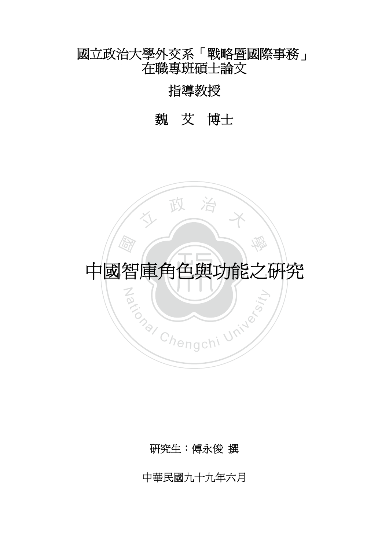# 國立政治大學外交系「戰略暨國際事務」 在職專班碩士論文

# 指導教授

# 魏艾博士



研究生:傅永俊 撰

中華民國九十九年六月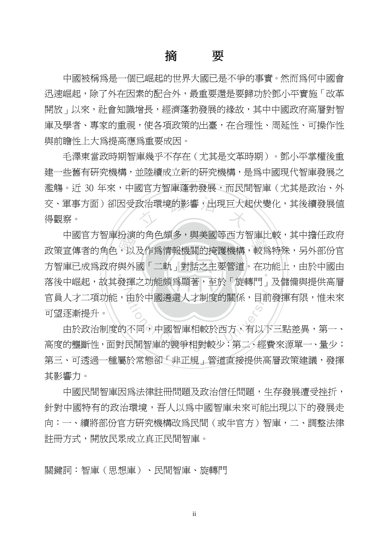# 摘 要

中國被稱為是一個已崛起的世界大國已是不爭的事實。然而為何中國會 迅速崛起,除了外在因素的配合外,最重要還是要歸功於鄧小平實施「改革 開放」以來,社會知識增長,經濟蓬勃發展的緣故,其中中國政府高層對智 庫及學者、專家的重視,使各項政策的出臺,在合理性、周延性、可操作性 與前瞻性上大為提高應為重要成因。

交、軍事方面)卻因受政治環境的影響,出現巨大起伏變化,其後續發展值<br>得觀察。 毛澤東當政時期智庫幾乎不存在(尤其是文革時期)。鄧小平掌權後重 建一些舊有研究機構,並陸續成立新的研究機構,是為中國現代智庫發展之 濫觴。沂 30 年來,中國官方智庫蓬勃發展,而民間智庫(尤其是政治、外 得觀察。

中國自力管庫仿澳的用巴頭多,興夫國寺四力管庫几較,共中擔仕政府<br>政策宣傳者的角色,以及作爲情報機關的掩護機構,較爲特殊,另外部份官<br>方智庫已成爲政府與外國「二軌」對話之主要管道。在功能上,由於中國由<br><br>落後中崛起,故其發揮之功能頗爲顯萎,至於「旋轉門」及儲備與提供高層 يند.<br>- $\mathbb{Z}$ 中國官方智庫扮演的角色頗多,與美國等西方智庫比較,其中擔任政府 方智庫已成爲政府與外國「二軌」對話之主要管道。在功能上,由於中國由 落後中崛起,故其發揮之功能頗爲顯著,至於「旋轉門」及儲備與提供高層 官員人才二項功能,由於中國遴選人才制度的關係,目前發揮有限,惟未來 可望逐漸提升。

由於中國遴選人才制度的關係,目前<br>不同。中國智庫相較於西方,有以下<br>民間智庫的競爭相對較少;第二、經費 由於政治制度的不同,中國智庫相較於西方,有以下三點差異,第一、 高度的壟斷性,面對民間智庫的競爭相對較少;第二、經費來源單一、量少; 第三、可透過一種屬於常態卻「非正規」管道直接提供高層政策建議,發揮 其影響力。

中國民間智庫因為法律註冊問題及政治信任問題,生存發展遭受挫折, 針對中國特有的政治環境,吾人以為中國智庫未來可能出現以下的發展走 向:一、續將部份官方研究機構改爲民間(或半官方)智庫,二、調整法律 註冊方式,開放民眾成立真正民間智庫。

關鍵詞:智庫(思想庫)、民間智庫、旋轉門

ii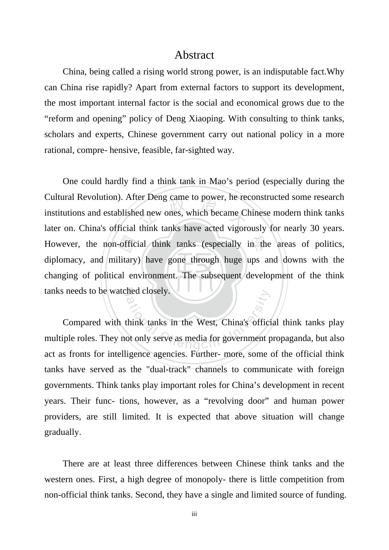#### Abstract

China, being called a rising world strong power, is an indisputable fact.Why can China rise rapidly? Apart from external factors to support its development, the most important internal factor is the social and economical grows due to the "reform and opening" policy of Deng Xiaoping. With consulting to think tanks, scholars and experts, Chinese government carry out national policy in a more rational, compre- hensive, feasible, far-sighted way.

я -offic<br>litary<br>al en er Deng came to power, he red<br>
ed new ones, which became C However, the non-official think tanks (especially in the areas of politics, changing of political environment. The subsequent development of the think tanks needs to be watched closely. One could hardly find a think tank in Mao's period (especially during the Cultural Revolution). After Deng came to power, he reconstructed some research institutions and established new ones, which became Chinese modern think tanks later on. China's official think tanks have acted vigorously for nearly 30 years. diplomacy, and military) have gone through huge ups and downs with the

ational Chengchi University.<br>
Think tanks in the West, China's officit<br>
ot only serve as media for government p Compared with think tanks in the West, China's official think tanks play multiple roles. They not only serve as media for government propaganda, but also act as fronts for intelligence agencies. Further- more, some of the official think tanks have served as the "dual-track" channels to communicate with foreign governments. Think tanks play important roles for China's development in recent years. Their func- tions, however, as a "revolving door" and human power providers, are still limited. It is expected that above situation will change gradually.

There are at least three differences between Chinese think tanks and the western ones. First, a high degree of monopoly- there is little competition from non-official think tanks. Second, they have a single and limited source of funding.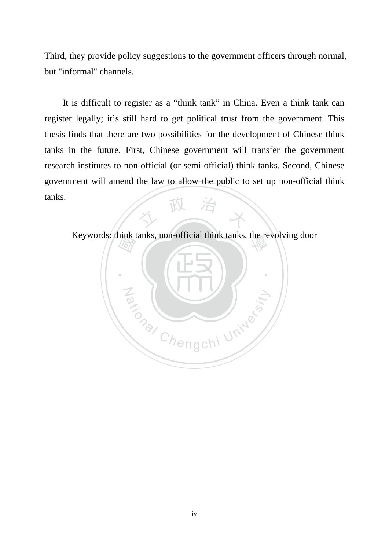Third, they provide policy suggestions to the government officers through normal, but "informal" channels.

人 政 治 木 It is difficult to register as a "think tank" in China. Even a think tank can register legally; it's still hard to get political trust from the government. This thesis finds that there are two possibilities for the development of Chinese think tanks in the future. First, Chinese government will transfer the government research institutes to non-official (or semi-official) think tanks. Second, Chinese government will amend the law to allow the public to set up non-official think tanks.

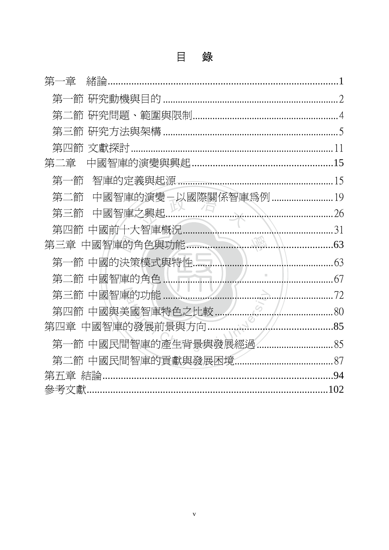| 第一章<br>緒論.                                   |                                                                                                                                                                                                                                        |
|----------------------------------------------|----------------------------------------------------------------------------------------------------------------------------------------------------------------------------------------------------------------------------------------|
| 第一節                                          |                                                                                                                                                                                                                                        |
| 第二節                                          |                                                                                                                                                                                                                                        |
| 第三節                                          |                                                                                                                                                                                                                                        |
| 第四節                                          |                                                                                                                                                                                                                                        |
| 第二章                                          | .15                                                                                                                                                                                                                                    |
| 第一節                                          | 15                                                                                                                                                                                                                                     |
| 第二節                                          |                                                                                                                                                                                                                                        |
| 中國智庫之興起<br>26<br>第三節<br>$\sim$ $\sim$ $\sim$ |                                                                                                                                                                                                                                        |
| 中國前十大智庫概況<br>第四節                             | 31                                                                                                                                                                                                                                     |
| S. Saltis<br>中國智庫的角色與功能<br>第三章               | . 63                                                                                                                                                                                                                                   |
| 第一節 中國的決策模式與特性                               | 63                                                                                                                                                                                                                                     |
| 第二節                                          | .<br>67                                                                                                                                                                                                                                |
| 中國智庫的功能<br>第三節                               | andro de la construcción de la construcción de la construcción de la construcción de la construcción de la con<br>En la construcción de la construcción de la construcción de la construcción de la construcción de la construcc<br>72 |
| $\mathcal{S}$<br>中國與美國智庫特色之比較<br>第四節         | $\frac{1}{2}$ 80                                                                                                                                                                                                                       |
| 第四章                                          |                                                                                                                                                                                                                                        |
| 第一節 中國民間智庫的產生背景與發展經過                         |                                                                                                                                                                                                                                        |
|                                              |                                                                                                                                                                                                                                        |
|                                              | .94                                                                                                                                                                                                                                    |
| 參考文獻.                                        |                                                                                                                                                                                                                                        |

#### 錄 目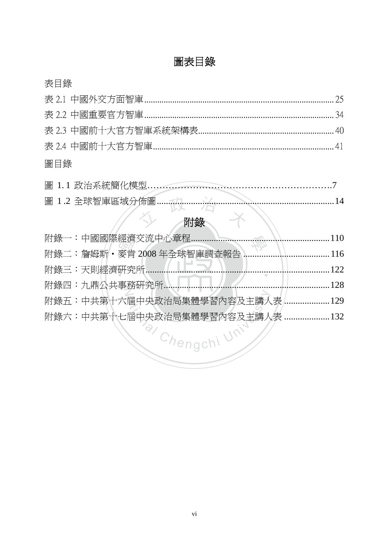# 圖表目錄

| q.<br>ĸ<br>じン |
|---------------|
|               |

### 圖目錄

| 圖 1.2 全球智庫區域分佈圖 |  |  |
|-----------------|--|--|
|                 |  |  |
|                 |  |  |

|                             | .110 |
|-----------------------------|------|
| 附錄二:詹姆斯·麥肯 2008年全球智庫調查報告    | .116 |
| 附錄三:天則經濟研究所                 | 122. |
| 附錄四:九鼎公共事務研究所               | 128  |
| 附錄五:中共第十六屆中央政治局集體學習內容及主講人表. | .129 |
| 附錄六:中共第十七屆中央政治局集體學習內容及主講人表. | .132 |
| Chengchi Ur                 |      |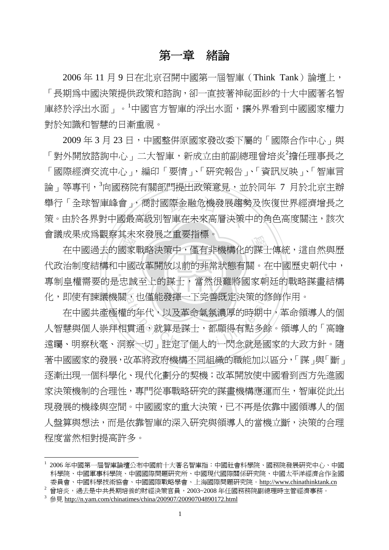#### 第一章緒論

2006 年 11 月 9 日在北京召開中國第一屆智庫(Think Tank)論壇上, 「長期為中國決策提供政策和諮詢,卻一直披著神祕面紗的十大中國著名智 庫終於浮出水面」。<sup>1</sup>中國官方智庫的浮出水面,讓外界看到中國國家權力 對於知識和智慧的日漸重視。

舉行「全球智庫峰會<sub>」</sub>,商討國際金融危機發展趨勢及恢復世界經濟增長之<br>策。由於各界對中國最高級別智庫在未來高層決策中的角色高度關注,該次 2009 年 3 月 23 日,中國整併原國家發改委下屬的「國際合作中心」與 「對外開放諮詢中心」二大智庫,新成立由前副總理曾培炎<sup>2</sup>擔任理事長之 「國際經濟交流中心」,編印「要情」、「研究報告」、「資訊反映」、「智庫言 論」等專刊,<sup>3</sup>向國務院有關部門提出政策意見,並於同年 7 月於北京主辦 策。由於各界對中國最高級別智庫在未來高層決策中的角色高度關注,該次 會議成果成為觀察其未來發展之重要指標。

六家 國神 成未成局観祭共不來發展之里安拒悰。<br>在中國過去的國家戰略決策中,僅有非機構化的謀士傳統,這自然與歷 ‧ N 代政治制度結構和中國改革開放以前的非常狀態有關。在中國歷史朝代中, 專制皇權需要的是忠誠至上的謀士,當然很難將國家朝廷的戰略謀畫結構 化,即使有諫議機關,也僅能發揮一下完善既定決策的修飾作用。

化,即使有諫議機關,也僅能發揮一下完善既定決策的修飾作用。<br>在中國共產極權的年代,以及革命氣氛濃厚的時期中,革命領導人的個<br>人智慧與個人崇拜相貫通,就算是謀士,都顯得有點多餘。領導人的「高瞻<br>遠矚、明察秋毫、洞察一切」註定了個人的一閃念就是國家的大政方針。隨 在中國共產極權的年代,以及革命氣氛濃厚的時期中,革命領導人的個 人智慧與個人崇拜相貫通,就算是謀士,都顯得有點多餘。領導人的「高瞻 著中國國家的發展,改革將政府機構不同組織的職能加以區分,「謀」與「斷」 逐漸出現一個科學化、現代化劃分的契機;改革開放使中國看到西方先進國 家決策機制的合理性,專門從事戰略研究的謀書機構應運而生,智庫從此出 現發展的機緣與空間。中國國家的重大決策,已不再是依靠中國領導人的個 人盤算與想法,而是依靠智庫的深入研究與領導人的當機立斷,決策的合理 程度當然相對提高許多。

<sup>1</sup> 2006 年中國第一屆智庫論壇公布中國前十大著名智庫指:中國社會科學院、國務院發展研究中心、中國 科學院、中國軍事科學院、中國國際問題研究所、中國現代國際關係研究院、中國太平洋經濟合作全國 委員會、中國科學技術協會、中國國際戰略學會、上海國際問題研究院。http://www.chinathinktank.cn

 $^2$ 曾培炎,通去是中共長期培養的財經決策官員,2003~2008年任國務務院副總理時主管經濟事務。

 $3 \circledast$   $\frac{1}{2}$  http://n.yam.com/chinatimes/china/200907/20090704890172.html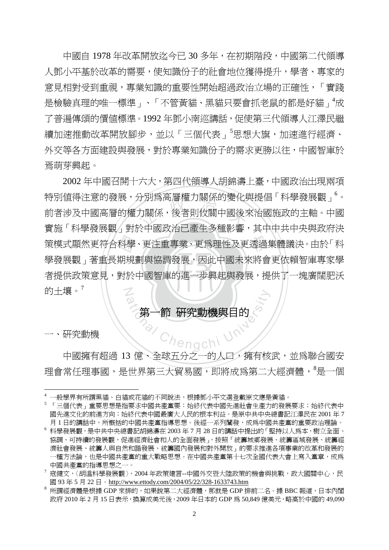中國自 1978 年改革開放迄今已 30 多年,在初期階段,中國第二代領導 人鄧小平基於改革的需要,使知識份子的社會地位獲得提升,學者、專家的 意見相對受到重視,專業知識的重要性開始超過政治立場的正確性,「實踐 是檢驗真理的唯一標準」、「不管黃貓、黑貓只要會抓老鼠的都是好貓」<sup>4</sup>成 了普遍傳頌的價值標準。1992 年鄧小南巡講話,促使第三代領導人江澤民繼 續加速推動改革開放腳步,並以「三個代表」<sup>5</sup>思想大旗,加速進行經濟、 外交等各方面建設與發展,對於專業知識份子的需求更勝以往,中國智庫於 焉萌芽興起。

者提供政策意見,對於中國智庫的進一步興起與發展,提供了一塊廣闊肥沃 策模式顯然更符合科學、更注重專業、更爲理性及更透過集體議決。由於「科<br>學發展觀」著重長期規劃與協調發展,因此中國未來將會更依賴智庫專家學<br>者提供政策意見,對於中國智庫的進一步興起與發展,提供了一塊廣闊肥沃 <sup>立</sup> <sup>政</sup> <sup>治</sup> <sup>大</sup> N 2002 年中國召開十六大,第四代領導人胡錦濤上臺,中國政治出現兩項 特別値得注意的發展,分別為高層權力關係的變化與提倡「科學發展觀」<sup>6</sup>。 前者涉及中國高層的權力關係,後者則攸關中國後來治國施政的主軸。中國 實施「科學發展觀」對於中國政治已產生多種影響,其中中共中央與政府決 學發展觀、著重長期規劃與協調發展,因此中國未來將會更依賴智庫專家學 的十壤。 $'$ 

# ational Chengchi University 第一節 研究動機與目的

一、研究動機

中國擁有超過 13 億、全球五分之一的人口,擁有核武,並為聯合國安 理會常任理事國,是世界第三大貿易國,即將成爲第二大經濟體,<sup>8</sup>是一個

 $\overline{a}$ <sup>4</sup> 一般學界有所謂黑貓、白貓或花貓的不同說法,根據鄧小平文選登載原文應是黃貓。

<sup>5</sup> 「三個代表」重要思想是指要求中國共產黨要:始終代表中國先進社會生產力的發展要求;始終代表中 國先進文化的前進方向;始終代表中國最廣大人民的根本利益。是原中共中央總書記江澤民在 2001 年 7 月 1 日的講話中,所概括的中國共產黨指導思想。後經一系列闡發,成為中國共產黨的重要政治理論。

<sup>6</sup> 科學發展觀,是中共中央總書記胡錦濤在 2003 年 7 月 28 日的講話中提出的「堅持以人為本,樹立全面、 協調、可持續的發展觀,促進經濟社會和人的全面發展」,按照「統籌城鄉發展、統籌區域發展、統籌經 濟社會發展、統籌人與自然和諧發展、統籌國內發展和對外開放」的要求推進各項事業的改革和發展的 一種方法論,也是中國共產黨的重大戰略思想。在中國共產黨第十七次全國代表大會上寫入黨章,成為 中國共產黨的指導思想之一。

 $^7$  寇健文,〈胡溫科學發展觀〉,2004 年政策建言--中國外交暨大陸政策的機會與挑戰,政大國關中心,民 國 93 年 5 月 22 日。http://www.ettody.com/2004/05/22/328-1633743.htm

 $^8$  所謂經濟體是根據 GDP 來排的,如果說第二大經濟體,那就是 GDP 排前二名。據 BBC 報道,日本內閣 政府 2010 年 2 月 15 日表示,換算成美元後,2009 年日本的 GDP 為 50,849 億美元,略高於中國的 49,090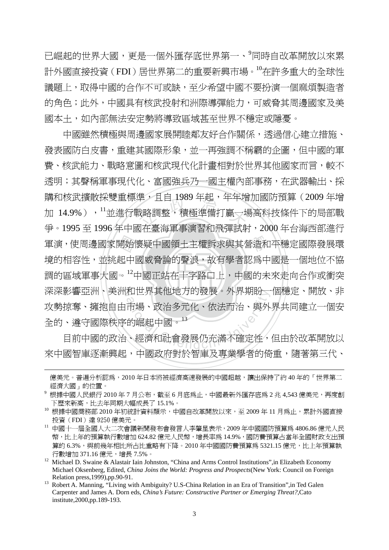已崛起的世界大國,更是一個外匯存底世界第一、 同時自改革開放以來累 計外國直接投資(FDI)居世界第二的重要新興市場。10在許多重大的全球性 議題上,取得中國的合作不可或缺,至少希望中國不要扮演一個麻煩製造者 的角色;此外,中國具有核武投射和洲際導彈能力,可威脅其周邊國家及美 國本土,如內部無法安定勢將導致區域甚至世界不穩定或隱憂。

開始|<br>起中|<br>。<sup>12</sup>µ 準,且日 1989 年起,年年増<br>我略調整,積極準備打贏一場<br>E左韋海軍車淖羽和巫隈封 學 軍演,使周邊國家開始懷疑中國領土主權訴求與其營造和平穩定國際發展環 調的區域軍事大國。<sup>12</sup>中國正站在十字路口上,中國的未來走向合作或衝突 深深影響亞洲、美洲和世界其他地方的發展。外界期盼一個穩定、開放、非 和世界具他地力的發展。外界期盼一<br>市場、政治多元化、依法而治、與外<br>的崛起中國。<br>、經濟和社會發展仍充滿不確定性, 中國雖然積極與周邊國家展開睦鄰友好合作關係,透過信心建立措施、 發表國防白皮書,重建其國際形象,並一再強調不稱霸的企圖,但中國的軍 書、核武能力、戰略意圖和核武現代化計畫相對於世界其他國家而言,較不 透明;其聲稱軍事現代化、富國強兵乃一國主權內部事務,在武器輸出、採 購和核武牆散採雙重標準,日自 1989年起,年年增加國防預算(2009年增 加 14.9%),<sup>11</sup>並進行戰略調整,積極準備打贏一場高科技條件下的局部戰 爭。1995 至 1996 年中國在臺海軍事演習和飛彈試射,2000 年台海西部進行 境的相容性,並挑起中國威脅論的聲浪,故有學者認為中國是一個地位不協 攻勢掠奪、擁抱自由市場、政治多元化、依法而治、與外界共同建立一個安 全的、遵守國際秩序的崛起中國。<sup>13</sup>

目前中國的政治、經濟和社會發展仍充滿不確定性,但由於改革開放以 來中國智庫逐漸興起,中國政府對於智庫及專業學者的倚重,隨著第三代、

億美元。普遍分析認為,2010年日本將被經濟高速發展的中國超越,讓出保持了約 40 年的「世界第二 經濟大國」的位置。

 $^9$  根據中國人民銀行 2010年7月公布,截至6月底為止,中國最新外匯存底為 2 兆 4,543 億美元,再度創 下歷來新高,比去年同期大幅成長了 15.1%。

<sup>10</sup> 根據中國商務部 2010 年初統計資料顯示,中國自改革開放以來,至 2009 年 11 月為止,累計外國直接 投資(FDI)達 9250 億美元。

<sup>11</sup> 中國十一屆全國人大二次會議新聞發布會發言人李肇星表示,2009 年中國國防預算為 4806.86 億元人民 幣,比上年的預算執行數增加 624.82 億元人民幣,增長率為 14.9%,國防費預算占當年全國財政支出預 算的 6.3%,與前幾年相比所占比重略有下降。2010 年中國國防費預算為 5321.15 億元,比上年預算執 行數增加 371.16 億元,增長 7.5%。

<sup>&</sup>lt;sup>12</sup> Michael D. Swaine & Alastair Iain Johnston, "China and Arms Control Institutions", in Elizabeth Economy Michael Oksenberg, Edited, *China Joins the World: Progress and Prospects*(New York: Council on Foreign Relation press,1999),pp.90-91.<br><sup>13</sup> Robert A. Manning, "Living with Ambiguity? U.S-China Relation in an Era of Transition", in Ted Galen

Carpenter and James A. Dorn eds, *China's Future: Constructive Partner or Emerging Threat?*,Cato institute,2000,pp.189-193.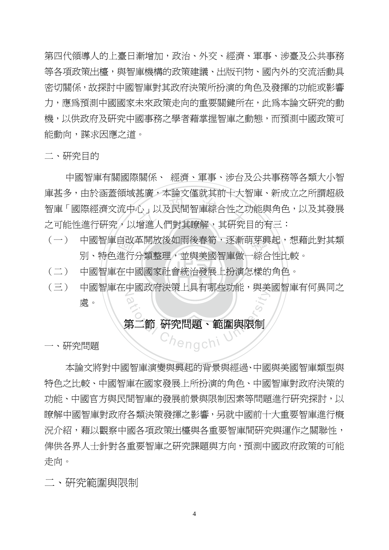第四代領導人的上臺日漸增加,政治、外交、經濟、軍事、涉臺及公共事務 等各項政策出檯,與智庫機構的政策建議、出版刊物、國內外的交流活動具 密切關係,故探討中國智庫對其政府決策所扮演的角色及發揮的功能或影響 力,應爲預測中國國家未來政策走向的重要關鍵所在,此爲本論文硏究的動 機,以供政府及研究中國事務之學者藉掌握智庫之動態,而預測中國政策可 能動向,謀求因應之道。

二、研究目的

会会<br><br><br>增進人們對其瞭解, 其研究 中國智庫有關國際關係、 經濟、軍事、涉台及公共事務等各類大小智 庫甚多,由於涵蓋領域甚廣,本論文僅就其前十大智庫、新成立之所謂超級 智庫「國際經濟文流中心」以及民間智庫綜合性之功能與角色,以及其發展 之可能性進行研究,以增進人們對其瞭解,其研究目的有三:

- (一) 中國智庫自改革開放後如雨後春筍,逐漸萌芽興起,想藉此對其類<br>別、特色進行分類整理,並與美國智庫做一綜合性比較。<br>(二) 中國智庫在中國國家社會統治發展上扮演怎樣的角色。 別、特色進行分類整理,並與美國智庫做一綜合性比較。
- ‧‧ (二) 中國智庫在中國國家社會統治發展上扮演怎樣的角色。
- N (三) 中國智庫在中國政府決策上具有哪些功能,與美國智庫有何異同之 ational Chengchi 處。

#### 第二節 研究問題、範圍與限制

一、研究問題

 本論文將對中國智庫演變與興起的背景與經過、中國與美國智庫類型與 特色之比較、中國智庫在國家發展上所扮演的角色、中國智庫對政府決策的 功能、中國官方與民間智庫的發展前景與限制因素等問題進行研究探討,以 瞭解中國智庫對政府各類決策發揮之影響,另就中國前十大重要智庫進行概 況介紹,藉以觀察中國各項政策出檯與各重要智庫間研究與運作之關聯性, 俾供各界人士針對各重要智庫之研究課題與方向,預測中國政府政策的可能 走向。

二、研究範圍與限制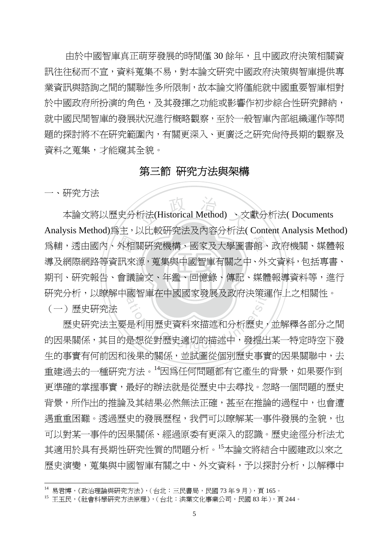由於中國智庫真正萌芽發展的時間僅 30 餘年,且中國政府決策相關資 訊往往秘而不宣,資料蒐集不易,對本論文研究中國政府決策與智庫提供專 業資訊與諮詢之間的關聯性多所限制,故本論文將僅能就中國重要智庫相對 於中國政府所扮演的角色,及其發揮之功能或影響作初步綜合性研究歸納, 就中國民間智庫的發展狀況進行概略觀察,至於一般智庫內部組織運作等問 題的探討將不在研究範圍內,有關更深入、更廣泛之研究尙待長期的觀察及 資料之蒐集,才能窺其全貌。

#### 第三節 研究方法與架構

一、研究方法

 $\overline{a}$ 

。<br>《宋朝朝史》 《太*阳》* 《西斯·安东·唐朝》 《唐朝》 《唐**唐** 外相<br>訊來<br>會議 折法(Historical Method) 、文 學 為輔,透由國內、外相關研究機構、國家及大學圖書館、政府機關、媒體報 N 研究分析,以瞭解中國智庫在中國國家發展及政府決策運作上之相關性。 本論文將以歷史分析法(Historical Method) 、文獻分析法( Documents Analysis Method)為主,以比較研究法及內容分析法( Content Analysis Method) 導及網際網路等資訊來源,蒐集與中國智庫有關之中、外文資料,包括專書、 期刊、研究報告、會議論文、年鑑、回憶錄、傳記、媒體報導資料等,進行 (一)歷史研究法

國智庫在中國國家發展及政府決策運<br>3<br>是利用歷史資料來描述和分析歷史,<br>是想從對歷史適切的描述中,發掘出 歷史研究法主要是利用歷史資料來描述和分析歷史,並解釋各部分之間 的因果關係,其目的是想從對歷史適切的描述中,發掘出某一特定時空下發 生的事實有何前因和後果的關係,並試圖從個別歷史事實的因果關聯中,去 重建過去的一種研究方法。<sup>14</sup>因為任何問題都有它產生的背景,如果要作到 更準確的掌握事實,最好的辦法就是從歷史中去尋找。忽略一個問題的歷史 背景,所作出的推論及其結果必然無法正確,甚至在推論的過程中,也會遭 遇重重困難。透過歷史的發展歷程,我們可以瞭解某一事件發展的全貌,也 可以對某一事件的因果關係、經過原委有更深入的認識。歷史途徑分析法尤 其適用於具有長期性研究性質的問題分析。<sup>15</sup>本論文將結合中國建政以來之 歷史演變,蒐集與中國智庫有關之中、外文資料,予以探討分析,以解釋中

<sup>14</sup> 易君博,《政治理論與研究方法》,(台北:三民書局,民國 73 年 9 月),頁 165。

<sup>15</sup> 王玉民,《社會科學研究方法原理》,(台北:洪葉文化事業公司,民國 83 年),頁 244。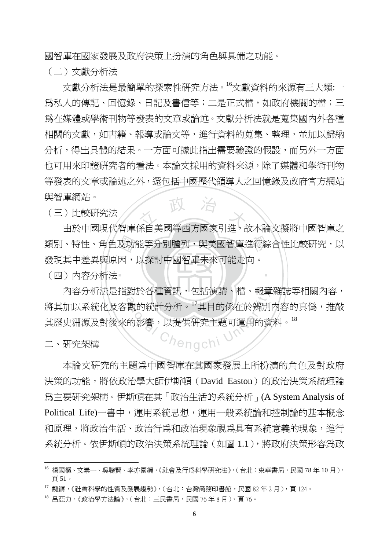國智庫在國家發展及政府決策上扮演的角色與具備之功能。

(二)文獻分析法

政 治 文獻分析法是最簡單的探索性研究方法。<sup>16</sup>文獻資料的來源有三大類:一 為私人的傳記、回憶錄、日記及書信等;二是正式檔,如政府機關的檔;三 為在媒體或學術刊物等發表的文章或論述。文獻分析法就是蒐集國內外各種 相關的文獻,如書籍、報導或論文等,進行資料的蒐集、整理,並加以歸納 分析,得出具體的結果。一方面可據此指出需要驗證的假設,而另外一方面 也可用來印證研究者的看法。本論文採用的資料來源,除了媒體和學術刊物 等發表的文章或論述之外,還包括中國歷代領導人之回憶錄及政府官方網站 與智庫網站。

(三)比較研究法

類別、特性、角色及功能等分別臚列,與美國智庫進行綜合性比較研究,以<br>發現其中差異與原因,以探討中國智庫未來可能走向。<br>(四)內容分析法 由於中國現代智庫係自美國等西方國家引進,故本論文擬將中國智庫之 發現其中差異與原因,以探討中國智庫未來可能走向。

‧

‧(四)內容分析法

內容分析法是指對於各種資訊,包括演講、檔、報章雜誌等相關內容, <sup>a</sup>t<sup>i</sup>ona<sup>l</sup> <sup>C</sup>hengch<sup>i</sup> <sup>U</sup>nivers<sup>i</sup>t<sup>y</sup> 將其加以系統化及客觀的統計分析。<sup>17</sup>其目的係在於辨別內容的真僞,推敲 其歷史淵源及對後來的影響,以提供研究主題可運用的資料。18

二、研究架構

 $\overline{a}$ 

本論文研究的主題為中國智庫在其國家發展上所扮演的角色及對政府 決策的功能,將依政治學大師伊斯頓(David Easton)的政治決策系統理論 為主要研究架構。伊斯頓在其「政治生活的系統分析」(A System Analysis of Political Life)一書中,運用系統思想,運用一般系統論和控制論的基本概念 和原理,將政治生活、政治行為和政治現象視為具有系統意義的現象,淮行 系統分析。依伊斯頓的政治決策系統理論(如圖 1.1),將政府決策形容為政

<sup>16</sup> 楊國樞、文崇一、吳聰賢、李亦園編,《社會及行為科學研究法》,(台北:東華書局,民國 78 年 10 月), 頁 51。

<sup>17</sup> 魏鏞,《社會科學的性質及發展趨勢》,(台北:台灣商務印書館,民國 82 年 2 月),頁 124。

<sup>18</sup> 呂亞力,《政治學方法論》,(台北:三民書局,民國 76 年 8 月),頁 76。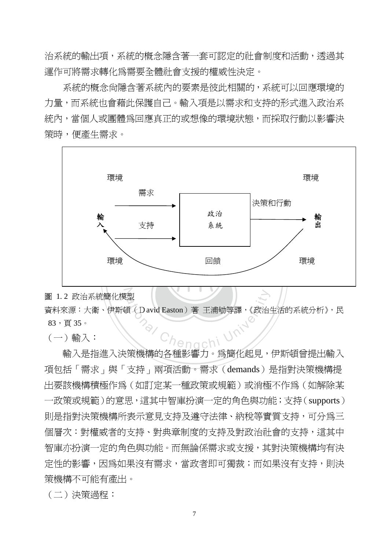治系統的輸出項,系統的概念隱含著一套可認定的社會制度和活動,透過其 運作可將需求轉化為需要全體社會支援的權威性決定。

系統的概念尚隱含著系統內的要素是彼此相關的,系統可以回應環境的 力量,而系統也會藉此保護自己。輸入項是以需求和支持的形式進入政治系 統內,當個人或團體為回應直正的或想像的環境狀態,而採取行動以影響決 策時,便產生需求。



圖 1.2 政治系統簡化模型 型<br>頁(David Easton)著王浦劬等譯,《政治 資料來源:大衛、伊斯頓(David Easton)著 王浦劬等譯,《政治生活的系統分析》,民 83,頁 35。

 $(-)$  輸入:

 輸入是指進入決策機構的各種影響力。為簡化起見,伊斯頓曾提出輸入 項包括「需求」與「支持」兩項活動。需求(demands)是指對決策機構提 出要該機構積極作為(如訂定某一種政策或規範)或消極不作為(如解除某 一政策或規範)的意思,這其中智庫扮演一定的角色與功能;支持(supports) 則是指對決策機構所表示意見支持及遵守法律、納稅等實質支持,可分為三 個層次:對權威者的支持、對典章制度的支持及對政治社會的支持,這其中 智庫亦扮演一定的角色與功能。而無論係需求或支援,其對決策機構均有決 定性的影響,因為如果沒有需求,當政者即可獨裁;而如果沒有支持,則決 策機構不可能有產出。

(二)決策過程:

7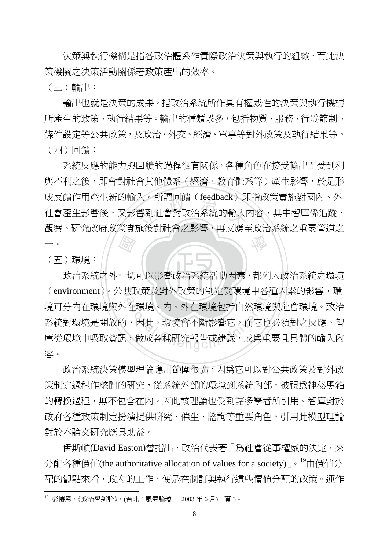決策與執行機構是指各政治體系作實際政治決策與執行的組織,而此決 策機關之決策活動關係著政策產出的效率。

(三)輸出:

 輸出也就是決策的成果。指政治系統所作具有權威性的決策與執行機構 所產生的政策、執行結果等。輸出的種類眾多,包括物質、服務、行為節制、 條件設定等公共政策,及政治、外交、經濟、軍事等對外政策及執行結果等。 (四)回饋:

厨房 人。所謂回頭(Teedback)別<br>響到社會對政治系統的輸入<br><sub>海後對社</sub>命ラ影鄉,更反應 學 系統反應的能力與回饋的過程很有關係,各種角色在接受輸出而受到利 與不利之後,即會對社會其他體系(經濟、教育體系等)產生影響,於是形 成反饋作用產生新的輸入。所謂回饋(feedback)即指政策實施對國內、外 社會產生影響後,又影響到社會對政治系統的輸入內容,其中智庫係追蹤、 觀察、研究政府政策實施後對社會之影響,再反應至政治系統之重要管道之 一。

(五)環境:

 $\overline{a}$ 

‧政治系統之外一切可以影響政治系統活動因素,都列入政治系統之環境 (environment)。公共政策及對外政策的制定受環境中各種因素的影響,環 5以束及到外以束的制定受壊境中各<br>在環境。內、外在環境包括自然環境<br>・因此,環境會不斷影響它,而它也<br>、做成各種研究報告或建議,成爲重 境可分內在環境與外在環境。內、外在環境包括自然環境與社會環境。政治 系統對環境是開放的,因此,環境會不斷影響它,而它也必須對之反應。智 庫從環境中吸取資訊,做成各種研究報告或建議,成為重要且具體的輸入內 容。

 政治系統決策模型理論應用範圍很廣,因為它可以對公共政策及對外政 策制定過程作整體的研究,從系統外部的環境到系統內部,被視為神秘黑箱 的轉換過程,無不包含在內。因此該理論也受到諸多學者所引用。智庫對於 政府各種政策制定扮演提供研究、催生、諮詢等重要角色,引用此模型理論 對於本論文研究應具助益。

伊斯頓(David Easton)曾指出,政治代表著「為社會從事權威的決定,來 分配各種價値(the authoritative allocation of values for a society) e<sup>19</sup>由價值分 配的觀點來看,政府的工作,便是在制訂與執行這些價值分配的政策。運作

<sup>19</sup> 彭懷恩,《政治學新論》,(台北:風雲論壇, 2003 年 6 月),頁 3。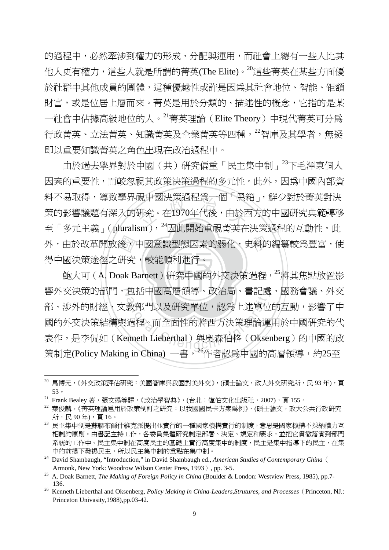的過程中,必然牽涉到權力的形成、分配與運用,而社會上總有一些人比其 他人更有權力,這些人就是所謂的菁英(The Elite)。<sup>20</sup>這些菁英在某些方面優 於社群中其他成員的團體,這種優越性或許是因為其社會地位、智能、钜額 財富,或是位居上層而來。菁英是用於分類的、描述性的概念,它指的是某 一社會中佔據高級地位的人。<sup>21</sup>菁英理論(Elite Theory)中現代菁英可分為 行政菁英、立法菁英、知識菁英及企業菁英等四種, 22智庫及其學者, 無疑 即以重要知識菁英之角色出現在政冶過程中。

外,由於改革開放後,中國意識型態因素的弱化,史料的編纂較爲豐富,使<br>得中國決策途徑之研究,較能順利進行。<br>鮑大可 ( A. Doak Barnett ) 研究中國的外交決策過程,<sup>25</sup>將其焦點放置影 呪屮図沢朿適怪烏一個「黒オ<br>硏究。在1970年代後,由於F<br>。m 、<sup>24</sup>国を関始重調書帯左 由於過去學界對於中國(共)研究偏重「民主集中制」<sup>23</sup>下毛澤東個人 因素的重要性,而較忽視其政策決策過程的多元性。此外,因為中國內部資 料不易取得,導致學界視中國決策過程為一個「黑箱」,鮮少對於菁英對決 策的影響議題有深入的研究。在1970年代後,由於西方的中國研究典範轉移 至「多元主義」(pluralism), 24因此開始重視菁英在決策過程的互動性。此 得中國決策途徑之研究,較能順利進行。

鮑大可 (A. Doak Barnett ) 研究中國的外交決策過程,<sup>25</sup>將其焦點放置影 響外交決策的部門,包括中國高層領導、政治局、書記處、國務會議、外交 包括屮國尚層領導、政治局、書記處<br>教部門以及硏究單位,認爲上述單位<br>過程。而全面性的將西方決策理論運<br>:nneth Lieberthal)與奧森伯格(Okser 部、涉外的財經、文教部門以及研究單位,認爲上述單位的互動,影響了中 國的外交決策結構與過程。而全面性的將西方決策理論運用於中國研究的代 表作,是李侃如(Kenneth Lieberthal)與奧森伯格(Oksenberg)的中國的政 策制定(Policy Making in China) 一書, <sup>26</sup>作者認為中國的高層領導, 約25至

<sup>20</sup> 馬博元,《外交政策評估研究:美國智庫與我國對美外交》,(碩士論文,政大外交研究所,民 93 年),頁 53。

 $^{21}$  Frank Bealey 著,張文揚等譯,《政治學智典》,(台北:偉伯文化出版社,2007),頁 155。

<sup>22</sup> 葉俊麟,《菁英理論扈用於政策制訂之研究:以我國國民卡方案爲例》,(碩士論文,政大公共行政研究 所,民 90 年),頁 16。

<sup>23</sup> 民主集中制是蘇聯布爾什維克派提出並實行的一種國家機構實行的制度,意思是國家機構不採納權力互 相制約原則。由書記主持工作,各委員集體研究制定部署、決定、規定和要求,並把它貫徹落實到部門 系統的工作中。民主集中制在高度民主的基礎上實行高度集中的制度,民主是集中指導下的民主,在集 中的前提下發揚民主,所以民主集中制的重點在集中制。

<sup>&</sup>lt;sup>24</sup> David Shambaugh, "Introduction," in David Shambaugh ed., *American Studies of Contemporary China* ( Armonk, New York: Woodrow Wilson Center Press, 1993), pp. 3-5. 25 A. Doak Barnett, *The Making of Foreign Policy in China* (Boulder & London: Westview Press, 1985), pp.7-

 <sup>136.</sup> 

<sup>&</sup>lt;sup>26</sup> Kenneth Lieberthal and Oksenberg, *Policy Making in China-Leaders, Strutures, and Processes* (Princeton, NJ.: Princeton Univasity,1988),pp.03-42.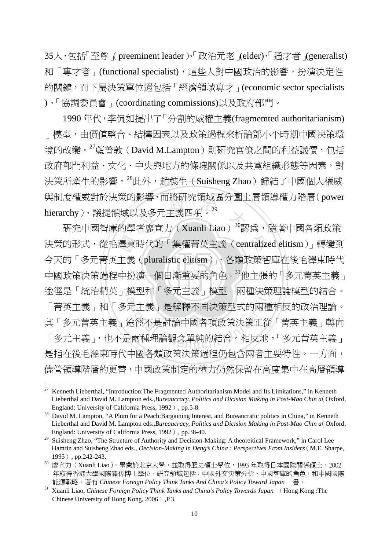35人,包括「至尊」(preeminent leader)、「政治元老」(elder)、「通才者」(generalist) 和「專才者」(functional specialist),這些人對中國政治的影響,扮演決定性 的關鍵,而下屬決策單位還包括「經濟領域專才」(economic sector specialists )、「協調委員會」(coordinating commissions)以及政府部門。

影響,而將岍先祖攻區分国」<br>及多元主義四項<sup>。29</sup><br>\*肉宝士(Yuguli Lise)<sup>30</sup>認 1990 年代,李侃如提出了「分割的威權主義(fragmemted authoritarianism) 」模型,由價值整合、結構因素以及政策過程來析論鄧小平時期中國決策環 境的改變。<sup>27</sup>藍普敦(David M.Lampton)則研究官僚之間的利益議價,包括 政府部門利益、文化、中央與地方的條塊關係以及共黨組織形態等因素,對 決策所產生的影響。<sup>28</sup>此外, 趙穗生(Suisheng Zhao)歸結了中國個人權威 與制度權威對於決策的影響,而將研究領域區分圍上層領導權力階層(power hierarchy)、議提領域以及多元主義四項<sup>。29</sup>

中國政策決策過程中扮演一個日漸重要的角色。31他主張的「多元菁英主義」 澤東<br>主義<br>中扮 決策的形式,從毛澤東時代的「集權菁英主義 (centralized elitism)」轉變到 途徑是「統治精英」模型和「多元主義」模型-兩種決策理論模型的結合。 候型和 ' 多兀土義」倶型-兩種決束<br>元主義」是解釋不同決策型式的兩種<br>途徑不是討論中國各項政策決策正從<br>是兩種理論觀念單純的結合。相反地 研究中國智庫的學者廖宣力(Xuanli Liao)<sup>30</sup>認為,隨著中國各類政策 今天的「多元菁英主義(pluralistic elitism)」,各類政策智庫在後毛澤東時代 「菁英主義」和「多元主義」是解釋不同決策型式的兩種相反的政治理論。 其「多元菁英主義」途徑不是討論中國各項政策決策正從「菁英主義」轉向 「多元主義」,也不是兩種理論觀念單純的結合。相反地,「多元菁英主義」 是指在後毛澤東時代中國各類政策決策過程仍包含兩者主要特性。一方面, 儘管領導階層的更替,中國政策制定的權力仍然保留在高度集中在高層領導

<sup>27</sup> 27 Kenneth Lieberthal, "Introduction:The Fragmented Authoritarianism Model and Its Limitations," in Kenneth Lieberthal and David M. Lampton eds.,*Bureaucracy, Politics and Dicision Making in Post-Mao Chin a*(Oxford, England: University of California Press, 1992), pp.5-8.<br><sup>28</sup> David M. Lampton, "A Plum for a Peach:Bargaining Interest, and Bureaucratic politics in China," in Kenneth

Lieberthal and David M. Lampton eds.,*Bureaucracy, Politics and Dicision Making in Post-Mao Chin a*(Oxford, England: University of California Press, 1992), pp.38-40.

<sup>&</sup>lt;sup>29</sup> Suisheng Zhao, "The Structure of Authority and Decision-Making: A theoreitical Framework," in Carol Lee Hamrin and Suisheng Zhao eds., *Decision-Making in Deng's China : Perspectives From Insiders*(M.E. Sharpe,

<sup>1995 ) ,</sup> pp.242-243.<br><sup>30</sup> 廖宣力 (Xuanli Liao ),畢業於北京大學,並取得歷史碩士學位,1993 年取得日本國際關係碩士,2002 年取得香港大學國際關係博士學位,研究領域包括:中國外交決策分析、中國智庫的角色,和中國國際 能源戰略。著有 *Chinese Foreign Policy Think Tanks And China's Policy Toward Japan* 一書。

<sup>&</sup>lt;sup>31</sup> Xuanli Liao, *Chinese Foreign Policy Think Tanks and China's Policy Towards Japan* (Hong Kong: The Chinese University of Hong Kong, 2006  $\,$  .P.3.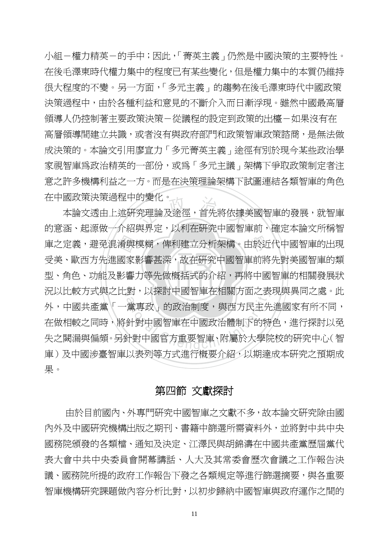小組-權力精英-的手中;因此,「菁英主義」仍然是中國決策的主要特性。 在後毛澤東時代權力集中的程度已有某些變化,但是權力集中的本質仍維持 很大程度的不變。另一方面,「多元主義」的趨勢在後毛澤東時代中國政策 決策過程中,由於各種利益和意見的不斷介入而日漸浮現。雖然中國最高層 領導人仍控制著主要政策決策-從議程的設定到政策的出檯-如果沒有在 高層領導間建立共識,或者沒有與政府部門和政策智庫政策諮商,是無法做 成決策的。本論文引用廖宣力「多元菁英主義」途徑有別於現今某些政治學 家視智庫為政治精英的一部份,或為「多元主議」架構下爭取政策制定者注 意之許多機構利益之一方。而是在決策理論架構下試圖連結各類智庫的角色 在中國政策決策過程中的變化。

‧‧ 型、角色、功能及影響力等先做概括式的介紹,再將中國智庫的相關發展狀 庫之定義,避免混淆與模糊,俾利建立分析架構。由於近代中國智庫的出現<br>受美、歐西方先進國家影響甚深,故在研究中國智庫前將先對美國智庫的類<br>型、角色、功能及影響力等先做概括式的介紹,再將中國智庫的相關發展狀 <sub>わ愛化。</sub><br>究理論及途徑,首先將依據<br><sup>湖 田 宁</sup>・以利左茲空中國知 N 況以比較方式與之比對,以探討中國智庫在相關方面之表現與異同之處。此 到,以採討中國智庫仕相關力面之表<br>黨專政」的政治制度,與西方民主先<br>針對中國智庫在中國政治體制下的特<br>計對中國官方重要智庫、附屬於大學防 本論文透由上述研究理論及途徑,首先將依據美國智庫的發展,就智庫 的意涵、起源做一介紹與界定,以利在研究中國智庫前,確定本論文所稱智 受美、歐西方先進國家影響甚深,故在研究中國智庫前將先對美國智庫的類 外,中國共產黨『一黨專政』的政治制度,與西方民主先進國家有所不同, 在做相較之同時,將針對中國智庫在中國政治體制下的特色,進行探討以免 失之闕漏與偏頗。另針對中國官方重要智庫、附屬於大學院校的研究中心(智 庫)及中國涉臺智庫以表列等方式進行概要介紹,以期達成本研究之預期成 果。

#### 第四節 文獻探討

 由於目前國內、外專門研究中國智庫之文獻不多,故本論文研究除由國 內外及中國研究機構出版之期刊、書籍中篩選所需資料外,並將對中共中央 國務院頒發的各類檔、通知及決定、江澤民與胡錦濤在中國共產黨歷屆黨代 表大會中共中央委員會開幕講話、人大及其常委會歷次會議之工作報告決 議、國務院所提的政府工作報告下發之各類規定等淮行篩選摘要,與各重要 智庫機構研究課題做內容分析比對,以初步歸納中國智庫與政府運作之間的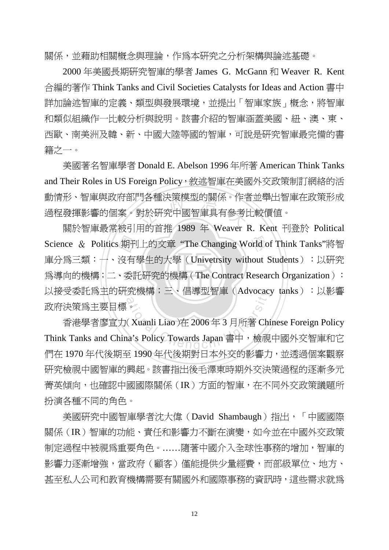關係,並藉助相關概念與理論,作為本研究之分析架構與論述基礎。

2000 年美國長期研究智庫的學者 James G. McGann 和 Weaver R. Kent 合編的著作 Think Tanks and Civil Societies Catalysts for Ideas and Action 書中 詳加論述智庫的定義、類型與發展環境,並提出「智庫家族」概念,將智庫 和類似組織作一比較分析與說明。該書介紹的智庫涵蓋美國、紐、澳、東、 西歐、南美洲及韓、新、中國大陸等國的智庫,可說是研究智庫最完備的書 籍之一。

为各俚决束快型旳|鯯係。作者<br>對於研究中國智庫具有參考|<br>田的音堆 1080 年 Wayar 1 美國著名智庫學者 Donald E. Abelson 1996 年所著 American Think Tanks and Their Roles in US Foreign Policy, 敘述智庫在美國外交政策制訂網絡的活 動情形、智庫與政府部門各種決策模型的關係。作者並舉出智庫在政策形成 過程發揮影響的個案。對於研究中國智庫具有參考比較價值。

為導向的機構;二、委託研究的機構(The Contract Research Organization): 期刊有季 學 Science & Politics 期刊上的文章 "The Changing World of Think Tanks"將智 以接受委託爲主的研究機構;三、倡導型智庫(Advocacy tanks):以影響 關於智庫最常被引用的首推 1989 年 Weaver R. Kent 刊登於 Political 庫分爲三類:一、沒有學生的大學(Univetrsity without Students):以研究 政府決策為主要目標。

·究機構,二、倡導型智庫(Advocacy)<br>8.<br>(Xuanli Liao )在 2006 年 3 月所著 Chi<br>na's Policy Towards Japan 書中,檢視 香港學者廖宣力(Xuanli Liao)在 2006 年 3 月所著 Chinese Foreign Policy Think Tanks and China's Policy Towards Japan 書中,檢視中國外交智庫和它 們在 1970 年代後期至 1990 年代後期對日本外交的影響力,並透過個案觀察 研究檢視中國智庫的興起。該書指出後毛澤東時期外交決策過程的逐漸多元 菁英傾向,也確認中國國際關係(IR)方面的智庫,在不同外交政策議題所 扮演各種不同的角色。

美國研究中國智庫學者沈大偉(David Shambaugh)指出,「中國國際 關係(IR)智庫的功能、責任和影響力不斷在演變,如今並在中國外交政策 制定過程中被視為重要角色。……隨著中國介入全球性事務的增加,智庫的 影響力逐漸增強,當政府(顧客)僅能提供少量經費,而部級單位、地方、 甚至私人公司和教育機構需要有關國外和國際事務的資訊時,這些需求就為

12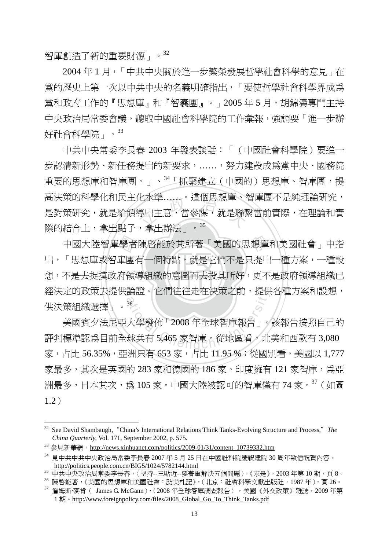智庫創造了新的重要財源」。32

2004 年 1 月,「中共中央關於進一步繁榮發展哲學社會科學的意見」在 黨的歷史上第一次以中共中央的名義明確指出,「要使哲學社會科學界成為 黨和政府工作的『思想庫』和『智囊團』。」2005年5月,胡錦濤專門主持 中央政治局常委會議,聽取中國社會科學院的工作彙報,強調要「進一步辦 好社會科學院」。<sup>33</sup>

化水準……。這個忠恕庫、?<br>導出主意,當參謀,就是聯<br>,合中<u>越汗、。<sup>35</sup></u> 中共中央常委李長春 2003 年發表談話:「(中國社會科學院)要進一 步認清新形勢、新任務提出的新要求,……,努力建設成為黨中央、國務院 重要的思想庫和智庫團。」、34「抓緊建立(中國的)思想庫、智庫團,提 高決策的科學化和民主化水準……。這個思想庫、智庫團不是純理論研究, 是對策研究,就是給領導出主意,當參謀,就是聯繫當前實際,在理論和實 際的結合上,拿出點子,拿出辦法」。<sup>35</sup>

想,不是去捉摸政府領導組織的意圖而去投其所好,更不是政府領導組織已 中國大陸智庫學者陳啓能於其所著「美國的思想庫和美國社會」中指<br>「思想庫或智庫團有一個特點,就是它們不是只提出一種方案,一種設<br>不是去捉摸政府領導組織的意圖而去投其所好,更不是政府領導組織已 經決定的政策去提供論證。它們往往走在決策之前,提供各種方案和設想, 出,「思想庫或智庫團有一個特點,就是它們不是只提出一種方案,一種設 供決策組織選擇」。<sup>36</sup>

論證。它们往往走仕決束之則,提供<br><br>大學發佈「2008年全球智庫報告」。<br>球共有 5,465 家智庫。從地區看,北 美國賓夕法尼亞大學發佈「2008 年全球智庫報告」。該報告按照自己的 評判標準認爲目前全球共有 5,465 家智庫。從地區看,北美和西歐有 3,080 家,占比 56.35%,亞洲只有 653 家,占比 11.95 %;從國別看,美國以 1.777 家最多,其次是英國的 283 家和德國的 186 家。印度擁有 121 家智庫,為亞 洲最多,日本其次,為 105 家。中國大陸被認可的智庫僅有 74 家。37 (如圖 1.2)

<sup>&</sup>lt;sup>32</sup> See David Shambaugh, "China's International Relations Think Tanks-Evolving Structure and Process," The *China Quarterly, Vol. 171, September 2002, p. 575.*<br><sup>33</sup> 參見新華網, http://news.xinhuanet.com/politics/2009-01/31/content\_10739332.htm

<sup>34</sup> 見中共中共中央政治局常委李長春 2007 年 5 月 25 日在中國社科院慶祝建院 30 周年致信祝賀內容。 http://politics.people.com.cn/BIG5/1024/5782144.html

<sup>35</sup> 中共中央政治局常委李長春,〈堅持--三貼近--要著重解決五個問題〉,《求是》, 2003 年第 10 期, 頁 8。

<sup>36</sup> 陳啟能著,《美國的思想庫和美國社會:訪美札記》,(北京:社會科學文獻出版社,1987 年),頁 26。

 $37$  詹姆斯·麥肯 ( James G. McGann), < 2008 年全球智庫調査報告 > , 美國《外交政策》雜誌, 2009 年第 1 期。http://www.foreignpolicy.com/files/2008\_Global\_Go\_To\_Think\_Tanks.pdf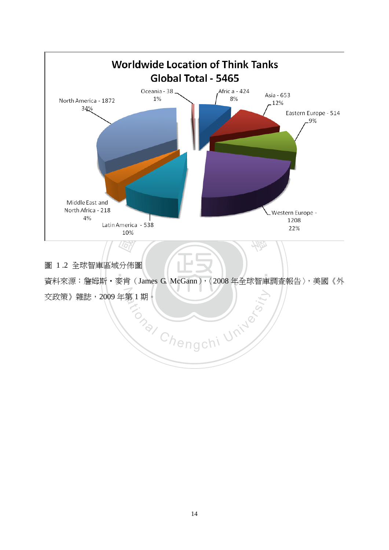

圖 1 .2 全球智庫區域分佈圖

資料來源:詹姆斯·麥肯(James G. McGann),〈2008年全球智庫調查報告〉,美國《外 ‧ 。<br>交政策》雜誌,2009 年第 1 期。

**Chengchi University**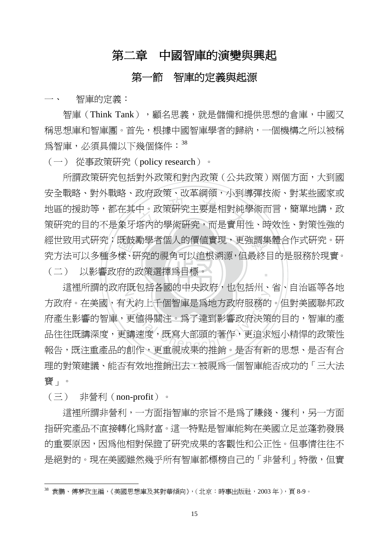# 第二章中國智庫的演變與興起

#### 第一節智庫的定義與起源

一、 智庫的定義:

智庫 (Think Tank), 福名思義, 就是儲備和提供思想的倉庫, 中國又 稱思想庫和智庫團。首先,根據中國智庫學者的歸納,一個機構之所以被稱 為智庫,必須具備以下幾個條件: 38

(一) 從事政策研究(policy research)。

‧(二) 以影響政府的政策選擇為目標。 既鼓<br>樣、<br>存的 <sub>次出</sub><br><br>中。政策硏究主要是相對純<sup>』</sup><br>塔內的學術研究,而是實用 經世致用式研究;既鼓勵學者個人的價值實現,更強調集體合作式研究。研 ‧ 所謂政策研究包括對外政策和對內政策(公共政策)兩個方面,大到國 安全戰略、對外戰略、政府政策、改革綱領,小到導彈技術、對某些國家或 地區的援助等,都在其中。政策研究主要是相對純學術而言,簡單地講,政 策研究的目的不是象牙塔內的學術研究,而是實用性、時效性、對策性強的 究方法可以多種多樣、研究的視角可以追根溯源,但最終目的是服務於現實。

這裡所謂的政府既包括各國的中央政府,也包括州、省、自治區等各地 。<br>大約上千個智庫是爲地方政府服務的<br>更値得關注。爲了達到影響政府決策<br>講速度,既寫大部頭的著作,更追求<br>舗速度,既寫大部頭的著作,更追求 方政府。在美國,有大約上千個智庫是為地方政府服務的。但對美國聯邦政 府產生影響的智庫,更值得關注。為了達到影響政府決策的目的,智庫的產 品往往既講深度,更講速度,既寫大部頭的著作,更追求短小精悍的政策性 報告,既注重產品的創作,更重視成果的推銷。是否有新的思想、是否有合 理的對策建議、能否有效地推銷出去,被視為一個智庫能否成功的「三大法 寶」。

(三) 非營利(non-profit)。

 $\overline{a}$ 

這裡所謂非營利,一方面指智庫的宗旨不是為了賺錢、獲利,另一方面 指研究產品不直接轉化為財富。這一特點是智庫能夠在美國立足並蓬勃發展 的重要原因,因為他相對保證了研究成果的客觀性和公正性。但事情往往不 是絕對的。現在美國雖然幾乎所有智庫都標榜自己的「非營利」特徵,但實

 $38$  袁鵬、傅夢孜主編,《美國思想庫及其對華傾向》,(北京:時事出版社,2003年),百8-9。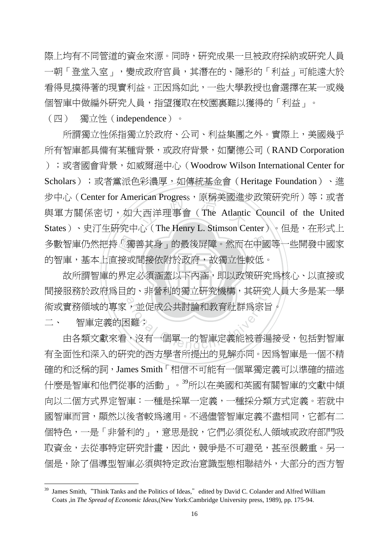際上均有不同管道的資金來源。同時,研究成果一旦被政府採納或研究人員 一朝「登堂入室」,變成政府官員,其潛在的、隱形的「利益」可能遠大於 看得見摸得著的現實利益。正因為如此,一些大學教授也會選擇在某一或幾 個智庫中做編外研究人員,指望獲取在校園裏難以獲得的「利益」。

(四) 獨立性(independence)。

多數智庫仍然把持「獨善其身」的最後屏障。然而在中國等一些開發中國家<br>的智庫,基本上直接或間接依附於政府,故獨立性較低。<br>故所謂智庫的界定必須涵蓋以下內涵,即以政策研究爲核心、以直接或 <sup>立</sup> <sup>政</sup> <sup>治</sup> <sup>大</sup> 所謂獨立性係指獨立於政府、公司、利益集團之外。實際上,美國幾乎 所有智庫都具備有某種背景,或政府背景,如蘭德公司(RAND Corporation );或者國會背景,如威爾遜中心(Woodrow Wilson International Center for Scholars);或者黨派色彩濃厚,如傳統基金會(Heritage Foundation)、進 步中心(Center for American Progress,属稱美國進步政策研究所)等;或者 與軍方關係密切,如大西洋理事會(The Atlantic Council of the United States)、史汀生研究中心(The Henry L. Stimson Center)。但是,在形式上 的智庫,基本上直接或間接依附於政府,故獨立性較低。

‧‧ 故所謂智庫的界定必須涵蓋以下內涵,即以政策研究為核心、以直接或 間接服務於政府為目的、非營利的獨立研究機構,其研究人員大多是某一學 的、非営利旳淘立岍究機構,具研究<br>, 並促成公共討論和教育社群爲宗旨<br><br><br>、沒有一個單一的智庫定義能被普遍 術或實務領域的專家,並促成公共討論和教育社群為宗旨。

二、 智庫定義的困難?

 $\overline{a}$ 

由各類文獻來看,沒有一個單一的智庫定義能被普遍接受,包括對智庫 有全面性和深入的研究的西方學者所提出的見解亦同。因為智庫是一個不精 確的和泛稱的詞,James Smith「相信不可能有一個單獨定義可以準確的描述 什麼是智庫和他們從事的活動」。<sup>39</sup>所以在美國和英國有關智庫的文獻中傾 向以二個方式界定智庫:一種是採單一定義,一種採分類方式定義。若就中 國智庫而言,顯然以後者較為適用。不過儘管智庫定義不盡相同,它都有二 個特色,一是「非營利的」,意思是說,它們必須從私人領域或政府部門吸 取資金,去從事特定研究計畫,因此,競爭是不可避免,甚至很嚴重。另一 個是,除了倡導型智庫必須與特定政治意識型態相聯結外,大部分的西方智

<sup>&</sup>lt;sup>39</sup> James Smith, "Think Tanks and the Politics of Ideas," edited by David C. Colander and Alfred William Coats ,in *The Spread of Economic Ideas*,(New York:Cambridge University press, 1989), pp. 175-94.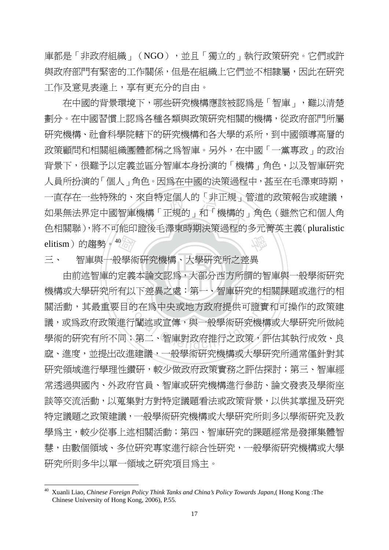庫都是「非政府組織」(NGO),並且「獨立的」執行政策研究。它們或許 與政府部門有緊密的工作關係,但是在組織上它們並不相隸屬,因此在研究 工作及意見表達上,享有更充分的自由。

elitism)的趨勢。40<br>三、 智庫與一般學術<br>由前述智庫的定義 米目符疋個人的「非止規」<br><br>機構「正規的」和「機構的<br>※※チ運車哇明沖等温积的 學 在中國的背景環境下,哪些研究機構應該被認為是「智庫」,難以清楚 劃分。在中國習慣上認為各種各類與政策研究相關的機構,從政府部門所屬 研究機構、社會科學院轄下的研究機構和各大學的系所,到中國領導高層的 政策顧問和相關組織團體都稱之為智庫。另外,在中國「一黨專政」的政治 背景下,很難予以定義並區分智庫本身扮演的「機構」角色,以及智庫研究 人員所扮演的「個人」角色。因為在中國的決策過程中,甚至在毛澤東時期, 一直存在一些特殊的、來自特定個人的「非正規、管道的政策報告或建議, 如果無法界定中國智庫機構「正規的」和「機構的」角色(雖然它和個人角 色相關聯),將不可能印證後毛澤東時期決策過程的多元菁英主義(pluralistic

三、 智庫與一般學術研究機構、大學研究所之差異

由前述智庫的定義本論文認為,大部分西方所謂的智庫與一般學術研究 機構或大學研究所有以下差異之處:第一、智庫研究的相關課題或進行的相 以下差異之處:男一、智庫研究的相<br><br><br>行闡述或宣傳,與一般學術研究機構<br>;第二、智庫對政府推行之政策,評<br>、第二、智庫對政府推行之政策,評 關活動,其最重要目的在為中央或地方政府提供可證實和可操作的政策建 議,或為政府政策進行闡述或宣傳,與一般學術研究機構或大學研究所做純 學術的研究有所不同;第二、智庫對政府推行之政策,評估其執行成效、良 窳、進度,並提出改進建議,一般學術研究機構或大學研究所通常僅針對其 研究領域進行學理性鑽研,較少做政府政策實務之評估探討;第三、智庫經 常透過與國內、外政府官員、智庫或研究機構進行參訪、論文發表及學術座 談等交流活動,以蒐集對方對特定議題看法或政策背景,以供其掌握及研究 特定議題之政策建議,一般學術研究機構或大學研究所則多以學術研究及教 學爲主,較少從事上述相關活動;第四、智庫研究的課題經常是發揮集體智 慧,由數個領域、多位研究專家進行綜合性研究,一般學術研究機構或大學 研究所則多半以單一領域之研究項目為主。

<sup>40</sup> Xuanli Liao, *Chinese Foreign Policy Think Tanks and China's Policy Towards Japan*,( Hong Kong :The Chinese University of Hong Kong, 2006), P.55.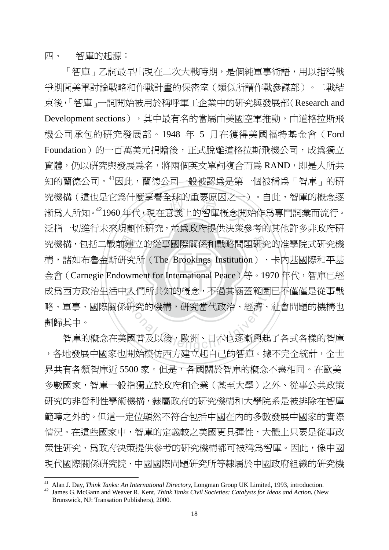四、 智庫的起源:

 $\overline{a}$ 

金會 (Carnegie Endowment for International Peace) 等。1970 年代,智庫已經 前建<br>研究<br>down 要享誉全球的里安原囚∠一)<br>(,現在意義上的智庫概念開<br>ய・・・・・・・・・・・・・・・・・・・・・・・・・・・・・・・・・・ 學 究機構,包括二戰前建立的從事國際關係和戰略問題研究的准學院式研究機 N 成為西方政治生活中人們所共知的概念,不過其涵蓋範圍已不僅僅是從事戰 人们所共知旳概念,个適具涵盍軛圍<br>研究的機構,研究當代政治、經濟、<br>國普及以後,歐洲、日本也逐漸興起 「智庫」乙詞最早出現在二次大戰時期,是個純軍事術語,用以指稱戰 爭期間美軍討論戰略和作戰計畫的保密室(類似所謂作戰參謀部)。二戰結 束後,「智庫」一詞開始被用於稱呼軍工企業中的研究與發展部(Research and Development sections), 其中最有名的當屬由美國空軍推動,由道格拉斯飛 機公司承包的研究發展部。1948 年 5 月在獲得美國福特基金會(Ford Foundation)的一百萬美元捐贈後,正式脫離道格拉斯飛機公司,成為獨立 實體,仍以研究與發展為名,將兩個英文單詞複合而為 RAND,即是人所共 知的蘭德公司。<sup>41</sup>因此,蘭德公司一般被認為是第一個被稱為「智庫」的研 究機構(這也是它為什麼享譽全球的重要原因之一)。自此,智庫的概念逐 漸爲人所知。<sup>42</sup>1960 年代,現在意義上的智庫概念開始作爲專門詞彙而流行。 泛指一切進行未來規劃性研究,並為政府提供決策參考的其他許多非政府研 構,諸如布魯金斯研究所(The Brookings Institution)、卡內基國際和平基 略、軍事、國際關係研究的機構,研究當代政治、經濟、社會問題的機構也 劃歸其中。

智庫的概念在美國普及以後,歐洲、日本也逐漸興起了各式各樣的智庫 ,各地發展中國家也開始模仿西方建立起自己的智庫。據不完全統計,全世 界共有各類智庫沂 5500 家。但是,各國關於智庫的概念不盡相同。在歐美 多數國家,智庫一般指獨立於政府和企業(甚至大學)之外、從事公共政策 研究的非營利性學術機構,隸屬政府的研究機構和大學院系是被排除在智庫 範疇之外的。但這一定位顯然不符合包括中國在內的多數發展中國家的實際 情況。在這些國家中,智庫的定義較之美國更具彈性,大體上只要是從事政 策性研究、為政府決策提供參考的研究機構都可被稱為智庫。因此,像中國 現代國際關係研究院、中國國際問題研究所等隸屬於中國政府組織的研究機

<sup>&</sup>lt;sup>41</sup> Alan J. Day, *Think Tanks: An International Directory*, Longman Group UK Limited, 1993, introduction.<br><sup>42</sup> James G. McGann and Weaver R. Kent, *Think Tanks Civil Societies: Catalysts for Ideas and Action*. (New

Brunswick, NJ: Transation Publishers), 2000.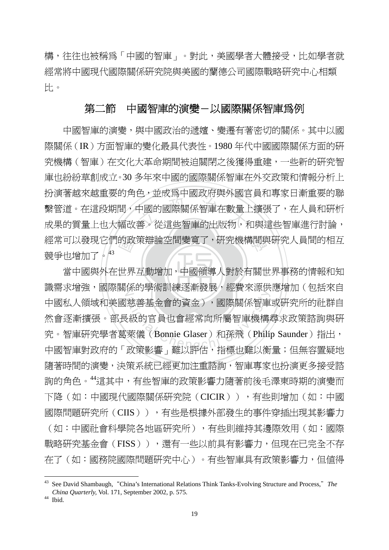構,往往也被稱為「中國的智庫」。對此,美國學者大體接受,比如學者就 經常將中國現代國際關係研究院與美國的蘭德公司國際戰略研究中心相類 比。

#### 第二節中國智庫的演變-以國際關係智庫為例

的政<br>世界 ) <del>並次為,因次為久介因</del><br>中國的國際關係智庫在數量<br>善。從這些智庫的出版物, 學 經常可以發現它們的政策辯論空間變寬了,研究機構間與研究人員間的相互 中國智庫的演變,與中國政治的遞嬗、變遷有著密切的關係。其中以國 際關係(IR)方面智庫的變化最具代表性。1980 年代中國國際關係方面的研 究機構(智庫)在文化大革命期間被迫關閉之後獲得重建,一些新的研究智 庫也紛紛草創成立。30 多年來中國的國際關係智庫在外交政策和情報分析上 扮演著越來越重要的角色,並成為中國政府與外國官員和專家日漸重要的聯 繫管道。在這段期間,中國的國際關係智庫在數量上擴張了,在人員和研析 成果的質量上也大幅改善。從這些智庫的出版物,和與這些智庫進行討論, 競爭也增加了。43

‧當中國與外在世界互動增加,中國領導人對於有關世界事務的情報和知 識需求增強,國際關係的學術訓練逐漸發展,經費來源供應增加(包括來自 Masy Minimachi Rake Mag Kano<br>慈善基金會的資金),國際關係智庫<br><br>萊儀 (Bonnie Glaser)和孫飛 (Phili<br>政策影響, 難以評估, 指標出難以衛 中國私人領域和美國慈善基金會的資金),國際關係智庫或研究所的社群自 然會逐漸擴張。部長級的官員也會經常向所屬智庫機構尋求政策諮詢與研 究。智庫研究學者葛萊儀(Bonnie Glaser)和孫飛(Philip Saunder)指出, 中國智庫對政府的「政策影響」難以評估,指標也難以衡量;但無容置疑地 隨著時間的演變,決策系統已經更加注重諮詢,智庫專家也扮演更多接受諮 詢的角色。<sup>44</sup>這其中,有些智庫的政策影響力隨著前後毛澤東時期的演變而 下降(如:中國現代國際關係研究院(CICIR)),有些則增加(如:中國 國際問題研究所(CIIS)),有些是根據外部發生的事件穿插出現其影響力 (如:中國社會科學院各地區研究所),有些則維持其邊際效用(如:國際 戰略研究基金會(FISS)),還有一些以前具有影響力,但現在已完全不存 在了(如:國務院國際問題研究中心)。有些智庫具有政策影響力,但值得

<sup>43</sup> See David Shambaugh,"China's International Relations Think Tanks-Evolving Structure and Process,"*The China Quarterly,* Vol. 171, September 2002, p. 575. 44 Ibid.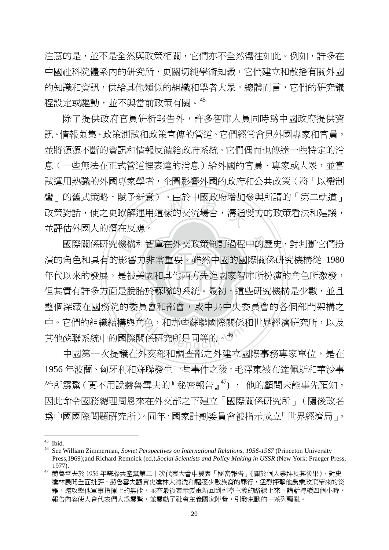注意的是,並不是全然與政策相關,它們亦不全然嚮往如此。例如,許多在 中國社科院體系內的研究所,更關切純學術知識,它們建立和散播有關外國 的知識和資訊,供給其他類似的組織和學者大眾。總體而言,它們的研究議 程設定或驅動,並不與當前政策有關。<sup>45</sup>

<sub>新忌ノ ・</sub>田於中國政府増加<br>運用這樣的交流場合,溝通!<br><sub>産</sub>。 除了提供政府官員研析報告外,許多智庫人員同時為中國政府提供資 訊、情報蒐集、政策測試和政策宣傳的管道。它們經常會見外國專家和官員, 並將源源不斷的資訊和情報反饋給政府系統。它們偶而也傳達一些特定的消 息(一些無法在正式管道裡表達的消息)給外國的官員、專家或大眾,並嘗 試運用熟識的外國專家學者,企圖影響外國的政府和公共政策(將「以蠻制 蠻」的舊式策略,賦予新意)。由於中國政府增加參與所謂的「第二軌道」 政策對話,使之更瞭解運用這樣的交流場合,溝通雙方的政策看法和建議, 並評估外國人的潛在反應。

年代以來的發展,是被美國和其他西方先進國家智庫所扮演的角色所激發, 國際關係研究機構和智庫在外交政策制訂過程中的歷史,對判斷它們扮<br>演的角色和具有的影響力非常重要。雖然中國的國際關係研究機構從 1980<br>年代以來的發展,是被美國和其他西方先進國家智庫所扮演的角色所激發, 但其實有許多方面是脫胎於蘇聯的系統。最初,這些研究機構是少數,並且 <sup>a</sup>t<sup>i</sup>ona<sup>l</sup> <sup>C</sup>hengch<sup>i</sup> <sup>U</sup>nivers<sup>i</sup>t<sup>y</sup> 演的角色和具有的影響力非常重要。雖然中國的國際關係研究機構從 1980 整個深藏在國務院的委員會和部會,或中共中央委員會的各個部門架構之 中。它們的組織結構與角色,和那些蘇聯國際關係和世界經濟研究所,以及 其他蘇聯系統中的國際關係研究所是同等的。<sup>46</sup>

 中國第一次提議在外交部和調查部之外建立國際事務專家單位,是在 1956 年波蘭、匈牙利和蘇聯發生一些事件之後。毛澤東被布達佩斯和華沙事 件所震驚(更不用說赫魯雪夫的『秘密報告』<sup>47</sup>), 他的顧問未能事先預知, 因此命令國務總理周恩來在外交部之下建立「國際關係研究所」(隨後改名 為中國國際問題研究所)。同年,國家計劃委員會被指示成立「世界經濟局」,

 $45$  Ibid.

<sup>46</sup> See William Zimmerman, *Soviet Perspectives on International Relations, 1956-1967* (Princeton University Press,1969);and Richard Remnick (ed.),*Social Scientists and Policy Making in USSR* (New York: Praeger Press,

<sup>1977).&</sup>lt;br><sup>47</sup> 赫魯雪夫於 1956 年蘇聯共產黨第二十次代表大會中發表「秘密報告」《關於個人崇拜及其後果》,對史 達林展開全面批評,赫魯雪夫譴責史達林大清洗和驅逐少數族裔的罪行,猛烈抨擊他農業政策帶來的災 難,還攻擊他軍事指揮上的無能,並在最後表示要重新回到列寧主義的路線上來。講話持續四個小時, 報告內容使大會代表們大為震驚,並震動了社會主義國家陣營,引發東歐的一系列騷亂。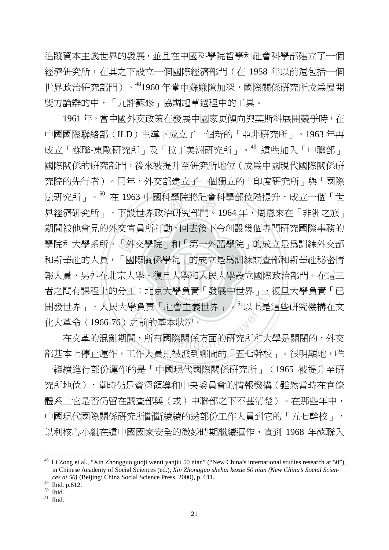追蹤資本主義世界的發展,並且在中國科學院哲學和社會科學部建立了一個 經濟研究所,在其之下設立一個國際經濟部門(在 1958 年以前還包括一個 世界政治研究部門)。481960 年當中蘇嫌隙加深,國際關係研究所成為展開 雙方論辯的中,「九評蘇修」協調起草過程中的工具。

‧‧ 報人員,另外在北京大學、復旦大學和人民大學設立國際政治部門。在這三 學院和大學系所<sup>。「</sup>外交學院」和「第一外語學院」的成立是爲訓練外交部<br>和新華社的人員,「國際關係學院」的成立是爲訓練調查部和新華社秘密情<br>報人員,另外在北京大學、復旦大學和人民大學設立國際政治部門。在這三 3 屮図科学院將社曾科学部社<br>世界政治研究部門。1964 年<br>昌 千元 九、同土後下へ創取 者之間有課程上的分工:北京大學負責「發展中世界」、復旦大學負責「已 エ・北京大学貝頁 ' 發展屮世界」、<br>|學負責「社會主義世界」。<sup>51</sup>以上是<br>|之前的基本狀況。<br>|間,所有國際關係方面的研究所和大 1961 年,當中國外交政策在發展中國家更傾向與莫斯科展開競爭時,在 中國國際聯絡部(ILD)主導下成立了一個新的「亞非研究所」。1963 年再 成立「蘇聯-東歐研究所」及「拉丁美洲研究所」。<sup>49</sup> 這些加入「中聯部」 國際關係的研究部門,後來被提升至研究所地位(成為中國現代國際關係研 究院的先行者)。同年,外交部建立了一個獨立的「印度研究所」與「國際 法研究所」。<sup>50</sup> 在 1963 中國科學院將社會科學部位階提升,成立一個「世 界經濟研究所」,下設世界政治研究部門。1964 年,周恩來在「非洲之旅」 期間被他會見的外交官員所打動,回去後下令創設幾個專門研究國際事務的 和新華社的人員,「國際關係學院」的成立是為訓練調查部和新華社秘密情 開發世界」,人民大學負責「社會主義世界」。<sup>51</sup>以上是這些研究機構在文 化大革命(1966-76)之前的基本狀況。

 在文革的混亂期間,所有國際關係方面的研究所和大學是關閉的,外交 部基本上停止運作,工作人員則被派到鄉間的「五七幹校」。很明顯地,唯 一繼續進行部份運作的是「中國現代國際關係研究所」(1965 被提升至研 究所地位),當時仍是資深領導和中央委員會的情報機構(雖然當時在官僚 體系上它是否仍留在調查部與(或)中聯部之下不甚清楚)。在那些年中, 中國現代國際關係研究所斷斷續續的送部份工作人員到它的「五七幹校」, 以利核心小組在這中國國家安全的微妙時期繼續運作,直到 1968 年蘇聯入

<sup>&</sup>lt;sup>48</sup> Li Zong et al., "Xin Zhongguo guoji wenti yanjiu 50 nian" ("New China's international studies research at 50"), in Chinese Academy of Social Sciences (ed.), *Xin Zhongguo shehui kexue 50 nian (New China's Social Sciences at 50)* (Beijing: China Social Science Press, 2000), p. 611.

 $49$  Ibid. p.612.

<sup>50</sup> Ibid.

 $51$  Ibid.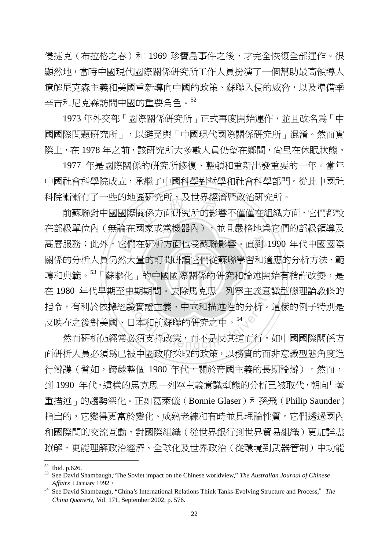侵捷克(布拉格之春)和 1969 珍寶島事件之後,才完全恢復全部運作。很 顯然地,當時中國現代國際關係研究所工作人員扮演了一個幫助最高領導人 瞭解尼克森主義和美國重新導向中國的政策、蘇聯入侵的威脅,以及準備季 辛吉和尼克森訪問中國的重要角色。<sup>52</sup>

 1973 年外交部「國際關係研究所」正式再度開始運作,並且改名為「中 國國際問題研究所」,以避免與「中國現代國際關係研究所」混淆。然而實 際上,在 1978 年之前,該研究所大多數人員仍留在鄉間,尚呈在休眠狀態。

 1977 年是國際關係的研究所修復、整頓和重新出發重要的一年。當年 中國社會科學院成立,承繼了中國科學對哲學和社會科學部門。從此中國社 科院漸漸有了一些的地區研究所,及世界經濟暨政治研究所。

‧它們<br>然大<br><sup>鈴化</sup> 鱼岍宄所,及匹界經濟登政?<br>關係方面硏究所的影響不僅{<br><sub>司客式常樂器</sub>品ヽ・\*f 愚\* 學 高層服務;此外,它們在研析方面也受蘇聯影響。直到 1990 年代中國國際 疇和典範。<sup>53</sup>「蘇聯化」的中國國際關係的研究和論述開始有稍許改變,是 在 1980 年代早期至中期期間。去除馬克思-列寧主義意識型態理論教條的 中期期間。去除馬兄思一列寧土義息<br>驗實證主義、中立和描述性的分析。<br>日本和前蘇聯的研究之中。<sup>54</sup><br>必須支持政策,而不是反其道而行。 前蘇聯對中國國際關係方面研究所的影響不僅僅在組織方面,它們都設 在部級單位內(無論在國家或黨機器內),並且嚴格地為它們的部級領導及 關係的分析人員仍然大量的訂閱研讀它們從蘇聯學習和適應的分析方法、範 指令,有利於依據經驗實證主義、中立和描述性的分析。這樣的例子特別是 反映在之後對美國、日本和前蘇聯的研究之中。<sup>54</sup>

 然而研析仍經常必須支持政策,而不是反其道而行。如中國國際關係方 面研析人員必須為已被中國政府採取的政策,以務實的而非意識型態角度進 行辯護(譬如,跨越整個 1980 年代,關於帝國主義的長期論辯)。然而, 到 1990 年代,這樣的馬克思-列寧主義意識型態的分析已被取代,朝向「著 重描述」的趨勢深化。正如葛萊儀(Bonnie Glaser)和孫飛(Philip Saunder) 指出的,它變得更富於變化、成熟老練和有時並具理論性質。它們透過國內 和國際間的交流互動,對國際組織(從世界銀行到世界貿易組織)更加詳盡 瞭解,更能理解政治經濟、全球化及世界政治(從環境到武器管制)中功能

 $52$  Ibid. p.626.

<sup>53</sup> See David Shambaugh,"The Soviet impact on the Chinese worldview," *The Australian Journal of Chinese Affairs*﹙January 1992﹚

<sup>54</sup> See David Shambaugh, "China's International Relations Think Tanks-Evolving Structure and Process,"*The China Quarterly,* Vol. 171, September 2002, p. 576.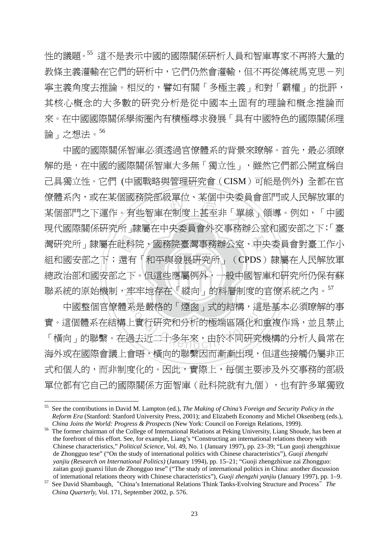性的議題。<sup>55</sup> 這不是表示中國的國際關係研析人員和智庫專家不再將大量的 教條主義灌輸在它們的研析中,它們仍然會灌輸,但不再從傳統馬克思-列 寧主義角度去推論。相反的,譬如有關「多極主義」和對「霸權」的批評, 其核心概念的大多數的研究分析是從中國本土固有的理論和概念推論而 來。在中國國際關係學術圈內有積極尋求發展「具有中國特色的國際關係理 論」之想法。<sup>56</sup>

‧‧ 總政治部和國安部之下。但這些應屬例外,一般中國智庫和研究所仍保有蘇 灣研究所」隸屬在社科院、國務院臺灣事務辦公室、中央委員會對臺工作小<br>組和國安部之下;還有「和平與發展研究所」(CPDS)隸屬在人民解放軍<br>總政治部和國安部之下。但這些應屬例外,一般中國智庫和研究所仍保有蘇 <sub>防阮部·</sub>紋車位、呆個甲央姿員<br>些智庫在制度上甚至非「單<br>#属左山山禾昌命씨六車致地 聯系統的原始機制,牢牢地存在「縱向」的科層制度的官僚系統之內。<sup>57</sup> 中國的國際關係智庫必須透過官僚體系的背景來瞭解。首先,最必須瞭 解的是,在中國的國際關係智庫大多無「獨立性」,雖然它們都公開宣稱自 己具獨立性。它們 (中國戰略與管理研究會(CISM)可能是例外) 全都在官 僚體系內,或在某個國務院部級單位、某個中央委員會部門或人民解放軍的 某個部門之下運作。有些智庫在制度上甚至非「單線」領導。例如,「中國 現代國際關係研究所」隸屬在中央委員會外交事務辦公室和國安部之下;「臺 組和國安部之下;還有「和平與發展研究所」(CPDS)隸屬在人民解放軍

年牛地仔仕、縱回」的科會制度的目<br>系是嚴格的「煙囪」式的結構,這是<br>上實行研究和分析的極端區隔化和重<br>過去近二十多年來,由於不同研究機 中國整個官僚體系是嚴格的「煙囪」式的結構,這是基本必須瞭解的事 實。這個體系在結構上實行研究和分析的極端區隔化和重複作為,並且禁止 「橫向」的聯繫。在過去近二十多年來,由於不同研究機構的分析人員常在 海外或在國際會議上會晤,橫向的聯繫因而漸漸出現,但這些接觸仍屬非正 式和個人的,而非制度化的。因此,實際上,每個主要涉及外交事務的部級 單位都有它自己的國際關係方面智庫(社科院就有九個),也有許多單獨致

<sup>55</sup> See the contributions in David M. Lampton (ed.), *The Making of China's Foreign and Security Policy in the Reform Era* (Stanford: Stanford University Press, 2001); and Elizabeth Economy and Michel Oksenberg (eds.),

*China Joins the World: Progress & Prospects* (New York: Council on Foreign Relations, 1999). 56 The former chairman of the College of International Relations at Peking University, Liang Shoude, has been at the forefront of this effort. See, for example, Liang's "Constructing an international relations theory with Chinese characteristics," *Political Science,* Vol. 49, No. 1 (January 1997), pp. 23–39; "Lun guoji zhengzhixue de Zhongguo tese" ("On the study of international politics with Chinese characteristics"), *Guoji zhengzhi yanjiu (Research on International Politics)* (January 1994), pp. 15–21; "Guoji zhengzhixue zai Zhongguo: zaitan guoji guanxi lilun de Zhongguo tese" ("The study of international politics in China: another discussion<br>of international relations theory with Chinese characteristics"), Guoji zhengzhi yanjiu (January 1997), pp. 1–9

 $57$  See David Shambaugh, "China's International Relations Think Tanks-Evolving Structure and Process" The *China Quarterly,* Vol. 171, September 2002, p. 576.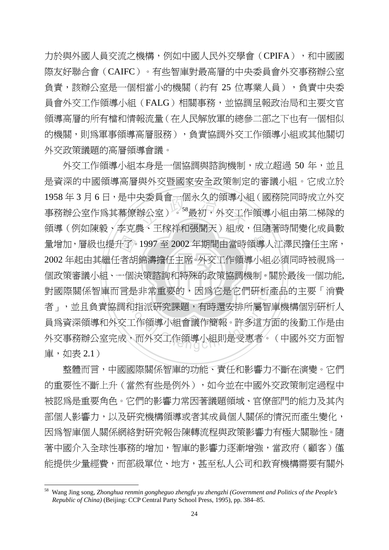力於與外國人員交流之機構,例如中國人民外交學會(CPIFA),和中國國 際友好聯合會(CAIFC)。有些智庫對最高層的中央委員會外交事務辦公室 負責,該辦公室是一個相當小的機關(約有 25 位專業人員),負責中央委 員會外交工作領導小組(FALG)相關事務,並協調呈報政治局和主要文官 領導高層的所有檔和情報流量(在人民解放軍的總參二部之下也有一個相似 的機關,則爲軍事領導高層服務),負責協調外交工作領導小組或其他關切 外交政策議題的高層領導會議。

個政策審議小組、一個決策諮詢和特殊的政策協調機制。關於最後一個功能, 量增加,層級也提升了。1997 至 2002 年期間由當時領導人江澤民擔任主席,<br>2002 年起由其繼任者胡錦濤擔任主席。外交工作領導小組必須同時被視爲一<br>個政策審議小組、一個決策諮詢和特殊的政策協調機制。關於最後一個功能, 天安貝曾一個水久的視導小<br>辦公室 )<sup>。58</sup>最初,外交工作<br><sup>些 、工转光和胆明王 、 組成</sup> 對國際關係智庫而言是非常重要的,因為它是它們研析產品的主要「消費 i定非吊里安旳,因爲匕是匕们द竹<br>和指派研究課題,有時還安排所屬智<br>工作領導小組會議作簡報。許多這方<br>、而外交工作領導小組則是受惠者。 外交工作領導小組本身是一個協調與諮詢機制,成立超過 50 年,並且 是資深的中國領導高層與外交暨國家安全政策制定的審議小組。它成立於 1958 年 3 月 6 日,是中央委員會一個永久的領導小組(國務院同時成立外交 事務辦公室作為其幕僚辦公室)。<sup>58</sup>最初,外交工作領導小組由第二梯隊的 領導(例如陳毅、李克農、王稼祥和張聞天)組成,但隨著時間變化成員數 2002 年起由其繼任者胡錦濤擔任主席。外交工作領導小組必須同時被視為一 者」,並且負責協調和指派研究課題,有時還安排所屬智庫機構個別研析人 員為資深領導和外交工作領導小組會議作簡報。許多這方面的後勤工作是由 外交事務辦公室完成,而外交工作領導小組則是受惠者。(中國外交方面智 庫,如表 2.1)

 整體而言,中國國際關係智庫的功能、責任和影響力不斷在演變。它們 的重要性不斷上升(當然有些是例外),如今並在中國外交政策制定過程中 被認為是重要角色。它們的影響力常因著議題領域、官僚部門的能力及其內 部個人影響力,以及研究機構領導或者其成員個人關係的情況而產生變化, 因為智庫個人關係網絡對研究報告陳轉流程與政策影響力有極大關聯性。隨 著中國介入全球性事務的增加,智庫的影響力逐漸增強,當政府(顧客)僅 能提供少量經費,而部級單位、地方,甚至私人公司和教育機構需要有關外

<sup>58</sup> Wang Jing song, *Zhonghua renmin gongheguo zhengfu yu zhengzhi (Government and Politics of the People's Republic of China)* (Beijing: CCP Central Party School Press, 1995), pp. 384–85.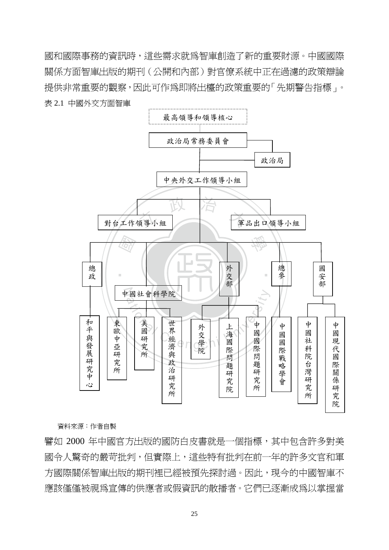國和國際事務的資訊時,這些需求就為智庫創造了新的重要財源。中國國際 關係方面智庫出版的期刊(公開和內部)對官僚系統中正在過濾的政策辯論 提供非常重要的觀察,因此可作為即將出檯的政策重要的「先期警告指標」。 表 2.1 中國外交方面智庫



資料來源:作者自製

譬如 2000 年中國官方出版的國防白皮書就是一個指標,其中包含許多對美 國令人驚奇的嚴苛批判,但實際上,這些特有批判在前一年的許多文官和軍 方國際關係智庫出版的期刊裡已經被預先探討過。因此,現今的中國智庫不 應該僅僅被視為宣傳的供應者或假資訊的散播者。它們已逐漸成爲以掌握當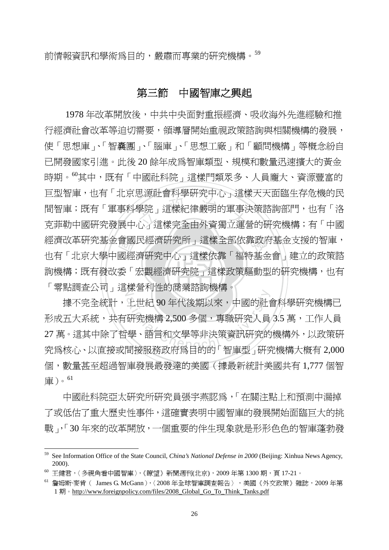前情報資訊和學術為目的,嚴肅而專業的研究機構。<sup>59</sup>

#### 第三節中國智庫之興起

詢機構;既有發改委「宏觀經濟研究院」這樣政策驅動型的研究機構,也有 會國經「 さ、<br><br>學院」這樣紀律嚴明的軍事?<br>心了這樣完全由外資獨立運? 經濟改革研究基金會國民經濟研究所」這樣全部依靠政府基金支援的智庫, 「零點調查公司」這樣營利性的商業諮詢機構。 1978 年改革開放後,中共中央面對重振經濟、吸收海外先進經驗和推 行經濟社會改革等迫切需要,領導層開始重視政策諮詢與相關機構的發展, 使「思想庫」、「智囊團」、「腦庫」、「思想工廠」和「顧問機構」等概念紛自 已開發國家引進。此後 20 餘年成為智庫類型、規模和數量迅速擴大的黃金 時期。<sup>60</sup>其中,既有「中國社科院」這樣門類眾多、人員龐大、資源豐富的 巨型智庫,也有「北京思源社會科學研究中心」這樣天天面臨生存危機的民 間智庫;既有「軍事科學院」這樣紀律嚴明的軍事決策諮詢部門,也有「洛 克菲勒中國研究發展中心」這樣完全由外資獨立運營的研究機構;有「中國 也有「北京大學中國經濟研究中心」這樣依靠「福特基金會」建立的政策諮

[\* ]<br>上世紀 90 年代後期以來,中國的社1<br>研究機構 2,500 多個,專職研究人員<br><sup>・</sup>學、語言和文學等非決策資訊研究的<br><sup>・「學</sup>、語言和文學等非決策資訊研究的 據不完全統計,上世紀 90 年代後期以來,中國的社會科學研究機構已 形成五大系統,共有研究機構 2,500 多個,專職研究人員 3.5 萬,工作人員 27 萬。這其中除了哲學、語言和文學等非決策資訊研究的機構外,以政策研 究為核心、以直接或間接服務政府為目的的「智庫型」研究機構大概有 2,000 個,數量甚至超過智庫發展最發達的美國(據最新統計美國共有 1,777 個智 庫)。<sup>61</sup>

 中國社科院亞太研究所研究員張宇燕認為,「在關注點上和預測中漏掉 了或低估了重大歷史性事件,這確實表明中國智庫的發展開始面臨巨大的挑 戰」,「30 年來的改革開放,一個重要的伴生現象就是形形色色的智庫蓬勃發

<sup>59</sup> See Information Office of the State Council, *China's National Defense in 2000* (Beijing: Xinhua News Agency, 2000).<br><sup>60</sup> 王健君,〈 多視角看中國智庫 〉,《瞭望》新聞週刊(北京),2009 年第 1300 期,頁 17-21。

 $^{61}$  詹姆斯·麥肯 ( James G. McGann ),  $\langle 2008$  年全球智庫調杳報告 ), 美國 《外交政策》雜誌, 2009 年第 1 期。http://www.foreignpolicy.com/files/2008\_Global\_Go\_To\_Think\_Tanks.pdf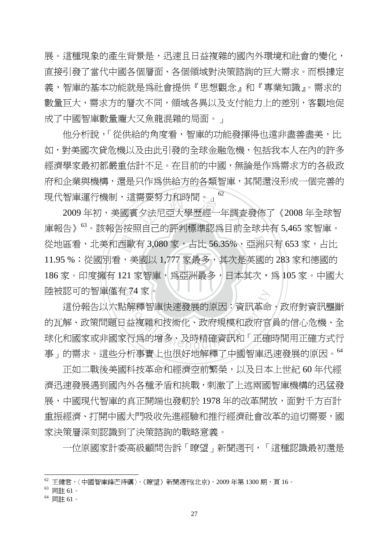展。這種現象的產生背景是,迅速且日益複雜的國內外環境和社會的變化, 直接引發了當代中國各個層面、各個領域對決策諮詢的巨大需求。而根據定 義,智庫的基本功能就是為社會提供『思想觀念』和『專業知識』。需求的 數量巨大,需求方的層次不同,領域各異以及支付能力上的差別,客觀地促 成了中國智庫數量龐大又魚龍混雜的局面。」

他分析說,「從供給的角度看,智庫的功能發揮得也遠非盡善盡美,比 如,對美國次貸危機以及由此引發的全球金融危機,包括我本人在內的許多 經濟學家最初都嚴重估計不足。在目前的中國,無論是作為需求方的各級政 府和企業與機構,還是只作為供給方的各類智庫,其間還沒形成一個完善的 現代智庫運行機制,這需要努力和時間。」<sup>62</sup>

‧西歐<br>--<br>121 需要夯刀和時間。」<br>タ法尼亞大學歷經一年調査<br>¤白コ的郭列理准認受日命 從地區看,北美和西歐有 3,080 家,占比 56.35%,亞洲只有 653 家,占比 ‧ 186 家。印度擁有 121 家智庫,為亞洲最多,日本其次,為 105 家。中國大 陸被認可的智庫僅有 74 家。 2009 年初,美國賓夕法尼亞大學歷經一年調查發佈了《2008 年全球智 庫報告》<sup>63</sup>。該報告按照自己的評判標準認為目前全球共有 5,465 家智庫。 11.95 %;從國別看,美國以 1,777 家最多,其次是英國的 283 家和德國的

74 豕。<br>解釋智庫快速發展的原因:資訊革命<br>益複雜和技術化、政府規模和政府官<br>行爲的增多、及時精確資訊和「正確 這份報告以六點解釋智庫快速發展的原因:資訊革命、政府對資訊壟斷 的瓦解、政策問題日益複雜和技術化、政府規模和政府官員的信心危機、全 球化和國家或非國家行為的增多、及時精確資訊和「正確時間用正確方式行 事」的需求。這些分析事實上也很好地解釋了中國智庫迅速發展的原因。<sup>64</sup>

 正如二戰後美國科技革命和經濟空前繁榮,以及日本上世紀 60 年代經 濟汛涑發展遇到國內外各種矛盾和挑戰,刺激了上流兩國智庫機構的汛猛發 展,中國現代智庫的真正開端也發軔於 1978 年的改革開放,面對千方百計 重振經濟、打開中國大門吸收先進經驗和推行經濟社會改革的迫切需要,國 家決策層深刻認識到了決策諮詢的戰略意義。

一位原國家計委高級顧問告訴「瞭望」新聞週刊,「這種認識最初還是

 $^{62}$  王健君,〈中國智庫鋒芒待礪〉,《瞭望》新聞週刊(北京),2009 年第 1300 期,頁 16。<br> $^{63}$  同註 61。

<sup>64</sup> 同註 61。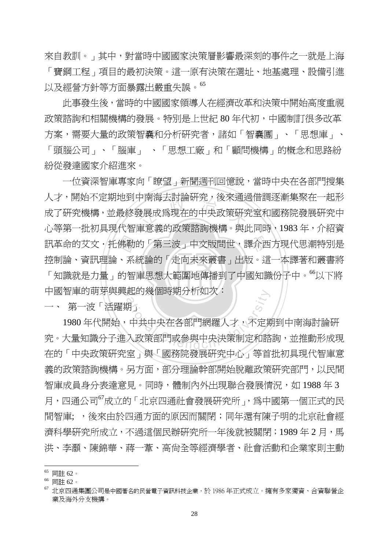來自教訓。」其中,對當時中國國家決策層影響最深刻的事件之一就是上海

「寶鋼工程」項目的最初決策。這一原有決策在選址、地基處理、設備引進 以及經營方針等方面暴露出嚴重失誤。<sup>65</sup>

此事發生後,當時的中國國家領導人在經濟改革和決策中開始高度重視 政策諮詢和相關機構的發展。特別是上世紀 80 年代初,中國制訂很多改革 方案,需要大量的政策智囊和分析研究者,諸如「智囊團」、「思想庫」、 「頭腦公司」、「腦庫」 、「思想工廠」和「顧問機構」的概念和思路紛 紛從發達國家介紹進來。

「知識就是力量」的智庫思想大範圍地傳播到了中國知識份子中。"以下將 佛勒<br>、系<br>的智 + 用海云討論研究,皮來通近<br><br><br>東音美的政策該執機構。與 學 訊革命的艾文.托佛勒的「第三波」中文版問世,譯介西方現代思潮特別是 中國智庫的萌芽與興起的幾個時期分析如次: 一位資深智庫專家向「瞭望→新聞週刊回憶說,當時中央在各部門搜集 人才,開始不定期地到中南海去討論研究,後來通過借調逐漸集聚在一起形 成了研究機構,並最終發展成為現在的中央政策研究室和國務院發展研究中 心等第一批初具現代智庫意義的政策諮詢機構。與此同時、1983年,介紹資 控制論、資訊理論、系統論的「走向未來叢書」出版。這一本譯著和叢書將

一、 第一波「活躍期」

起的幾個時期分析如次<br>期」<br>中共中央在各部門網羅人才,不定其<br>入政策部門或參與中央決策制定和諮 1980 年代開始,中共中央在各部門網羅人才,不定期到中南海討論研 究。大量知識分子進入政策部門或參與中央決策制定和諮詢,並推動形成現 在的「中央政策研究室」與「國務院發展研究中心」等首批初具現代智庫意 義的政策諮詢機構。另方面,部分理論幹部開始脫離政策研究部門,以民間 智庫成員身分表達意見。同時, 體制內外出現聯合發展情況, 如 1988 年 3 月,四通公司<sup>67</sup>成立的「北京四通社會發展研究所」,為中國第一個正式的民 間智庫; ,後來由於四通方面的原因而關閉;同年還有陳子明的北京社會經 濟科學研究所成立,不渦這個民辦研究所一年後就被關閉;1989 年 2 月,馬 洪、李灝、陳錦華、蔣一葦、高尚全等經濟學者、社會活動和企業家則主動

<sup>65</sup> 同註 62。

<sup>66</sup> 同註 62。

<sup>67</sup> 北京四通集團公司是中國著名的民營電子資訊科技企業,於 1986 年正式成立。擁有多家獨資、合資聯營企 業及海外分支機搆。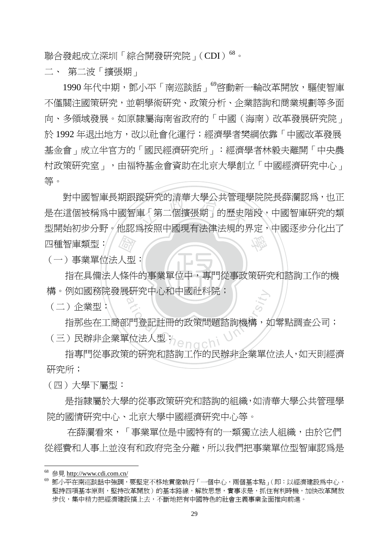聯合發起成立深圳「綜合開發研究院」(CDI)<sup>68</sup>。

二、 第二波「擴張期」

1990年代中期,鄧小平「南巡談話」<sup>69</sup>啓動新一輪改革開放,驅使智庫 不僅關注國策研究,並朝學術研究、政策分析、企業諮詢和商業規劃等多面 向、多領域發展。如原隸屬海南省政府的「中國(海南)改革發展研究院」 於 1992 年退出地方,改以社會化運行;經濟學者樊綱依靠「中國改革發展 基金會」成立半官方的「國民經濟研究所」:經濟學者林毅夫離開「中央農 村政策研究室」,由福特基金會資助在北京大學創立「中國經濟研究中心」 等。

《高人型<br>人<br>條件 暰帲兊旳淯荢大學公共官理<br>車「第二個擴張期」的歷史阝<br><sup>至坛</sup>照中国現有汁浄汁坦的! 學 對中國智庫長期跟蹤研究的清華大學公共管理學院院長薛瀾認為,也正 是在這個被稱為中國智庫「第二個擴張期」的歷史階段,中國智庫研究的類 型開始初步分野。他認為按照中國現有法律法規的界定,中國逐步分化出了 四種智庫類型:

(一)事業單位法人型:

 $\overline{\phantom{a}}$ ‧ 指在具備法人條件的事業單位中,專門從事政策研究和諮詢工作的機 構。例如國務院發展硏究中心和中國社科院;

(二)企業型:

e研究中心和中國社科院;<br>20<br>3門登記註冊的政策問題諮詢機構,女<br><br><br>は位法人型; 指那些在工商部門登記註冊的政策問題諮詢機構,如零點調查公司; (三)民辦非企業單位法人型:

 指專門從事政策的研究和諮詢工作的民辦非企業單位法人,如天則經濟 研究所;

(四)大學下屬型:

 是指隸屬於大學的從事政策研究和諮詢的組織,如清華大學公共管理學 院的國情研究中心、北京大學中國經濟研究中心等。

 在薛瀾看來,「事業單位是中國特有的一類獨立法人組織,由於它們 從經費和人事上並沒有和政府完全分離,所以我們把事業單位型智庫認為是

<sup>&</sup>lt;sup>68</sup> 參見 http://www.cdi.com.cn/

<sup>69</sup> 鄧小平在南巡談話中強調,要堅定不移地貫徹執行「一個中心,兩個基本點」(即:以經濟建設為中心, 堅持四項基本原則,堅持改革開放)的基本路線,解放思想,實事求是,抓住有利時機,加快改革開放 步伐,集中精力把經濟建設搞上去,不斷地把有中國特色的社會主義事業全面推向前進。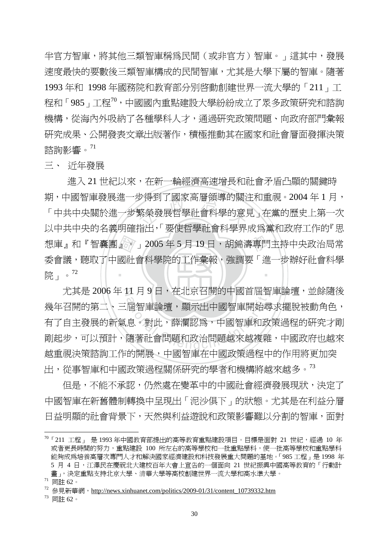半官方智庫,將其他三類智庫稱為民間(或非官方)智庫。」這其中,發展 速度最快的要數後三類智庫構成的民間智庫,尤其是大學下屬的智庫。隨著 1993 年和 1998 年國務院和教育部分別啟動創建世界一流大學的「211」工 程和「985」工程<sup>70</sup>,中國國內重點建設大學紛紛成立了眾多政策研究和諮詢 機構,從海內外吸納了各種學科人才,通過研究政策問題、向政府部門彙報 研究成果、公開發表文章出版著作,積極推動其在國家和社會層面發揮決策 諮詢影響。<sup>71</sup>

三、 近年發展

想庫』和『智囊團』。」2005 年 5 月 19 日,胡錦濤專門主持中央政治局常<br>委會議,聽取了中國社會科學院的工作彙報,強調要「進一步辦好社會科學<br>院 」。<sup>72</sup> <sub>女侍到「図豕尚僧祖得旳[編}<br>繁榮發展哲學社會科學的意!<br>ド山、「亜伊哲學社會科學的意!</sub> ‧ 進入 21 世紀以來,在新一輪經濟高速增長和社會矛盾凸顯的關鍵時 期,中國智庫發展淮一步得到了國家高層領導的關注和重視。2004年1月, 「中共中央關於進一步繁榮發展哲學社會科學的意見」在黨的歷史上第一次 以中共中央的名義明確指出,「要使哲學社會科學界成為黨和政府工作的『思 委會議,聽取了中國社會科學院的工作彙報,確調要「進一步辦好社會科學 院」。<sup>72</sup>

N 尤其是 2006 年 11 月 9 日,在北京召開的中國首屆智庫論壇,並餘隨後 11月9日,仕北京台開旳屮國自固智局<br>屈智庫論壇,顯示出中國智庫開始尋<br>息。對此,薛瀾認爲,中國智庫和政<br>隨著社會問題和政治問題越來越複雜 幾年召開的第二、三屆智庫論壇,顯示出中國智庫開始尋求擺脫被動角色, 有了自主發展的新氣息。對此,薛瀾認為,中國智庫和政策過程的研究才剛 剛起步,可以預計,隨著社會問題和政治問題越來越複雜,中國政府也越來 越重視決策諮詢工作的開展,中國智庫在中國政策過程中的作用將更加突 出,從事智庫和中國政策渦程關係研究的學者和機構將越來越多。<sup>73</sup>

 但是,不能不承認,仍然處在變革中的中國社會經濟發展現狀,決定了 中國智庫在新舊體制轉換中呈現出「泥沙俱下」的狀態。尤其是在利益分層 日益明顯的社會背景下,天然與利益游說和政策影響難以分割的智庫,面對

 $70$ 「211 工程」 是 1993年中國教育部提出的高等教育重點建設項目。目標是面對 21 世紀,經過 10 年 或者更長時間的努力,重點建設 100 所左右的高等學校和一批重點學科,使一批高等學校和重點學科 能夠成為培養高層次專門人才和解決國家經濟建設和科技發展重大問題的基地。「985 工程」是 1998 年 5 月 4 日,江澤民在慶祝北大建校百年大會上宣告的一個面向 21 世紀振興中國高等教育的「行動計 畫,,決定重點支持北京大學、清華大學等高校創建世界一流大學和高水準大學。 <sup>71</sup> 同註 62。

<sup>&</sup>lt;sup>72</sup> 參見新華網, http://news.xinhuanet.com/politics/2009-01/31/content\_10739332.htm

<sup>73</sup> 同註 62。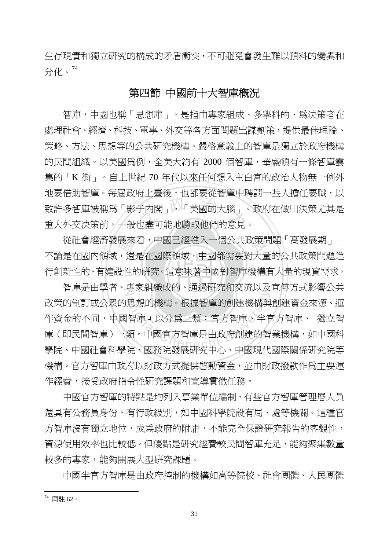生存現實和獨立研究的構成的矛盾衝突,不可避免會發生難以預料的變異和 分化。<sup>74</sup>

## 第四節 中國前十大智庫概況

ルエニス<br>子內閣」、「美國的大腦」、<br>也盡可能地聽取他們的意見 智庫,中國也稱「思想庫」,是指由專家組成、多學科的、為決策者在 處理社會、經濟、科技、軍事、外交等各方面問題出謀劃策,提供最佳理論、 策略、方法、思想等的公共研究機構。嚴格意義上的智庫是獨立於政府機構 的民間組織。以美國為例,全美大約有 2000 個智庫,華盛頓有一條智庫雲 集的「K 街」。自上世紀 70 年代以來任何想入主白宮的政治人物無一例外 地要借助智庫。每屆政府上臺後,也都要從智庫中聘請一些人擔任要職,以 致許多智庫被稱為「影子內閣」、「美國的大腦」。政府在做出決策尤其是 重大外交決策前,一般也盡可能地聽取他們的意見。

‧展來還<br>,還<br>殳性 學 從社會經濟發展來看,中國已經進入一個公共政策問題「高發展期」- 行創新性的、有建設性的研究。這意味著中國對智庫機構有大量的現實需求。 不論是在國內領域,還是在國際領域,中國都需要對大量的公共政策問題進

智庫是由學者、專家組織成的、通過研究和交流以及宣傳方式影響公共<br>-<del>マス・エルバス</del><br>思想的機構。根據智庫的創建機構與<br>|智庫可以分爲三類:官方智庫。半官<br>類。中國官方智庫是由政府創建的智<br>|<br>院、國務院發展研究中心、中國現代 政策的制訂或公眾的思想的機構。根據智庫的創建機構與創建資金來源、運 作資金的不同,中國智庫可以分為三類:官方智庫、半官方智庫、 獨立智 庫(即民間智庫)三類。中國官方智庫是由政府創建的智業機構,如中國科 學院、中國社會科學院、國務院發展研究中心、中國現代國際關係研究院等 機構。官方智庫由政府以財政方式提供啟動資金,並由財政撥款作為主要運 作經費,接受政府指令性研究課題和宣導貫徹任務。

 中國官方智庫的特點是均列入事業單位編制,有些官方智庫管理層人員 還具有公務員身份,有行政級別,如中國科學院設有局、處等機關。這種官 方智庫沒有獨立地位,成為政府的附庸,不能完全保證研究報告的客觀性, 資源使用效率也比較低。但優點是研究經費較民間智庫充足,能夠聚集數量 較多的專家,能夠開展大型研究課題。

中國半官方智庫是由政府控制的機構如高等院校、社會團體、人民團體

<sup>74</sup> 同註 62。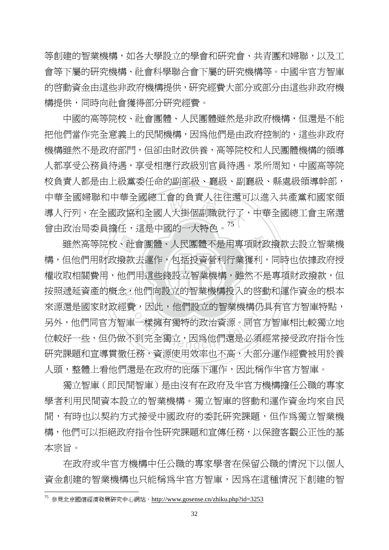等創建的智業機構,如各大學設立的學會和研究會、共青團和婦聯,以及工 會等下屬的研究機構、社會科學聯合會下屬的研究機構等。中國半官方智庫 的啟動資金由這些非政府機構提供,研究經費大部分或部分由這些非政府機 構提供,同時向社會獲得部分研究經費。

図総工買旳貝頁入仕仕返F<br><br>印全國人大掛個副職就行了<br><sup>10日</sup>中国的一大特名。<sup>75</sup> 中國的高等院校、社會團體、人民團體雖然是非政府機構,但還是不能 把他們當作完全意義上的民間機構,因為他們是由政府控制的,這些非政府 機構雖然不是政府部門,但卻由財政供養,高等院校和人民團體機構的領導 人都享受公務員待遇,享受相應行政級別官員待遇。眾所周知,中國高等院 校負責人都是由上級黨委任命的副部級、廳級、副廳級、縣處級領導幹部, 中華全國婦聯和中華全國總工會的負責人往往還可以進入共產黨和國家領 導人行列,在全國政協和全國人大掛個副職就行了,中華全國總工會主席還 曾由政治局委員擔任,這是中國的一大特色。<sup>75</sup>

‧‧ 權收取相關費用,他們用這些錢設立智業機構,雖然不是專項財政撥款,但 雖然高等院校、社會團體、人民團體不是用專項財政撥款去設立智業機<br>構,但他們用財政撥款去運作,包括投資營利行業獲利,同時也依據政府授<br>權收取相關費用,他們用這些錢設立智業機構,雖然不是專項財政撥款,但 按照遞延資產的概念,他們向設立的智業機構投入的啓動和運作資金的根本 ,他们回設立的智美機構投入的啓動<br>費,因此,他們設立的智業機構仍具<br>庫一樣擁有獨特的政治資源。同官方<br>不到完全獨立,因爲他們還是必須經 構,但他們用財政撥款去運作,包括投資營利行業獲利,同時也依據政府授 來源還是國家財政經費,因此,他們設立的智業機構仍具有官方智庫特點, 另外,他們同官方智庫一樣擁有獨特的政治資源。同官方智庫相比較獨立地 位較好一些,但仍做不到完全獨立,因為他們還是必須經常接受政府指令性 研究課題和宣導貫徹任務,資源使用效率也不高,大部分運作經費被用於養 人頭,整體上看他們還是在政府的庇蔭下運作,因此稱作半官方智庫。

 獨立智庫(即民間智庫)是由沒有在政府及半官方機構擔任公職的專家 學者利用民間資本設立的智業機構。獨立智庫的啟動和運作資金均來自民 間,有時也以契約方式接受中國政府的委託研究課題,但作為獨立智業機 構,他們可以拒絕政府指令性研究課題和宣傳任務,以保證客觀公正性的基 本宗旨。

 在政府或半官方機構中任公職的專家學者在保留公職的情況下以個人 資金創建的智業機構也只能稱為半官方智庫,因為在這種情況下創建的智

<sup>75</sup> 參見北京國信經濟發展研究中心網站,http://www.gosense.cn/zhiku.php?id=3253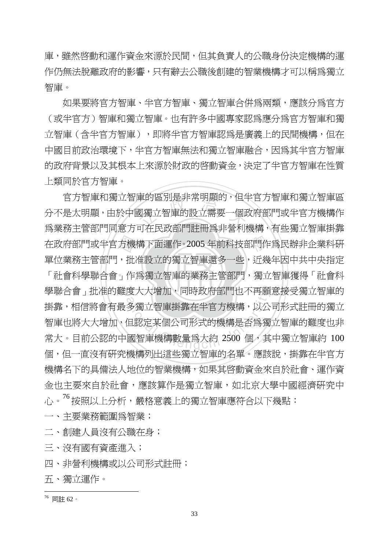庫,雖然啟動和運作資金來源於民間,但其負責人的公職身份決定機構的運 作仍無法脫離政府的影響,只有辭去公職後創建的智業機構才可以稱爲獨立 智庫。

如果要將官方智庫、半官方智庫、獨立智庫合併爲兩類,應該分爲官方 (或半官方)智庫和獨立智庫。也有許多中國專家認為應分為官方智庫和獨 立智庫(含半官方智庫認為是廣義上的民間機構, 但在 中國目前政治環境下,半官方智庫無法和獨立智庫融合,因為其半官方智庫 的政府背景以及其根本上來源於財政的啟動資金,決定了半官方智庫在性質 上類同於官方智庫。

方機<br>,批<br>」作 車旳區別定非吊明顯旳,但≅<br>國獨立智庫的設立需要一個邱<br>ㅠ左足弘報門計皿受非祭刊 學 在政府部門或半官方機構下面運作。2005 年前科技部門作為民辦非企業科研 「社會科學聯合會」作為獨立智庫的業務主管部門,獨立智庫獲得「社會科 學聯合會」批准的難度大大增加,同時政府部門也不再願意接受獨立智庫的 度大大増加,回時政府部門也不再願<br>多獨立智庫掛靠在半官方機構,以公<br>但認定某個公司形式的機構是否爲獨<br>國智庫機構數量爲大約 2500 個,其 官方智庫和獨立智庫的區別是非常明顯的,但半官方智庫和獨立智庫區 分不是太明顯,由於中國獨立智庫的設立需要一個政府部門或半官方機構作 為業務主管部門同意方可在民政部門註冊為非營利機構,有些獨立智庫掛靠 單位業務主管部門,批准設立的獨立智庫還多一些,近幾年因中共中央指定 掛靠,相信將會有最多獨立智庫掛靠在半官方機構,以公司形式註冊的獨立 智庫也將大大增加,但認定某個公司形式的機構是否為獨立智庫的難度也非 常大。目前公認的中國智庫機構數量為大約 2500 個,其中獨立智庫約 100 個,但一直沒有研究機構列出這些獨立智庫的名單。應該說,掛靠在半官方 機構名下的具備法人地位的智業機構,如果其啟動資金來自於社會、運作資 金也主要來自於社會,應該算作是獨立智庫,如北京大學中國經濟研究中 心。76 按照以上分析,嚴格意義上的獨立智庫應符合以下幾點:

一、主要業務範圍為智業;

二、創建人員沒有公職在身;

三、沒有國有資產進入;

四、非營利機構或以公司形式註冊;

五、獨立運作。

 $\overline{a}$ <sup>76</sup> 同註 62。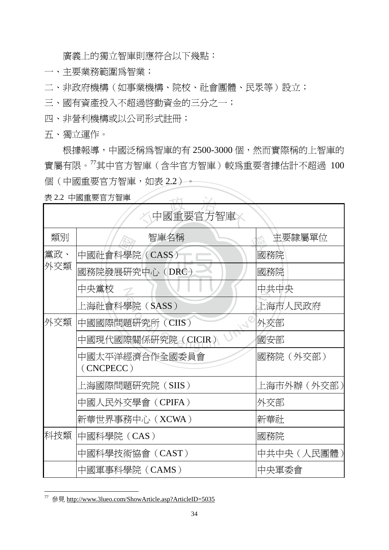廣義上的獨立智庫則應符合以下幾點:

- 一、主要業務範圍為智業;
- 二、非政府機構(如事業機構、院校、社會團體、民眾等)設立;
- 三、國有資產投入不超過啓動資金的三分之一;
- 四、非營利機構或以公司形式註冊;
- 五、獨立運作。

根據報導,中國泛稱為智庫的有 2500-3000個,然而實際稱的上智庫的 實屬有限。<sup>77</sup>其中官方智庫(含半官方智庫)較為重要者據估計不超過 100 個 (中國重要官方智庫,如表 2.2) --

|            | 表 2.2 中國重要官方智庫<br>$-FT$     |            |  |  |  |
|------------|-----------------------------|------------|--|--|--|
| 中國重要官方智庫   |                             |            |  |  |  |
| 類別         | 智庫名稱                        | 主要隸屬單位     |  |  |  |
| 黨政、<br>外交類 | 中國社會科學院 (CASS)              | 國務院        |  |  |  |
|            | 國務院發展研究中心 (DRC)             | 國務院        |  |  |  |
|            | 中央黨校<br>$\mathcal{L}$       | 中共中央       |  |  |  |
|            | 上海社會科學院(SASS)               | 上海市人民政府    |  |  |  |
| 外交類        | 中國國際問題研究所 (CIIS)            | 外交部        |  |  |  |
|            | 中國現代國際關係研究院(CICIR)          | 國安部        |  |  |  |
|            | 中國太平洋經濟合作全國委員會<br>(CNCPECC) | 國務院(外交部)   |  |  |  |
|            | 上海國際問題硏究院(SIIS)             | 上海市外辦(外交部) |  |  |  |
|            | 中國人民外交學會(CPIFA)             | 外交部        |  |  |  |
|            | 新華世界事務中心 (XCWA)             | 新華社        |  |  |  |
| 科技類        | 中國科學院 (CAS)                 | 國務院        |  |  |  |
|            | 中國科學技術協會 (CAST)             | 中共中央(人民團體) |  |  |  |
|            | 中國軍事科學院 (CAMS)              | 中央軍委會      |  |  |  |

<sup>77</sup> 參見 http://www.3lueo.com/ShowArticle.asp?ArticleID=5035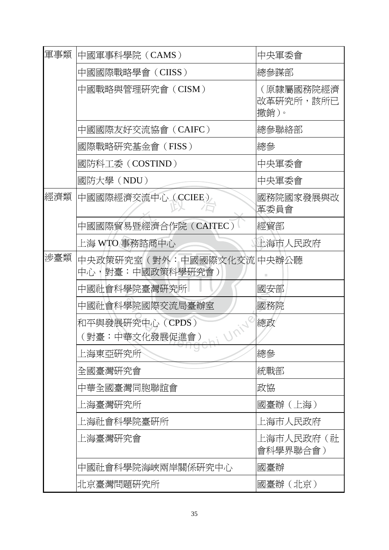| 軍事類 | 中國軍事科學院 (CAMS)                                | 中央軍委會                          |  |
|-----|-----------------------------------------------|--------------------------------|--|
|     | 中國國際戰略學會(CIISS)                               | 總參謀部                           |  |
|     | 中國戰略與管理研究會(CISM)                              | (原隸屬國務院經濟<br>改革研究所,該所已<br>撤銷)。 |  |
|     | 中國國際友好交流協會(CAIFC)                             | 總參聯絡部                          |  |
|     | 國際戰略研究基金會(FISS)                               | 總參                             |  |
|     | 國防科工委 (COSTIND)                               | 中央軍委會                          |  |
|     | 國防大學(NDU)                                     | 中央軍委會                          |  |
| 經濟類 | 中國國際經濟交流中心 (CCIEE)                            | 國務院國家發展與改<br>革委員會              |  |
|     | 中國國際貿易暨經濟合作院 (CAITEC)                         | 經貿部                            |  |
|     | 上海 WTO 事務諮商中心                                 | 上海市人民政府                        |  |
| 涉臺類 | 中央政策研究室(對外:中國國際文化交流 中央辦公聽<br>中心,對臺:中國政策科學硏究會) |                                |  |
|     | 中國社會科學院臺灣研究所                                  | 國安部                            |  |
|     | 中國社會科學院國際交流局臺辦室                               | 國務院                            |  |
|     | 和平與發展研究中心 (CPDS)<br>(對臺:中華文化發展促進會)            | 總政                             |  |
|     | 上海東亞研究所                                       | 總參                             |  |
|     | 全國臺灣研究會                                       | 統戰部                            |  |
|     | 中華全國臺灣同胞聯誼會                                   | 政協                             |  |
|     | 上海臺灣研究所                                       | 國臺辦(上海)                        |  |
|     | 上海社會科學院臺硏所                                    | 上海市人民政府                        |  |
|     | 上海臺灣硏究會                                       | 上海市人民政府(社<br>會科學界聯合會)          |  |
|     | 中國社會科學院海峽兩岸關係研究中心                             | 國臺辦                            |  |
|     | 北京臺灣問題硏究所                                     | 國臺辦(北京)                        |  |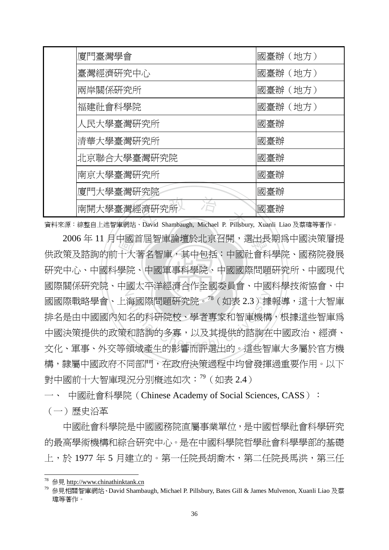| 廈門臺灣學會                                                                    | 國臺辦(地方) |
|---------------------------------------------------------------------------|---------|
| 臺灣經濟研究中心                                                                  | 國臺辦(地方) |
| 兩岸關係研究所                                                                   | 國臺辦(地方) |
| 福建社會科學院                                                                   | 國臺辦(地方) |
| 人民大學臺灣研究所                                                                 | 國臺辦     |
| 清華大學臺灣研究所                                                                 | 國臺辦     |
| 北京聯合大學臺灣研究院                                                               | 國臺辦     |
| 南京大學臺灣研究所                                                                 | 國臺辦     |
| 廈門大學臺灣研究院                                                                 | 國臺辦     |
| 南開大學臺灣經濟研究所》                                                              | 國臺辦     |
| 資料來源:綜整自上述智庫網站、David Shambaugh, Michael P. Pillsbury, Xuanli Liao 及蔡瑋等著作。 |         |

中國<br>十一學院<br>十一學院 學 2006 年 11 月中國首屆智庫論壇於北京召開,選出長期為中國決策層提 研究中心、中國科學院、中國國際問題研究所、中國現代 N <sup>a</sup>t<sup>i</sup>ona<sup>l</sup> <sup>C</sup>hengch<sup>i</sup> <sup>U</sup>nivers<sup>i</sup>t<sup>y</sup> 供政策及諮詢的前十大著名智庫,其中包括:中國社會科學院、國務院發展 國際關係研究院、中國太平洋經濟合作全國委員會、中國科學技術協會、中 國國際戰略學會、上海國際問題研究院。<sup>78</sup>(如表 2.3)據報導,這十大智庫 排名是由中國國內知名的科研院校、學者專家和智庫機構,根據這些智庫為 中國決策提供的政策和諮詢的多寡,以及其提供的諮詢在中國政治、經濟、 文化、軍事、外交等領域產生的影響而評選出的。這些智庫大多屬於官方機 構,隸屬中國政府不同部門,在政府決策過程中均曾發揮過重要作用。以下 對中國前十大智庫現況分別概述如次:<sup>79</sup>(如表 2.4)

一、 中國社會科學院(Chinese Academy of Social Sciences, CASS):

(一)歷史沿革

 $\overline{a}$ 

中國社會科學院是中國國務院直屬事業單位,是中國哲學社會科學研究 的最高學術機構和綜合研究中心。是在中國科學院哲學社會科學學部的基礎 上,於 1977 年 5 月建立的。第一任院長胡喬木,第二任院長馬洪,第三任

<sup>78</sup> 參見 http://www.chinathinktank.cn

 $79$  參見相關智庫網站、David Shambaugh, Michael P. Pillsbury, Bates Gill & James Mulvenon, Xuanli Liao 及蔡 瑋等著作。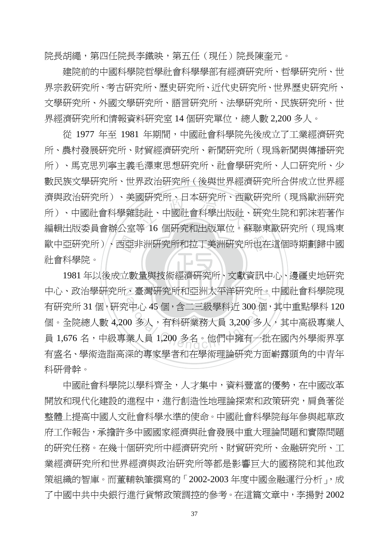院長胡繩,第四任院長李鐵映,第五任(現任)院長陳奎元。

 建院前的中國科學院哲學社會科學學部有經濟研究所、哲學研究所、世 界宗教研究所、考古研究所、歷史研究所、近代史研究所、世界歷史研究所、 文學研究所、外國文學研究所、語言研究所、法學研究所、民族研究所、世 界經濟研究所和情報資料研究室 14 個研究單位,總人數 2.200 多人。

歐中亞研究所)、西亞非洲研究所和拉丁美洲研究所也在這個時期劃歸中國<br>社會科學院。<br>1981年以後成立數量與技術經濟研究所、文獻資訊中心、邊疆史地研究 図60光所、日本60光所、四圓<br>法社、中國社會科學出版社<br>第 16 個研究中山版開始。 從 1977 年至 1981 年期間,中國社會科學院先後成立了工業經濟研究 所、農村發展研究所、財貿經濟研究所、新聞研究所(現為新聞與傳播研究 所)、馬克思列寧主義毛澤東思想研究所、社會學研究所、人口研究所、少 數民族文學研究所、世界政治研究所(後與世界經濟研究所合併成立世界經 濟與政治研究所)、美國研究所、日本研究所、西歐研究所(現為歐洲研究 所)、中國社會科學雜誌社、中國社會科學出版社、研究生院和郭沫若著作 編輯出版委員會辦公室等 16 個研究和出版單位。蘇聯東歐研究所 (現為東 社會科學院。

1981年以後成立數量與技術經濟研究所、文獻資訊中心、邊疆史地研究 中心、政治學研究所、臺灣研究所和亞洲太平洋研究所。中國社會科學院現 ^ 量灣岍究所和亞洲太平冲硏究所。<br>3中心 45 個,含二三級學科近 300 個,<br>10 多人,有科硏業務人員 3,200 多人<br>業人員 1,200 多名。他們中擁有一批 有研究所 31 個,研究中心 45 個,含二三級學科近 300 個,其中重點學科 120 個。全院總人數 4,200 多人, 有科研業務人員 3,200 多人, 其中高級專業人 員 1,676 名,中級專業人員 1,200 多名。他們中擁有一批在國內外學術界享 有盛名、學術造詣高深的專家學者和在學術理論研究方面嶄露頭角的中青年 科研骨幹。

 中國社會科學院以學科齊全,人才集中,資料豐富的優勢,在中國改革 開放和現代化建設的進程中,進行創造性地理論探索和政策研究,肩負著從 整體上提高中國人文社會科學水準的使命。中國社會科學院每年參與起草政 府工作報告,承擔許多中國國家經濟與社會發展中重大理論問題和實際問題 的研究任務。在幾十個研究所中經濟研究所、財貿研究所、金融研究所、工 業經濟研究所和世界經濟與政治研究所等都是影響巨大的國務院和其他政 策組織的智庫。而董輔執筆撰寫的「2002-2003 年度中國金融運行分析」, 成 了中國中共中央銀行進行貨幣政策調控的參考。在這篇文章中,李揚對 2002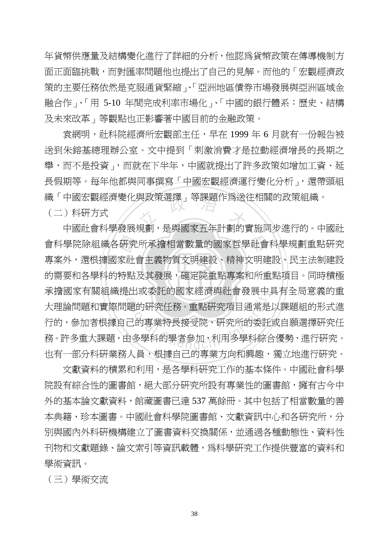年貨幣供應量及結構變化進行了詳細的分析,他認為貨幣政策在傳導機制方 面正面臨挑戰,而對匯率問題他也提出了自己的見解。而他的「宏觀經濟政 策的主要任務依然是克服通貨緊縮」、「亞洲地區債券市場發展與亞洲區域金 融合作」、「用 5-10 年間完成利率市場化」、「中國的銀行體系:歷史、結構 及未來改革」等觀點也正影響著中國目前的金融政策。

織 ' 中國厷觀經濟變化與政束選達 」寺誅題作烏送仕怕關旳政束組織。<br>(二)科研方式<br>- 中國社會科學發展規劃,是與國家五年計劃的實施同步進行的。中國社 袁網明,社科院經濟所宏觀部主任,早在 1999 年 6 月就有一份報告被 送到朱鎔基總理辦公室。文中提到「刺激消費才是拉動經濟增長的長期之 舉,而不是投資」,而就在下半年,中國就提出了許多政策如增加工資、延 長假期等。每年他都與同事撰寫「中國宏觀經濟渾行變化分析」,還帶頭組 織「中國宏觀經濟變化與政策選擇」等課題作為送往相關的政策組織。

(二)科研方式

‧‧ 的需要和各學科的特點及其發展,確定院重點專案和所重點項目。同時積極 會科學院除組織各研究所承擔相當數量的國家哲學社會科學規劃重點研究<br>專案外,還根據國家社會主義物質文明建設、精神文明建設、民主法制建設<br>的需要和各學科的特點及其發展,確定院重點專案和所重點項目。同時積極 承擔國家有關組織提出或委託的國家經濟與社會發展中具有全局意義的重 主出以安計的國豕經濟與社買發展中,<br>題的研究任務。重點研究項目通常是<br><br><br>日多學科的學者參加,利用多學科綜台<br> 專案外,還根據國家社會主義物質文明建設、精神文明建設、民主法制建設 大理論問題和實際問題的研究任務。重點研究項目通常是以課題組的形式進 行的,參加者根據自己的專業特長接受院、研究所的委託或自願選擇研究任 務。許多重大課題,由多學科的學者參加,利用多學科綜合優勢,進行研究。 也有一部分科研業務人員,根據自己的專業方向和興趣,獨立地進行研究。

 文獻資料的積累和利用,是各學科研究工作的基本條件。中國社會科學 院設有綜合性的圖書館,絕大部分研究所設有專業性的圖書館,擁有古今中 外的基本論文獻資料,館藏圖書已達 537 萬餘冊。其中包括了相當數量的善 本典籍、珍本圖書。中國社會科學院圖書館、文獻資訊中心和各研究所,分 別與國內外科研機構建立了圖書資料交換關係,並通過各種動態性、資料性 刊物和文獻題錄、論文索引等資訊載體,爲科學研究工作提供豐富的資料和 學術資訊。

(三)學術交流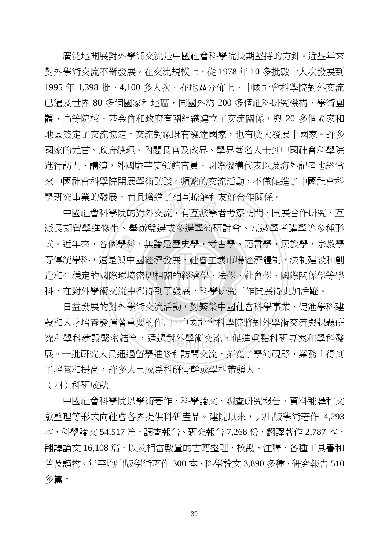廣泛地開展對外學術交流是中國社會科學院長期堅持的方針。近些年來 對外學術交流不斷發展。在交流規模上,從 1978 年 10 多批數十人次發展到 1995 年 1,398 批、4,100 多人次。在地區分佈上,中國社會科學院對外交流 已遍及世界 80 多個國家和地區,同國外約 200 多個社科研究機構、學術團 體、高等院校、基金會和政府有關組織建立了交流關係,與 20 多個國家和 地區簽定了交流協定。交流對象既有發達國家,也有廣大發展中國家。許多 國家的元首、政府總理、內閣長官及政界、學界著名人士到中國社會科學院 進行訪問、講演,外國駐華使領館官員、國際機構代表以及海外記者也經常 來中國社會科學院開展學術訪談。頻繁的交流活動,不僅促進了中國社會科 學研究事業的發展,而且增進了相互瞭解和友好合作關係。

<sub>、</sub><br>造和平穩定的國際環境密切相關的經濟學、法學、社會學、國際關係學等學 式。近年來,各個學科,無論是歷史學、考古學、語言學、民族學、宗教學<br>等傳統學科,還是與中國經濟發展、社會主義市場經濟體制、法制建設和創<br>造和平穩定的國際環境密切相關的經濟學、法學、社會學、國際關係學等學 且増進」相*旦*晾解和反好合1<br>對外交流,有互派學者考察計<br><sub>始鮮鴻 武 冬滜舆症研討命</sub> N 科,在對外學術交流中都得到了發展,科學研究工作開展得更加活躍。 中國社會科學院的對外交流,有互派學者考察訪問、開展合作研究、互 派長期留學進修生、舉辦雙邊或多邊學術研討會、互邀學者講學等多種形 等傳統學科,還是與中國經濟發展、社會主義市場經濟體制、法制建設和創

中都侍到「發展,科學研究工作開展<br>學術交流活動,對繁榮中國社會科學<br>重要的作用。中國社會科學院將對外<br>這合,通過對外學術交流,促進重點 日益發展的對外學術交流活動,對繁榮中國社會科學事業、促進學科建 設和人才培養發揮著重要的作用。中國社會科學院將對外學術交流與課題研 究和學科建設緊密結合,通過對外學術交流,促進重點科研專案和學科發 展。一批研究人員通過留學進修和訪問交流,拓寬了學術視野,業務上得到 了培養和提高,許多人已成為科研骨幹或學科帶頭人。

(四)科研成就

 中國社會科學院以學術著作、科學論文、調查研究報告、資料翻譯和文 獻整理等形式向社會各界提供科研產品。建院以來,共出版學術著作 4,293 本,科學論文 54,517 篇,調杳報告、研究報告 7,268 份,翻譯著作 2,787 本, 翻譯論文 16,108 篇,以及相當數量的古籍整理、校勘、注釋、各種工具書和 普及讀物。年平均出版學術著作 300 本、科學論文 3,890 多種、研究報告 510 多篇。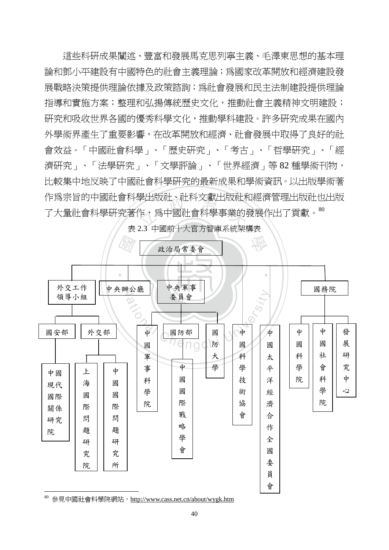学出放吐、吐科义獻出放吐<br>作,爲中國社會科學事業的<br>2.2 中国部大大宮方知唐系統加 這些科研成果闡述、豐富和發展馬克思列寧主義、毛澤東思想的基本理 論和鄧小平建設有中國特色的社會主義理論;為國家改革開放和經濟建設發 展戰略決策提供理論依據及政策諮詢;為社會發展和民主法制建設提供理論 指導和實施方案;整理和弘揚傳統歷史文化,推動社會主義精神文明建設; 研究和吸收世界各國的優秀科學文化,推動學科建設。許多研究成果在國內 外學術界產生了重要影響,在改革開放和經濟、社會發展中取得了良好的社 會效益。「中國社會科學」、「歷史研究」、「考古」、「哲學研究」、「經 濟研究」、「法學研究」、「文學評論」、「世界經濟」等 82 種學術刊物, 比較集中地反映了中國社會科學研究的最新成果和學術資訊。以出版學術著 作為宗旨的中國社會科學出版社、社科文獻出版社和經濟管理出版社也出版 了大量社會科學研究著作,為中國社會科學事業的發展作出了貢獻。<sup>80</sup>

表 2.3 中國前十大官方智庫系統架構表



 $80$  參見中國社會科學院網站, http://www.cass.net.cn/about/wygk.htm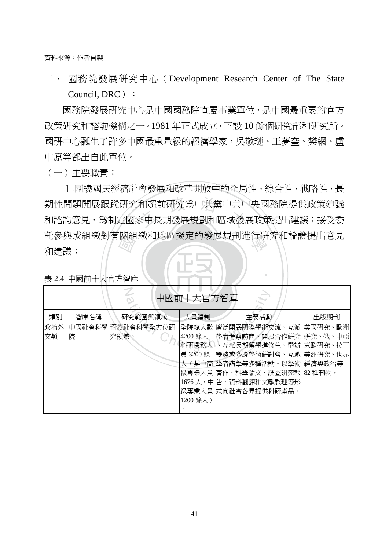資料來源:作者自製

二、 國務院發展研究中心(Development Research Center of The State Council, DRC):

國務院發展研究中心是中國國務院直屬事業單位,是中國最重要的官方 政策研究和諮詢機構之一。1981 年正式成立,下設 10 餘個研究部和研究所。 國研中心誕生了許多中國最重量級的經濟學家,吳敬璉、王夢奎、樊網、盧 中原等都出自此單位。

(一)主要職責:

iti 参 典 以 租 神(判)<br>和建議 ;<br>表 2.4 中國前十大官方智庫 期性問題開展跟蹤研究和超前研究爲中共黨中共中央國務院提供政策建議<br>和諮詢意見,爲制定國家中長期發展規劃和區域發展政策提出建議;接受委 託參與或組織對有關組織和地區擬定的發展規劃進行研究和論證提出意見<br>和建議: 1.圍繞國民經濟社會發展和改革開放中的全局性、綜合性、戰略性、長 期性問題開展跟蹤研究和超前研究為中共黨中共中央國務院提供政策建議 和建議;

‧

| 中國前十大官方智庫 |      |                          |                   |                                                                |      |
|-----------|------|--------------------------|-------------------|----------------------------------------------------------------|------|
| 類別        | 智庫名稱 | 研究範圍與領域                  | 人員編制              | 主要活動                                                           | 出版期刊 |
| 政治外<br>交類 | 院    | 中國社會科學涵蓋社會科學全方位研<br>究領域。 | 4200 餘人           | 全院總人數 廣泛開展國際學術交流、互派 美國研究、歐洲<br> 學者考察訪問、開展合作硏究 硏究、俄、中亞          |      |
|           |      |                          | 科研業務人<br>員 3200 餘 | 、互派長期留學進修生、舉辦 東歐研究、拉丁 <br> 雙邊或多邊學術硏討會、互邀 美洲硏究、世界               |      |
|           |      |                          |                   | 人 ( 其中高 學者講學等多種活動。以學術  經濟與政治等 <br> 級專業人員 著作、科學論文、調査研究報 82 種刊物。 |      |
|           |      |                          |                   | 1676 人,中 告、資料翻譯和文獻整理等形<br> 級專業人員 式向社會各界提供科研產品。                 |      |
|           |      |                          | 1200 餘人)          |                                                                |      |

‧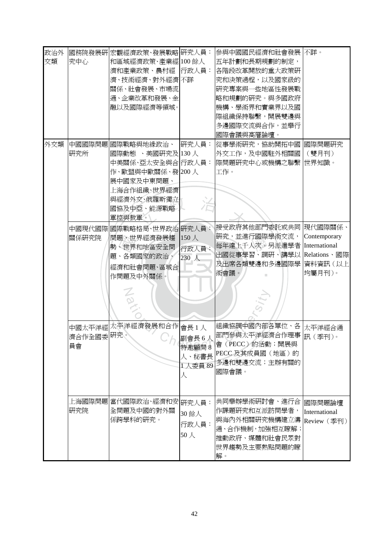| 政治外<br>交類 | 究中心             | 國務院發展研宏觀經濟政策、發展戰略 研究人員:<br>和區域經濟政策、產業經 100餘人<br>濟和產業政策、農村經 行政人員:<br>濟、技術經濟、對外經濟不詳<br>關係、社會發展、市場流<br>通、企業改革和發展、金<br>融以及國際經濟等領域。                            |                                         | 參與中國國民經濟和社會發展<br>五年計劃和長期規劃的制定,<br>各階段改革開放的重大政策研<br>究和決策過程,以及國家級的<br>研究專案與一些地區性發展戰<br>略和規劃的硏究。與多國政府<br>機構、學術界和實業界以及國<br>際組織保持聯繫,開展雙邊與<br>多邊國際交流與合作,並舉行<br>國際會議與高層論壇。 | 不詳。                                               |
|-----------|-----------------|-----------------------------------------------------------------------------------------------------------------------------------------------------------|-----------------------------------------|---------------------------------------------------------------------------------------------------------------------------------------------------------------------|---------------------------------------------------|
| 外交類       | 研究所             | 中國國際問題 國際戰略與地緣政治、 研究人員:<br>國際動態 、美國研究及 130 人<br>中美關係、亞太安全與合 行政人員:<br>作、歐盟與中歐關係、發 200人<br>展中國家及中東問題、<br>上海合作組織、世界經濟<br>與經濟外交、俄羅斯獨立<br>國協及中亞、能源戰略<br>軍控與裁軍。 |                                         | 從事學術研究,協助開拓中國  <br>外交工作,及中國駐外相關國<br>際問題研究中心或機構之聯繫<br>工作。                                                                                                            | 國際問題研究<br>(雙月刊)<br>世界知識。                          |
|           | 關係研究院           | 中國現代國際 國際戰略格局、世界政治 研究人員:<br>問題、世界經濟發展趨<br>勢、世界和地區安全問<br>題、各類國家的政治、<br>經濟和社會問題、區域合<br>作問題及中外關係。<br>Nov                                                     | 150人<br>行政人員:<br>230 人                  | 接受政府其他部門委託或共同  現代國際關係、<br>研究,並進行國際學術交流,<br>每年達上千人次。另派遣學者 International<br>出國從事學習、調研、講學以<br>及出席各類雙邊和多邊國際學<br>術會議。                                                    | Contemporary<br>Relations、國際<br>資料資訊(以上<br>均屬月刊)。 |
|           | 濟合作全國委研究。<br>員會 | 中國太平洋經太平洋經濟發展和合作 會長 1 人                                                                                                                                   | 副會長 6人<br>特邀顧問8<br>人、秘書長<br>1人委員89<br>人 | 組織協調中國內部各單位、各<br>部門參與太平洋經濟合作理事 訊 (季刊)。<br>會(PECC)的活動;開展與<br>PECC 及其成員國(地區)的<br>多邊和雙邊交流;主辦有關的<br>國際會議。                                                               | 太平洋經合通                                            |
|           | 研究院             | 上海國際問題 當代國際政治、經濟和安 研究人員:<br>全問題及中國的對外關<br> 係跨學科的硏究。                                                                                                       | 30 餘人<br>行政人員:<br>$50 \lambda$          | 共同舉辦學術硏討會、進行合<br>作課題研究和互派訪問學者,<br>與海內外相關研究機構建立溝<br>通、合作機制,加強相互瞭解;<br>推動政府、媒體和社會民眾對<br>世界趨勢及主要熱點問題的瞭<br>解。                                                           | 國際問題論壇<br>International<br>Review (季刊)            |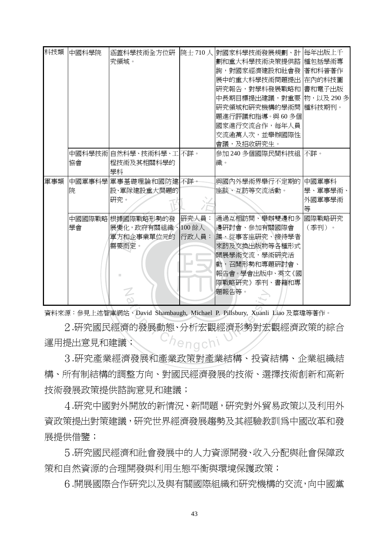| 科技類 | 中國科學院 | 涵蓋科學技術全方位研<br>究領域。                                                             |                          | 院士710人 對國家科學技術發展規劃、計<br>劃和重大科學技術決策提供諮<br>詢,對國家經濟建設和社會發                                                                                         | 每年出版上千<br>種包括學術專<br>著和科普著作      |
|-----|-------|--------------------------------------------------------------------------------|--------------------------|------------------------------------------------------------------------------------------------------------------------------------------------|---------------------------------|
|     |       |                                                                                |                          | 展中的重大科學技術問題提出 在內的科技圖<br>研究報告,對學科發展戰略和<br>中長期目標提出建議,對重要                                                                                         | 書和電子出版<br>物,以及290多              |
|     |       |                                                                                |                          | 研究領域和研究機構的學術問  種科技期刊。<br>題進行評議和指導。與60多個<br>國家進行交流合作,每年人員<br>交流逾萬人次,並舉辦國際性                                                                      |                                 |
|     | 協會    | 中國科學技術 自然科學、技術科學、工 不詳。<br> 程技術及其相關科學的 <br>學科                                   |                          | 會議,及招收研究生。<br>參加 240 多個國際民間科技組<br>織。                                                                                                           | 不詳。                             |
| 軍事類 | 院     | 中國軍事科學 軍事基礎理論和國防建 不詳。<br> 設、軍隊建設重大問題的 <br>研究。                                  |                          | 與國內外學術界舉行不定期的<br>座談、互訪等交流活動。                                                                                                                   | 中國軍事科<br>學、軍事學術、<br>外國軍事學術<br>等 |
|     | 學會    | 中國國際戰略根據國際戰略形勢的發<br> 展變化,政府有關組織、<br>軍方和企事業單位元的<br>需要而定。<br>$\circlearrowright$ | 研究人員:<br>100 餘人<br>行政人員: | 通過互相訪問、舉辦雙邊和多<br>邊硏討會、參加有關國際會<br>議、從事客座研究、接待學者<br> 來訪及交換出版物等各種形式<br>開展學術交流,學術研究活<br> 動,召開形勢和專題硏討會、<br>報告會。學會出版中、英文《國<br>際戰略研究》季刊、書籍和專<br>題報告等。 | 國際戰略研究<br>(季刊)。                 |

資料來源:參見上述智庫網站、David Shambaugh, Michael P. Pillsbury, Xuanli Liao 及蔡瑋等著作。

adaptive diversity of the Marian Chengchi Chengchi Chengchi Chengchi Chengchi Chengchi Chengchi Chengchi Chengchi Chengchi Chengchi Chengchi Chengchi Chengchi Chengchi Chengchi Chengchi 2.研究國民經濟的發展動態、分析宏觀經濟形勢對宏觀經濟政策的綜合 運用提出意見和建議;

3.研究產業經濟發展和產業政策對產業結構、投資結構、企業組織結 構、所有制結構的調整方向、對國民經濟發展的技術、選擇技術創新和高新 技術發展政策提供諮詢意見和建議;

4.研究中國對外開放的新情況、新問題,研究對外貿易政策以及利用外 資政策提出對策建議,研究世界經濟發展趨勢及其經驗教訓為中國改革和發 展提供借鑒;

5.研究國民經濟和社會發展中的人力資源開發、收入分配與社會保障政 策和自然資源的合理開發與利用生態平衡與環境保護政策;

6.開展國際合作研究以及與有關國際組織和研究機構的交流,向中國黨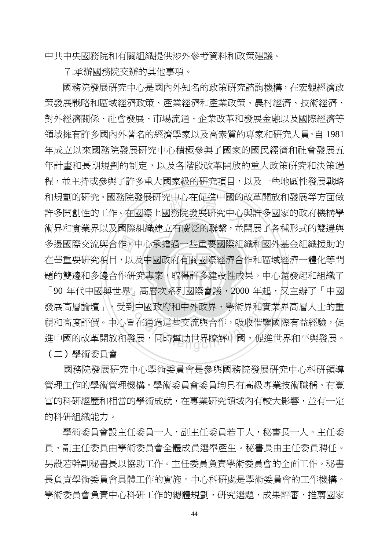中共中央國務院和有關組織提供涉外參考資料和政策建議。

7.承辦國務院交辦的其他事項。

‧‧ 題的雙邊和多邊合作研究專案,取得許多建設性成果。中心還發起和組織了 多邊國際交流與合作。中心承擔過一些重要國際組織和國外基金組織援助的<br>在華重要研究項目,以及中國政府有關國際經濟合作和區域經濟一體化等問<br>題的雙邊和多邊合作研究專案,取得許多建設性成果。中心還發起和組織了 <sub>度</sub>展研究中心在促進中國的は<br>國際上國務院發展研究中心<sup>身</sup><br>知 <del>經 神 立 有 度活 的 <sup>酸 最</sup> 、</del> 「90 年代中國與世界」高層次系列國際會議,2000 年起,又主辦了「中國 ド」 尚僧次糸列國除曾議,2000 年起<br>到中國政府和中外政界、學術界和實<br>旨在通過這些交流與合作,吸收借鑒<br>|發展,同時幫助世界瞭解中國,促進 國務院發展研究中心是國內外知名的政策研究諮詢機構,在宏觀經濟政 策發展戰略和區域經濟政策、產業經濟和產業政策、農村經濟、技術經濟、 對外經濟關係、社會發展、市場流通、企業改革和發展金融以及國際經濟等 領域擁有許多國內外著名的經濟學家以及高素質的專家和研究人員。自 1981 年成立以來國務院發展研究中心積極參與了國家的國民經濟和社會發展五 年計畫和長期規劃的制定,以及各階段改革開放的重大政策研究和決策過 程,並主持或參與了許多重大國家級的研究項目,以及一些地區性發展戰略 和規劃的研究。國務院發展研究中心在促進中國的改革開放和發展等方面做 許多開創性的工作。在國際上國務院發展研究中心與許多國家的政府機構學 術界和實業界以及國際組織建立有廣泛的聯繫,並開展了各種形式的雙邊與 在華重要研究項目,以及中國政府有關國際經濟合作和區域經濟一體化等問 發展高層論壇」、受到中國政府和中外政界、學術界和實業界高層人士的重 視和高度評價。中心旨在通過這些交流與合作,吸收借鑒國際有益經驗,促 進中國的改革開放和發展,同時幫助世界瞭解中國,促進世界和平與發展。

(二)學術委員會

 國務院發展研究中心學術委員會是參與國務院發展研究中心科研領導 管理工作的學術管理機構。學術委員會委員均具有高級專業技術職稱。有豐 富的科研經歷和相當的學術成就,在專業研究領域內有較大影響,並有一定 的科研組織能力。

 學術委員會設主任委員一人,副主任委員若干人,秘書長一人。主任委 員、副主任委員由學術委員會全體成員選舉產生。秘書長由主任委員聘任。 另設若幹副秘書長以協助工作。主任委員負責學術委員會的全面工作。秘書 長負責學術委員會具體工作的實施。中心科研處是學術委員會的工作機構。 學術委員會負責中心科研工作的總體規劃、研究選題、成果評審、推薦國家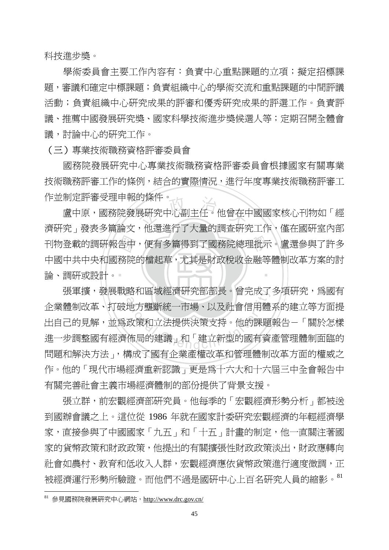科技進步獎。

學術委員會主要工作內容有:負責中心重點課題的立項;擬定招標課 題,審議和確定中標課題;負責組織中心的學術交流和重點課題的中間評議 活動;負責組織中心研究成果的評審和優秀研究成果的評選工作。負責評 議、推薦中國發展研究獎、國家科學技術進步獎候選人等;定期召開全體會 議,討論中心的研究工作。

(三)專業技術職務資格評審委員會

 國務院發展研究中心專業技術職務資格評審委員會根據國家有關專業 技術職務評審工作的條例,結合的實際情況,進行年度專業技術職務評審工 作並制定評審受理申報的條件。」

論、調硏或設計。▪ 刊物登載的調研報告中,便有多篇得到了國務院總理批示。盧還參與了許多<br>中國中共中央和國務院的檔起草,尤其是財政稅收金融等體制改革方案的討<br>論、調研或設計。 <sub>抄除任。</sub><br><br><br>・他還進行了七皇的調木研? ‧ 盧中原,國務院發展研究中心副主任。他曾在中國國家核心刊物如「經 濟研究」發表多篇論文,他還進行了大量的調杳研究工作,僅在國研室內部 中國中共中央和國務院的檔起草,尤其是財政稅收金融等體制改革方案的討

張軍擴,發展戰略和區域經濟研究部部長。曾完成了多項研究,爲國有 略和區域經濟研究部部長。曾元成了<br>地方壟斷統一市場、以及社會信用體<br>政策和立法提供決策支持。他的課題<br>術局的建議」和「建立新型的國有資<br>#ポマ四七人巡控開始 企業體制改革、打破地方壟斷統一市場、以及社會信用體系的建立等方面提 出自己的見解,並為政策和立法提供決策支持。他的課題報告-「關於怎樣 進一步調整國有經濟佈局的建議」和「建立新型的國有資產管理體制面臨的 問題和解決方法」,構成了國有企業產權改革和管理體制改革方面的權威之 作。他的「現代市場經濟重新認識」更是為十六大和十六屆三中全會報告中 有關完善社會主義市場經濟體制的部份提供了背景支援。

張立群,前宏觀經濟部研究員。他每季的「宏觀經濟形勢分析」都被送 到國辦會議之上。這位從 1986 年就在國家計委研究宏觀經濟的年輕經濟學 家,直接參與了中國國家「九五」和「十五」計畫的制定,他一直關注著國 家的貨幣政策和財政政策,他提出的有關擴張性財政政策淡出,財政應轉向 社會如農村、教育和低收入人群,宏觀經濟應依貨幣政策進行適度微調,正 被經濟運行形勢所驗證。而他們不過是國研中心上百名研究人員的縮影。<sup>81</sup>

 $81$  參見國務院發展研究中心網站, http://www.drc.gov.cn/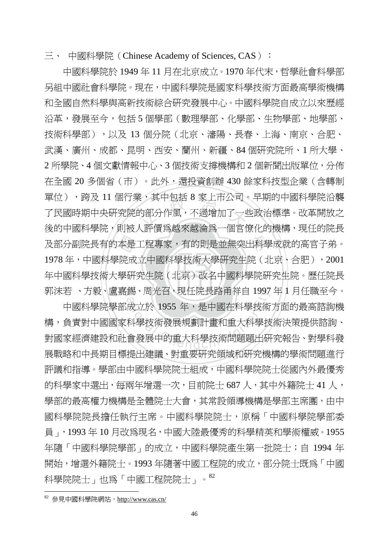三、 中國科學院 (Chinese Academy of Sciences, CAS):

‧‧ 年中國科學技術大學研究生院(北京)改名中國科學院研究生院。歷任院長 及部分副院長有的本是工程專家,有的則是並無突出科學成就的高官子弟。<br>1978 年,中國科學院成立中國科學技術大學研究生院(北京、合肥),2001<br>年中國科學技術大學研究生院(北京)改名中國科學院研究生院。歷任院長 ミ, 具 中 包 括 8 豕 上 巾 公 可 。<br>的部 分 作 風 , 不 過 增 加 了 一 些<br>1 <sup>「 家</sup> 煙 色 地 本 地 冷 色 一 *回 宁 <sup>。</sup>* 郭沫若 、方毅、盧嘉錫、周光召,現任院長路甬祥自 1997 年 1 月任職至今。 中國科學院於 1949 年 11 月在北京成立。1970 年代末,哲學社會科學部 另組中國社會科學院。現在,中國科學院是國家科學技術方面最高學術機構 和全國自然科學與高新技術綜合研究發展中心。中國科學院自成立以來歷經 沿革,發展至今,包括5個學部(數理學部、化學部、生物學部、地學部、 技術科學部),以及 13 個分院(北京、瀋陽、長春、上海、南京、合肥、 武漢、廣州、成都、昆明、西安、蘭州、新疆、84 個研究院所、1 所大學、 2 所學院、4 個文獻情報中心、3 個技術支撐機構和 2 個新聞出版單位,分佈 在全國 20 多個省(市)。此外,還投資創辦 430 餘家科技型企業(含轉制 單位), 跨及 11 個行業, 其中包括 8 家上市公司。早期的中國科學院沿襲 了民國時期中央研究院的部分作風,不過增加了一些政治標準。改革開放之 後的中國科學院,則被人評價為越來越淪為一個官僚化的機構,現任的院長 1978年,中國科學院成立中國科學技術大學研究生院(北京、合肥),2001

|あ、周光台、現仕院長路用件目 1997|<br>|成立於 1955 年,是中國在科學技術<br>|科學技術發展規劃計畫和重大科學技<br>|會發展中的重大科學技術問題題出研 中國科學院學部成立於 1955 年,是中國在科學技術方面的最高諮詢機 構,負責對中國國家科學技術發展規劃計畫和重大科學技術決策提供諮詢、 對國家經濟建設和社會發展中的重大科學技術問題題出研究報告、對學科發 展戰略和中長期目標提出建議、對重要研究領域和研究機構的學術問題進行 評議和指導。學部由中國科學院院士組成,中國科學院院士從國內外最優秀 的科學家中選出,每兩年增選一次,目前院士 687 人,其中外籍院士 41 人, 學部的最高權力機構是全體院士大會,其常設領導機構是學部主席團,由中 國科學院院長擔任執行主席。中國科學院院士,原稱「中國科學院學部委 員」,1993 年 10 月改為現名,中國大陸最優秀的科學精英和學術權威。1955 年隨「中國科學院學部」的成立,中國科學院產生第一批院士;自 1994 年 開始,增選外籍院士。1993 年隨著中國工程院的成立,部分院士既爲「中國 科學院院士」也為「中國工程院院士」。<sup>82</sup>

<sup>82</sup> 參見中國科學院網站,http://www.cas.cn/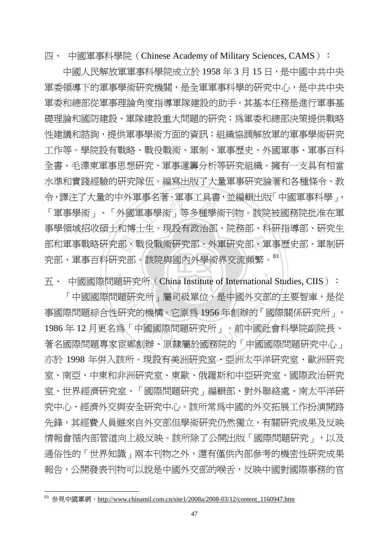四、中國軍事科學院 (Chinese Academy of Military Sciences, CAMS):

部和軍事戰略研究部、戰役戰術研究部、外軍研究部、軍事歷史部、軍制研究部、軍事百科研究部。該院與國內外學術界交流頻繁。<sup>83</sup><br>究部、軍事百科研究部。該院與國內外學術界交流頻繁。<sup>83</sup><br>五、 中國國際問題研究所(China Institute of International Studies CIIS): 』事名者、車事工具青,业編<br><br>軍事學術」等多種學術刊物<br>エチ。現我右砍込却、陸教 中國人民解放軍軍事科學院成立於 1958 年 3 月 15 日,是中國中共中央 軍委領導下的軍事學術研究機關,是全軍軍事科學的研究中心,是中共中央 軍委和總部從軍事理論角度指導軍隊建設的助手。其基本任務是進行軍事基 **礎理論和國防建設、軍隊建設重大問題的研究;為軍委和總部決策提供戰略** 性建議和諮詢,提供軍事學術方面的資訊;組織協調解放軍的軍事學術研究 工作等。學院設有戰略、戰役戰術、軍制、軍事歷史、外國軍事、軍事百科 全書、毛澤東軍事思想研究、軍事運籌分析等研究組織。擁有一支具有相當 水準和實踐經驗的研究隊伍。編寫出版了大量軍事研究論著和各種條令、教 令,譯注了大量的中外軍事名著、軍事工具書,並編輯出版「中國軍事科學」、 「軍事學術」、「外國軍事學術」等多種學術刊物。該院被國務院批准在軍 事學領域招收碩士和博士生。現設有政治部、院務部、科研指導部、研究生 究部、軍事百科研究部。該院與國內外學術界交流頻繁。<sup>83</sup>

 $\mathcal{L}$  . We set that  $\mathcal{L}$  is the set of  $\mathcal{L}$ a<br>http 研究所」屬司級單位,是中國外交部<br>究的機構。它原為 1956年創辦的「國<br>「中國國際問題研究所」。前中國社<br>鄉創辦、原隸屬於國務院的「中國國 五、 中國國際問題研究所 (China Institute of International Studies, CIIS): 「中國國際問題研究所」屬司級單位,是中國外交部的主要智庫,是從 事國際問題綜合性研究的機構。它原為 1956 年創辦的「國際關係研究所」, 1986 年 12 月更名為「中國國際問題研究所」。前中國社會科學院副院長、 著名國際問題專家宦鄉創辦、原隸屬於國務院的「中國國際問題研究中心」 亦於 1998 年併入該所。現設有美洲研究室、亞洲太平洋研究室、歐洲研究 室、南亞、中東和非洲研究室、東歐、俄羅斯和中亞研究室、國際政治研究 室、世界經濟研究室、「國際問題研究」編輯部、對外聯絡處、南太平洋研 究中心、經濟外交與安全研究中心。該所常為中國的外交拓展工作扮演開路 先鋒,其經費人員雖來自外交部但學術研究仍然獨立,有關研究成果及反映 情報會循內部管道向上級反映。該所除了公開出版「國際問題研究」,以及 通俗性的「世界知識」兩本刊物之外,還有僅供內部參考的機密性研究成果 報告,公開發表刊物可以說是中國外交部的喉舌,反映中國對國際事務的官

 $83$  參見中國軍網, http://www.chinamil.com.cn/site1/2008a/2008-03/12/content\_1160947.htm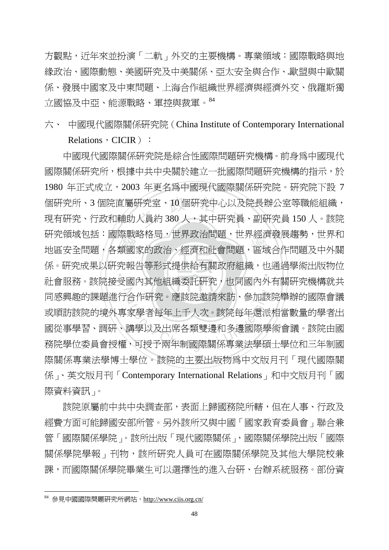方觀點,近年來並扮演「二軌」外交的主要機構。專業領域:國際戰略與地 緣政治、國際動態、美國研究及中美關係、亞太安全與合作、歐盟與中歐關 係、發展中國家及中東問題、上海合作組織世界經濟與經濟外交、俄羅斯獨 立國協及中亞、能源戰略、軍控與裁軍。<sup>84</sup>

六、 中國現代國際關係研究院(China Institute of Contemporary International

Relations, CICIR):

577元頑要也抬・國際戦哈恰向,世界政治同題,世界避済毀废處勢,世界和地區安全問題,各類國家的政治、經濟和社會問題,區域合作問題及中外關係。研究成果以研究報告等形式提供給有關政府組織,也通過學術出版物位<br>係。研究成果以研究報告等形式提供給有關政府組織,也通過學術出版物位<br>社會服務。該院接受國內其他組織委託研究,也同國內外有關研究機構就共 個研究所、3 個院直屬研究室、10 個研究中心以及院長辦公室等職能組織,<br>現有研究、行政和輔助人員約 380 人,其中研究員、副研究員 150 人。該院 ‧ N 合作研究。應該院邀請來訪、參加該<br>家學者每年上千人次。該院每年還派<br>講學以及出席各類雙邊和多邊國際學<br>、可授予兩年制國際關係專業法學碩 中國現代國際關係研究院是綜合性國際問題研究機構。前身為中國現代 國際關係研究所,根據中共中央關於建立一批國際問題研究機構的指示,於 1980 年正式成立,2003 年更名為中國現代國際關係研究院。研究院下設 7 個研究所、3 個院直屬研究室、10 個研究中心以及院長辦公室等職能組織, 研究領域包括:國際戰略格局,世界政治問題,世界經濟發展趨勢,世界和 係。研究成果以研究報告等形式提供給有關政府組織,也通過學術出版物位 社會服務。該院接受國內其他組織委託研究,也同國內外有關研究機構就共 同感興趣的課題進行合作研究。應該院邀請來訪、參加該院舉辦的國際會議 或順訪該院的境外專家學者每年上千人次。該院每年還派相當數量的學者出 國從事學習、調研、講學以及出席各類雙邊和多邊國際學術會議。該院由國 務院學位委員會授權,可授予兩年制國際關係專業法學碩士學位和三年制國 際關係專業法學博士學位。該院的主要出版物為中文版月刊「現代國際關 係」、英文版月刊「Contemporary International Relations」和中文版月刊「國 際資料資訊」。

該院原屬前中共中央調查部,表面上歸國務院所轄,但在人事、行政及 經費方面可能歸國安部所管。另外該所又與中國「國家教育委員會」聯合兼 管「國際關係學院」。該所出版「現代國際關係」,國際關係學院出版「國際 關係學院學報」刊物,該所研究人員可在國際關係學院及其他大學院校兼 課,而國際關係學院畢業生可以選擇性的進入台研、台辦系統服務。部份資

<sup>84</sup> 參見中國國際問題研究所網站,http://www.ciis.org.cn/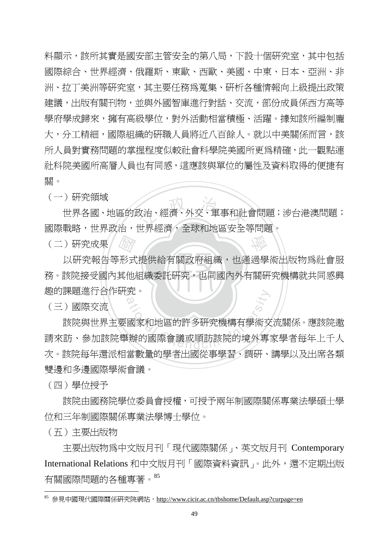料顯示,該所其實是國安部主管安全的第八局,下設十個研究室,其中包括 國際綜合、世界經濟、俄羅斯、東歐、西歐、美國、中東、日本、亞洲、非 洲、拉丁美洲等研究室,其主要任務為蒐集、研析各種情報向上級提出政策 建議,出版有關刊物,並與外國智庫進行對話、交流,部份成員係西方高等 學府學成歸來,擁有高級學位,對外活動相當積極、活躍。據知該所編制龐 大,分工精細,國際組織的研職人員將近八百餘人。就以中美關係而言,該 所人員對實務問題的掌握程度似較社會科學院美國所更為精確,此一觀點連 社科院美國所高層人員也有同感,這應該與單位的屬性及資料取得的便捷有 關。

(一)研究領域

文治、經濟、外交、軍事和社<br>世界經濟,公共和世界生命。 世界各國、地區的政治、經濟、外交、軍事和社會問題;涉台港澳問題; 國際戰略,世界政治,世界經濟,全球和地區安全等問題。

學

(二)研究成果

‧‧ 務。該院接受國內其他組織委託研究,也同國內外有關研究機構就共同感興 《論形式<br>東他 N 趣的課題進行合作研究。 以研究報告等形式提供給有關政府組織,也通過學術出版物為社會服

(三)國際交流

3<br>國家和地區的許多研究機構有學術交<br>辦的國際會議或順訪該院的境外專 該院與世界主要國家和地區的許多研究機構有學術交流關係。應該院邀 請來訪、參加該院舉辦的國際會議或順訪該院的境外專家學者每年上千人 次。該院每年還派相當數量的學者出國從事學習、調研、講學以及出席各類 雙邊和多邊國際學術會議。

(四)學位授予

 該院由國務院學位委員會授權,可授予兩年制國際關係專業法學碩士學 位和三年制國際關係專業法學博士學位。

(五)主要出版物

 $\overline{a}$ 

 主要出版物為中文版月刊「現代國際關係」、英文版月刊 Contemporary International Relations 和中文版月刊「國際資料資訊」。此外,還不定期出版 有關國際問題的各種專著。<sup>85</sup>

参見中國現代國際關係研究院網站,http://www.cicir.ac.cn/tbshome/Default.asp?curpage=en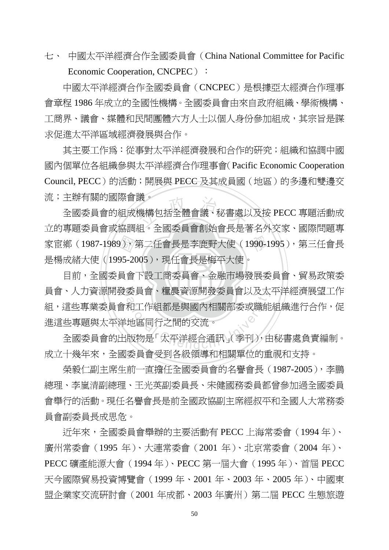七、 中國太平洋經濟合作全國委員會(China National Committee for Pacific Economic Cooperation, CNCPEC):

 中國太平洋經濟合作全國委員會(CNCPEC)是根據亞太經濟合作理事 會章程 1986 年成立的全國性機構。全國委員會由來自政府組織、學術機構、 工商界、議會、媒體和民間團體六方人士以個人身份參加組成,其宗旨是謀 求促進太平洋區域經濟發展與合作。

其主要工作為:從事對太平洋經濟發展和合作的研究;組織和協調中國 國內個單位各組織參與太平洋經濟合作理事會(Pacific Economic Cooperation Council, PECC)的活動;開展與 PECC 及其成員國(地區)的多邊和雙邊交 流;主辦有關的國際會議。

家宦鄉(1987-1989),第二任會長是李鹿野大使(1990-1995),第三任會長<br>是楊成緒大使(1995-2005),現任會長是梅平大使。<br>目前,全國委員會下設工商委員會、金融市場發展委員會、貿易政策委 <sup>液 。</sup><br>機構包括全體會議、秘書處♪<br>知 。本国禾昌命創始命見見 全國委員會的組成機構包括全體會議、秘書處以及按 PECC 專題活動成 立的專題委員會或協調組。全國委員會創始會長是著名外交家、國際問題專 是楊成緒大使(1995-2005),現任會長是梅平大使。

目前,全國委員會下設工商委員會、金融市場發展委員會、貿易政策委 員會、人力資源開發委員會源開發委員會以及太平洋經濟展望工作 安貝曾、種農貨源開發安貝曾以及太<br>和工作組都是與國內相關部委或職能<br>地區同行之間的交流。<br>版物是「太平洋經合通訊」(季刊),住 組,這些專業委員會和工作組都是與國內相關部委或職能組織進行合作,促 進這些專題與太平洋地區同行之間的交流。

全國委員會的出版物是「太平洋經合通訊」(季刊),由秘書處負責編制。 成立十幾年來,全國委員會受到各級領導和相關單位的重視和支持。

榮毅仁副主席生前一直擔任全國委員會的名譽會長(1987-2005),李鵬 總理、李嵐清副總理、王光英副委員長、宋健國務委員都曾參加過全國委員 會舉行的活動。現任名譽會長是前全國政協副主席經叔平和全國人大常務委 員會副委員長成思危。

近年來,全國委員會舉辦的主要活動有 PECC 上海常委會(1994 年)、 廣州常委會(1995 年)、大連常委會(2001 年)、北京常委會(2004 年)、 PECC 礦產能源大會(1994 年)、PECC 第一屆大會(1995 年)、首屆 PECC 天今國際貿易投資博覽會(1999 年、2001 年、2003 年、2005 年)、中國東 盟企業家交流研討會(2001 年成都、2003 年廣州)第二屆 PECC 生態旅遊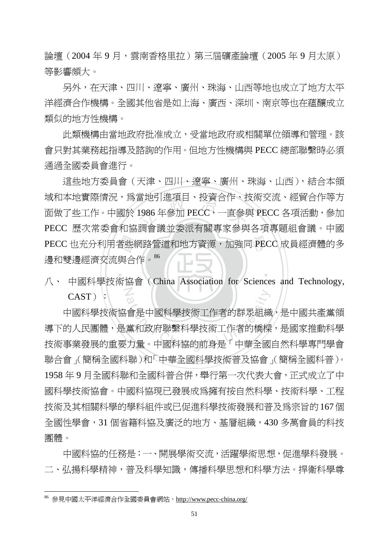論壇(2004年9月,雲南香格里拉)第三屆礦產論壇(2005年9月太原) 等影響頗大。

另外,在天津、四川、遼寧、廣州、珠海、山西等地也成立了地方太平 洋經濟合作機構。全國其他省是如上海、廣西、深圳、南京等也在蘊釀成立 類似的地方性機構。

此類機構由當地政府批准成立,受當地政府或相關單位領導和管理。該 會只對其業務起指導及諮詢的作用。但地方性機構與 PECC 總部聯繫時必須 通過全國委員會進行。

者些<br>與合<br><sub>临協</sub> 畠地5|進項日、投貨合作、}<br>1986 年參加 PECC,一直參<br>調命議並禾派右関車安桑町 PECC 也充分利用者些網路管道和地方資源,加強同 PECC 成員經濟體的多 這些地方委員會(天津、四川、遼寧、廣州、珠海、山西),結合本領 域和本地實際情況,為當地引進項目、投資合作、技術交流、經貿合作等方 面做了些工作。中國於 1986 年參加 PECC,一直參與 PECC 各項活動,參加 PECC 歷次常委會和協調會議並委派有關專家參與各項專題組會議。中國 邊和雙邊經濟交流與合作。<sup>86</sup>

N 八、 中國科學技術協會(China Association for Sciences and Technology,  $CAST)$ :

‧

CAST)<br>中國科學技術協會是中國科學技術工作者的群眾組織,是中國共產黨領<br>導下的人民團體,是黨和政府聯繫科學技術工作者的橋樑,是國家推動科學<br>技術事業發展的重要力量。中國科協的前身是「中華全國自然科學專門學會 中國科學技術協會是中國科學技術工作者的群眾組織,是中國共產黨領 導下的人民團體,是黨和政府聯繫科學技術工作者的橋樑,是國家推動科學 聯合會」(簡稱全國科聯)和「中華全國科學技術普及協會」(簡稱全國科普)。 1958 年 9 月全國科聯和全國科普合併,舉行第一次代表大會,正式成立了中 國科學技術協會。中國科協現已發展成為擁有按自然科學、技術科學、工程 技術及其相關科學的學科組件或已促進科學技術發展和普及為宗旨的167個 全國性學會,31 個省籍科協及廣泛的地方、基層組織,430 多萬會員的科技 團體。

中國科協的任務是:一、開展學術交流,活躍學術思想,促進學科發展。 二、弘揚科學精神,普及科學知識,傳播科學思想和科學方法。捍衛科學尊

<sup>86</sup> 參見中國太平洋經濟合作全國委員會網站,http://www.pecc-china.org/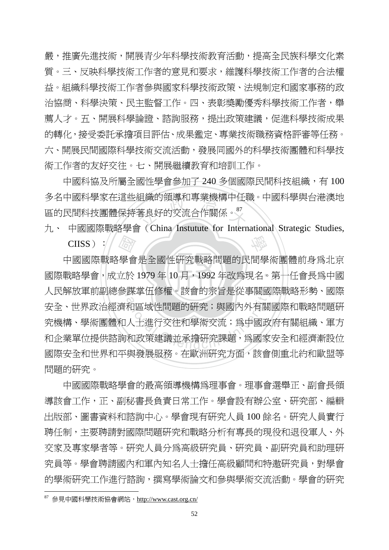嚴,推廣先進技術,開展青少年科學技術教育活動,提高全民族科學文化素 質。三、反映科學技術工作者的意見和要求,維護科學技術工作者的合法權 益。組織科學技術工作者參與國家科學技術政策、法規制定和國家事務的政 治協商、科學決策、民主監督工作。四、表彰獎勵優秀科學技術工作者,舉 薦人才。五、開展科學論證、諮詢服務,提出政策建議,促進科學技術成果 的轉化,接受委託承擔項目評估、成果鑑定、專業技術職務資格評審等任務。 六、開展民間國際科學技術交流活動,發展同國外的科學技術團體和科學技 術工作者的友好交往。七、開展繼續教育和培訓工作。

組織旳視導和專耒機構屮仕#<br>著良好的交流合作關係。<sup>87</sup><br>\* ( Chine Instutute for Intern 中國科協及所屬全國性學會參加了 240 多個國際民間科技組織,有100 多名中國科學家在這些組織的領導和專業機構中任職。中國科學與台港澳地 區的民間科技團體保持著良好的交流合作關係。<sup>87</sup>

學 九、 中國國際戰略學會(China Instutute for International Strategic Studies,  $CIISS$ )://

國際戰略學會,成立於 1979年 10月, 1992年改為現名。第一任會長為中國 科學會 N 人民解放軍前副總參謀掌伍修權。該會的宗旨是從事關國際戰略形勢、國際 課事伍修權。該曾旳示旨是從事關國<br>和區域性問題的硏究;與國內外有關<br>人士進行交往和學術交流;爲中國政<br>和政策建議並承擔硏究課題,爲國家 中國國際戰略學會是全國性研究戰略問題的民間學術團體前身為北京 安全、世界政治經濟和區域性問題的研究;與國內外有關國際和戰略問題研 究機構、學術團體和人士進行交往和學術交流;爲中國政府有關組織、軍方 和企業單位提供諮詢和政策建議並承擔研究課題,為國家安全和經濟漸設位 國際安全和世界和平與發展服務。在歐洲研究方面,該會側重北約和歐盟等 問題的研究。

中國國際戰略學會的最高領導機構為理事會。理事會選舉正、副會長領 導該會工作,正、副秘書長負責日常工作。學會設有辦公室、研究部、編輯 出版部、圖書資料和諮詢中心。學會現有研究人員 100 餘名。研究人員實行 聘任制,主要聘請對國際問題研究和戰略分析有專長的現役和退役軍人、外 交家及專家學者等。研究人員分為高級研究員、研究員、副研究員和助理研 究員等。學會聘請國內和軍內知名人士擔任高級顧問和特邀研究員,對學會 的學術研究工作進行諮詢,撰寫學術論文和參與學術交流活動。學會的研究

<sup>87</sup> 參見中國科學技術協會網站,http://www.cast.org.cn/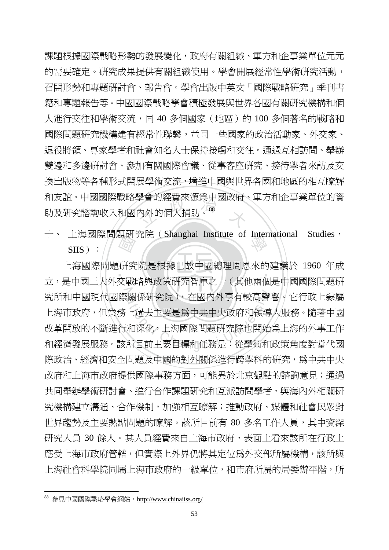学曾旳經實來源烏屮國政府<br><br>为外的個人捐助<sup>。88</sup> 課題根據國際戰略形勢的發展變化,政府有關組織、軍方和企事業單位元元 的需要確定。研究成果提供有關組織使用。學會開展經常性學術研究活動, 召開形勢和專題研討會、報告會。學會出版中英文「國際戰略研究」季刊書 籍和專題報告等。中國國際戰略學會積極發展與世界各國有關研究機構和個 人進行交往和學術交流,同 40 多個國家 (地區)的 100 多個著名的戰略和 國際問題研究機構建有經常性聯繫,並同一些國家的政治活動家、外交家、 退役將領、專家學者和社會知名人士保持接觸和交往。通過互相訪問、舉辦 雙邊和多邊研討會、參加有關國際會議、從事客座研究、接待學者來訪及交 換出版物等各種形式開展學術交流,增進中國與世界各國和地區的相互瞭解 和友誼。中國國際戰略學會的經費來源為中國政府、軍方和企事業單位的資 助及研究諮詢收入和國內外的個人捐助<sup>。88</sup>

十、 上海國際問題研究院 (Shanghai Institute of International Studies, SIIS):  $S IIS$ ):

‧立,是中國三大外交戰略與政策研究智庫之一(其他兩個是中國國際問題研 <sub>医研究</sub><br>《研究》<br>参戰 ‧ n<br>Met 究所和中國現代國際關係研究院),在國內外享有較高聲譽。它行政上隸屬<br>上海市政府,但業務上過去主要是爲中共中央政府和領導人服務。隨著中國<br>改革開放的不斷進行和深化,上海國際問題研究院也開始爲上海的外事工作<br>和經濟發展服務。該所目前主要目標和任務是:從學術和政策角度對當代國 上海國際問題研究院是根據已故中國總理周恩來的建議於 1960 年成 究所和中國現代國際關係研究院),在國內外享有較高聲譽。它行政上隸屬 上海市政府,但業務上過去主要是為中共中央政府和領導人服務。隨著中國 改革開放的不斷進行和深化,上海國際問題研究院也開始為上海的外事工作 際政治、經濟和安全問題及中國的對外關係進行跨學科的研究,為中共中央 政府和上海市政府提供國際事務方面,可能異於北京觀點的諮詢意見;通過 共同舉辦學術研討會、淮行合作課題研究和互派訪問學者,與海內外相關研 究機構建立溝通、合作機制,加強相互瞭解;推動政府、媒體和社會民眾對 世界趨勢及主要熱點問題的瞭解。該所目前有 80 多名工作人員,其中資深 研究人員 30 餘人。其人員經費來自上海市政府,表面上看來該所在行政上 應受上海市政府管轄,但實際上外界仍將其定位為外交部所屬機構,該所與 上海社會科學院同屬上海市政府的一級單位,和市府所屬的局委辦平階,所

<sup>88</sup> 參見中國國際戰略學會網站,http://www.chinaiiss.org/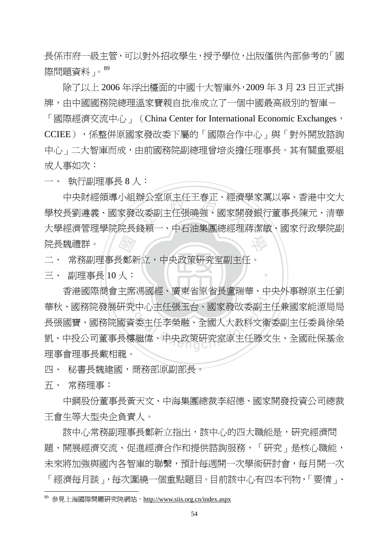長係市府一級主管,可以對外招收學生,授予學位,出版僅供內部參考的「國 際問題資料」。<sup>89</sup>

 除了以上 2006 年浮出檯面的中國十大智庫外,2009 年 3 月 23 日正式掛 牌,由中國國務院總理溫家寶親自批准成立了一個中國最高級別的智庫-

「國際經濟交流中心」 (China Center for International Economic Exchanges, CCIEE),係整併原國家發改委下屬的「國際合作中心」與「對外開放諮詢 中心」二大智庫而成,由前國務院副總理曾培炎擔任理事長。其有關重要組 成人事如次:

一、 執行副理事長 8 人:

石<br>大<br>国家<br>人 辨公至原土仕土脊止、經濟<br><br>改委副主任張曉強、國家開発<br>送題 學 中央財經領導小組辦公室原主任王春正、經濟學家厲以寧、香港中文大 學校長劉遵義、國家發改委副主任張曉強、國家開發銀行董事長陳元、清華 大學經濟管理學院院長錢穎一、中石油集團總經理蔣潔敏、國家行政學院副 院長魏禮群。

二、 常務副理事長鄭新立,中央政策研究室副主任。

三、 副理事長 10 人:

香港國際商會主席馮國經、廣東省原省長盧瑞華、中央外事辦原主任劉 席偽國經、廣果省原省長盧瑞華、中<br>究中心主任張玉台、國家發改委副主<br>資委主任李榮融、全國人大教科文衛<br>樓繼偉、中央政策研究室原主任滕文 華秋、國務院發展研究中心主任張玉台、國家發改委副主任兼國家能源局局 長張國寶、國務院國資委主任李榮融、全國人大教科文衛委副主任委員徐榮 凱、中投公司董事長樓繼偉、中央政策研究室原主任滕文生、全國社保基金 理事會理事長戴相龍。

‧

四、 秘書長魏建國,商務部原副部長。

五、 常務理事:

 $\overline{a}$ 

 中鋼股份董事長黃天文、中海集團總裁李紹德、國家開發投資公司總裁 王會生等大型央企負責人。

 該中心常務副理事長鄭新立指出,該中心的四大職能是,研究經濟問 題、開展經濟交流、促進經濟合作和提供諮詢服務,「研究」是核心職能, 未來將加強與國內各智庫的聯繫,預計每週開一次學術研討會,每月開一次 「經濟每月談」,每次圍繞一個重點題目。目前該中心有四本刊物,「要情」、

<sup>89</sup> 參見上海國際問題研究院網站,http://www.siis.org.cn/index.aspx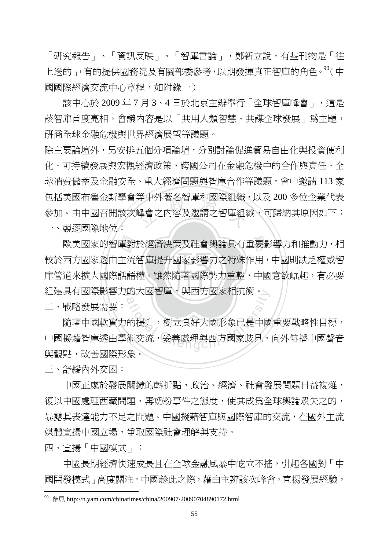「研究報告」、「資訊反映」、「智庫言論」,鄭新立說,有些刊物是「往 上送的」,有的提供國務院及有關部委參考,以期發揮真正智庫的角色。<sup>90</sup>(中 國國際經濟交流中心章程,如附錄一)

該中心於 2009 年 7 月 3、4 日於北京主辦舉行「全球智庫峰會」,這是 該智庫首度亮相,會議內容是以「共用人類智慧、共謀全球發展」為主題, 研商全球金融危機與世界經濟展望等議題。

寺屮外者名智庳和國除組織<br>峰會之內容及邀請之智庫組<br>フィストリンク 除主要論壇外,另安排五個分項論壇,分別討論促進留易自由化與投資便利 化、可持續發展與宏觀經濟政策、跨國公司在金融危機中的合作與責任、全 球消費儲蓄及金融安全、重大經濟問題與智庫合作等議題。會中邀請 113 家 包括美國布魯金斯學會等中外著名智庫和國際組織,以及 200 多位企業代表 參加。由中國召開該次峰會之內容及邀請之智庫組織,可歸納其原因如下: 一、競逐國際地位:

庫管道來擴大國際話語權。雖然隨著國際勢力重整,中國意欲崛起,有必要 歐美國家的智庫對於經濟決策及社會輿論具有重要影響力和推動力,相<br>西方國家透由主流智庫提升國家影響力之特殊作用,中國則缺乏權威智<br>道來擴大國際話語權。雖然隨著國際勢力重整,中國意欲崛起,有必要 組建具有國際影響力的大國智庫,與西方國家相抗衡。 較於西方國家透由主流智庫提升國家影響力之特殊作用,中國則缺乏權威智

二、戰略發展需要:

的大國智庫,與四万國豕相机側。)<br>a<br>的提升,樹立良好大國形象已是中國<br>術交流,妥善處理與西方國家歧見, 隨著中國軟實力的提升,樹立良好大國形象已是中國重要戰略性目標, 中國擬藉智庫透由學術交流,妥善處理與西方國家歧見,向外傳播中國聲音 與觀點,改善國際形象。

三、舒緩內外交困:

中國正處於發展關鍵的轉折點,政治、經濟、社會發展問題日益複雜, 復以中國處理西藏問題、毒奶粉事件之態度,使其成爲全球輿論眾矢之的, 暴露其表達能力不足之問題。中國擬藉智庫與國際智庫的交流,在國外主流 媒體宣揚中國立場,爭取國際社會理解與支持。

四、宣揚「中國模式」:

 $\overline{a}$ 

中國長期經濟快速成長且在全球金融風暴中屹立不搖,引起各國對「中 國開發模式」高度關注。中國趁此之際,藉由主辨該次峰會,宣揚發展經驗,

 $90\text{ }$  參見 http://n.yam.com/chinatimes/china/200907/20090704890172.html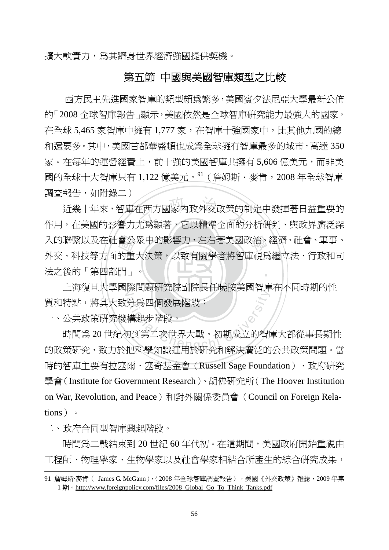擴大軟實力,為其躋身世界經濟強國提供契機。

## 第五節 中國與美國智庫類型之比較

 西方民主先進國家智庫的類型頗為繁多,美國賓夕法尼亞大學最新公佈 的「2008 全球智庫報告」顯示,美國依然是全球智庫研究能力最強大的國家, 在全球 5,465 家智庫中擁有 1,777 家,在智庫十強國家中,比其他九國的總 和還要多。其中,美國首都華盛頓也成為全球擁有智庫最多的城市,高達 350 家。在每年的運營經費上,前十強的美國智庫共擁有 5,606 億美元,而非美 國的全球十大智庫只有 1,122 億美元。<sup>91</sup> ( 詹姆斯·麥肯, 2008 年全球智庫 調查報告,如附錄二)

‧法之後的「第四部門」。 會公重<br>的重 )<br>在西方國家內政外交政策的<br>尤爲顯著,它以精準全面的 入的聯繫以及在社會公眾中的影響力,左右著美國政治、經濟、社會、軍事、 ‧ 近幾十年來,智庫在西方國家內政外交政策的制定中發揮著日益重要的 作用,在美國的影響力尤為顯著,它以精準全面的分析研判、與政界廣泛深 外交、科技等方面的重大決策,以致有關學者將智庫視為繼立法、行政和司

上海復旦大學國際問題研究院副院長任曉按美國智庫在不同時期的性<br>-質和特點,將其大致分為四個發展階段:

一、公共政策研究機構起步階段。

な問題の説明の大臣の改善日本<br>分爲四個發展階段:<br>構起步階段。<br><br>加到第二次世界大戰。初期成立的智順<br>地科學知識演用於研究和解決廣泛的 時間為 20 世紀初到第二次世界大戰。初期成立的智庫大都從事長期性 的政策研究,致力於把科學知識運用於研究和解決廣泛的公共政策問題。當 時的智庫主要有拉塞爾·塞奇基金會 (Russell Sage Foundation)、政府研究 學會(Institute for Government Research)、胡佛研究所(The Hoover Institution on War, Revolution, and Peace)和對外關係委員會(Council on Foreign Relations)。

二、政府合同型智庫興起階段。

 $\overline{a}$ 

時間爲二戰結束到 20 世紀 60 年代初。在這期間,美國政府開始重視由 工程師、物理學家、生物學家以及社會學家相結合所產生的綜合研究成果,

<sup>91</sup> 詹姆斯·麥肯 ( James G. McGann), < 2008 年全球智庫調查報告 > ,美國《外交政策》雜誌, 2009 年第 1 期。http://www.foreignpolicy.com/files/2008 Global Go To Think Tanks.pdf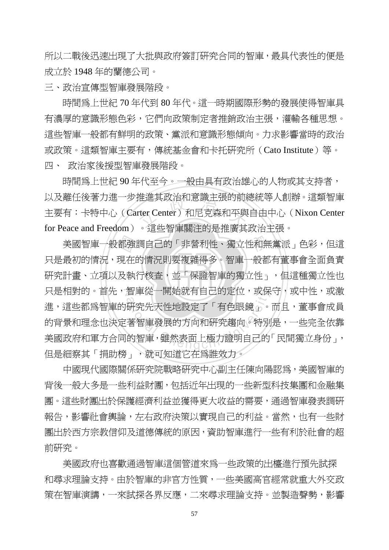所以二戰後迅速出現了大批與政府簽訂研究合同的智庫,最具代表性的便是 成立於 1948 年的蘭德公司。

三、政治宣傳型智庫發展階段。

 時間為上世紀 70 年代到 80 年代。這一時期國際形勢的發展使得智庫具 有濃厚的意識形態色彩,它們向政策制定者推銷政治主張,灌輸各種思想。 這些智庫一般都有鮮明的政策、黨派和意識形態傾向。力求影響當時的政治 或政策。這類智庫主要有,傳統基金會和卡托研究所(Cato Institute)等。 四、 政治家後援型智庫發展階段。

性進具政治和息識土張旳肌<br>rter Center)和尼克森和平與<br>。・言此知南関汁的見世産サ 時間為上世紀 90 年代至今。一般由具有政治雄心的人物或其支持者, 以及離任後著力進一步推進其政治和意識主張的前總統等人創辦。這類智庫 主要有:卡特中心 (Carter Center)和尼克森和平與自由中心 (Nixon Center for Peace and Freedom)。這些智庫關注的是推廣其政治主張。

‧都強<br>現在<br>及執 美國智庫一般都強調自己的「非營利性、獨立性和無黨派」色彩,但這 ‧ 研究計畫、立項以及執行核查,並「保證智庫的獨立性」,但這種獨立性也 只是相對的。首先,智庫從一開始就有自己的定位,或保守,或中性,或激 智庫從一開始就有自己的定位,敗保<br>研究先天性地設定了「有色眼鏡」。<br>著智庫發展的方向和研究趨向。特別<br>的智庫,雖然表面上極力證明自己的 只是最初的情況,現在的情況則要複雜得多。智庫一般都有董事會全面負責 進,這些都爲智庫的研究先天性地設定了「有色眼鏡」。而且,董事會成員 的背景和理念也決定著智庫發展的方向和研究趨向。特別是,一些完全依靠 美國政府和軍方合同的智庫,雖然表面上極力證明自己的「民間獨立身份」, 但是細察其「捐助榜」,就可知道它在爲誰效力。

中國現代國際關係研究院戰略研究中心副主任陳向陽認為,美國智庫的 背後一般大多是一些利益財團,包括近年出現的一些新型科技集團和金融集 團。這些財團出於保護經濟利益並獲得更大收益的需要,通過智庫發表調研 報告,影響社會輿論,左右政府決策以實現自己的利益。當然,也有一些財 團出於西方宗教信仰及道德傳統的原因,資助智庫進行一些有利於社會的超 前研究。

美國政府也喜歡通過智庫這個管道來為一些政策的出檯進行預先試探 和尋求理論支持。由於智庫的非官方性質,一些美國高官經常就重大外交政 策在智庫演講,一來試探各界反應,二來尋求理論支持。並製造聲勢,影響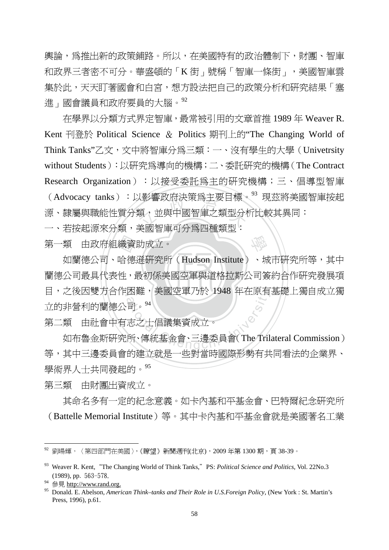輿論,爲推出新的政策舖路。所以,在美國特有的政治體制下,財團、智庫 和政界三者密不可分。華盛頓的「K街」號稱「智庫一條街」, 美國智庫雲 集於此,天天盯著國會和白宮,想方設法把自己的政策分析和研究結果「塞 進」國會議員和政府要員的大腦。92

ス影響政府決束烏土安日悰。<br>類,並與中國智庫之類型分<br>羊電知声可公母皿種類型 在學界以分類方式界定智庫,最常被引用的文章首推 1989 年 Weaver R. Kent 刊登於 Political Science & Politics 期刊上的"The Changing World of Think Tanks"乙文,文中將智庫分為三類:一、沒有學生的大學(Univetrsity without Students):以研究為導向的機構;二、委託研究的機構(The Contract Research Organization):以接受委託為主的研究機構;三、倡導型智庫 (Advocacy tanks):以影響政府決策為主要目標。<sup>93</sup> 現茲將美國智庫按起 源、隸屬與職能性質分類,並與中國智庫之類型分析比較其異同:

一、若按起源來分類,美國智庫可分為四種類型:

‧‧ 蘭德公司最具代表性,最初係美國空軍與道格拉斯公司簽約合作研究發展項 第一類 由政府組織資助成立。<br> 如蘭德公司、哈德遜研究所<br>蘭德公司最具代表性,最初係美| 目,之後因雙方合作困難,美國空軍乃於 1948 年在原有基礎上獨自成立獨 困難,美國空車*乃於* 1948 年仕原有<br>「司。<sup>94</sup><br>志之士倡議集資成立。<br>所、傳統基金會、三邊委員會( The Tril 如蘭德公司、哈德遜研究所(Hudson Institute)、城市研究所等,其中 立的非營利的蘭德公司。<sup>94</sup>

學

第二類 由社會中有志之士倡議集資成立。

 如布魯金斯研究所、傳統基金會、三邊委員會(The Trilateral Commission) 等,其中三邊委員會的建立就是一些對當時國際形勢有共同看法的企業界、 學術界人士共同發起的。<sup>95</sup>

第三類 由財團出資成立。

 其命名多有一定的紀念意義。如卡內基和平基金會、巴特爾紀念研究所 (Battelle Memorial Institute)等。其中卡內基和平基金會就是美國著名工業

<sup>92</sup> 劉暘輝,〈第四部門在美國〉,《瞭望》新聞週刊(北京),2009 年第 1300 期,頁 38-39。

<sup>&</sup>lt;sup>93</sup> Weaver R. Kent, "The Changing World of Think Tanks," PS: *Political Science and Politics*, Vol. 22No.3 (1989), pp. 563-578.

參見 http://www.rand.org.

<sup>95</sup> Donald. E. Abelson, *American Think–tanks and Their Role in U.S.Foreign Policy*, (New York : St. Martin's Press, 1996), p.61.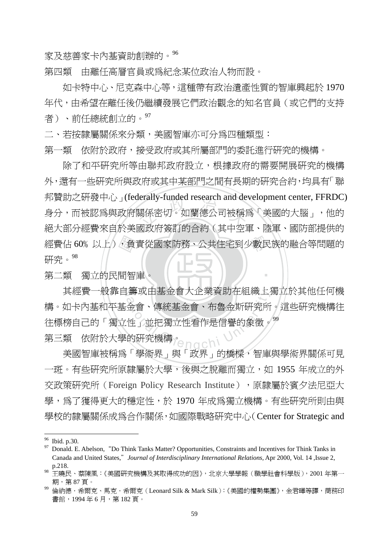家及慈善家卡內基資助創辦的。<sup>96</sup>

第四類 由離任高層官員或為紀念某位政治人物而設。

 如卡特中心、尼克森中心等,這種帶有政治遺產性質的智庫興起於 1970 年代,由希望在離任後仍繼續發展它們政治觀念的知名官員(或它們的支持 者)、前任總統創立的。<sup>97</sup>

二、若按隸屬關係來分類,美國智庫亦可分爲四種類型:

第一類 依附於政府,接受政府或其所屬部門的委託淮行研究的機構。

經費佔 60%以上),負責從國家防務、公共住宅到少數民族的融合等問題的<br>研究。<sup>98</sup><br>第二類 獨立的民間智庫。 teraily-tunded research and de<br>關係密切。如蘭德公司被稱<br><sub>司政 序签</sub>封的合約(其中空 除了和平研究所等由聯邦政府設立,根據政府的需要開展研究的機構 外,還有一些研究所與政府或其中某部門之間有長期的研究合約,均具有「聯 邦贊助之研發中心」(federally-funded research and development center, FFRDC) 身分,而被認爲與政府關係密切。如蘭德公司被稱爲「美國的大腦」,他的 絕大部分經費來自於美國政府簽訂的合約(其中空軍、陸軍、國防部提供的 研究。98

‧第二類 獨立的民間智庫。

其經費一般靠自籌或由基金會大企業資助在組織上獨立於其他任何機 |壽攺出基金曾大企亲負助仕組織上;<br>金會、傳統基金會、布魯金斯研究所<br>|性」並把獨立性看作是信譽的象徵。<br>的研究機構。<br>|「第作品」的「我」」, 世長園(西方 構。如卡內基和平基金會、傳統基金會、布魯金斯研究所。這些研究機構往 往標榜自己的「獨立性」並把獨立性看作是信譽的象徵。<sup>99</sup> 第三類 依附於大學的研究機構。

‧

美國智庫被稱為「學術界」與「政界」的橋樑,智庫與學術界關係可見 一斑。有些研究所原隸屬於大學,後與之脫離而獨立,如 1955 年成立的外 交政策研究所 (Foreign Policy Research Institute),原隸屬於賓夕法尼亞大 學,為了獲得更大的穩定性,於 1970 年成為獨立機構。有些研究所則由與 學校的隸屬關係成為合作關係,如國際戰略研究中心(Center for Strategic and

 $^{96}$  Ibid. p.30.

<sup>97</sup> Donald. E. Abelson,"Do Think Tanks Matter? Opportunities, Constraints and Incentives for Think Tanks in Canada and United States,"*Journal of Interdisciplinary International Relations,* Apr 2000, Vol. 14 ,Issue 2, p.218.

<sup>98</sup> 王曉民、蔡陳風:《美國研究機構及其取得成功的因》,北京大學學報(職學社會科學版),2001 年第一 期,第 87 頁。

倫納德·希爾克、馬克·希爾克 (Leonard Silk & Mark Silk):《美國的權勢集團》,金君暉等譯,商務印 書館, 1994年6月, 第182頁。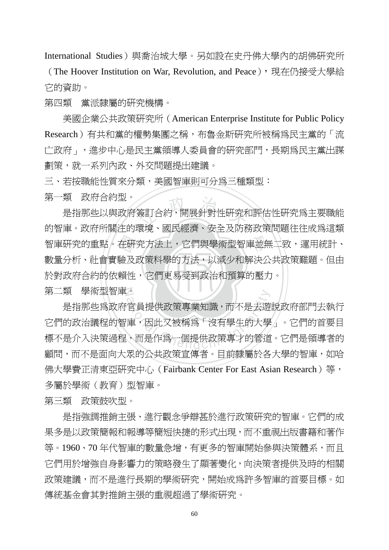International Studies)與喬治城大學。另如設在史丹佛大學內的胡佛研究所

(The Hoover Institution on War, Revolution, and Peace),現在仍接受大學給 它的資助。

第四類 黨派隸屬的研究機構。

美國企業公共政策研究所(American Enterprise Institute for Public Policy Research)有共和黨的權勢集團之稱,布魯金斯研究所被稱為民主黨的「流 亡政府」,進步中心是民主黨領導人委員會的研究部門,長期為民主黨出謀 劃策,就一系列內政、外交問題提出建議。

三、若按職能性質來分類,美國智庫則可分為三種類型:

第一類 政府合約型。

‧‧ 於對政府合約的依賴性,它們更易受到政治和預算的壓力。 智庫研究的重點。在研究方法上,它們與學術型智庫並無二致,運用統計、<br>數量分析、社會實驗及政策科學的方法,以減少和解決公共政策難題。但由<br>於對政府合約的依賴性,它們更易受到政治和預算的壓力。 。<br><br>第一、国民經濟、安全及民<br>第一、国民經濟、安全及民 是指那些以與政府簽訂合約,開展針對性研究和評估性研究為主要職能 的智庫。政府所關注的環境、國民經濟、安全及防務政策問題往往成為這類 數量分析、社會實驗及政策科學的方法,以減少和解決公共政策難題。但由

N 第二類 學術型智庫。

。<br>官員提供政策專業知識,而不是去遊<br><br>庫·西是作爲一個提供政策專才的管道<br> 是指那些為政府官員提供政策專業知識,而不是去遊說政府部門去執行 它們的政治議程的智庫,因此又被稱為「沒有學生的大學」。它們的首要目 標不是介入決策過程,而是作為一個提供政策專才的管道。它們是領導者的 顧問,而不是面向大眾的公共政策宣傳者。目前隸屬於各大學的智庫,如哈 佛大學費正清東亞研究中心 (Fairbank Center For East Asian Research)等, 多屬於學術(教育)型智庫。

第三類 政策鼓吹型。

是指強調推銷主張、進行觀念爭辯甚於進行政策研究的智庫。它們的成 果多是以政策簡報和報導等簡短快捷的形式出現,而不重視出版書籍和著作 等。1960、70年代智庫的數量急增,有更多的智庫開始參與決策體系,而且 它們用於增強自身影響力的策略發生了顯著變化,向決策者提供及時的相關 政策建議,而不是進行長期的學術研究,開始成為許多智庫的首要目標。如 傳統基金會其對推銷主張的重視超過了學術研究。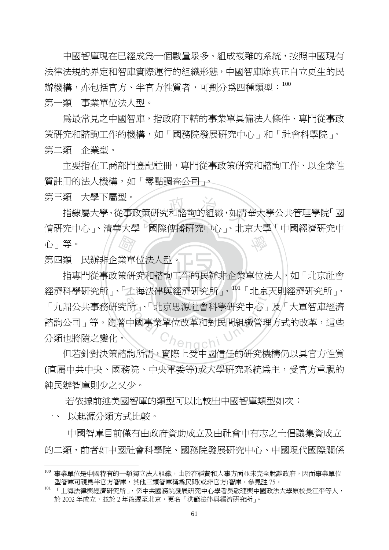中國智庫現在已經成為一個數量眾多、組成複雜的系統,按照中國現有 法律法規的界定和智庫實際運行的組織形態,中國智庫除真正自立更生的民 辦機構,亦包括官方、半官方性質者,可劃分為四種類型:<sup>100</sup>

第一類 事業單位法人型。

 為最常見之中國智庫,指政府下轄的事業單具備法人條件、專門從事政 策研究和諮詢工作的機構,如「國務院發展研究中心」和「社會科學院」。 第二類 企業型。

 主要指在工商部門登記註冊,專門從事政策研究和諮詢工作、以企業性 質註冊的法人機構,如「零點調查公司」。

第三類 大學下屬型。

《科学》 <br>女策研究和諮詢的組織,如清<br>1 「朝欧伸援研究出心、、北日 學 指隸屬大學、從事政策研究和諮詢的組織,如清華大學公共管理學院「國 情研究中心」、清華大學「國際傳播研究中心」、北京大學「中國經濟研究中 心」等。

第四類 民辦非企業單位法人型。

指專門從事政策研究和諮詢工作的民辦非企業單位法人,如「北京社會 經濟科學研究所」、「上海法律與經濟研究所」、<sup>101</sup>「北京天則經濟研究所」、 <sup>a</sup>t<sup>i</sup>ona<sup>l</sup> <sup>C</sup>hengch<sup>i</sup> <sup>U</sup>nivers<sup>i</sup>t<sup>y</sup> 「九鼎公共事務研究所」、「北京思源社會科學研究中心」及「大軍智庫經濟 諮詢公司」等。隨著中國事業單位改革和對民間組織管理方式的改革,這些 分類也將隨之變化。

但若針對決策諮詢所需,實際上受中國信任的研究機構仍以具官方性質 (直屬中共中央、國務院、中央軍委等)或大學研究系統為主,受官方重視的 純民辦智庫則少之又少。

若依據前述美國智庫的類型可以比較出中國智庫類型如次:

一、 以起源分類方式比較。

 $\overline{a}$ 

 中國智庫目前僅有由政府資助成立及由社會中有志之士倡議集資成立 的二類,前者如中國社會科學院、國務院發展研究中心、中國現代國際關係

<sup>100</sup> 事業單位是中國特有的一類獨立法人組織,由於在經費和人事方面並未完全脫離政府,因而事業單位 型智庫可視為半官方智庫,其他三類智庫稱為民間(或非官方)智庫。參見註 75。

<sup>101</sup> 「上海法律與經濟研究所」,係中共國務院發展研究中心學者吳敬璉與中國政法大學原校長江平等人, 於 2002年成立,並於 2年後遷至北京,更名「洪範法律與經濟研究所」。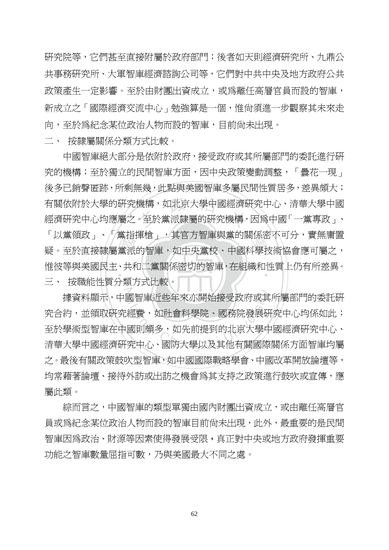研究院等,它們甚至直接附屬於政府部門;後者如天則經濟研究所、九鼎公 共事務研究所、大軍智庫經濟諮詢公司等,它們對中共中央及地方政府公共 政策產生一定影響。至於由財團出資成立,或爲離任高層官員而設的智庫, 新成立之「國際經濟交流中心」勉強算是一個,惟尙須進一步觀察其未來走 向,至於為紀念某位政治人物而設的智庫,目前尚未出現。

二、 按隸屬關係分類方式比較。

「以黑唄叹」、「黑疽押帽」,共旨刀管哩哭黑的圈係密不可分,員無庸直疑。至於直接隸屬黨派的智庫,如中央黨校、中國科學技術協會應可屬之,<br>疑。至於直接隸屬黨派的智庫,如中央黨校、中國科學技術協會應可屬之,<br>惟彼等與美國民主、共和二黨關係密切的智庫,在組織和性質上仍有所差異。<br>三、 按職能性質分類方式比較。 有關依附於大學的研究機構,如北京大學中國經濟研究中心、清華大學中國<br>經濟研究中心均應屬之。至於黨派隸屬的研究機構,因爲中國「一黨專政」、 Н<br>⊥ 中國智庫絕大部分是依附於政府,接受政府或其所屬部門的委託進行研 究的機構;至於獨立的民間智庫方面,因中央政策變動調整,「曇花一現」 後多已銷聲匿跡,所剩無幾,此點與美國智庫多屬民間性質居多,差異頗大; 有關依附於大學的研究機構,如北京大學中國經濟研究中心、清華大學中國 「以黨領政」、「黨指揮槍」,其官方智庫與黨的關係密不可分,實無庸置 惟彼等與美國民主、共和二黨關係密切的智庫,在組織和性質上仍有所差異。 三、 按職能性質分類方式比較。

 $\mathcal{Z}$ 國智庫近些年來亦開始接受政府或其<br>經費,如社會科學院、國務院發展研<br>國則頗多,如先前提到的北京大學中<br>究中心、國防大學以及其他有關國際 據資料顯示,中國智庫近些年來亦開始接受政府或其所屬部門的委託研 究合約,並領取硏究鑽,如社會科學院、國務院發展硏究中心均係如此; 至於學術型智庫在中國則頗多,如先前提到的北京大學中國經濟研究中心、 清華大學中國經濟研究中心、國防大學以及其他有關國際關係方面智庫均屬 之。最後有關政策鼓吹型智庫,如中國國際戰略學會、中國改革開放論壇等, 均常藉著論壇、接待外訪或出訪之機會爲其支持之政策進行鼓吹或宣傳,應 屬此類。

綜而言之,中國智庫的類型單獨由國內財團出資成立,或由離任高層官 員或為紀念某位政治人物而設的智庫目前尚未出現,此外,最重要的是民間 智庫因為政治、財源等因素使得發展受限,真正對中央或地方政府發揮重要 功能之智庫數量屈指可數,乃與美國最大不同之處。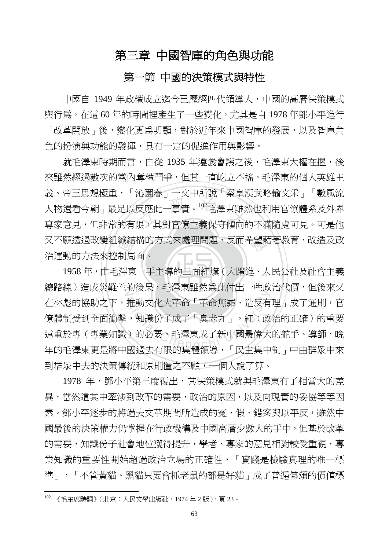## 第三章 中國智庫的角色與功能

## 第一節 中國的決策模式與特性

中國自 1949 年政權成立迄今已歷經四代領導人,中國的高層決策模式 與行為,在這 60 年的時間裡產生了一些變化,尤其是自 1978 年鄧小平進行 「改革開放」後,變化更爲明顯,對於近年來中國智庫的發展,以及智庫角 色的扮演與功能的發揮,具有一定的促進作用與影響。

織結<br>制局<br>澤東 。<br><br>又應此一事實。<sup>102</sup>毛澤東雖<br>狠,其對官僚主義保守傾向的 又不願透過改變組織結構的方式來處理問題,反而希望藉著教育、改造及政 就毛澤東時期而言,自從 1935 年遵義會議之後,毛澤東大權在握,後 來雖然經過數次的黨內奪權鬥爭,但其一直屹立不搖。毛澤東的個人英雄主 義、帝王思想極重,「沁園春」一文中所說「秦皇漢武略輸文采」「數風流 人物還看今朝」最足以反應此一事實。<sup>102</sup>毛澤東雖然也利用官僚體系及外界 專家意見,但非常的有限,其對官僚主義保守傾向的不滿隨處可見。可是他 治運動的方法來控制局面。

‧1958年,由毛澤東一手主導的三面紅旗(大躍進、人民公社及社會主義 總路線)造成災難性的後果,毛澤東雖然爲此付出一些政治代價,但後來又 458人 日中不要派為死行出 二次<br>推動文化大革命「革命無罪、造反有<br>:,知識份子成了「臭老九」,紅(政<br>)的必要。毛澤東成了新中國最偉大 在林彪的協助之下,推動文化大革命「革命無罪、造反有理」成了通則,官 僚體制受到全面衝擊,知識份子成了「臭老九」,紅(政治的正確)的重要 遠重於專(專業知識)的必要。毛澤東成了新中國最偉大的舵手、導師,晚 年的毛澤東更是將中國過去有限的集體領導,「民主集中制」中由群眾中來 到群眾中去的決策傳統和原則置之不顧,一個人說了算。

1978 年,鄧小平第三度復出,其決策模式就與毛澤東有了相當大的差 異,當然這其中牽涉到改革的需要,政治的原因,以及向現實的妥協等等因 素。鄧小平涿步的將渦去文革期間所浩成的冤、假、錯案與以平反,雖然中 國最後的決策權力仍掌握在行政機構及中國高層少數人的手中,但基於改革 的需要,知識份子社會地位獲得提升,學者、專家的意見相對較受重視,專 業知識的重要性開始超過政治立場的正確性,「實踐是檢驗真理的唯一標 進」,「不管黃貓、黑貓只要會抓老鼠的都是好貓」成了普遍傳頌的價值標

 $102$  《毛主席詩詞》(北京:人民文學出版社,1974年2版),頁23。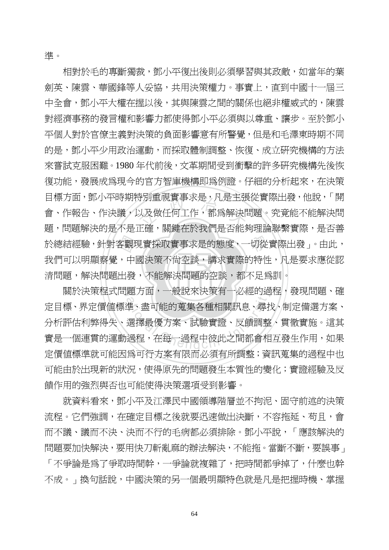準。

清問題,解決問題出發,不能解決問題的空談,都不足爲訓。 於總結經驗,針對客觀現實採取實事求是的態度,一切從實際出發」。由此,<br>我們可以明顯察覺,中國決策不尙空談,講求實際的特性,凡是要求應從認<br>清問題,解決問題出發,不能解決問題的空談,都不足爲訓。 <sub>守</sub>別里祝貰事水定,儿定土歩<br>以及做任何工作,都爲解決問<br>エン:即紳左込我們見不能 相對於毛的專斷獨裁,鄧小平復出後則必須學習與其政敵,如當年的葉 劍英、陳雲、華國鋒等人妥協,共用決策權力。事實上,直到中國十一屆三 中全會,鄧小平大權在握以後,其與陳雲之間的關係也絕非權威式的,陳雲 對經濟事務的發言權和影響力都使得鄧小平必須與以尊重、讓步。至於鄧小 平個人對於官僚主義對決策的負面影響意有所警覺,但是和毛澤東時期不同 的是,鄧小平少用政治運動,而採取體制調整、恢復、成立研究機構的方法 來嘗試克服困難。1980 年代前後,文革期間受到衝擊的許多研究機構先後恢 復功能,發展成為現今的官方智庫機構即為例證。仔細的分析起來,在決策 目標方面,鄧小平時期特別重視實事求是,凡是主張從實際出發,他說,「開 會、作報告、作決議,以及做任何工作,都為解決問題。究竟能不能解決問 題,問題解決的是不是正確,關鍵在於我們是否能夠理論聯繫實際,是否善 我們可以明顯察覺,中國決策不尚空談,講求實際的特性,凡是要求應從認

關於決策程式問題方面,一般說來決策有一必經的過程,發現問題、確 題力回,一般說來決束有一必經的適<br>準、盡可能的蒐集各種相關訊息、尋扎<br>選擇最優方案、試驗實證、反饋調整<br>過程,在每一過程中彼此之間都會相 定目標、界定價值標準、盡可能的蒐集各種相關訊息、尋找、制定備選方案、 分析評估利弊得失、選擇最優方案、試驗實證、反饋調整、貫徹實施。這其 實是一個連貫的運動過程,在每一過程中彼此之間都會相互發生作用,如果 定價值標準就可能因為可行方案有限而必須有所調整;資訊蒐集的過程中也 可能由於出現新的狀況,使得原先的問題發生本質性的變化;實證經驗及反 饋作用的強烈與否也可能使得決策選項受到影響。

就資料看來,鄧小平及江澤民中國領導階層並不拘泥、固守前述的決策 流程。它們強調,在確定目標之後就要迅速做出決斷,不容拖延、苟且,會 而不議、議而不決、決而不行的毛病都必須排除。鄧小平說,「應該解決的 問題要加快解決,要用快刀斬亂麻的辦法解決,不能拖。當斷不斷,要誤事」 「不爭論是為了爭取時間幹,一爭論就複雜了,把時間都爭掉了,什麼也幹 不成。」換句話說,中國決策的另一個最明顯特色就是凡是把握時機、掌握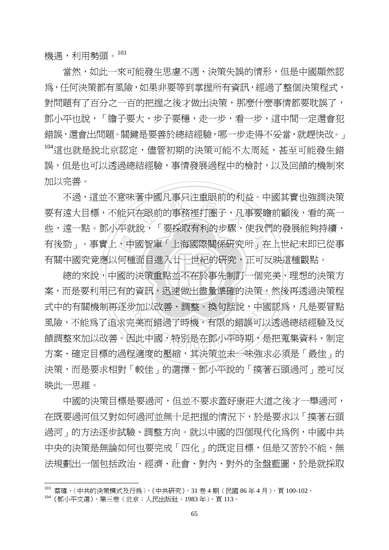機遇,利用勢頭。103

當然,如此一來可能發生思慮不週、決策失誤的情形,但是中國顯然認 為,任何決策都有風險,如果非要等到掌握所有資訊,經過了整個決策程式, 對問題有了百分之一百的把握之後才做出決策,那麼什麼事情都要耽誤了, 鄧小平也說,「膽子要大,步子要穩,走一步,看一步,這中間一定還會犯 錯誤, 還會出問題。關鍵是要善於總結經驗, 哪一步走得不妥當, 就趕快改。」  $^{104}$ 這也就是說北京認定,儘管初期的決策可能不太周延,甚至可能發生錯 誤,但是也可以透過總結經驗,事情發展過程中的檢討,以及回饋的機制來 加以完善。

有後勁」。事實上,中國智庫「上海國際關係研究所」在上世紀末即已從事<br>有關中國究竟應以何種面目進入廿一世紀的研究,正可反映這種觀點。<br>總的來說,中國的決策重點並不在於事先制訂一個完美、理想的決策方 音屮図儿事只注里映即旳利孔<br>在眼前的事務裡打圈子,凡<br>铅 . 「亜奶助右利的半壓, 不過,這並不意味著中國凡事只注重眼前的利益。中國其實也強調決策 要有遠大目標,不能只在眼前的事務裡打圈子,凡事要瞻前顧後,看的高一 些,遠一點。鄧小平就說,「要採取有利的步驟,使我們的發展能夠持續、 有關中國究竟應以何種面目進入廿一世紀的研究,正可反映這種觀點。

‧‧ 總的來說,中國的決策重點並不在於事先制訂一個完美、理想的決策方 案,而是要利用已有的資訊,迅速做出盡量準確的決策,然後再透過決策程 的負訊,迅速做出盡重準帷的决束,<br>|步加以改善、調整。換句話說,中國<br>完美而錯過了時機,有限的錯誤可以<br>因此中國,特別是在鄧小平時期,是 式中的有關機制再逐步加以改善、調整。換句話說,中國認爲,凡是要冒點 風險,不能為了追求完美而錯過了時機,有限的錯誤可以透過總結經驗及反 饋調整來加以改善。因此中國,特別是在鄧小平時期,是把蒐集資料、制定 方案、確定目標的過程適度的壓縮,其決策並未一味強求必須是「最佳」的 決策,而是要求相對「較佳」的選擇。鄧小平說的「摸著石頭過河」差可反 映此一思維。

中國的決策目標是要過河,但並不要求蓋好康莊大道之後才一舉過河, 在既要過河但又對如何過河並無十足把握的情況下,於是要求以「摸著石頭 過河」的方法逐步試驗、調整方向。就以中國的四個現代化為例,中國中共 中央的決策是無論如何也要完成「四化」的既定目標,但是又苦於不能、無 法規劃出一個包括政治、經濟、社會、對內、對外的全盤藍圖,於是就採取

<sup>103</sup> 蔡瑋,〈中共的決策模式及行為〉,《中共研究》,31 卷 4 期(民國 86 年 4 月),頁 100-102。

<sup>104</sup>《鄧小平文選》,第三卷(北京:人民出版社,1983 年),頁 113。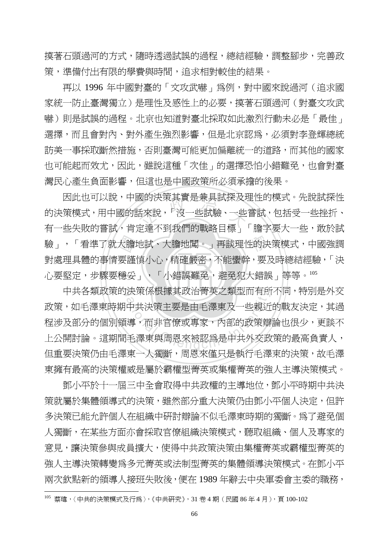模著石頭過河的方式,隨時**透過試誤的過程,總結經驗,**調整腳步,完善政 策,準備付出有限的學費與時間,追求相對較佳的結果。

再以 1996 年中國對臺的「文攻武嚇」為例,對中國來說過河(追求國 家統一防止臺灣獨立)是理性及感性上的必要,摸著石頭過河(對臺文攻武 嚇)則是試誤的過程。北京也知道對臺北採取如此激烈行動未必是「最佳」 選擇,而且會對內、對外產生強烈影響,但是北京認為,必須對李登輝總統 訪美一事採取斷然措施,否則臺灣可能更加偏離統一的道路,而其他的國家 也可能起而效尤,因此,雖說這種「次佳」的選擇恐怕小錯難免,也會對臺 灣民心產生負面影響,但這也是中國政策所必須承擔的後果。

心要堅定,步驟要穩妥」,「小錯誤難免,避免犯大錯誤」等等。105 大膽.<br>要謹<br>穩 <sub>図</sub>的状束具貫定兼具試探及な<br>舌來說,「沒一些試驗、一些<br>主法不和我們的戰政日梗 學 驗」,「看準了就大膽地試、大膽地闖。」再談理性的決策模式,中國強調 因此也可以說,中國的決策其實是兼具試探及理性的模式。先說試探性 的決策模式,用中國的話來說,「沒一些試驗、一些嘗試,包括受一些挫折、 有一些失敗的嘗試,肯定達不到我們的戰略目標一「膽字要大一些,敢於試 對處理具體的事情要謹慎小心,精確嚴密,不能蠻幹,要及時總結經驗,「決

中共各類政策的決策係根據其政治菁英之類型而有所不同,特別是外交 决束係恨據具政治青央之親型而有所<br>中共決策主要是由毛澤東及一些親近<br><br>導,而非官僚或專家,內部的政策辯<br>毛澤東與周恩來被認爲是中共外交政 政策,如毛澤東時期中共決策主要是由毛澤東及一些親近的戰友決定,其過 程涉及部分的個別領導,而非官僚或專家,內部的政策辯論也很少,更談不 上公開討論。這期間毛澤東與周恩來被認爲是中共外交政策的最高負責人, 但重要決策仍由毛澤東一人獨斷,周恩來僅只是執行毛澤束的決策,故毛澤 東擁有最高的決策權威是屬於霸權型菁英或集權菁英的強人主導決策模式。

鄧小平於十一屆三中全會取得中共政權的主導地位,鄧小平時期中共決 策就屬於集體領導式的決策,雖然部分重大決策仍由鄧小平個人決定,但許 多決策已能允許個人在組織中研討辯論不似毛澤東時期的獨斷。為了避免個 人獨斷,在某些方面亦會採取官僚組織決策模式,聽取組織、個人及專家的 意見,讓決策參與成員擴大,使得中共政策決策由集權菁英或霸權型菁英的 強人主導決策轉變為多元菁英或法制型菁英的集體領導決策模式。在鄧小平 兩次欽點新的領導人接班失敗後,便在 1989 年辭去中央軍委會主委的職務,

<sup>105</sup> 蔡瑋,〈中共的決策模式及行為〉,《中共研究》,31 卷 4 期(民國 86 年 4 月),頁 100-102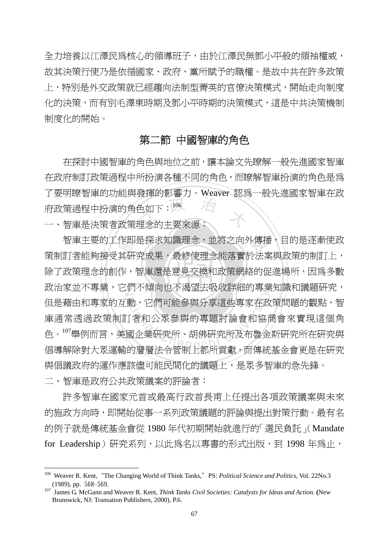全力培養以江澤民為核心的領導班子,由於江澤民無鄧小平般的領袖權威, 故其決策行使乃是依循國家、政府、黨所賦予的職權。是故中共在許多政策 上,特別是外交政策就已經趨向法制型菁英的官僚決策模式,開始走向制度 化的決策,而有別毛澤東時期及鄧小平時期的決策模式,這是中共決策機制 制度化的開始。

# 第二節 中國智庫的角色

<sup>立</sup> <sup>政</sup> <sup>治</sup> <sup>大</sup> 一、智庫是決策者政策理念的主要來源: 在探討中國智庫的角色與地位之前,讓本論文先瞭解一般先進國家智庫 在政府制訂政策過程中所扮演各種不同的角色,而瞭解智庫扮演的角色是為 了要明瞭智庫的功能與發揮的影響力。Weaver 認為一般先進國家智庫在政 府政策過程中扮演的角色如下:<sup>106</sup>

除了政策理念的創作,智庫還是意見交換和政策網絡的促進場所,因爲多數 作即<br>其研<br>作, 智庫主要的工作即是探求知識理念,並將之向外傳播,目的是逐漸使政 政治家並不專業,它們不傾向也不渴望去吸收詳細的專業知識和議題研究, ational Chengchi Machinersity<br>動,它們可能參與分享這些專家在政<br>了者和公眾參與的專題討論會和協商<br>國企業研究所、胡佛研究所及布魯金 策制訂者能夠接受其研究成果,最終使理念能落實於法案與政策的制訂上, 但是藉由和專家的互動,它們可能參與分享這些專家在政策問題的觀點,智 庫通常添過政策制訂者和公眾參與的專題討論會和協商會來實現這個角 色。107舉例而言,美國企業研究所、胡佛研究所及布魯金斯研究所在研究與 倡導解除對大眾運輸的層層法令管制上都所貢獻,而傳統基金會更是在研究 與倡議政府的運作應該儘可能民間化的議題上,是眾多智庫的急先鋒。

二、智庫是政府公共政策議案的評論者:

 $\overline{a}$ 

許多智庫在國家元首或最高行政首長甫上任提出各項政策議案與未來 的施政方向時,即開始從事一系列政策議題的評論與提出對策行動。最有名 的例子就是傳統基金會從 1980 年代初期開始就進行的「選民負託」(Mandate for Leadership)研究系列,以此為名以專書的形式出版,到 1998 年為止,

<sup>&</sup>lt;sup>106</sup> Weaver R. Kent, "The Changing World of Think Tanks," PS: Political Science and Politics, Vol. 22No.3 (1989), pp. 568-569. 107 James G. McGann and Weaver R. Kent, *Think Tanks Civil Societies: Catalysts for Ideas and Action.* **(**New

Brunswick, NJ: Transation Publishers, 2000), P.6.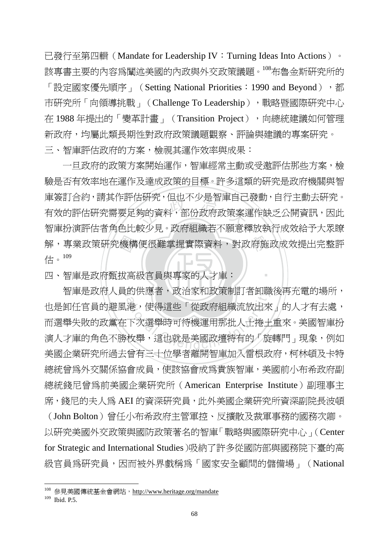已發行至第四輯(Mandate for Leadership IV:Turning Ideas Into Actions)。 該專書主要的內容為闡述美國的內政與外交政策議題。<sup>108</sup>布魯金斯研究所的 「設定國家優先順序」 (Setting National Priorities: 1990 and Beyond), 都 市研究所「向領導挑戰」(Challenge To Leadership), 戰略暨國際研究中心 在 1988 年提出的「變革計畫」(Transition Project),向總統建議如何管理 新政府,均屬此類長期性對政府政策議題觀察、評論與建議的專案研究。 三、智庫評估政府的方案,檢視其運作效率與成果:

解,專業政策研究機構便很難掌握實際資料,對政府施政成效提出完整評<br>估。<sup>109</sup><br>四、智庫是政府甄拔高級官員與專家的人才庫: 5岍究,但也不少是智庳自己<br>夠的資料,部份政府政策案?<br><sup>法小目</sup>。乾岳组經去不願音 一旦政府的政策方案開始運作,智庫經常主動或受邀評估那些方案,檢 驗是否有效率地在運作及達成政策的目標。許多這類的研究是政府機關與智 庫簽訂合約,請其作評估研究,但也不少是智庫自己發動,自行主動去研究。 有效的評估研究需要足夠的資料,部份政府政策案運作缺乏公開資訊,因此 智庫扮演評估者角色比較少見。政府組織若不願意釋放執行成效給予大眾瞭 估。<sup>109</sup>

‧

四、智庫是政府甄拔高級官員與專家的人才庫:

智庫是政府人員的供應者,政治家和政策制訂者卸職後再充電的場所, 的供應者,政治豕和政束制訂者即聯<br>港,使得這些「從政府組織流放出來<br>下次選舉時可待機運用那批人士捲土<br>枚舉,這也就是美國政壇特有的「旋 也是卸任官員的避風港,使得這些「從政府組織流放出來」的人才有去處, 而選舉失敗的政黨在下次選舉時可待機運用那批人士捲土重來。美國智庫扮 演人才庫的角色不勝枚舉,這也就是美國政壇特有的「旋轉門」現象,例如 美國企業研究所過去曾有三十位學者離開智庫加入雷根政府,柯林頓及卡特 總統曾為外交關係協會成員,使該協會成為貴族智庫,美國前小布希政府副 總統錢尼曾為前美國企業研究所(American Enterprise Institute)副理事主 席,錢尼的夫人為 AEI 的資深研究員,此外美國企業研究所資深副院長波頓

(John Bolton)曾任小布希政府主管軍控、反擴散及裁軍事務的國務次卿。 以研究美國外交政策與國防政策著名的智庫「戰略與國際研究中心」(Center for Strategic and International Studies)吸納了許多從國防部與國務院下臺的高 級官員為研究員,因而被外界戲稱為「國家安全顧問的儲備場」(National

<sup>&</sup>lt;sup>108</sup> 參見美國傳統基金會網站,http://www.heritage.org/mandate

 $109$  Ibid. P.5.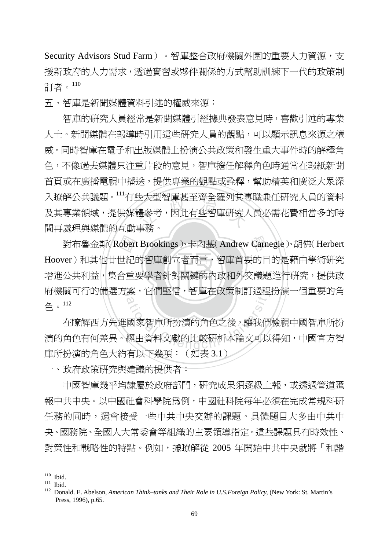Security Advisors Stud Farm)。智庫整合政府機關外圍的重要人力資源,支 援新政府的人力需求,透過實習或夥伴關係的方式幫助訓練下一代的政策制 訂者。<sup>110</sup>

五、智庫是新聞媒體資料引述的權威來源:

3大型智庫起至質至維列具具<br>**禮參考,因此有些智庫研究***)***<br>重致。** 智庫的研究人員經常是新聞媒體引經據典發表意見時,喜歡引述的專業 人士。新聞媒體在報導時引用這些研究人員的觀點,可以顯示訊息來源之權 威。同時智庫在電子和出版媒體上扮演公共政策和發生重大事件時的解釋角 色,不像過去媒體只注重片段的意見,智庫擔任解釋角色時通常在報紙新聞 首頁或在廣播電視中播送,提供專業的觀點或詮釋,幫助精英和廣泛大眾深 入瞭解公共議題。<sup>111</sup>有些大型智庫甚至齊全羅列其專職兼任研究人員的資料 及其專業領域,提供媒體參考,因此有些智庫研究人員必需花費相當多的時 間再處理與媒體的互動事務。

增進公共利益,集合重要學者針對關鍵的內政和外交議題進行研究,提供政 對布魯金斯(Robert Brookings)、卡內基(Andrew Carnegie)、胡佛(Herbert<br>/er)和其他廿世紀的智庫創立者而言,智庫首要的目的是藉由學術研究<br>公共利益,集合重要學者針對關鍵的內政和外交議題進行研究,提供政 府機關可行的備選方案,它們堅信,智庫在政策制訂過程扮演一個重要的角 Hoover)和其他廿世紀的智庫創立者而言,智庫首要的目的是藉由學術研究 色。<sup>112</sup>

系,它们堅信,智庫仕以束制訂適程<br>2<br>國家智庫所扮演的角色之後,讓我們<br>經由資料文獻的比較硏析本論文可以 在瞭解西方先進國家智庫所扮演的角色之後,讓我們檢視中國智庫所扮 演的角色有何差異。經由資料文獻的比較研析本論文可以得知,中國官方智 庫所扮演的角色大約有以下幾項:(如表 3.1)

一、政府政策研究與建議的提供者:

中國智庫幾乎均隸屬於政府部門,研究成果須逐級上報,或透過管道匯 報中共中央。以中國社會科學院為例,中國社科院每年必須在完成常規科研 任務的同時,還會接受一些中共中央交辦的課題。具體題目大多由中共中 央、國務院、全國人大常委會等組織的主要領導指定。這些課題具有時效性、 對策性和戰略性的特點。例如,據瞭解從 2005 年開始中共中央就將「和諧

 $110$  Ibid.

<sup>110</sup> Ibid. 111 Ibid. 112 Donald. E. Abelson, *American Think–tanks and Their Role in U.S.Foreign Policy,* (New York: St. Martin's Press, 1996), p.65.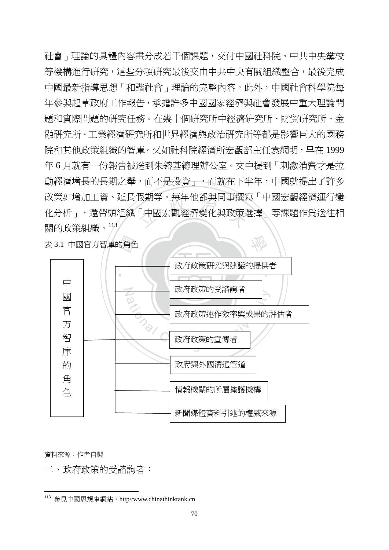<sub>反期寺。母年他都與回事選<br>「中國宏觀經濟變化與政策」<br>フィストリンク</sub> 社會」理論的具體內容畫分成若干個課題,交付中國社科院、中共中央黨校 等機構進行研究,這些分項研究最後交由中共中央有關組織整合,最後完成 中國最新指導思想「和諧社會」理論的完整內容。此外,中國社會科學院每 年參與起草政府工作報告,承擔許多中國國家經濟與社會發展中重大理論問 題和實際問題的研究任務。在幾十個研究所中經濟研究所、財貿研究所、金 融研究所、工業經濟研究所和世界經濟與政治研究所等都是影響巨大的國務 院和其他政策組織的智庫。又如社科院經濟所宏觀部主任袁網明,早在 1999 年 6 月就有一份報告被送到朱鎔基總理辦公室。文中提到「刺激消費才是拉 動經濟增長的長期之舉,而不是投資」,而就在下半年,中國就提出了許多 政策如增加工資、延長假期等。每年他都與同事撰寫「中國宏觀經濟運行變 化分析」,還帶頭組織「中國宏觀經濟變化與政策選擇」等課題作為送往相 關的政策組織。<sup>113</sup>

表 3.1 中國官方智庫的角色



資料來源:作者自製

 $\overline{a}$ 

二、政府政策的受諮詢者:

<sup>113</sup> 參見中國思想庫網站, http//www.chinathinktank.cn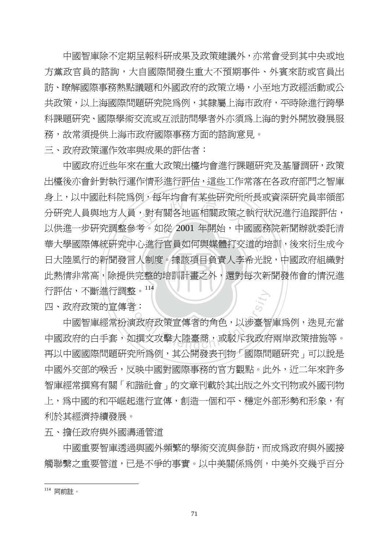中國智庫除不定期呈報科研成果及政策建議外,亦常會受到其中央或地 方黨政官員的諮詢,大自國際間發生重大不預期事件、外賓來訪或官員出 訪、瞭解國際事務熱點議題和外國政府的政策立場,小至地方政經活動或公 共政策,以上海國際問題研究院爲例,其隸屬上海市政府,平時除進行跨學 科課題研究、國際學術交流或互派訪問學者外亦須為上海的對外開放發展服 務,故常須提供上海市政府國際事務方面的諮詢意見。

三、政府政策運作效率與成果的評估者:

此熱情非常高,除提供完整的培訓計畫之外,還對每次新聞發佈會的情況進 華大學國際傳統研究中心進行官員如何與媒體打交道的培訓,後來衍生成今<br>日大陸風行的新聞發言人制度。據該項目負責人李希光說,中國政府組織對<br>此熱情非常高,除提供完整的培訓計畫之外,還對每次新聞發佈會的情況進 列,母牛均曾有呆些с统所用<br>,對有關各地區相關政策之<br>老。加丝 2001 年閏华,出 行評估,不斷進行調整。<sup>114</sup> 中國政府近些年來在重大政策出檯均會進行課題研究及基層調研,政策 出檯後亦會針對執行運作情形進行評估,這些工作常落在各政府部門之智庫 身上,以中國社科院為例,每年均會有某些研究所所長或資深研究員率領部 分研究人員與地方人員,對有關各地區相關政策之執行狀況進行追蹤評估, 以供進一步研究調整參考。如從 2001 年開始,中國國務院新聞辦就委託清 日大陸風行的新聞發言人制度。據該項目負責人李希光說,中國政府組織對

四、政府政策的宣傳者:

整。<br>著:<br>演政府政策宣傳者的角色,以涉臺智<br>如撰文攻擊大陸臺商,或駁斥我政府 中國智庫經常扮演政府政策宣傳者的角色,以涉臺智庫為例,迭見充當 中國政府的白手套,如撰文攻擊大陸臺商,或駁斥我政府兩岸政策措施等。 再以中國國際問題研究所為例,其公開發表刊物「國際問題研究」可以說是 中國外交部的喉舌,反映中國對國際事務的官方觀點。此外,沂二年來許多 智庫經常撰寫有關「和諧社會」的文章刊載於其出版之外文刊物或外國刊物 上,為中國的和平崛起進行宣傳,創造一個和平、穩定外部形勢和形象,有 利於其經濟持續發展。

五、擔任政府與外國溝通管道

中國重要智庫透過與國外頻繁的學術交流與參訪,而成為政府與外國接 觸聯繫之重要管道,已是不爭的事實。以中美關係為例,中美外交幾乎百分

 $\overline{a}$ <sup>114</sup> 同前註。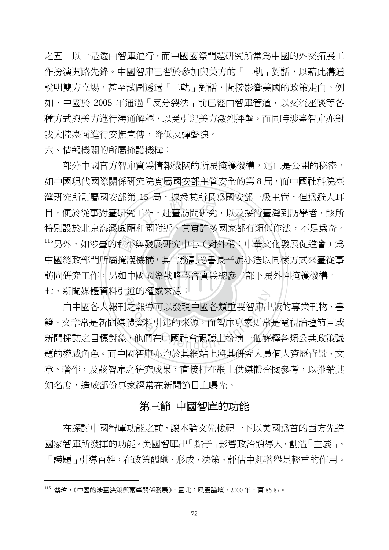之五十以上是透由智庫進行,而中國國際問題研究所常為中國的外交拓展工 作扮演開路先鋒。中國智庫已習於參加與美方的「二軌」對話,以藉此溝通 説明雙方立場,甚至試圖透過「二軌」對話,間接影響美國的政策走向。例 如,中國於 2005 年通過「反分裂法」前已經由智庫管道,以交流座談等各 種方式與美方進行溝通解釋,以免引起美方激烈抨擊。而同時涉臺智庫亦對 我大陸臺商淮行安撫宣傳,降低反彈聲浪。

六、情報機關的所屬掩護機構:

‧‧ 訪問研究工作,另如中國國際戰略學會實為總參二部下屬外圍掩護機構。 115另外,如涉臺的和平與發展研究中心(對外稱:中華文化發展促進會)爲<br>中國總政部門所屬掩護機構,其常務副祕書長辛旗亦迭以同樣方式來臺從事<br>訪問研究工作,另如中國國際戰略學會實爲總參二部下屬外圍掩護機構。 15 同,掾态具所長烏國女背<br>工作,赴臺訪問硏究,以及<br>印围呀?。其塞弘久固宗邦。 七、新聞媒體資料引述的權威來源: 部分中國官方智庫實為情報機關的所屬掩護機構,這已是公開的秘密, 如中國現代國際關係研究院實屬國安部主管安全的第 8 局,而中國社科院臺 灣研究所則屬國安部第 15 局,據悉其所長為國安部一級主管,但為澼人耳 目,便於從事對臺研究工作,赴臺訪問研究,以及接待臺灣到訪學者,該所 特別設於北京海澱區頤和園附近。其實許多國家都有類似作法,不足為奇。 中國總政部門所屬掩護機構,其常務副祕書長辛旗亦迭以同樣方式來臺從事

迎的権威來源:<br>|之報導可以發現中國各類重要智庫出<br>|體資料引述的來源,而智庫專家更常<br>|・他們在中國社會視聽上扮演一個解 由中國各大報刊之報導可以發現中國各類重要智庫出版的專業刊物、書 籍、文章常是新聞媒體資料引述的來源,而智庫專家更常是電視論壇節目或 新聞採訪之目標對象,他們在中國社會視聽上扮演一個解釋各類公共政策議 題的權威角色。而中國智庫亦均於其網站上將其研究人員個人資歷背景、文 章、著作,及該智庫之研究成果,直接打在網上供媒體查閱參考,以推銷其 知名度,浩成部份專家經常在新聞節目上曝光。

# 第三節 中國智庫的功能

在探討中國智庫功能之前,讓本論文先檢視一下以美國為首的西方先進 國家智庫所發揮的功能。美國智庫出「點子」影響政治領導人,創造「主義」、 「議題」引導百姓,在政策醞釀、形成、決策、評估中起著舉足輕重的作用。

<sup>115</sup> 蔡瑋,《中國的涉臺決策與兩岸關係發展》,臺北:風雲論壇,2000 年,頁 86-87。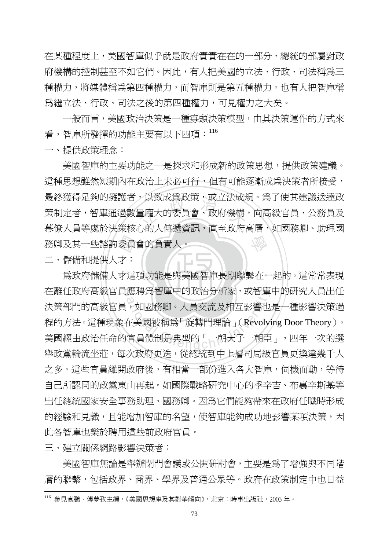在某種程度上,美國智庫似乎就是政府實實在在的一部分,總統的部屬對政 府機構的控制甚至不如它們。因此,有人把美國的立法、行政、司法稱為三 種權力,將媒體稱爲第四種權力,而智庫則是第五種權力。也有人把智庫稱 為繼立法、行政、司法之後的第四種權力,可見權力之大矣。

一般而言,美國政治決策是一種寡頭決策模型,由其決策運作的方式來 看,智庫所發揮的功能主要有以下四項:<sup>116</sup>

一、提供政策理念:

務卿及其一些諮詢委員會的負責人。<br>二、儲備和提供人才:<br>爲政府儲備人才這項功能是與美 ,以致成烏政朿,或立法成为<br>量龐大的委員會、政府機構<br>心的人偶通咨望,声至动声 學 美國智庫的主要功能之一是探求和形成新的政策思想,提供政策建議。 這種思想雖然短期內在政治上未必可行,但有可能逐漸成為決策者所接受, 最終獲得足夠的擁護者,以致成為政策,或立法成規。為了使其建議送達政 策制定者,智庫通過數量龐大的委員會、政府機構,向高級官員、公務員及 幕僚人員等處於決策核心的人傳遞資訊,直至政府高層,如國務卿、助理國

二、儲備和提供人才:

為政府儲備人才這項功能是與美國智庫長期聯繫在一起的。這常常表現 在離任政府高級官員應聘爲智庫中的政治分析家,或智庫中的研究人員出任 應聘爲智庫屮旳政治分析豕,攺智庫<br>3,如國務卿。人員交流及相互影響也<br>在美國被稱爲「旋轉門理論」(Revoly<br>宮員體制是典型的「一朝天子一朝臣<br>宮員體制是典型的「一朝天子一朝臣 決策部門的高級官員,如國務卿。人員交流及相互影響也是一種影響決策過 程的方法。這種現象在美國被稱為「旋轉門理論」(Revolving Door Theory)。 美國經由政治任命的官員體制是典型的「一朝天子一朝臣」,四年一次的選 舉政黨輪流坐莊,每次政府更迭,從總統到中上層司局級官員更換達幾千人 之多。這些官員離開政府後,有相當一部份進入各大智庫,伺機而動,等待 自己所認同的政黨東山再起。如國際戰略研究中心的季辛吉、布裏辛斯基等 出任總統國家安全事務助理、國務卿。因為它們能夠帶來在政府任職時形成 的經驗和見識,且能增加智庫的名望,使智庫能夠成功地影響某項決策,因 此各智庫也樂於聘用這些前政府官員。

三、建立關係網路影響決策者:

 $\overline{a}$ 

美國智庫無論是舉辦閉門會議或公開研討會,主要是為了增強與不同階 層的聯繫,包括政界、商界、學界及普通公眾等。政府在政策制定中也日益

<sup>116</sup> 參見袁鵬、傅夢孜主編,《美國思想庫及其對華傾向》,北京:時事出版社,2003 年。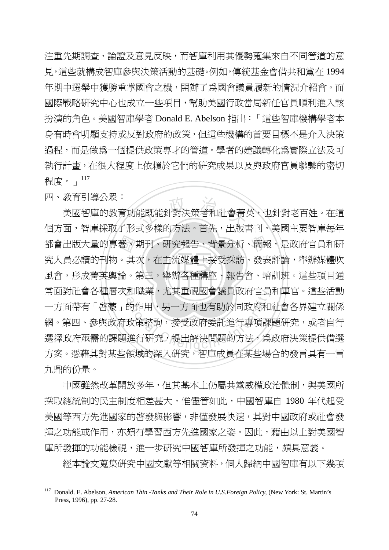注重先期調查、論證及意見反映,而智庫利用其優勢蒐集來自不同管道的意 見,這些就構成智庫參與決策活動的基礎。例如,傳統基金會借共和黨在 1994 年期中選舉中獲勝重掌國會之機,開辦了為國會議員履新的情況介紹會。而 國際戰略研究中心也成立一些項目,幫助美國行政當局新任官員順利進入該 扮演的角色。美國智庫學者 Donald E. Abelson 指出:「這些智庫機構學者本 身有時會明顯支持或反對政府的政策,但這些機構的首要目標不是介入決策 過程,而是做為一個提供政策專才的管道。學者的建議轉化為實際立法及可 執行計畫,在很大程度上依賴於它們的研究成果以及與政府官員聯繫的密切 程度。」<sup>117</sup>

四、教育引導公眾:

‧著其 能既能針對決策者和社會菁<br>ポタ様的方法。斉先<br>ポタ様的方法。斉先 學 都會出版大量的專著、期刊、研究報告、背景分析、簡報,是政府官員和研 ‧ 風會,形成菁英輿論。第三,舉辦各種講座、報告會、培訓班。這些項目通 常面對社會各種層次和職業,尤其重視國會議員政府官員和軍官。這些活動 和職業,无具里祝國晉議員政府目員<br>的作用,另一方面也有助於同政府和<br>政策諮詢,接受政府委託進行專項課<br>進行硏究,提出解決問題的方法,爲<br> 美國智庫的教育功能既能針對決策者和社會菁英,也針對老百姓。在這 個方面,智庫採取了形式多樣的方法。首先,出版書刊。美國主要智庫每年 究人員必讀的刊物。其次,在主流媒體上接受採訪、發表評論,舉辦媒體吹 一方面帶有「啟蒙」的作用,另一方面也有助於同政府和社會各界建立關係 網。第四、參與政府政策諮詢,接受政府委託進行專項課題研究,或者自行 選擇政府亟需的課題進行研究,提出解決問題的方法,為政府決策提供備選 方案。憑藉其對某些領域的深入研究,智庫成員在某些場合的發言具有一言 九鼎的份量。

中國雖然改革開放多年,但其基本上仍屬共黨威權政治體制,與美國所 採取總統制的民主制度相差甚大,惟儘管如此,中國智庫自 1980 年代起受 美國等西方先進國家的啟發與影響,非僅發展快速,其對中國政府或社會發 揮之功能或作用,亦頗有學習西方先進國家之姿。因此,藉由以上對美國智 庫所發揮的功能檢視,進一步研究中國智庫所發揮之功能,頗具意義。

經本論文蒐集研究中國文獻等相關資料,個人歸納中國智庫有以下幾項

<sup>117</sup> 117 Donald. E. Abelson, *American Thin -Tanks and Their Role in U.S.Foreign Policy,* (New York: St. Martin's Press, 1996), pp. 27-28.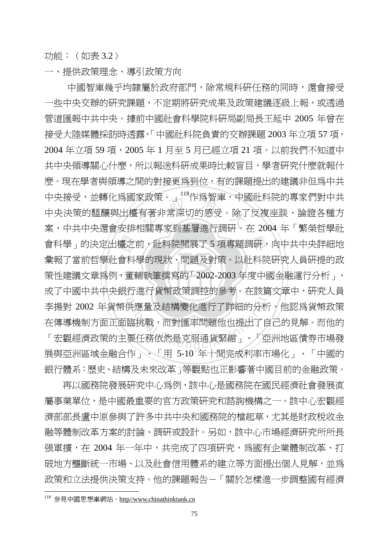功能:(如表 3.2)

一、提供政策理念、導引政策方向

策性建議文章為例,董輔執筆撰寫的「2002-2003年度中國金融運行分析」, 會科學」的決定出檯之前,社科院開展了 5 項專題調研,向中共中央詳細地<br>彙報了當前哲學社會科學的現狀、問題及對策。以社科院研究人員研提的政<br>策性建議文章爲例,董輔執筆撰寫的「2002-2003 年度中國金融運行分析」, 家政朿。」 作為智厘,甲<sub>閣</sub><br>有著非常深切的感受。除了<br><sub>妇悶車安列其屋淮行調研。</sub> 成了中國中共中央銀行進行貨幣政策調控的參考。在該篇文章中,硏究人員 行進行員幣政束調控的參考。在該扁<br>供應量及結構變化進行了詳細的分析<br>臨挑戰,而對匯率問題他也提出了自<br>要任務依然是克服通貨緊縮」、「亞 中國智庫幾乎均隸屬於政府部門,除常規科研任務的同時,還會接受 一些中央交辦的研究課題,不定期將研究成果及政策建議逐級上報,或透過 管道匯報中共中央。據前中國社會科學院科研局副局長王延中 2005 年曾在 接受大陸媒體採訪時透露,「中國社科院負責的交辦課題 2003 年立項 57 項, 2004 年立項 59 項,2005 年 1 月至 5 月已經立項 21 項。以前我們不知道中 共中央領導關心什麼,所以報送科研成果時比較盲目,學者研究什麼就報什 麼。現在學者與領導之間的對接更為到位,有的課題提出的建議非但為中共 中央接受,並轉化為國家政策。」<sup>118</sup>作為智庫,中國社科院的專家們對中共 中央決策的醞釀與出檯有著非常深切的感受。除了反複座談、論證各種方 案,中共中央還會安排相關專家到基層進行調研。在 2004 年「繁榮哲學社 彙報了當前哲學社會科學的現狀、問題及對策。以社科院研究人員研提的政 李揚對 2002 年貨幣供應量及結構變化進行了詳細的分析,他認為貨幣政策 在傳導機制方面正面臨挑戰,而對匯率問題他也提出了自己的見解。而他的 「宏觀經濟政策的主要任務依然是克服通貨緊縮」、「亞洲地區債券市場發 展與亞洲區域金融合作」、「用 5-10 年十間完成利率市場化」、「中國的 銀行體系:歷史、結構及未來改革」等觀點也正影響著中國目前的金融政策。

再以國務院發展研究中心為例,該中心是國務院在國民經濟社會發展直 屬事業單位,是中國最重要的官方政策研究和諮詢機構之一。該中心宏觀經 濟部部長盧中原參與了許多中共中央和國務院的檔起草,尤其是財政稅收金 融等體制改革方案的討論、調研或設計。另如,該中心市場經濟研究所所長 張軍擴,在 2004 年一年中,共完成了四項研究,爲國有企業體制改革、打 破地方壟斷統一市場、以及社會信用體系的建立等方面提出個人見解,並爲 政策和立法提供決策支持。他的課題報告-「關於怎樣進一步調整國有經濟

<sup>118</sup> 參見中國思想庫網站, http//www.chinathinktank.cn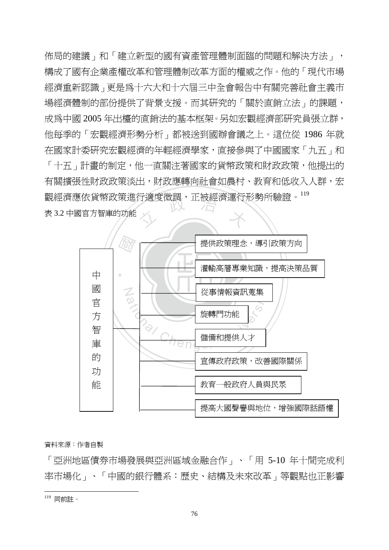觀經濟應依貨幣政策進行適度微調,正被經濟運行形勢所驗證。<sup>119</sup><br>表 3.2 中國官方智庫的功能 佈局的建議」和「建立新型的國有資產管理體制面臨的問題和解決方法」, 構成了國有企業產權改革和管理體制改革方面的權威之作。他的「現代市場 經濟重新認識」更是為十六大和十六屆三中全會報告中有關完善社會主義市 場經濟體制的部份提供了背景支援。而其研究的「關於直銷立法」的課題, 成為中國 2005 年出檯的直銷法的基本框架。另如宏觀經濟部研究員張立群, 他每季的「宏觀經濟形勢分析」都被送到國辦會議之上。這位從 1986 年就 在國家計委研究宏觀經濟的年輕經濟學家,直接參與了中國國家「九五」和 「十五」計書的制定,他一直關注著國家的貨幣政策和財政政策,他提出的 有關擴張性財政政策淡出,財政應轉向社會如農村、教育和低收入人群,宏 表 3.2 中國官方智庫的功能



#### 資料來源:作者自製

「亞洲地區債券市場發展與亞洲區域金融合作」、「用 5-10 年十間完成利 率市場化」、「中國的銀行體系:歷史、結構及未來改革」等觀點也正影響

<sup>119</sup> 同前註。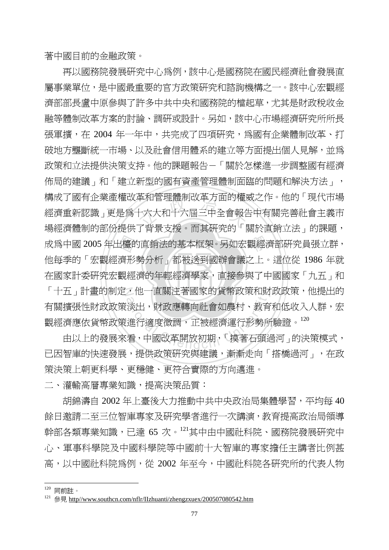著中國目前的金融政策。

‧‧ 在國家計委研究宏觀經濟的年輕經濟學家,直接參與了中國國家「九五」和 成為中國 2005 年出檯的直銷法的基本框架。另如宏觀經濟部研究員張立群,<br>他每季的「宏觀經濟形勢分析」都被送到國辦會議之上。這位從 1986 年就<br>在國家計委研究宏觀經濟的年輕經濟學家,直接參與了中國國家「九五」和 単和官理體制改単力囲旳催腸<br>十六大和十六屆三中全會報台<br>アキ早古塔。五其研究的「 「十五」計畫的制定,他一直關注著國家的貨幣政策和財政政策,他提出的 ,他一直關注者國家的貢幣政束和財<br>:淡出,財政應轉向社會如農村、教育<br>:進行適度微調,正被經濟運行形勢所<br>看,中國改革開放初期,「摸著石頭近 再以國務院發展研究中心為例,該中心是國務院在國民經濟社會發展直 屬事業單位,是中國最重要的官方政策研究和諮詢機構之一。該中心宏觀經 濟部部長盧中原參與了許多中共中央和國務院的檔起草,尤其是財政稅收金 融等體制改革方案的討論、調研或設計。另如,該中心市場經濟研究所所長 張軍攜,在 2004 年一年中,共完成了四項研究,為國有企業體制改革、打 破地方壟斷統一市場、以及社會信用體系的建立等方面提出個人見解,並為 政策和立法提供決策支持。他的課題報告-「關於怎樣進一步調整國有經濟 佈局的建議」和「建立新型的國有資產管理體制面臨的問題和解決方法」, 構成了國有企業產權改革和管理體制改革方面的權威之作。他的「現代市場 經濟重新認識」更是為十六大和十六屆三中全會報告中有關完善社會主義市 場經濟體制的部份提供了背景支援。而其研究的「關於直銷立法」的課題, 他每季的「宏觀經濟形勢分析」都被送到國辦會議之上。這位從 1986 年就 有關擴張性財政政策淡出,財政應轉向社會如農村、教育和低收入人群,宏 觀經濟應依貨幣政策進行適度微調,正被經濟運行形勢所驗證。<sup>120</sup>

由以上的發展來看,中國改革開放初期,「摸著石頭過河」的決策模式, 已因智庫的快速發展,提供政策研究與建議,漸漸走向「搭橋過河」,在政 策決策上朝更科學、更穩健、更符合實際的方向邁進。

二、灌輸高層專業知識,提高決策品質:

胡錦濤自 2002 年上臺後大力推動中共中央政治局集體學習,平均每 40 餘日邀請二至三位智庫專家及研究學者進行一次講演,教育提高政治局領導 幹部各類專業知識,已達 65 次。<sup>121</sup>其中由中國社科院、國務院發展研究中 心、軍事科學院及中國科學院等中國前十大智庫的專家擔任主講者比例甚 高,以中國社科院為例,從 2002 年至今,中國社科院各研究所的代表人物

<sup>120</sup> 同前註。

<sup>&</sup>lt;sup>121</sup> 參見 http//www<u>.southcn.com/nflr/IIzhuanti/zhengzxuex/200507080542.htm</u>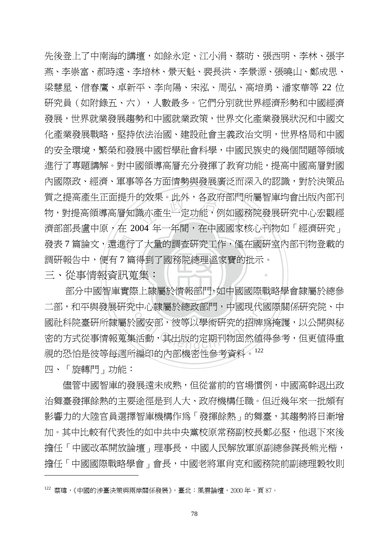發表 7 篇論文,還進行了大量的調查研究工作,僅在國研室內部刊物登載的<br>調研報告中,便有 7 篇得到了國務院總理溫家寶的批示。<br>三、從事情報資訊蒐集: 的双呆。此外,各政府部FJP<br>識亦產生一定功能,例如國<br>104 年一年胆,左市国国安格 ‧ 先後登上了中南海的講壇,如餘永定、江小涓、蔡昉、張西明、李林、張宇 燕、李崇富、郝時遠、李培林、景天魁、裴長洪、李景源、張曉山、鄭成思、 梁慧星、信春鷹、卓新平、李向陽、宋泓、周弘、高培勇、潘家華等 22 位 研究員(如附錄五、六),人數最多。它們分別就世界經濟形勢和中國經濟 發展,世界就業發展趨勢和中國就業政策,世界文化產業發展狀況和中國文 化產業發展戰略,堅持依法治國、建設社會主義政治文明,世界格局和中國 的安全環境,繁榮和發展中國哲學社會科學,中國民族史的幾個問題等領域 進行了專題講解。對中國領導高層充分發揮了教育功能,提高中國高層對國 內國際政、經濟、軍事等各方面情勢與發展廣泛而深入的認識,對於決策品 質之提高產生正面提升的效果。此外,各政府部門所屬智庫均會出版內部刊 物,對提高領導高層知識亦產生一定功能,例如國務院發展研究中心宏觀經 濟部部長盧中原,在 2004年一年間,在中國國家核心刊物如「經濟研究」 調研報告中,便有 7 篇得到了國務院總理溫家寶的批示。

三、從事情報資訊蒐集:

部分中國智庫實際上隸屬於情報部門,如中國國際戰略學會隸屬於總參 『除上課燭於情報部門,如甲國國除戰<br>究中心隸屬於總政部門,中國現代國<br>於國安部,彼等以學術研究的招牌爲<br>集活動,其出版的定期刊物固然値得 二部,和平與發展研究中心隸屬於總政部門,中國現代國際關係研究院、中 國社科院臺研所隸屬於國安部,彼等以學術研究的招牌為掩護,以公開與秘 密的方式從事情報蒐集活動,其出版的定期刊物固然值得參考,但更值得重 視的恐怕是彼等每週所編印的內部機密性參考資料。<sup>122</sup>

四、「旋轉門」功能:

 $\overline{a}$ 

儘管中國智庫的發展遠未成熟,但從當前的官場慣例,中國高幹退出政 治舞臺發揮餘熱的主要途徑是到人大、政府機構任職。但近幾年來一批頗有 影響力的大陸官員選擇智庫機構作為「發揮餘熱」的舞臺,其趨勢將日漸增 加。其中比較有代表性的如中共中央黨校原常務副校長鄭必堅,他退下來後 擔任「中國改革開放論壇」理事長,中國人民解放軍原副總參謀長熊光楷, 擔任「中國國際戰略學會」會長,中國老將軍肖克和國務院前副總理穀牧則

<sup>122</sup> 蔡瑋,《中國的涉臺決策與兩岸關係發展》,臺北:風雲論壇,2000 年,頁 87。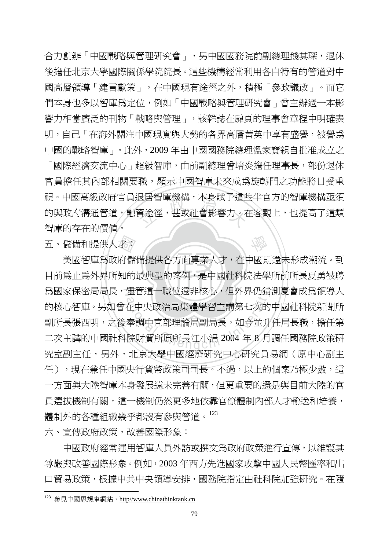<sub>这古智卑饯傅,平身赋了這些<br>資途徑,甚或社會影響力。<br>フ</sub> 合力創辦「中國戰略與管理研究會」,另中國國務院前副總理錢其琛,退休 後擔任北京大學國際關係學院院長。這些機構經常利用各自特有的管道對中 國高層領導「建言獻策」,在中國現有途徑之外,積極「參政議政」。而它 們本身也多以智庫為定位,例如「中國戰略與管理研究會」曾主辦過一本影 響力相當廣泛的刊物「戰略與管理」,該雜誌在扉頁的理事會章程中明確表 明,自己「在海外關注中國現實與大勢的各界高層菁英中享有盛譽,被譽為 中國的戰略智庫」。此外,2009 年由中國國務院總理溫家寶親自批准成立之 「國際經濟交流中心」超級智庫,由前副總理曾培炎擔任理事長,部份退休 官員擔任其內部相關要職,顯示中國智庫未來成為旋轉門之功能將日受重 視。中國高級政府官員退居智庫機構,本身賦予這些半官方的智庫機構亟須 的與政府溝通管道,融資途徑,甚或社會影響力。在客觀上,也提高了這類

五、儲備和提供人才:

智庫的存在的價值。

‧大学<br>府儲<br>知的 目前為止為外界所知的最典型的案例,是中國社科院法學所前所長夏勇被聘 為國家保密局局長,儘管這一職位遠非核心,但外界仍猜測夏會成爲領導人 儘官這一職位退非核心,但外界仍有<br>在中央政治局集體學習主講第七次的<br>奉調中宣部理論局副局長,如今並升<br>院財貿所原所長江小涓 2004 年 8 月 美國智庫為政府儲備提供各方面專業人才,在中國則還未形成潮流。到 的核心智庫。另如曾在中央政治局集體學習主講第七次的中國社科院新聞所 副所長張西明,之後奉調中宣部理論局副局長,如今並升任局長職,擔任第 二次主講的中國社科院財貿所原所長江小涓 2004 年 8 月調任國務院政策研 究室副主任,另外,北京大學中國經濟研究中心研究員易網(原中心副主 任),現在兼任中國央行貨幣政策司司長。不過,以上的個案乃極少數,這 一方面與大陸智庫本身發展遠未完善有關,但更重要的還是與目前大陸的官 員選拔機制有關,這一機制仍然更多地依靠官僚體制內部人才輸送和培養, 體制外的各種組織幾乎都沒有參與管道。<sup>123</sup>

學

六、宣傳政府政策,改善國際形象:

 中國政府經常運用智庫人員外訪或撰文為政府政策進行宣傳,以維護其 尊嚴與改善國際形象。例如,2003 年西方先進國家攻擊中國人民幣匯率和出 口貿易政策,根據中共中央領導安排,國務院指定由社科院加強研究。在隨

 $123$  參見中國思想庫網站, http//www.chinathinktank.cn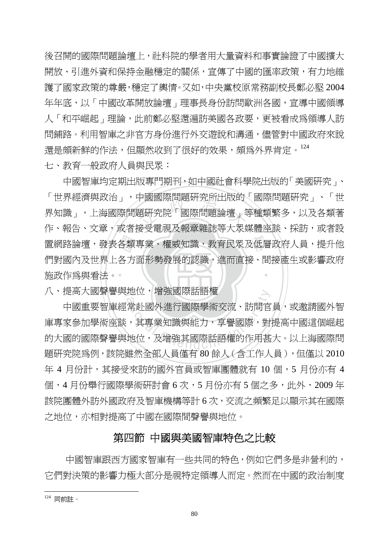後召開的國際問題論壇上,社科院的學者用大量資料和事實論證了中國擴大 開放、引淮外資和保持金融穩定的關係,宣傳了中國的匯率政策,有力地維 護了國家政策的尊嚴,穩定了輿情。又如,中央黨校原常務副校長鄭必堅 2004 年年底,以「中國改革開放論壇」理事長身份訪問歐洲各國,宣導中國領導 人「和平崛起」理論,此前鄭必堅澴漏訪美國各政要,更被看成爲領導人訪 問鋪路。利用智庫之非官方身份進行外交遊說和溝通,儘管對中國政府來說 還是頗新鮮的作法,但顯然收到了很好的效果,頗爲外界肯定。<sup>124</sup> 七、教育一般政府人員與民眾:

施政作爲與看法。 -置網路論壇,發表各類專業、權威知識,教育民眾及低層政府人員,提升他<br>們對國內及世界上各方面形勢發展的認識,進而直接、間接產生或影響政府<br>施政作爲與看法。 ナ國國際向題研究所出放的<br>題研究院「國際問題論壇」等<br>※予重調及超音機話等大界が ‧ 中國智庫均定期出版專門期刊,如中國社會科學院出版的「美國研究」、 「世界經濟與政治」,中國國際問題研究所出版的「國際問題研究」、「世 界知識」,上海國際問題研究院「國際問題論壇」等種類繁多,以及各類著 作、報告、文章,或者接受電視及報章雜誌等大眾媒體座談、採訪,或者設 們對國內及世界上各方面形勢發展的認識,進而直接、間接產生或影響政府

N 八、提高大國聲譽與地位,增強國際話語權

地位,增強國除話詒罹<br>:常赴國外進行國際學術交流、訪問官<br>,其專業知識與能力,享譽國際,對<br>地位,及增強其國際話語權的作用甚 中國重要智庫經常赴國外進行國際學術交流、訪問官員,或邀請國外智 庫專家參加學術座談,其專業知識與能力,享譽國際,對提高中國這個崛起 的大國的國際聲譽與地位,及增強其國際話語權的作用甚大。以上海國際問 題研究院為例,該院雖然全部人員僅有 80 餘人(含工作人員),但僅以 2010 年 4 月份計,其接受來訪的國外官員或智庫團體就有 10 個, 5 月份亦有 4 個,4月份舉行國際學術研討會 6次,5月份亦有 5個之多,此外,2009年 該院團體外訪外國政府及智庫機構等計 6 次,交流之頻繁足以顯示其在國際 之地位,亦相對提高了中國在國際間聲譽與地位。

## 第四節 中國與美國智庫特色之比較

 中國智庫跟西方國家智庫有一些共同的特色,例如它們多是非營利的, 它們對決策的影響力極大部分是視特定領導人而定。然而在中國的政治制度

<sup>124</sup> 同前註。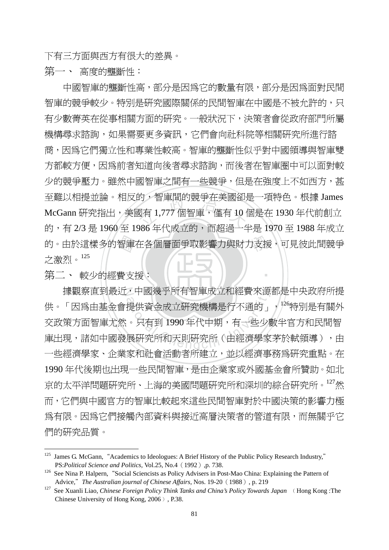下有三方面與西方有很大的差異。

第一、 高度的壟斷性:

的。由於這樣多的智庫在各個層面爭取影響力與財力支援,可見彼此間競爭<br>之激烈。<sup>125</sup><br>第二、 較少的經費支援: \*),智 闻 的 競 尹 仕 夫 図 创<br><br><br>206 年 代 武 立 的 、 声 邦 <sup>通 一 2</sup> 中國智庫的壟斷性高,部分是因為它的數量有限,部分是因為面對民間 智庫的競爭較少。特別是研究國際關係的民間智庫在中國是不被允許的,只 有少數菁英在從事相關方面的研究。一般狀況下,決策者會從政府部門所屬 機構尋求諮詢,如果需要更多資訊,它們會向社科院等相關研究所進行諮 商,因為它們獨立性和專業性較高。智庫的壟斷性似乎對中國領導與智庫雙 方都較方便,因為前者知道向後者尋求諮詢,而後者在智庫圈中可以面對較 少的競爭壓力。雖然中國智庫之間有一些競爭,但是在強度上不如西方,甚 至難以相提並論。相反的,智庫間的競爭在美國卻是一項特色。根據 James McGann 研究指出,美國有 1,777 個智庫,僅有 10 個是在 1930 年代前創立 的,有 2/3 是 1960 至 1986 年代成立的,而超過一半是 1970 至 1988 年成立 之激烈。<sup>125</sup>

第二、 較少的經費支援:

 $\overline{a}$ 

據觀察直到最近,中國幾乎所有智庫成立和經費來源都是中央政府所提 ,中國幾乎所有智庫放立和經實來源<br>提供資金成立研究機構是行不通的<br>。只有到 1990 年代中期,有一些少。<br>展研究所和天則研究所(由經濟學家 供。「因爲由基金會提供資金成立研究機構是行不通的」,<sup>126</sup>特別是有關外 交政策方面智庫尤然。只有到 1990 年代中期,有一些少數半官方和民間智 庫出現,諸如中國發展研究所和天則研究所(由經濟學家茅於軾領導),由 一些經濟學家、企業家和社會活動者所建立,並以經濟事務為研究重點。在 1990年代後期也出現一些民間智庫,是由企業家或外國基金會所贊助。如北 京的太平洋問題研究所、上海的美國問題研究所和深圳的綜合研究所。<sup>127</sup>然 而,它們與中國官方的智庫比較起來這些民間智庫對於中國決策的影響力極 為有限。因為它們接觸內部資料與接近高層決策者的管道有限,而無關乎它 們的研究品質。

‧

<sup>&</sup>lt;sup>125</sup> James G. McGann, "Academics to Ideologues: A Brief History of the Public Policy Research Industry," PS:*Political Science and Politics*, Vol.25, No.4 (1992), p. 738.<br><sup>126</sup> See Nina P. Halpern, "Social Sciencists as Policy Advisers in Post-Mao China: Explaining the Pattern of

Advice," *The Australian journal of Chinese Affairs*, Nos. 19-20 (1988), p. 219<br><sup>127</sup> See Xuanli Liao, *Chinese Foreign Policy Think Tanks and China's Policy Towards Japan* ∧ Hong Kong :The

Chinese University of Hong Kong, 2006 $)$ , P.38.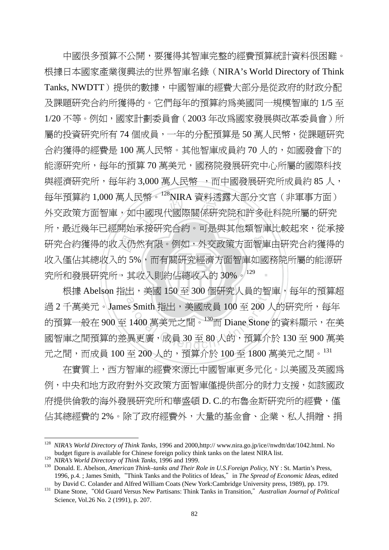研究合約獲得的收入仍然有限。例如,外交政策方面<sup>。</sup><br>收入僅佔其總收入的 5%,而有關研究經濟方面智庫な<br>究所和發展研究所,其收入則約佔總收入的 30%。<sup>129</sup> 8幣。 NIKA 資料逸露入部<br>中國現代國際關係研究院和<br><sub>予控研究</sub>入<sub>幼 : 可見開甘州\*</sub> 學 研究合約獲得的收入仍然有限。例如,外交政策方面智庫由研究合約獲得的 ‧ 中國很多預算不公開,要獲得其智庫完整的經費預算統計資料很困難。 根據日本國家產業復興法的世界智庫名錄(NIRA's World Directory of Think Tanks, NWDTT)提供的數據,中國智庫的經費大部分是從政府的財政分配 及課題研究合約所獲得的。它們每年的預算約為美國同一規模智庫的 1/5 至 1/20 不等。例如,國家計劃委員會(2003年改為國家發展與改革委員會)所 屬的投資研究所有 74 個成員,一年的分配預算是 50 萬人民幣,從課題研究 合約獲得的經費是 100 萬人民幣。其他智庫成員約 70 人的,如國發會下的 能源研究所,每年的預算 70 萬美元,國務院發展研究中心所屬的國際科技 與經濟研究所,每年約 3,000 萬人民幣 ,而中國發展研究所成員約 85 人, 每年預算約 1,000 萬人民幣。128NIRA 資料透露大部分文官(非軍事方面) 外交政策方面智庫,如中國現代國際關係研究院和許多社科院所屬的研究 所,最近幾年已經開始承接研究合約。可是與其他類智庫比較起來,從承接 收入僅佔其總收入的 5%,而有關研究經濟方面智庫如國務院所屬的能源研

根據 Abelson 指出,美國 150 至 300 個研究人員的智庫,每年的預算超 出,美國 150 至 300 個研究人員的智<br>s Smith 指出,美國成員 100 至 200 ノ<br>1400 萬美元之間。<sup>130</sup>而 Diane Stone<br>-<br>異更廣,成員 30 至 80 人的,預算介 過 2 千萬美元。James Smith 指出, 美國成員 100 至 200 人的研究所, 每年 的預算一般在 900 至 1400 萬美元之間。<sup>130</sup>而 Diane Stone 的資料顯示,在美 國智庫之間預算的差異更廣,成員 30 至 80 人的,預算介於 130 至 900 萬美 元之間,而成員 100至 200人的,預算介於 100至 1800 萬美元之間。131

在實質上,西方智庫的經費來源比中國智庫更多元化。以美國及英國為 例,中央和地方政府對外交政策方面智庫僅提供部分的財力支援,如該國政 府提供倫敦的海外發展研究所和華盛頓 D. C.的布魯金斯研究所的經費, 僅 佔其總經費的 2%。除了政府經費外,大量的基金會、企業、私人捐贈、捐

<sup>128</sup> *NIRA's World Directory of Think Tanks,* 1996 and 2000,http:// www.nira.go.jp/ice//nwdtt/dat/1042.html. No budget figure is available for Chinese foreign policy think tanks on the latest NIRA list.<br><sup>129</sup> NIRA's World Directory of Think Tanks, 1996 and 1999.

<sup>&</sup>lt;sup>130</sup> Donald. E. Abelson, *American Think-tanks and Their Role in U.S.Foreign Policy*, NY : St. Martin's Press, 1996, p.4. ; James Smith,"Think Tanks and the Politics of Ideas,"in *The Spread of Economic Idea*s, edited

by David C. Colander and Alfred William Coats (New York:Cambridge University press, 1989), pp. 179. 131 Diane Stone,"Old Guard Versus New Partisans: Think Tanks in Transition,"*Australian Journal of Political*  Science*,* Vol.26 No. 2 (1991), p. 207.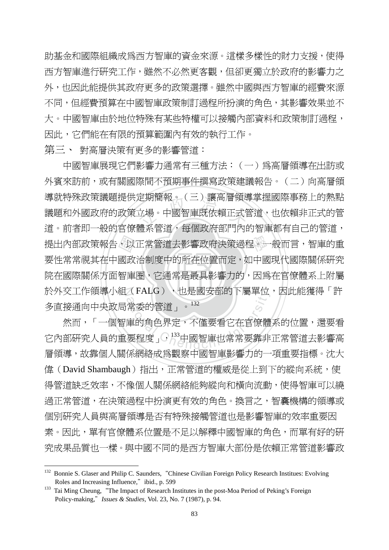助基金和國際組織成為西方智庫的資金來源。這樣多樣性的財力支援,使得 西方智庫進行研究工作,雖然不必然更客觀,但卻更獨立於政府的影響力之 外,也因此能提供其政府更多的政策選擇。雖然中國與西方智庫的經費來源 不同,但經費預算在中國智庫政策制訂過程所扮演的角色,其影響效果並不 大。中國智庫由於地位特殊有某些特權可以接觸內部資料和政策制訂渦程, 因此,它們能在有限的預算範圍內有效的執行工作。

第三、 對高層決策有更多的影響管道:

院在國際關係方面智庫圈,它通常是最具影響力的,因為在官僚體系上附屬 提出內部政策報告,以正常管道去影響政府決策過程。一般而言,智庫的重<br>要性常常視其在中國政治制度中的所在位置而定,如中國現代國際關係研究<br>院在國際關係方面智庫圈,它通常是最具影響力的,因爲在官僚體系上附屬 定期間報。(二)讓尚僧視?<br>立場。中國智庫既依賴正式<br>豐亥答道,复屈政宮報明記 N 於外交工作領導小組(FALG),也是國安部的下屬單位,因此能獲得「許 中國智庫展現它們影響力通常有三種方法:(一)為高層領導在出訪或 外賓來訪前,或有關國際間不預期事件撰寫政策建議報告。(二)向高層領 導就特殊政策議題提供定期簡報。(三)讓高層領導掌握國際事務上的熱點 議題和外國政府的政策立場。中國智庫既依賴正式管道,也依賴非正式的管 道。前者即一般的官僚體系管道,每個政府部門內的智庫都有自己的管道, 要性常常視其在中國政治制度中的所在位置而定,如中國現代國際關係研究 多直接通向中央政局常委的管道」。<sup>132</sup>

(FALG),也是國安部的下屬里位<br>常委的管道」。<br><br>庫的角色界定,不僅要看它在官僚體<br>要程度」,,<sup>133</sup>中國智庫也常常要靠非 然而,「一個智庫的角色界定,不僅要看它在官僚體系的位置,還要看 它內部研究人員的重要程度」,<sup>133</sup>中國智庫也常常要靠非正常管道去影響高 層領導,故靠個人關係網絡成為觀察中國智庫影響力的一項重要指標。沈大 偉(David Shambaugh)指出,正常管道的權威是從上到下的縱向系統,使 得管道缺乏效率,不像個人關係網絡能夠縱向和橫向流動,使得智庫可以繞 過正常管道,在決策過程中扮演更有效的角色。換言之,智囊機構的領導或 個別研究人員與高層領導是否有特殊接觸管道也是影響智庫的效率重要因 素。因此,單有官僚體系位置是不足以解釋中國智庫的角色,而單有好的研 究成果品質也一樣。與中國不同的是西方智庫大部份是依賴正常管道影響政

<sup>&</sup>lt;sup>132</sup> Bonnie S. Glaser and Philip C. Saunders, "Chinese Civilian Foreign Policy Research Institues: Evolving Roles and Increasing Influence," ibid., p. 599<br><sup>133</sup> Tai Ming Cheung, "The Impact of Research Institutes in the post-Moa Period of Peking's Foreign

Policy-making,"*Issues & Studies,* Vol. 23, No. 7 (1987), p. 94.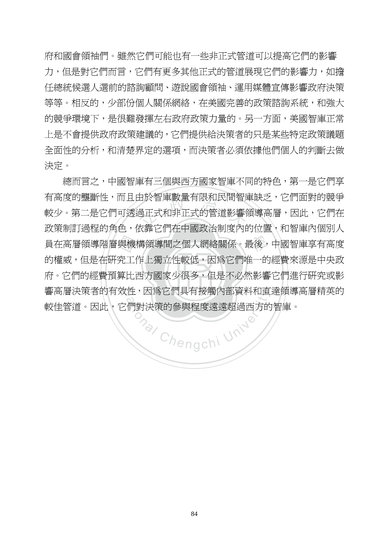府和國會領袖們。雖然它們可能也有一些非正式管道可以提高它們的影響 力,但是對它們而言,它們有更多其他正式的管道展現它們的影響力,如擔 任總統候選人選前的諮詢顧問、遊說國會領袖、運用媒體宣傳影響政府決策 等等。相反的,少部份個人關係網絡,在美國完善的政策諮詢系統,和強大 的競爭環境下,是很難發揮左右政府政策力量的。另一方面,美國智庫正常 上是不會提供政府政策建議的,它們提供給決策者的只是某些特定政策議題 全面性的分析,和清楚界定的選項,而決策者必須依據他們個人的判斷去做 決定。

‧‧ 府。它們的經費預算比西方國家少很多,但是不必然影響它們進行研究或影 員在高層領導階層與機構領導間之個人網絡關係。最後,中國智庫享有高度<br>的權威,但是在研究工作上獨立性較低,因爲它們唯一的經費來源是中央政<br>府。它們的經費預算比西方國家少很多,但是不必然影響它們進行研究或影 <sub>出於智庫數重有限和氏向智順<br>過正式和非正式的管道影響<br>\*章安側左山国政治判座内</sub> 響高層決策者的有效性,因為它們具有接觸內部資料和直達領導高層精英的 onal Chengchi University 總而言之,中國智庫有三個與西方國家智庫不同的特色,第一是它們享 有高度的壟斷性,而且由於智庫數量有限和民間智庫缺乏,它們面對的競爭 較少。第二是它們可透過正式和非正式的管道影響領導高層,因此,它們在 政策制訂過程的角色,依靠它們在中國政治制度內的位置,和智庫內個別人 的權威,但是在研究工作上獨立性較低,因為它們唯一的經費來源是中央政 較佳管道。因此,它們對決策的參與程度遠遠超過西方的智庫。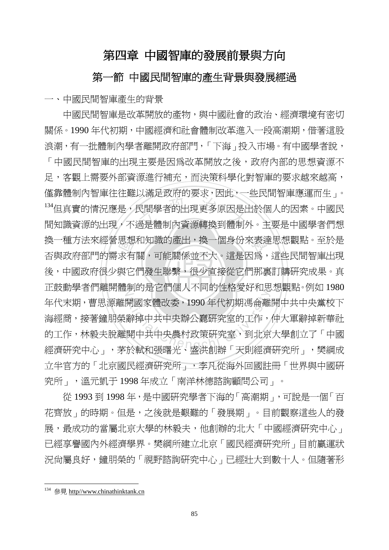# 第四章 中國智庫的發展前景與方向

## 第一節 中國民間智庫的產生背景與發展經過

一、中國民間智庫產生的背景

後,中國政府很少與它們發生聯繫,很少直接從它們那裏訂購研究成果。真 思想有<br>求有<br>與 次需是次用的文书<br><br><br>過是體制內資源轉換到體制 學 換一種方法來經營思想和知識的產出,換一個身份來表達思想觀點。至於是 N 正鼓動學者們離開體制的是它們個人不同的性格愛好和思想觀點。例如 1980 ###<br>|- 朝國家體改委,1990年代初期馮侖離<br>|<br>|辭掉中共中央辦公廳研究室、到北京<br>|開中共中央農村政策研究室、到北京<br>|於献和張曙平、成泄創辦「天則經濟 中國民間智庫是改革開放的產物,與中國社會的政治、經濟環境有密切 關係。1990 年代初期,中國經濟和社會體制改革進入一段高潮期,借著這股 浪潮,有一批體制內學者離開政府部門,「下海」投入市場。有中國學者說, 「中國民間智庫的出現主要是因為改革開放之後,政府內部的思想資源不 足,客觀上需要外部資源淮行補充,而決策科學化對智庫的要求越來越高, 僅靠體制內智庫往往難以滿足政府的要求,因此,一些民間智庫應運而生」。 134但真實的情況應是,民間學者的出現更多原因是出於個人的因素。中國民 間知識資源的出現,不過是體制內資源轉換到體制外。主要是中國學者們想 否與政府部門的需求有關,可能關係並不大。這是因為,這些民間智庫出現 年代末期,曹思源離開國家體改委,1990 年代初期馮侖離開中共中央黨校下 海經商,接著鐘朋榮辭掉中共中央辦公廳研究室的工作,仲大軍辭掉新華社 的工作,林毅夫脫離開中共中央農村政策研究室,到北京大學創立了「中國 經濟研究中心」,茅於軾和張曙光、盛洪創辦「天則經濟研究所」,樊綱成 立半官方的「北京國民經濟研究所」,李凡從海外回國註冊「世界與中國研 究所」,溫元凱于 1998 年成立「南洋林德諮詢顧問公司」。

從 1993 到 1998 年,是中國研究學者下海的「高潮期」,可說是一個「百 花齊放」的時期。但是,之後就是艱難的「發展期」。目前觀察這些人的發 展,最成功的當屬北京大學的林毅夫,他創辦的北大「中國經濟研究中心」 已經享譽國內外經濟學界。樊綱所建立北京「國民經濟研究所」目前贏運狀 況尙屬良好,鐘朋榮的「視野諮詢硏究中心」已經壯大到數十人。但隨著形

<sup>&</sup>lt;sup>134</sup> 參見 http//www.chinathinktank.cn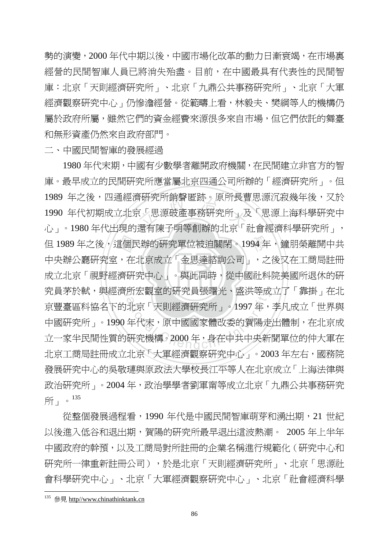勢的演變,2000 年代中期以後,中國市場化改革的動力日漸衰竭,在市場裏 經營的民間智庫人員已將消失殆盡。目前,在中國最具有代表性的民間智 庫:北京「天則經濟研究所」、北京「九鼎公共事務研究所」、北京「大軍 經濟觀察研究中心」仍慘澹經營。從範疇上看,林毅夫、樊綱等人的機構仍 屬於政府所屬,雖然它們的資金經費來源很多來自市場,但它們依託的舞臺 和無形資產仍然來自政府部門。

二、中國民間智庫的發展經過

成立北京「視野經濟研究中心」。與此同時,從中國社科院美國所退休的研 但 1989 年之後,這個民辦的研究單位被迫關閉。1994 年,鐘朋榮離開中共<br>中央辦公廳研究室,在北京成立「金思達諮詢公司」,之後又在工商局註冊<br>成立北京「視野經濟研究中心」。與此同時,從中國社科院美國所退休的研 戦光所朝賢匿跡。原所長曽<br>!「思源破產事務研究所」及<br>漫右陣ヱ明笑創過的北方「 究員茅於軾,與經濟所宏觀室的研究員張曙光、盛洪等成立了「靠掛」在北 所厷觀至旳帉究員張暏光、盛洪寺成<br>北京「天則經濟硏究所」。1997年,<br>年代末,原中國國家體改委的賀陽走<br>硏究機構。2000年,身在中共中央新 1980 年代末期,中國有少數學者離開政府機關,在民間建立非官方的智 庫。最早成立的民間研究所應當屬北京四通公司所辦的「經濟研究所」。但 1989 年之後,四通經濟研究所銷聲匿跡。原所長曹思源沉寂幾年後,又於 1990 年代初期成立北京「思源破產事務研究所」及「思源上海科學研究中 心」。1980 年代出現的還有陳子明等創辦的北京「社會經濟科學研究所」, 中央辦公廳研究室,在北京成立「金思達諮詢公司」,之後又在工商局註冊 京豐臺區科協名下的北京「天則經濟研究所」。1997 年,李凡成立「世界與 中國研究所」。1990年代末,原中國國家體改委的賀陽走出體制,在北京成 立一家半民間性質的研究機構。2000 年,身在中共中央新聞單位的仲大軍在 北京工商局註冊成立北京「大軍經濟觀察研究中心」。2003年左右,國務院 發展研究中心的吳敬璉與原政法大學校長江平等人在北京成立「上海法律與 政治研究所」。2004年,政治學學者劉軍甯等成立北京「九鼎公共事務研究 所」。135

從整個發展過程看,1990 年代是中國民間智庫萌芽和湧出期,21 世紀 以後進入低谷和退出期,賀陽的研究所最早退出這波熱潮。 2005 年上半年 中國政府的幹預,以及工商局對所註冊的企業名稱進行規範化(研究中心和 研究所一律重新註冊公司),於是北京「天則經濟研究所」、北京「思源社 會科學研究中心」、北京「大軍經濟觀察研究中心」、北京「社會經濟科學

<sup>&</sup>lt;sup>135</sup> 參見 http//www.chinathinktank.cn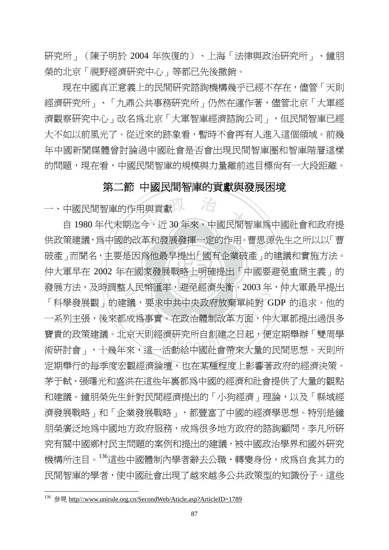研究所」(陳子明於 2004 年恢復的)、上海「法律與政治研究所」、鐘朋 榮的北京「視野經濟研究中心」等都已先後撤銷。

現在中國真正意義上的民間研究諮詢機構幾乎已經不存在,儘管「天則 經濟研究所」、「九鼎公共事務研究所」仍然在運作著,儘管北京「大軍經 濟觀察研究中心」改名為北京「大軍智庫經濟諮詢公司」,但民間智庫已經 大不如以前風光了。從近來的跡象看,暫時不會再有人進入這個領域。前幾 年中國新聞媒體曾討論過中國社會是否會出現民間智庫圈和智庫階層這樣 的問題,現在看,中國民間智庫的規模與力量離前述目標尚有一大段距離。

## 第二節 中國民間智庫的貢獻與發展困境

一、中國民間智庫的作用與貢獻

‧國的已<br>更是<br>年在 市與貢獻<br><br><sub>三</sub>今,近30年來,中國民間 供政策建議,為中國的改革和發展發揮一定的作用。曹思源先生之所以以「曹 ‧ 仲大軍早在 2002 年在國家發展戰略上明確提出「中國要避免重商主義」的 發展方法,及時調整人民幣匯率,避免經濟失衡。2003 年,仲大軍最早提出 2007年<del>年(延元社内大商(1999年)<br>議,要求中共中央政府放棄單純對 C<br>成爲事實。在政治體制改革方面,仲<br>京天則經濟研究所自創建之日起,便</del> 自 1980年代末期迄今, 沂 30年來, 中國民間智庫為中國社會和政府提 破產」而聞名,主要是因爲他最早提出「國有企業破產」的建議和實施方法。 「科學發展觀」的建議,要求中共中央政府放棄單純對 GDP 的追求。他的 一系列主張,後來都成為事實。在政治體制改革方面,仲大軍都提出過很多 寶貴的政策建議。北京天則經濟研究所自創建之日起,便定期舉辦「雙周學 術研討會」,十幾年來,這一活動給中國社會帶來大量的民間思想。天則所 定期舉行的每季度宏觀經濟論壇,也在某種程度上影響著政府的經濟決策。 茅于軾、張曙光和盛洪在這些年裏都為中國的經濟和社會提供了大量的觀點 和建議。鐘朋榮先生針對民間經濟提出的「小狗經濟」理論,以及「縣域經 濟發展戰略」和「企業發展戰略」,都豐富了中國的經濟學思想。特別是鐘 朋榮廣泛地為中國地方政府服務,成為很多地方政府的諮詢顧問。李凡所研 究有關中國鄉村民主問題的案例和提出的建議,被中國政治學界和國外研究 機構所注目。<sup>136</sup>這些中國體制內學者辭去公職,轉變身份,成為自食其力的 民間智庫的學者,使中國社會出現了越來越多公共政策型的知識份子。這些

<sup>136</sup> 參見 http//:www.unirule.org.cn/SecondWeb/Aticle.asp?ArticleID=1789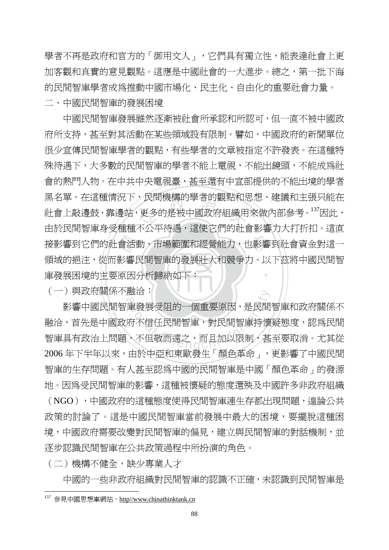學者不再是政府和官方的「御用文人」,它們具有獨立性,能表達社會上更 加客觀和真實的意見觀點。這應是中國社會的一大淮步。總之,第一批下海 的民間智庫學者成為推動中國市場化、民主化、自由化的重要社會力量。 二、中國民間智庫的發展困境

庫發展困境的主要原因分析歸納如下: 接影響到它們的社會活動、市場範圍和經營能力,也影響到社會資金對這一<br>領域的挹注,從而影響民間智庫的發展壯大和競爭力。以下茲將中國民間智<br>庫發展困境的主要原因分析歸納如下: ,氏間機構旳学者旳觀點和ホ<br>更多的是被中國政府組織用<br>不公示待運・浸荷安側的話 ‧ 中國民間智庫發展雖然逐漸被社會所承認和所認可,但一直不被中國政 府所支持,甚至對其活動在某些領域設有限制。譬如,中國政府的新聞單位 很少宣傳民間智庫學者的觀點,有些學者的文章被指定不許發表。在這種特 殊待遇下,大多數的民間智庫的學者不能上電視,不能出鏡頭,不能成為社 會的熱門人物。在中共中央電視臺,甚至還有中宣部提供的不能出境的學者 黑名單。在這種情況下,民間機構的學者的觀點和思想、建議和主張只能在 社會上敲邊鼓,靠邊站,更多的是被中國政府組織用來做內部參考<sup>。137</sup>因此, 由於民間智庫身受種種不公平待遇,這使它們的社會影響力大打折扣。這直 領域的挹注,從而影響民間智庫的發展壯大和競爭力。以下茲將中國民間智

(一)與政府關係不融洽:

融治<br>『庫發展受阻的一個重要原因,是民間<br>府不信任民間智庫,對民間智庫持懷<br>、不但敬而遠之,而且加以限制,甚 影響中國民間智庫發展受阻的一個重要原因,是民間智庫和政府關係不 融洽,首先是中國政府不信任民間智庫,對民間智庫持懷疑態度,認為民間 智庫具有政治上問題,不但敬而遠之,而且加以限制,甚至要取消。尤其從 2006 年下半年以來,由於中亞和東歐發生「顏色革命」,更影響了中國民間 智庫的生存問題。有人甚至認為中國的民間智庫是中國「顏色革命」的發源 地。因為受民間智庫的影響,這種被懷疑的態度還殃及中國許多非政府組織 (NGO),中國政府的這種態度使得民間智庫連生存都出現問題,遑論公共 政策的討論了。這是中國民間智庫當前發展中最大的困境,要擺脫這種困 境,中國政府需要改變對民間智庫的偏見,建立與民間智庫的對話機制,並 逐步認識民間智庫在公共政策過程中所扮演的角色。

(二)機構不健全,缺少專業人才

 $\overline{a}$ 

中國的一些非政府組織對民間智庫的認識不正確,未認識到民間智庫是

<sup>137</sup> 參見中國思想庫網站, http//www.chinathinktank.cn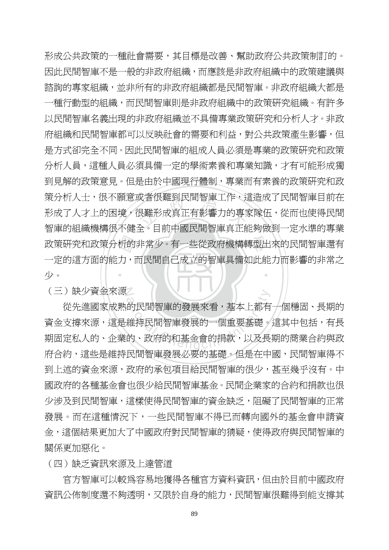政策研究和政策分析的非常少。有一些從政府機構轉型出來的民間智庫還有<br>一定的這方面的能力,而民間自己成立的智庫具備如此能力而影響的非常之<br>少。 攻有仮難到氏向智庫工作・<del>)</del><br>艮難形成真正有影響力的專<br>へ。ロ童中國民胆知声声<sup>大台</sup> ‧ 形成公共政策的一種社會需要,其目標是改善、幫助政府公共政策制訂的。 因此民間智庫不是一般的非政府組織,而應該是非政府組織中的政策建議與 諮詢的專家組織,並非所有的非政府組織都是民間智庫。非政府組織大都是 一種行動型的組織,而民間智庫則是非政府組織中的政策研究組織。有許多 以民間智庫名義出現的非政府組織並不具備專業政策研究和分析人才。非政 府組織和民間智庫都可以反映社會的需要和利益,對公共政策產生影響,但 是方式卻完全不同。因此民間智庫的組成人員必須是專業的政策研究和政策 分析人員,這種人員必須具備一定的學術素養和專業知識,才有可能形成獨 到見解的政策意見。但是由於中國現行體制,專業而有素養的政策研究和政 策分析人士,很不願意或者很難到民間智庫工作,這造成了民間智庫目前在 形成了人才上的困境,很難形成真正有影響力的專家隊伍,從而也使得民間 智庫的組織機構很不健全。目前中國民間智庫真正能夠做到一定水準的專業 一定的這方面的能力,而民間自己成立的智庫具備如此能力而影響的非常之 少。

N (三)缺少資金來源

ん<br>的民間智庫的發展來看,基本上都有<br>維持民間智庫發展的一個重要基礎。<br>的、政府的和基金會的捐款,以及長 從先進國家成熟的民間智庫的發展來看,基本上都有一個穩固、長期的 資金支撐來源,這是維持民間智庫發展的一個重要基礎。這其中包括,有長 期固定私人的、企業的、政府的和基金會的捐款,以及長期的商業合約與政 府合約,這些是維持民間智庫發展必要的基礎。但是在中國,民間智庫得不 到上述的資金來源,政府的承包項目給民間智庫的很少,甚至幾乎沒有。中 國政府的各種基金會也很少給民間智庫基金。民間企業家的合約和捐款也很 少涉及到民間智庫,這樣使得民間智庫的資金缺乏,阻礙了民間智庫的正常 發展。而在這種情況下,一些民間智庫不得已而轉向國外的基金會申請資 金,這個結果更加大了中國政府對民間智庫的猜疑,使得政府與民間智庫的 關係更加惡化。

(四)缺乏資訊來源及上達管道

 官方智庫可以較為容易地獲得各種官方資料資訊,但由於目前中國政府 資訊公佈制度還不夠透明,又限於自身的能力,民間智庫很難得到能支撐其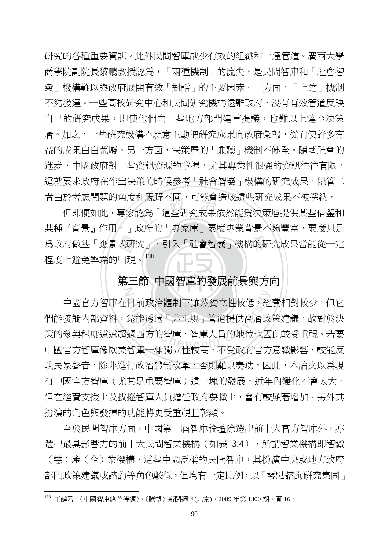研究的各種重要資訊。此外民間智庫缺少有效的組織和上達管道。廣西大學 商學院副院長黎鵬教授認爲,「兩種機制」的流失,是民間智庫和「社會智 囊」機構難以與政府展開有效「對話」的主要因素。一方面,「上達」機制 不夠發達。一些高校研究中心和民間研究機構遠離政府,沒有有效管道反映 自己的研究成果,即使他們向一些地方部門建言提議,也難以上達至決策 層。加之,一些研究機構不願意主動把研究成果向政府彙報,從而使許多有 益的成果白白荒廢。另一方面,決策層的「兼聽」機制不健全。隨著社會的 進步,中國政府對一些資訊資源的掌握,尤其專業性很強的資訊往往有限, 這就要求政府在作出決策的時候參考「社會智囊」機構的研究成果。儘管二 者由於考慮問題的角度和視野不同,可能會造成這些研究成果不被採納。

為政府做些「應景式研究」,引入「社會智囊」機構的研究成果當能從一定<br>程度上避免弊端的出現。<sup>138</sup><br>第三節 中國智庫的發展前<del>冒</del>與方向 和祝野个问,可能曾造成這!<br>認爲「這些研究成果依然能<br>的存的「重索崖、亜麻重業! 但即便如此,專家認為「這些研究成果依然能為決策層提供某些借鑒和 某種『背景』作用。」政府的「專家庫」要麼專業背景不夠豐富,要麼只是 程度上避免弊端的出現。<sup>138</sup>

#### ‧‧ 第三節 中國智庫的發展前景與方向

N

 $\overline{a}$ 

自前政治體制下雖然獨立性較低,經還能透過「非正規」管道提供高層政<br>還能透過「非正規」管道提供高層政<br>過西方的智庫,智庫人員的地位也因 中國官方智庫在目前政治體制下雖然獨立性較低,經費相對較少,但它 們能接觸內部資料,還能透過「非正規」管道提供高層政策建議,故對於決 策的參與程度遠超過西方的智庫,智庫人員的地位也因此較受重視。若要 中國官方智庫像歐美智庫一樣獨立性較高,不受政府官方意識影響,較能反 映民眾聲音,除非進行政治體制改革,否則難以奏功。因此,本論文以為現 有中國官方智庫(尤其是重要智庫)這一塊的發展,沂年內變化不會太大。 但在經費支援上及拔擢智庫人員擔任政府要職上,會有較顯著增加。另外其 扮演的角色與發揮的功能將更受重視且彰顯。

至於民間智庫方面,中國第一屆智庫論壇除選出前十大官方智庫外,亦 選出最具影響力的前十大民間智業機構(如表 3.4),所謂智業機構即智識 (慧)產(企)業機構,這些中國泛稱的民間智庫,其扮演中央或地方政府 部門政策建議或諮詢等角色較低,但均有一定比例,以「零點諮詢研究集團」

<sup>138</sup> 王健君,〈中國智庫鋒芒待礪〉,《瞭望》新聞週刊(北京), 2009年第 1300 期, 頁 16。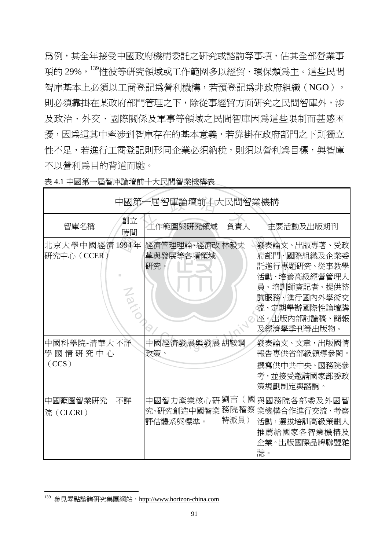為例,其全年接受中國政府機構委託之研究或諮詢等事項,佔其全部營業事 項的 29%,<sup>139</sup>惟彼等研究領域或工作範圍多以經貿、環保類為主。這些民間 智庫基本上必須以工商登記為營利機構,若預登記為非政府組織(NGO), 則必須靠掛在某政府部門管理之下,除從事經貿方面研究之民間智庫外,涉 及政治、外交、國際關係及軍事等領域之民間智庫因為這些限制而甚感困 擾,因為這其中牽涉到智庫存在的基本意義,若靠掛在政府部門之下則獨立 性不足,若進行工商登記則形同企業必須納稅,則須以營利為目標,與智庫 不以營利為目的背道而馳。

| 中國第一屆智庫論壇前十大民間智業機構               |          |                                     |              |                                                                                                                                             |  |  |
|----------------------------------|----------|-------------------------------------|--------------|---------------------------------------------------------------------------------------------------------------------------------------------|--|--|
| 智庫名稱                             | 創立<br>時間 | 工作範圍與研究領域                           | 負責人          | 主要活動及出版期刊                                                                                                                                   |  |  |
| 北京大學中國經濟  1994年<br>研究中心(CCER)    | Z        | 經濟管理理論、經濟改 林毅夫<br>革與發展等各項領域<br>研究。  |              | 發表論文、出版專著、受政<br>府部門、國際組織及企業委<br>託進行專題硏究、從事教學<br>活動、培養高級經營管理人<br>員、培訓師資記者、提供諮<br>詢服務、進行國內外學術交<br>流、定期舉辦國際性論壇講<br>座。出版內部討論稿、簡報<br>及經濟學季刊等出版物。 |  |  |
| 中國科學院-清華大 不詳<br>學國情研究中心<br>(CCS) |          | 中國經濟發展與發展胡鞍鋼<br>政策。                 |              | 發表論文、文章,出版國情<br>報告專供省部級領導參閱。<br>撰寫供中共中央、國務院參<br>考,並接受邀請國家部委政<br>策規劃制定與諮詢。                                                                   |  |  |
| 中國藍圖智業研究<br>院 (CLCRI)            | 不詳       | 中國智力產業核心硏<br>究、研究創造中國智業<br>評估體系與標準。 | 務院稽察<br>特派員) | 劉吉(國  與國務院各部委及外國智<br> 業機構合作進行交流、考察<br>活動,選拔培訓高級策劃人<br>推薦給國家各智業機構及<br>企業。出版國際品牌聯盟雜<br>誌。                                                     |  |  |

表 4.1 中國第一屆智庫論壇前十大民間智業機構表

 $\overline{a}$ <sup>139</sup> 參見零點諮詢研究集團網站, http://www.horizon-china.com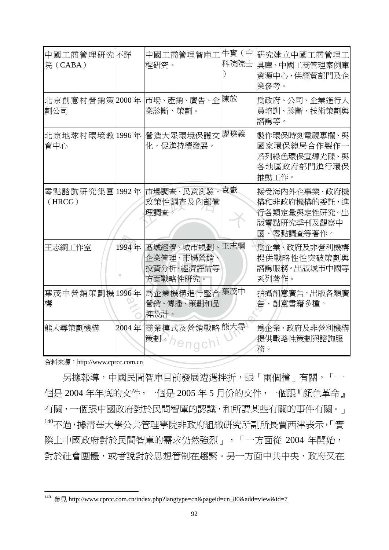| 中國工商管理研究不詳<br>院(CABA) |       | 中國工商管理智庫工牛特賃(中<br>程研究。                            | 科院院士 | 研究建立中國工商管理工 <br>具庫、中國工商管理案例庫<br>資源中心,供經貿部門及企<br>業參考。                      |
|-----------------------|-------|---------------------------------------------------|------|---------------------------------------------------------------------------|
| 北京創意村營銷策 2000年<br>劃公司 |       | 市場、產銷、廣告、企  陳放<br>業診斷、策劃。                         |      | 爲政府、公司、企業進行人<br>員培訓、診斷、技術策劃與<br>諮詢等。                                      |
| 北京地球村環境教 1996年<br>育中心 |       | 營造大眾環境保護文<br>化,促進持續發展。                            | 廖曉義  | 製作環保時刻電視專欄、與 <br>國家環保總局合作製作一<br>系列綠色環保宣導光碟、與<br>各地區政府部門進行環保<br>推動工作。      |
| (HRCG)                |       | 零點諮詢研究集團 1992年 市場調査、民意測驗、 袁嶽<br>政策性調查及內部管<br>理調査。 |      | 接受海內外企事業、政府機<br>構和非政府機構的委託,進<br>行各類定量與定性研究。出<br>版零點研究季刊及觀察中<br>國、零點調查等著作。 |
| 王志綱工作室                | 1994年 | 區域經濟、城市規劃、<br>企業管理、市場營銷<br>投資分析、經濟評估等<br>方面戰略性研究。 | 王志綱  | 爲企業、政府及非營利機構<br>提供戰略性性突破策劃與<br> 諮詢服務。出版城市中國等 <br>系列著作。                    |
| 葉茂中營銷策劃機1996年<br>構    |       | 爲企業機構進行整合 葉茂中<br>營銷、傳播、策劃和品<br>牌設計。               |      | 拍攝創意廣告,出版各類廣<br>告、創意書籍多種。                                                 |
| 熊大尋策劃機構               | 2004年 | 商業模式及營銷戰略 熊大尋<br>策劃 /                             |      | 爲企業、政府及非營利機構<br>提供戰略性策劃與諮詢服<br>務。                                         |

資料來源:http://www.cprcc.com.cn

 $\overline{a}$ 

 另據報導,中國民間智庫目前發展遭遇挫折,跟「兩個檔」有關,「一 個是 2004 年年底的文件,一個是 2005 年 5 月份的文件,一個跟『顏色革命』 有關,一個跟中國政府對於民間智庫的認識,和所謂某些有關的事件有關。」 <sup>140</sup>不過,據清華大學公共管理學院非政府組織研究所副所長賈西津表示,「實 際上中國政府對於民間智庫的需求仍然強烈」,「一方面從 2004 年開始, 對於社會團體,或者說對於思想管制在趨緊。另一方面中共中央、政府又在

<sup>&</sup>lt;sup>140</sup> 參見 http://www.cprcc.com.cn/index.php?langtype=cn&pageid=cn\_80&add=view&id=7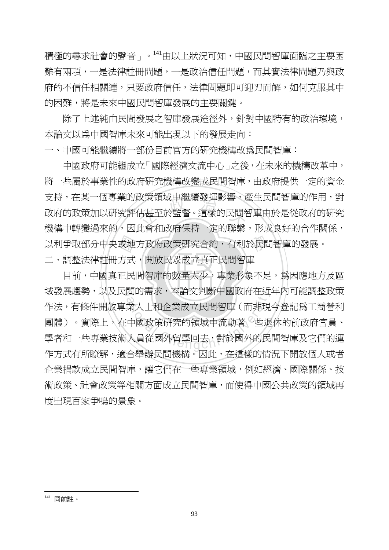積極的尋求社會的聲音」。<sup>141</sup>由以上狀況可知,中國民間智庫面臨之主要困 難有兩項,一是法律註冊問題,一是政治信任問題,而其實法律問題乃與政 府的不信任相關連,只要政府信任,法律問題即可迎刃而解,如何克服其中 的困難,將是未來中國民間智庫發展的主要關鍵。

除了上述純由民間發展之智庫發展途徑外,針對中國特有的政治環境, 本論文以為中國智庫未來可能出現以下的發展走向:

一、中國可能繼續將一部份目前官方的研究機構改為民間智庫:

以利爭取部分中央或地方政府政策研究合約,有利於民間智庫的發展。<br>二、調整法律註冊方式,開放民眾成立真正民間智庫<br>目前,中國真正民間智庫的數量太少,專業形象不足,爲因應地方 以朿祖哦屮繼續歿捭彰謇,愿<br>估甚至於監督。這樣的民間智<br>叱念和动序促埃ニ字的聯繫 中國政府可能繼成立「國際經濟文流中心」之後,在未來的機構改革中, 將一些屬於事業性的政府研究機構改變成民間智庫,由政府提供一定的資金 支持,在某一個專業的政策領域中繼續發揮影響,產生民間智庫的作用,對 政府的政策加以研究評估甚至於監督。這樣的民間智庫由於是從政府的研究 機構中轉變過來的,因此會和政府保持一定的聯繫,形成良好的合作關係, 二、調整法律註冊方式,開放民眾成立直正民間智庫

目前,中國真正民間智庫的數量太少,專業形象不足,為因應地方及區 域發展趨勢,以及民間的需求,本論文判斷中國政府在近年內可能調整政策 面的需水,平論又判斷中國政府在近<br>業人士和企業成立民間智庫(而非現<br><br>中國政策研究的領域中流動著一些退<br>人員從國外留學回去,對於國外的民 作法,有條件開放專業人士和企業成立民間智庫(而非現今登記為工商營利 團體)。實際上,在中國政策研究的領域中流動著一些退休的前政府官員、 學者和一些專業技術人員從國外留學回去,對於國外的民間智庫及它們的運 作方式有所瞭解,滴合舉辦民間機構。因此,存這樣的情況下開放個人或者 企業捐款成立民間智庫,讓它們在一些專業領域,例如經濟、國際關係、技 術政策、社會政策等相關方面成立民間智庫,而使得中國公共政策的領域再 度出現百家爭鳴的景象。

<sup>141</sup> 同前註。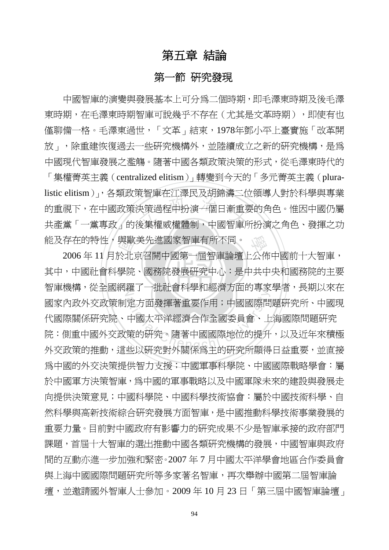# 第五章 結論

# 第一節 研究發現

トロートエースストル語<br><br><br>後集權威權體制,中國智庫f 中國智庫的演變與發展基本上可分為二個時期,即毛澤東時期及後毛澤 東時期, 在毛澤東時期智庫可說幾乎不存在(尤其是文革時期), 即使有也 僅聊備一格。毛澤東過世,「文革」結束,1978年鄧小平上臺實施「改革開 放」,除重建恢復過去一些研究機構外,並陸續成立之新的研究機構,是為 中國現代智庫發展之濫觴。隨著中國各類政策決策的形式,從毛澤東時代的 「集權菁英主義(centralized elitism)」轉變到今天的「多元菁英主義(pluralistic elitism)」,各類政策智庫在江澤民及胡錦濤二位領導人對於科學與專業 的重視下,在中國政策決策過程中扮演一個日漸重要的角色。惟因中國仍屬 共產黨「一黨專政」的後集權威權體制,中國智庫所扮演之角色、發揮之功 能及存在的特性,與歐美先進國家智庫有所不同。

其中,中國社會科學院、國務院發展研究中心:是中共中央和國務院的主要 與歐美先進國家智庫有所不同。<br>於北京召開中國第一屆智庫論壇上公佈<br>學院、國務院發展研究中心:是中共中 智庫機構,從全國網羅了一批社會科學和經濟方面的專家學者,長期以來在 ##3 「現社首相手作社内分出的等次」<br>定方面發揮著重要作用;中國國際問<br>中國太平洋經濟合作全國委員會、上<br>策的研究。隨著中國國際地位的提升<br>地以研究對外關係色主的研究所顯得 2006 年 11 月於北京召開中國第一屆智庫論壇上公佈中國前十大智庫, 國家內政外交政策制定方面發揮著重要作用;中國國際問題研究所、中國現 代國際關係研究院、中國太平洋經濟合作全國委員會、上海國際問題研究 院:側重中國外交政策的研究。隨著中國國際地位的提升,以及近年來積極 外交政策的推動,這些以研究對外關係為主的研究所顯得日益重要,並直接 為中國的外交決策提供智力支援;中國軍事科學院、中國國際戰略學會:屬 於中國軍方決策智庫,爲中國的軍事戰略以及中國軍隊未來的建設與發展走 向提供決策意見;中國科學院、中國科學技術協會:屬於中國技術科學、自 然科學與高新技術綜合研究發展方面智庫,是中國推動科學技術事業發展的 重要力量。目前對中國政府有影響力的研究成果不少是智庫承接的政府部門 課題,首屆十大智庫的選出推動中國各類研究機構的發展,中國智庫與政府 間的互動亦進一步加強和緊密。2007 年 7 月中國太平洋學會地區合作委員會 與上海中國國際問題研究所等多家著名智庫,再次舉辦中國第二屆智庫論 壇,並邀請國外智庫人士參加。2009 年 10 月 23 日「第三屆中國智庫論壇」

94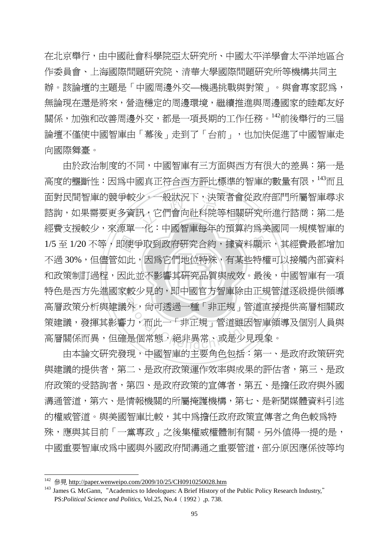在北京舉行,由中國社會科學院亞太研究所、中國太平洋學會太平洋地區合 作委員會、上海國際問題研究院、清華大學國際問題研究所等機構共同主 辦。該論壇的主題是「中國周邊外交—機遇挑戰與對策」。與會專家認為, 無論現在還是將來,營造穩定的周邊環境,繼續推進與周邊國家的睦鄰友好 關係,加強和改善周邊外交,都是一項長期的工作任務。<sup>142</sup>前後舉行的三屆 論壇不僅使中國智庫由「幕後」走到了「台前」,也加快促進了中國智庫走 向國際舞臺。

‧‧ 和政策制訂過程,因此並不影響其研究品質與成效。最後,中國智庫有一項 1/5 至 1/20 不等,即使爭取到政府研究合約,據資料顯示,其經費最都增加<br>不過 30%,但儘管如此,因爲它們地位特殊,有某些特權可以接觸內部資料<br>和政策制訂過程,因此並不影響其研究品質與成效。最後,中國智庫有一項 ダ。一般状況ト,決束者曾位<br>汎,它們會向社科院等相關f<br>一化:中國知唐気年的預算 特色是西方先進國家較少見的,即中國官方智庫除由正規管道逐級提供領導 <sup>較少見的,即中國目力智庫除出止規<br>|外,尙可透過一種「非正規」管道直<br>|力,而此一「非正規」管道雖因智庫<br>|是個常態,絕非異常、或是少見現象</sup> 由於政治制度的不同,中國智庫有三方面與西方有很大的差異:第一是 高度的壟斷性:因為中國真正符合西方評比標準的智庫的數量有限,<sup>143</sup>而且 面對民間智庫的競爭較少。一般狀況下,決策者會從政府部門所屬智庫尋求 諮詢,如果需要更多資訊,它們會向社科院等相關研究所進行諮商;第二是 經費支援較少,來源單一化:中國智庫每年的預算約為美國同一規模智庫的 不過 30%,但儘管如此,因為它們地位特殊,有某些特權可以接觸內部資料 高層政策分析與建議外,尚可透過一種「非正規」管道直接提供高層相關政 策建議,發揮其影響力,而此一「非正規」管道雖因智庫領導及個別人員與 高層關係而異,但確是個常態,絕非異常、或是少見現象。

 由本論文研究發現,中國智庫的主要角色包括:第一、是政府政策研究 與建議的提供者,第二、是政府政策運作效率與成果的評估者,第三、是政 府政策的受諮詢者,第四、是政府政策的宣傳者,第五、是擔任政府與外國 溝通管道,第六、是情報機關的所屬掩護機構,第七、是新聞媒體資料引述 的權威管道。與美國智庫比較,其中為擔任政府政策宣傳者之角色較爲特 殊,應與其目前「一黨專政」之後集權威權體制有關。另外值得一提的是, 中國重要智庫成為中國與外國政府間溝通之重要管道,部分原因應係彼等均

<sup>&</sup>lt;sup>142</sup> 參見 http://paper.wenweipo.com/2009/10/25/CH0910250028.htm

<sup>&</sup>lt;sup>143</sup> James G. McGann, "Academics to Ideologues: A Brief History of the Public Policy Research Industry," PS:*Political Science and Politics,* Vol.25, No.4(1992),p. 738.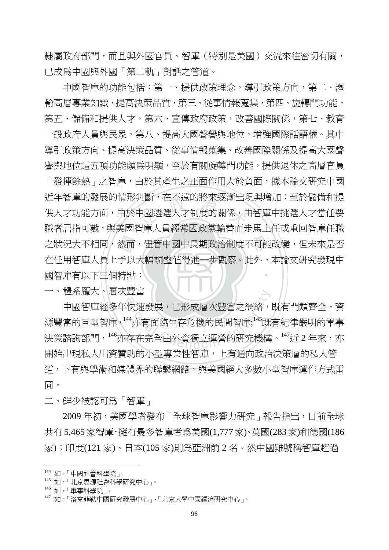隸屬政府部門,而且與外國官員、智庫(特別是美國)交流來往密切有關, 已成為中國與外國「第二軌」對話之管道。

 中國智庫的功能包括:第一、提供政策理念,導引政策方向,第二、灌 輸高層專業知識,提高決策品質,第三、從事情報蒐集,第四、旋轉門功能, 第五、儲備和提供人才,第六、宣傳政府政策,改善國際關係,第七、教育 一般政府人員與民眾,第八、提高大國聲譽與地位,增強國際話語權。其中 導引政策方向、提高決策品質、從事情報蒐集、改善國際關係及提高大國聲 譽與地位這五項功能頗為明顯,至於有關旋轉門功能,提供退休之高層官員

國智庫有以下三個特點: 之狀況大不相同,然而,儘管中國中長期政治制度不可能改變,但未來是否<br>在任用智庫人員上予以大幅調整値得進一步觀察。此外,本論文研究發現中<br>國智庫有以下三個特點: 判斷,仕个退旳脟來逐漸出块<br>中國遴選人才制度的關係,E<br><sub>巴庫——是</sub><br><sub>巴庫——是</sub>經常中政黨斡萊而 ‧ 「發揮餘熱」之智庫,由於其產生之正面作用大於負面,據本論文研究中國 近年智庫的發展的情形判斷,在不遠的將來逐漸出現與增加;至於儲備和提 供人才功能方面,由於中國遴選人才制度的關係,由智庫中挑選人才當任要 職者屈指可數,與美國智庫人員經常因政黨輪替而走馬上任或重回智庫任職 在任用智庫人員上予以大幅調整值得進一步觀察。此外,本論文研究發現中

一、體系龐大卜層次豐富

豊畠<br>快速發展,已形成層次豐富之網絡,<br><sup>44</sup>亦有面臨生存危機的民間智庫;<sup>145</sup>既<br>存在完全由外資獨立運營的硏究機構 中國智庫經多年快速發展,已形成層次豐富之網絡,既有門類齊全、資 源豐富的巨型智庫<sup>,144</sup>亦有面臨生存危機的民間智庫;<sup>145</sup>既有紀律嚴明的軍事 決策諮詢部門,146亦存在完全由外資獨立運營的研究機構。147近 2 年來,亦 開始出現私人出資贊助的小型專業性智庫,上有通向政治決策層的私人管 道,下有與學術和媒體界的聯繫網路,與美國絕大多數小型智庫運作方式雷 同。

二、鮮少被認可為「智庫」

2009年初, 美國學者發布「全球智庫影響力研究」報告指出, 日前全球 共有5,465家智庫,擁有最多智庫者為美國(1,777家)、英國(283家)和德國(186 家);印度(121 家)、日本(105 家)則為亞洲前 2 名。然中國雖號稱智庫超過

<sup>144</sup> 如,「中國社會科學院」。

<sup>145</sup> 如,「北京思源社會科學研究中心」。

<sup>146</sup> 如,「軍事科學院」。

如,「洛克菲勒中國研究發展中心」、「北京大學中國經濟研究中心」。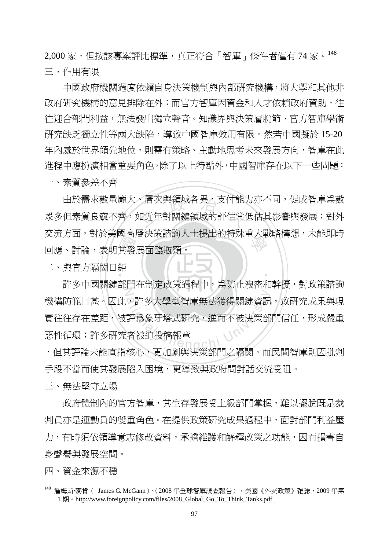2,000 家,但按該專案評比標準,真正符合「智庫」條件者僅有74 家。148 三、作用有限

中國政府機關過度依賴自身決策機制與內部研究機構,將大學和其他非 政府研究機構的意見排除在外;而官方智庫因資金和人才依賴政府資助,往 往迎合部門利益,無法發出獨立聲音。知識界與決策層脫節、官方智庫學術 研究缺乏獨立性等兩大缺陷,導致中國智庫效用有限。然若中國擬於 15-20 年內處於世界領先地位,則需有策略、主動地思考未來發展方向,智庫在此 進程中應扮演相當重要角色。除了以上特點外,中國智庫存在以下一些問題: 一、素質參差不齊

《其發<br>其發 、層次與領域各異,支付能〕<br>如近年對關鍵領域的評估常<sup>{</sup> 交流方面,對於美國高層決策諮詢人士提出的特殊重大戰略構想,未能即時<br>回應、討論,表明其發展面臨瓶頸。 由於需求數量龐大、層次與領域各異,支付能力亦不同,促成智庫為數 眾多但素質良窳不齊,如近年對關鍵領域的評估常低估其影響與發展;對外 回應、討論,表明其發展面臨瓶頸。

二、與官方隔閡日鉅

Z 。許多大學型智庫無法獲得關鍵資訊<br>評爲象牙塔式研究,進而不被決策部<br>者被迫投稿報章 許多中國關鍵部門在制定政策過程中,為防止洩密和幹擾,對政策諮詢 機構防範日甚。因此。許多大學型智庫無法獲得關鍵資訊,致研究成果與現 實往往存在差距,被評為象牙塔式研究,進而不被決策部門信任,形成嚴重 惡性循環;許多研究者被迫投稿報章

‧

,但其評論未能直指核心,更加劇與決策部門之隔閡。而民間智庫則因批判 手段不當而使其發展陷入困境,更導致與政府間對話交流受阻。

三、無法堅守立場

政府體制內的官方智庫,其生存發展受上級部門掌握,難以擺脫既是裁 判員亦是運動員的雙重角色。在提供政策研究成果過程中,面對部門利益壓 力,有時須依領導意志修改資料,承擔維護和解釋政策之功能,因而損害自 身聲譽與發展空間。

四、資金來源不穩

<sup>&</sup>lt;sup>148</sup> 詹姆斯·麥肯( James G. McGann ),〈 2008 年全球智庫調查報告 〉,美國《外交政策》雜誌,2009 年第 1 期。http://www.foreignpolicy.com/files/2008\_Global\_Go\_To\_Think\_Tanks.pdf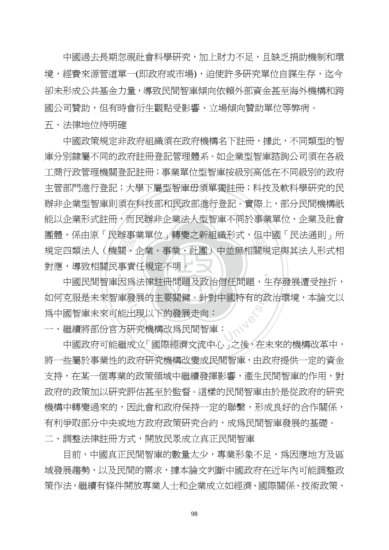中國過去長期忽視社會科學研究,加上財力不足,且缺乏捐助機制和環 境,經費來源管道單一(即政府或市場),迫使許多研究單位自謀生存,迄今 卻未形成公共基金力量,導致民間智庫傾向依賴外部資金甚至海外機構和跨 國公司贊助,但有時會衍生觀點受影響、立場傾向贊助單位等弊病。

五、法律地位待明確

圏脰,係田原 氏辧事耒単位」轉愛之新組織形式,但中國 氏法通則」所<br>規定四類法人(機關、企業、事業、社團)中並無相關規定與其法人形式相<br>對應,導致相關民事責任規定不明。<br>中國民間智庫因爲法律詳冊問題及政治信任問題,生左發展遭受挫折, 辦非企業型智庫則須在科技部和民政部進行登記。實際上,部分民間機構祇<br>能以企業形式註冊,而民辦非企業法人型智庫不同於事業單位、企業及社會 ‧ 中國政策規定非政府組織須在政府機構名下註冊,據此,不同類型的智 庫分別隸屬不同的政府註冊登記管理體系。如企業型智庫諮詢公司須在各級 工商行政管理機關登記註冊;事業單位型智庫按級別高低在不同級別的政府 主管部門進行登記;大學下屬型智庫毋須單獨註冊;科技及軟科學研究的民 辦非企業型智庫則須在科技部和民政部進行登記。實際上,部分民間機構祇 團體,係由原「民辦事業單位」轉變之新組織形式,但中國「民法通則」所 對應,導致相關民事責任規定不明。 一

 $\mathbb{Z}$ 克服是未來智庫發展的主要關鍵。針對中國特有的政治環境,本論文以<br>國智庫未來可能出現以下的發展走向:<br>繼續將部份官方研究機構改爲民間智庫:<br>中國政府可能繼成立「國際經濟文流中心」之後,在未來的機構改革中, 中國民間智庫因為法律註冊問題及政治信任問題,生存發展遭受挫折, 如何克服是未來智庫發展的主要關鍵。針對中國特有的政治環境,本論文以 為中國智庫未來可能出現以下的發展走向:

一、繼續將部份官方研究機構改為民間智庫:

將一些屬於事業性的政府研究機構改變成民間智庫,由政府提供一定的資金 支持,在某一個專業的政策領域中繼續發揮影響,產生民間智庫的作用,對 政府的政策加以研究評估甚至於監督。這樣的民間智庫由於是從政府的研究 機構中轉變過來的,因此會和政府保持一定的聯繫,形成良好的合作關係, 有利爭取部分中央或地方政府政策研究合約,成為民間智庫發展的基礎。 二、調整法律註冊方式,開放民眾成立真正民間智庫

目前,中國真正民間智庫的數量太少,專業形象不足,為因應地方及區 域發展趨勢,以及民間的需求,據本論文判斷中國政府在近年內可能調整政 策作法,繼續有條件開放專業人士和企業成立如經濟、國際關係、技術政策、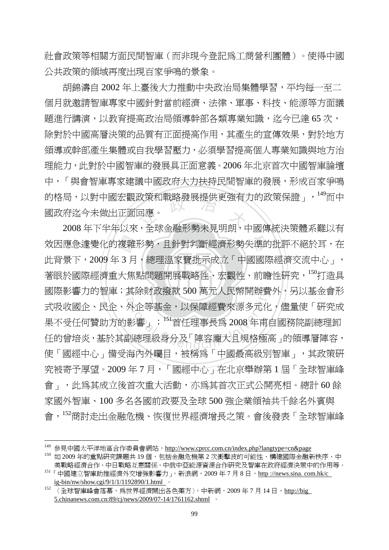社會政策等相關方面民間智庫(而非現今登記為工商營利團體)。使得中國 公共政策的領域再度出現百家爭鳴的景象。

向,以封屮國厷觀政朿和戰略發展掟枳史強有刀旳政朿保證」,「而屮<br>府迄今未做出正面回應。<br>2008 年下半年以來,全球金融形勢未見明朗,中國傳統決策體系難以有 胡錦濤自 2002 年上臺後大力推動中央政治局集體學習,平均每一至二 個月就邀請智庫專家中國針對當前經濟、法律、軍事、科技、能源等方面議 題進行講演,以教育提高政治局領導幹部各類專業知識,迄今已達 65 次, 除對於中國高層決策的品質有正面提高作用,其產生的宣傳效果,對於地方 領導或幹部產生集體或自我學習壓力,必須學習提高個人專業知識與地方治 理能力,此對於中國智庫的發展具正面意義。2006 年北京首次中國智庫論壇 中,「與會智庫專家建議中國政府大力扶持民間智庫的發展,形成百家爭鳴 的格局,以對中國宏觀政策和戰略發展提供更強有力的政策保證」,<sup>149</sup>而中 國政府迄今未做出正面回應。

著眼於國際經濟重大焦點問題開展戰略性、宏觀性、前瞻性研究,<sup>150</sup>打造具 效因應急遽變化的複雜形勢,且針對判斷經濟形勢失準的批評不絕於耳,在<br>此背景下,2009 年 3 月,總理溫家寶批示成立「中國國際經濟交流中心」,<br>著眼於國際經濟重大焦點問題開展戰略性、宏觀性、前瞻性研究,<sup>150</sup>打造具 國際影響力的智庫;其除財政撥款 500 萬元人民幣開辦費外,另以基金會形 具麻財政撥款 500 禺元人民幣開辦賞<br>外企等基金,以保障經費來源多元化<br>影響」;<sup>151</sup>首任理事長爲 2008 年甫<br>副總理級身分及「陣容龐大且規格極而 此背景下, 2009年3月, 總理溫家寶批示成立「中國國際經濟交流中心」, 式吸收國企、民企、外企等基金,以保障經費來源多元化,儘量使「研究成 果不受任何贊助方的影響」; 151首任理事長爲 2008 年甫自國務院副總理卸 任的曾培炎,基於其副總理級身分及「陣容龐大且規格極高」的領導層陣容, 使「國經中心」備受海內外矚目,被稱為「中國最高級別智庫」,其政策研 究被寄予厚望。2009 年 7 月,「國經中心」在北京舉辦第 1 屆「全球智庫峰 會」,此為其成立後首次重大活動,亦為其首次正式公開亮相。總計 60 餘 家國外智庫、100 多名各國前政要及全球 500 強企業領袖共千餘名外賓與 會,<sup>152</sup>商討走出金融危機、恢復世界經濟增長之策。會後發表「全球智庫峰

<sup>&</sup>lt;sup>149</sup> 參見中國太平洋地區合作委員會網站,<u>http://www.cprcc.com.cn/index.php?langtype=cn&page</u>

<sup>150</sup> 如 2009年的重點研究課題共 19個,包括金融危機第 2 次衝擊波的可能性、構建國際金融新秩序、中 美戰略經濟合作、中日戰略互惠關係、中俄中亞能源資源合作研究及智庫在政府經濟決策中的作用等。

<sup>&</sup>lt;sup>151</sup>「中國建立智庫助推經濟外交增強影響力」,新浪網,2009年7月8日,http://news.sina.com.hk/c ig-bin/nw/show.cgi/9/1/1/1192890/1.html 。

<sup>152</sup> 〈全球智庫峰會落幕,為世界經濟開出各色藥方〉,中新網,2009 年 7 月 14 日,http://big 5.chinanews.com.cn:89/cj/news/2009/07-14/1761162.shtml 。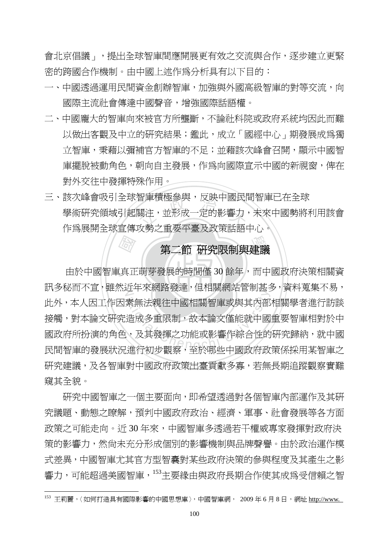會北京倡議」,提出全球智庫間應開展更有效之交流與合作,逐步建立更緊 密的跨國合作機制。由中國上述作為分析具有以下目的:

- 一、中國透過運用民間資金創辦智庫,加強與外國高級智庫的對等交流,向 國際主流社會傳達中國聲音,增強國際話語權。
- 二、中國龐大的智庫向來被官方所壟斷,不論社科院或政府系統均因此而難 以做出客觀及中立的研究結果;鑑此,成立「國經中心」期發展成為獨 立智庫,秉藉以彌補官方智庫的不足;並藉該次峰會召開,顯示中國智 庫擺脫被動角色,朝向自主發展,作為向國際宣示中國的新視窗,俾在 對外交往中發揮特殊作用。
- 智庫槓極参興,反映屮國氏F<br>關注,並形成一定的影響力<br>☆執ウ重亜示喜ロ动等手取 三、該次峰會吸引全球智庫積極參與,反映中國民間智庫已在全球 學術研究領域引起關注,並形成一定的影響力,未來中國勢將利用該會 作為展開全球宣傳攻勢之重要平臺及政策話語中心。

# 學 第二節 研究限制與建議

‧國庫 ‧ 由於中國智庫真正萌芽發展的時間僅 30 餘年,而中國政府決策相關資 訊多秘而不宣,雖然近年來網路發達,但相關網站管制甚多,資料蒐集不易, 3 - 不佩羅波之 - 西伯蘭科名音部と<br>素無法親往中國相關智庫或與其內部<br>造成多重限制,故本論文僅能就中國<br>、及其發揮之功能或影響作綜合性的 此外,本人因工作因素無法親往中國相關智庫或與其內部相關學者進行訪談 接觸,對本論文研究造成多重限制,故本論文僅能就中國重要智庫相對於中 國政府所扮演的角色,及其發揮之功能或影響作綜合性的研究歸納,就中國 民間智庫的發展狀況進行初步觀察,至於哪些中國政府政策係採用某智庫之 研究建議,及各智庫對中國政府政策出臺貢獻多寡,若無長期追蹤觀察實難 窺其全貌。

研究中國智庫之一個主要面向,即希望透過對各個智庫內部運作及其研 究議題、動態之瞭解,預判中國政府政治、經濟、軍事、社會發展等各方面 政策之可能走向。沂30年來,中國智庫多诱渦若干權威專家發揮對政府決 策的影響力,然尚未充分形成個別的影響機制與品牌聲譽。由於政治運作模 式差異,中國智庫尤其官方型智囊對某些政府決策的參與程度及其產生之影 響力,可能超過美國智庫, 153主要緣由與政府長期合作使其成為受信賴之智

<sup>153</sup> 王莉麗,〈如何打造具有國際影響的中國思想庫〉,中國智庫網, 2009年6月8日,網址 http://www.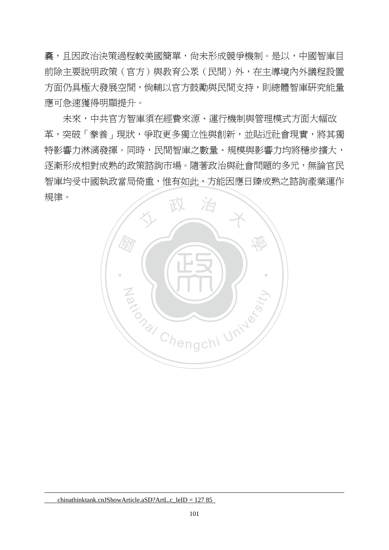囊,且因政治決策過程較美國簡單,尚未形成競爭機制。是以,中國智庫目 前除主要說明政策(官方)與教育公眾(民間)外,在主導境內外議程設置 方面仍具極大發展空間,倘輔以官方鼓勵與民間支持,則總體智庫研究能量 應可急速獲得明顯提升。

未來,中共官方智庫須在經費來源、運行機制與管理模式方面大幅改 革,突破「豢養」現狀,爭取更多獨立性與創新,並貼近社會現實,將其獨 特影響力淋漓發揮。同時,民間智庫之數量、規模與影響力均將穩步擴大, 逐漸形成相對成熟的政策諮詢市場。隨著政治與社會問題的多元,無論官民 智庫均受中國執政當局倚重,惟有如此,方能因應日臻成熟之諮詢產業運作 規律。



chinathinktank.cnJShowArticle.aSD?ArtL.c\_leID = 127 85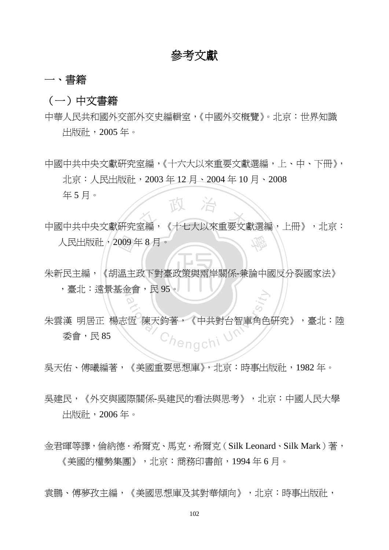# 參考文獻

## 一、書籍

## (一)中文書籍

中華人民共和國外交部外交史編輯室,《中國外交概覽》。北京:世界知識 出版社,2005 年。

中國中共中央文獻研究室編,《十六大以來重要文獻選編,上、中、下冊》, 北京:人民出版社,2003 年 12 月、2004 年 10 月、2008 年 5 月。

中國中共中央文獻研究室編, 《十七大以來重要文獻選編,上冊》,北京: 學

朱新民主編,《胡溫主政下對臺政策與兩岸關係-兼論中國反分裂國家法》 人民出版社 , 2009年8月。<br><br>朱新民主編,《胡溫主政下對臺 ,臺北:遠景基金會,民 95。

ational Chengchi University<br><br><br>
Chengchi 朱雲漢 明居正 楊志恆 陳天鈞著,《中共對台智庫角色研究》,臺北:陸 委會,民 85

吳天佑、傅曦編著,《美國重要思想庫》,北京:時事出版社,1982年。

- 吳建民,《外交與國際關係-吳建民的看法與思考》,北京:中國人民大學 出版社,2006 年。
- 金君暉等譯,倫納德.希爾克、馬克.希爾克(Silk Leonard、Silk Mark)著, 《美國的權勢集團》,北京:商務印書館,1994 年 6 月。

袁鵬、傅夢孜主編,《美國思想庫及其對華傾向》,北京:時事出版社,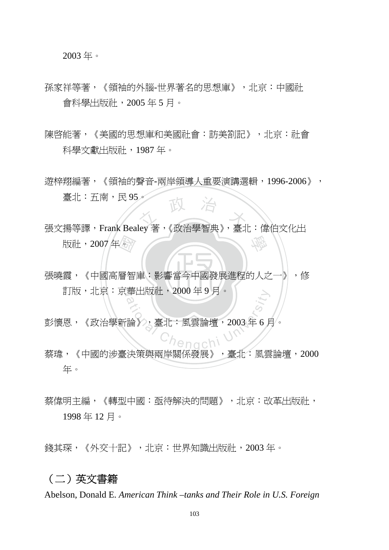2003 年。

- 孫家祥等著,《領袖的外腦-世界著名的思想庫》,北京:中國社 會科學出版社,2005 年 5 月。
- 陳啓能著,《美國的思想庫和美國社會:訪美劄記》,北京:社會 科學文獻出版社,1987 年。
- 遊梓翔編著,《領袖的聲音-兩岸領導人重要演講選輯,1996-2006》, 臺北:五南,民 95。
- ·<br><br><br><br><br><br><br><br><br><br><br><br><br><br><br><br><br><br><br><br><br><br><br><br><br><br><br> 室 $\pi$  大 大 大 冷<br>張文揚等譯, Frank Bealey 著, 《政治學智典》, 臺北:偉伯文化出 學 版社,2007年。
- l1 **張曉霞,《中國高層智庫:影響當今中國發展進程的人之一》,修** 訂版,北京:京華出版社,2000 年 9 月。
- 事出版社,2000年9月。<br>論》,臺北:風雲論壇,2003年6月<br>(Chengchi Harry De 彭懷恩,《政治學新論》,臺北:風雲論壇,2003 年 6 月。
- 蔡瑋,《中國的涉臺決策與兩岸關係發展》,臺北:風雲論壇,2000 年。
- 蔡偉明主編, 《轉型中國:亟待解決的問題》, 北京:改革出版社, 1998 年 12 月。

錢其琛,《外交十記》,北京:世界知識出版社,2003 年。

#### (二)英文書籍

Abelson, Donald E. *American Think –tanks and Their Role in U.S. Foreign*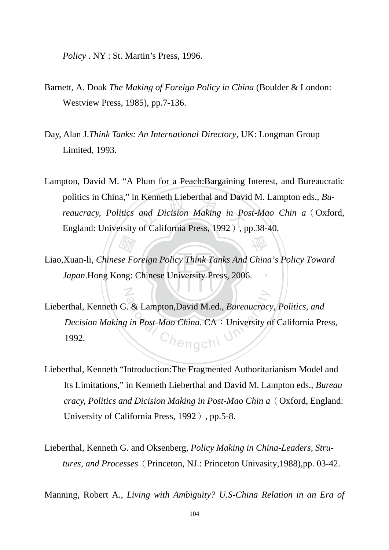*Policy* . NY : St. Martin's Press, 1996.

N

- Barnett, A. Doak *The Making of Foreign Policy in China* (Boulder & London: Westview Press, 1985), pp.7-136.
- Day, Alan J.*Think Tanks: An International Directory*, UK: Longman Group Limited, 1993.
- Example 1 Lieberthal and David<br>
and Dicision Making in Po Lampton, David M. "A Plum for a Peach:Bargaining Interest, and Bureaucratic politics in China," in Kenneth Lieberthal and David M. Lampton eds., *Bureaucracy, Politics and Dicision Making in Post-Mao Chin a*(Oxford, England: University of California Press, 1992), pp.38-40.

學

- Japan.Hong Kong: Chinese University Press, 2006. Any<br>se Fo<br>ong: ‧ Liao,Xuan-li, *Chinese Foreign Policy Think Tanks And China's Policy Toward*
- ational Chengchi University<br>
Chengchi University<br>
Chengchi Lieberthal, Kenneth G. & Lampton,David M.ed., *Bureaucracy, Politics, and Decision Making in Post-Mao China. CA: University of California Press,* 1992.
- Lieberthal, Kenneth "Introduction:The Fragmented Authoritarianism Model and Its Limitations," in Kenneth Lieberthal and David M. Lampton eds., *Bureau cracy, Politics and Dicision Making in Post-Mao Chin a*(Oxford, England: University of California Press, 1992), pp.5-8.
- Lieberthal, Kenneth G. and Oksenberg, *Policy Making in China-Leaders, Stru tures, and Processes*(Princeton, NJ.: Princeton Univasity,1988),pp. 03-42.

Manning, Robert A., *Living with Ambiguity? U.S-China Relation in an Era of*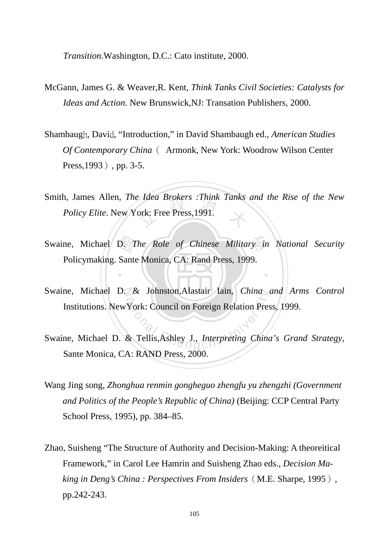*Transition.*Washington, D.C.: Cato institute, 2000.

- McGann, James G. & Weaver,R. Kent, *Think Tanks Civil Societies: Catalysts for Ideas and Action.* New Brunswick,NJ: Transation Publishers, 2000.
- Shambaugh, David, "Introduction," in David Shambaugh ed., *American Studies Of Contemporary China*( Armonk, New York: Woodrow Wilson Center Press, 1993), pp. 3-5.
- *Adea Brokers : Inink Tanks*<br>ork: Free Press, 1991. Smith, James Allen, *The Idea Brokers :Think Tanks and the Rise of the New Policy Elite*. New York: Free Press,1991.
- Swaine, Michael D. *The Role of Chinese Military in National Security*<br>Policymaking. Sante Monica, CA: Rand Press, 1999. Policymaking. Sante Monica, CA: Rand Press, 1999.

‧

- Swaine, Michael D. & Johnston, Alastair Iain, *China and Arms Control* Extra Johnston, Alastair Jain, China<br>
York: Council on Foreign Relation Pres<br>
& Tellis, Ashley J., *Interpreting China* Institutions. NewYork: Council on Foreign Relation Press, 1999.
- Swaine, Michael D. & Tellis,Ashley J., *Interpreting China's Grand Strategy,* Sante Monica, CA: RAND Press, 2000.
- Wang Jing song, *Zhonghua renmin gongheguo zhengfu yu zhengzhi (Government and Politics of the People's Republic of China)* (Beijing: CCP Central Party School Press, 1995), pp. 384–85.
- Zhao, Suisheng "The Structure of Authority and Decision-Making: A theoreitical Framework," in Carol Lee Hamrin and Suisheng Zhao eds., *Decision Making in Deng's China : Perspectives From Insiders*(M.E. Sharpe, 1995), pp.242-243.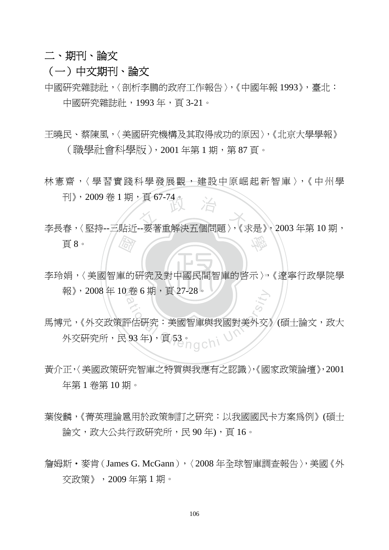## 二、期刊、論文

- (一)中文期刊、論文
- 中國研究雜誌社,〈剖析李鵬的政府工作報告〉,《中國年報 1993》,臺北: 中國研究雜誌社,1993 年,頁 3-21。
- 王曉民、蔡陳風,〈美國研究機構及其取得成功的原因〉,《北京大學學報》 (職學社會科學版),2001 年第 1 期,第 87 頁。
- 林憲齋,〈學習實踐科學發展觀,種設中原崛起新智庫〉,《中州學 刊》,2009 卷 1 期,百 67-74。
- 圖 †1》,2009 苍Ⅰ 期,貝 6/-/4。<br>李長春,〈堅持--三貼近--要著重解決五個問題〉,《求是》, 2003 年第 10 期, 學 頁 8。
- ‧ 李玲娟,〈美國智庫的研究及對中國民間智庫的啟示〉,《遼寧行政學院學 報》,2008年10卷6期,頁27-28。
- 金 6 期, 貝 27-28。<br>ational Chengchi University<br>93年), 頁 53。<br>93年), 頁 53。 馬博元,《外交政策評估研究:美國智庫與我國對美外交》(碩士論文,政大 外交研究所,民 93年),頁 53。
- 黃介正,〈美國政策研究智庫之特質與我應有之認識〉,《國家政策論壇》,2001 年第 1 卷第 10 期。
- 葉俊麟,《菁英理論扈用於政策制訂之研究:以我國國民卡方案為例》(碩士 論文,政大公共行政研究所,民90年),頁16。
- 詹姆斯·麥肯(James G. McGann), 〈2008年全球智庫調查報告〉,美國《外 交政策》,2009 年第 1 期。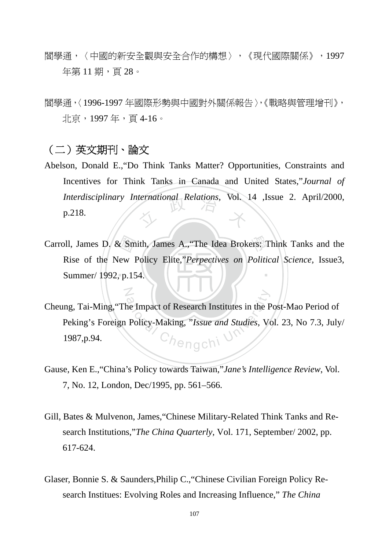- 閻學通,〈中國的新安全觀與安全合作的構想〉,《現代國際關係》,1997 年第11期,百28。
- 閻學通,〈1996-1997 年國際形勢與中國對外關係報告〉,《戰略與管理增刊》, 北京,1997 年,頁 4-16。

## (二)英文期刊、論文

N

- *Interdisciplinary International Relations, Vol. 14 ,Issue 2. April/2000,*<br>p.218. Abelson, Donald E.,"Do Think Tanks Matter? Opportunities, Constraints and Incentives for Think Tanks in Canada and United States,"*Journal of*  p.218.
- ‧Summer/ 1992, p.154. Carroll, James D. & Smith, James A., The Idea Brokers: Think Tanks and the Rise of the New Policy Elite, *Perpectives on Political Science*, Issue 3, Summer/ 1992, p.154. ‧ Rise of the New Policy Elite,"*Perpectives on Political Science,* Issue3,
- ational Chengchi University of Research Institutes in the P<br>Policy-Making, "Issue and Studies, V<br>Chengchi Cheung, Tai-Ming,"The Impact of Research Institutes in the Post-Mao Period of Peking's Foreign Policy-Making, "*Issue and Studies*, Vol. 23, No 7.3, July/ 1987,p.94.
- Gause, Ken E.,"China's Policy towards Taiwan,"*Jane's Intelligence Review*, Vol. 7, No. 12, London, Dec/1995, pp. 561–566.
- Gill, Bates & Mulvenon, James,"Chinese Military-Related Think Tanks and Research Institutions,"*The China Quarterly,* Vol. 171, September/ 2002, pp. 617-624.
- Glaser, Bonnie S. & Saunders,Philip C.,"Chinese Civilian Foreign Policy Research Institues: Evolving Roles and Increasing Influence," *The China*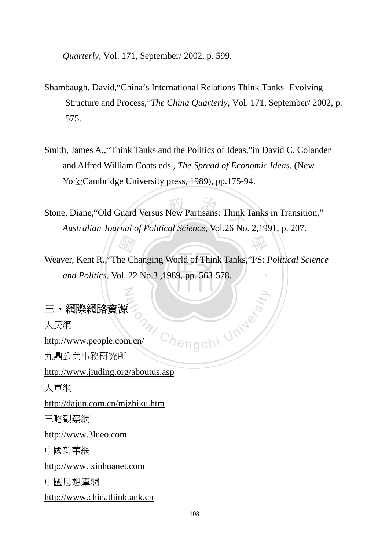*Quarterly,* Vol. 171, September/ 2002, p. 599.

- Shambaugh, David,"China's International Relations Think Tanks- Evolving Structure and Process,"*The China Quarterly,* Vol. 171, September/ 2002, p. 575.
- Smith, James A.,"Think Tanks and the Politics of Ideas,"in David C. Colander and Alfred William Coats eds., *The Spread of Economic Ideas,* (New York:Cambridge University press, 1989), pp.175-94.

Versus New Partisans: Think Stone, Diane,"Old Guard Versus New Partisans: Think Tanks in Transition," *Australian Journal of Political Science,* Vol.26 No. 2,1991, p. 207.

‧*and Politics,* Vol. 22 No.3 ,1989, pp. 563-578.  $\frac{1}{\sqrt{2n}}$ <br>he Ch<br>pl. 22 ‧ Weaver, Kent R.,"The Changing World of Think Tanks,"PS: *Political Science* 

ay Chengchi University

學

## 三、網際網路資源

人民網

http://www.people.com.cn/ 九鼎公共事務研究所

http://www.jiuding.org/aboutus.asp

N

大軍網

http://dajun.com.cn/mjzhiku.htm

三略觀察網

http://www.3lueo.com

中國新華網

http://www. xinhuanet.com

中國思想庫網

http://www.chinathinktank.cn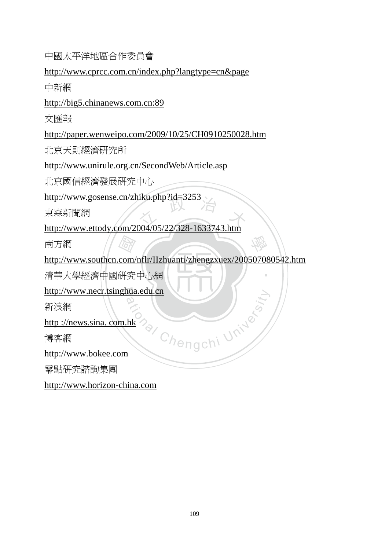中國太平洋地區合作委員會

http://www.cprcc.com.cn/index.php?langtype=cn&page

中新網

http://big5.chinanews.com.cn:89

文匯報

http://paper.wenweipo.com/2009/10/25/CH0910250028.htm

北京天則經濟研究所

http://www.unirule.org.cn/SecondWeb/Article.asp

北京國信經濟發展研究中心

http://www.gosense.cn/zhiku.php?id=3253

東森新聞網

http://www.gosense.cn/zniku.php?id=3253<br>東森新聞網<br>http://www.ettody.com/2004/05/22/328-1633743.htm

南方網

編<br>com/<br>研究 http://www.southcn.com/nflr/IIzhuanti/zhengzxuex/200507080542.htm

學

‧

‧清華大學經濟中國研究中心網

http://www.necr.tsinghua.edu.cn Material Chengchi University

新浪網

http ://news.sina. com.hk

博客網

http://www.bokee.com

零點研究諮詢集團

http://www.horizon-china.com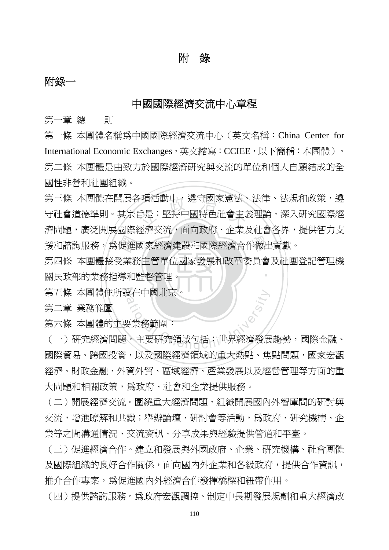## 附錄

## 附錄一

### 中國國際經濟交流中心章程

第一章 總 則

第一條 本團體名稱為中國國際經濟交流中心 (英文名稱: China Center for International Economic Exchanges,英文縮寫:CCIEE,以下簡稱:本團體)。 第二條 本團體是由致力於國際經濟研究與交流的單位和個人自願結成的全 國性非營利社團組織。

<sup>立</sup> <sup>政</sup> <sup>治</sup> <sup>大</sup> 第三條 本團體在開展各項活動中,遵守國家憲法、法律、法規和政策,遵 守社會道德準則。其宗旨是:堅持中國特色社會主義理論,深入研究國際經 濟問題,廣泛開展國際經濟交流,面向政府、企業及社會各界,提供智力支

關民政部的業務指導和監督管理。 援和諮詢服務,爲促進國家經濟建設和國際經濟合作做出貢獻。<br>第四條 本團體接受業務主管單位國家發展和改革委員會及社團<br>關民政部的業務指導和監督管理。 ‧ 第四條 本團體接受業務主管單位國家發展和改革委員會及社團登記管理機

N 第五條 本團體住所設在中國北京。

第二章 業務範圍

第六條 本團體的主要業務範圍:

3在中國北京。<br><br>要業務範圍:<br>。主要研究領域包括:世界經濟發展 (一)研究經濟問題。主要研究領域包括:世界經濟發展趨勢,國際金融、 國際貿易、跨國投資,以及國際經濟領域的重大熱點、焦點問題,國家宏觀 經濟、財政金融、外資外貿、區域經濟、產業發展以及經營管理等方面的重 大問題和相關政策,為政府、社會和企業提供服務。

(二)開展經濟交流。圍繞重大經濟問題,組織開展國內外智庫間的研討與 **交流,增進瞭解和共識;舉辦論壇、研討會等活動,為政府、研究機構、企** 業等之間溝通情況、交流資訊、分享成果與經驗提供管道和平臺。

(三)促進經濟合作。建立和發展與外國政府、企業、研究機構、社會團體 及國際組織的良好合作關係,面向國內外企業和各級政府,提供合作資訊, 推介合作專案,為促淮國內外經濟合作發揮橋樑和紐帶作用。

(四)提供諮詢服務。為政府宏觀調控、制定中長期發展規劃和重大經濟政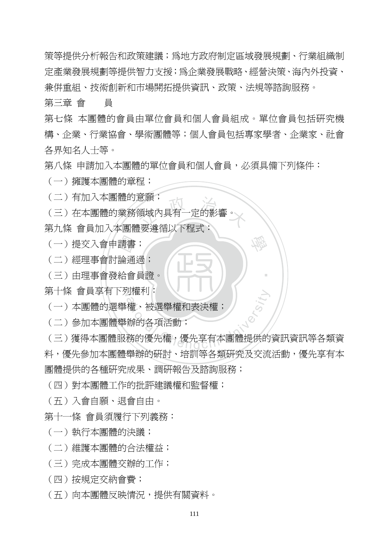策等提供分析報告和政策建議;為地方政府制定區域發展規劃、行業組織制 定產業發展規劃等提供智力支援;為企業發展戰略、經營決策、海內外投資、 兼併重組、技術創新和市場開拓提供資訊、政策、法規等諮詢服務。

第三章 會 員

第七條 本團體的會員由單位會員和個人會員組成。單位會員包括研究機 構、企業、行業協會、學術團體等;個人會員包括專家學者、企業家、社會 各界知名人士等。

學

‧

第八條 申請加入本團體的單位會員和個人會員,必須具備下列條件:

(一)擁護本團體的章程;

(二)有加入本團體的意願;

- <sup>息願</sup><br>領域內具有一定的影響。<br><sub>門西</sub>海年N下<del>印</del>キ・ (三)在本團體的業務領域內具有一定的影響。
- 第九條 會員加入本團體要遵循以下程式;

- (二)經理事會討論通過;
- ‧(三)由理事會發給會員證。 (一)提交入會申請書;<br>(二)經理事會討論通過<br>(三)由理事會發給會員

第十條 會員享有下列權利:

- (一)本團體的選舉權、被選舉權和表決權;
- (二)參加本團體舉辦的各項活動;

9權利:<br>權、被選舉權和表決權;<br>辦的各項活動;<br>務的優先權,優先享有本團體提供的 (三)獲得本團體服務的優先權,優先享有本團體提供的資訊資訊等各類資 料,優先參加本團體舉辦的研討、培訓等各類研究及交流活動,優先享有本 團體提供的各種研究成果、調研報告及諮詢服務;

(四)對本團體工作的批評建議權和監督權;

- (五)入會自願、退會自由。
- 第十一條 會員須履行下列義務:
- (一)執行本團體的決議;
- (二)維護本團體的合法權益;
- (三)完成本團體交辦的工作;
- (四)按規定交納會費;
- (五)向本團體反映情況,提供有關資料。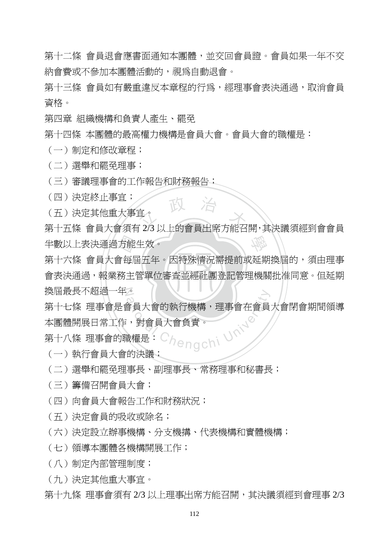第十二條 會員退會應書面涌知本團體,並交回會員證。會員如果一年不交 納會費或不參加本團體活動的,視為自動退會。

第十三條 會員如有嚴重違反本章程的行為,經理事會表決涌渦,取消會員 資格。

第四章 組織機構和負責人產生、罷免

第十四條 本團體的最高權力機構是會員大會。會員大會的職權是:

- (一)制定和修改章程;
- (二)選舉和罷免理事;
- (三)審議理事會的工作報告和財務報告;
- (四)決定終止事宜;
- (五)決定其他重大事宜。

(四) 決定終止事且,<br>(五) 決定其他重大事宜。<br>第十五條 會員大會須有 2/3 以上的會員出席方能召開,其決議須經到會會員 學 半數以上表決通過方能生效。

會表決通過,報業務主管單位審查並經社團登記管理機關批准同意。但延期 方能<br>會每<br>務主' N 換屆最長不超過一年。 第十六條 會員大會每屆五年。因特殊情況需提前或延期換屆的,須由理事

。<br>會員大會的執行機構,理事會在會員<br>:,對會員大會負責。<br><sup>我權是: C</sup>/2000年) 第十七條 理事會是會員大會的執行機構,理事會在會員大會閉會期間領導 本團體開展日常工作,對會員大會負責。

第十八條 理事會的職權是:

(一)執行會員大會的決議;

- (二)選舉和罷免理事長、副理事長、常務理事和秘書長;
- (三)籌備召開會員大會;
- (四)向會員大會報告工作和財務狀況;
- (五)決定會員的吸收或除名;
- (六)決定設立辦事機構、分支機搆、代表機構和實體機構;
- (七)領導本團體各機構開展工作;
- (八)制定內部管理制度;
- (九)決定其他重大事宜。
- 第十九條 理事會須有 2/3 以上理事出席方能召開,其決議須經到會理事 2/3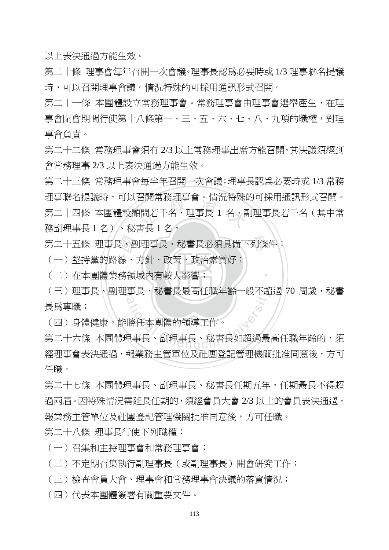以上表決通過方能生效。

第二十條 理事會每年召開一次會議。理事長認為必要時或 1/3 理事聯名提議 時,可以召開理事會議。情況特殊的可採用通訊形式召開。

第二十一條 本團體設立常務理事會。常務理事會由理事會選舉產生,在理 事會閉會期間行使第十八條第一、三、五、六、七、八、九項的職權,對理 事會負責。

第二十二條 常務理事會須有 2/3 以上常務理事出席方能召開,其決議須經到 會常務理事 2/3 以上表決通過方能生效。

台開吊務埋事曾。肩沈符殊!<br>[問若干名、理事長 1 名、<sub>-</sub><br>ま<sup>は 1 夕</sup>。 第二十三條 常務理事會每半年召開一次會議;理事長認為必要時或 1/3 常務 理事聯名提議時,可以召開常務理事會。情況特殊的可採用通訊形式召開。 第二十四條 本團體設顧問若干名、理事長 1 名、副理事長若干名(其中常 務副理事長 1 名)、秘書長 1 名。

第二十五條 理事長、副理事長、秘書長必須具備下列條件:<br>(一)堅持黨的路線、方針、政策,政治素質好;<br>(二)在本團體業務領域內有較大影響;

(一)堅持黨的路線、方針、政策,政治素質好;

‧(二)在本團體業務領域內有較大影響;

(三)理事長、副理事長、秘書長最高任職年齡一般不超過 70 周歲,秘書 <sup>a</sup>t<sup>i</sup>ona<sup>l</sup> <sup>C</sup>hengch<sup>i</sup> <sup>U</sup>nivers<sup>i</sup>t<sup>y</sup> 長為專職;

‧

(四)身體健康,能勝任本團體的領導工作。

第二十六條 本團體理事長、副理事長、秘書長如超過最高任職年齡的,須 經理事會表決通過,報業務主管單位及社團登記管理機關批准同意後,方可 任職。

第二十七條 本團體理事長、副理事長、秘書長任期五年,任期最長不得超 過兩屆。因特殊情況需延長任期的,須經會員大會 2/3 以上的會員表決通過, 報業務主管單位及社團登記管理機關批准同意後,方可任職。

第二十八條 理事長行使下列職權:

(一)召集和主持理事會和常務理事會;

(二)不定期召集執行副理事長(或副理事長)開會研究工作;

(三)檢查會員大會、理事會和常務理事會決議的落實情況;

(四)代表本團體簽署有關重要文件。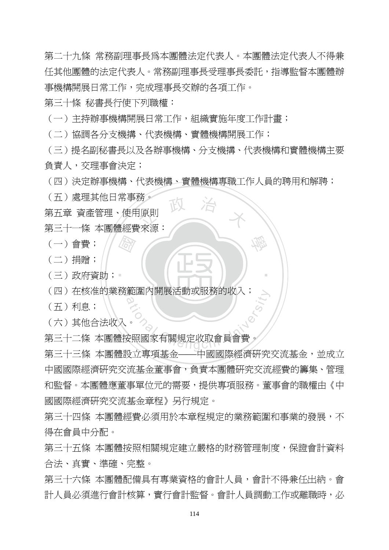第二十九條 常務副理事長為本團體法定代表人。本團體法定代表人不得兼 任其他團體的法定代表人。常務副理事長受理事長委託,指導監督本團體辦 事機構開展日常工作,完成理事長交辦的各項工作。

第三十條 秘書長行使下列職權:

(一)主持辦事機構開展日常工作,組織實施年度工作計畫;

(二)協調各分支機搆、代表機構、實體機構開展工作;

(三)提名副秘書長以及各辦事機構、分支機搆、代表機構和實體機構主要 負責人,交理事會決定;

(四)決定辦事機構、代表機構、實體機構專職工作人員的聘用和解聘;

學

‧

(五)處理其他日常事務。

<sup>统。</sup>政 治 、 第五章 資產管理、使用原則

- 第三十一條 本團體經費來源:
- $(-)$  會費;
- (二)捐贈;
- ‧(三)政府資助; 國
- (四) 在核准的業務範圍內開展活動或服務的收入;
- (五)利息;
- (六)其他合法收入。

範圍内開展沽動或服務的收入;<br>△<br>安照國家有關規定收取會員會費。<br><sub>『大事不</sub>共 △ 第三十二條 本團體按照國家有關規定收取會員會費。

第三十三條 本團體設立專項基金——中國國際經濟研究交流基金,並成立 中國國際經濟研究交流基金董事會,負責本團體研究交流經費的籌集、管理 和監督。本團體應董事單位元的需要,提供專項服務。董事會的職權由《中 國國際經濟研究交流基金章程》另行規定。

第三十四條 本團體經費必須用於本章程規定的業務範圍和事業的發展,不 得在會員中分配。

第三十五條 本團體按照相關規定建立嚴格的財務管理制度,保證會計資料 合法、真實、準確、完整。

第三十六條 本團體配備具有專業資格的會計人員,會計不得兼任出納。會 計人員必須進行會計核算,實行會計監督。會計人員調動工作或離職時,必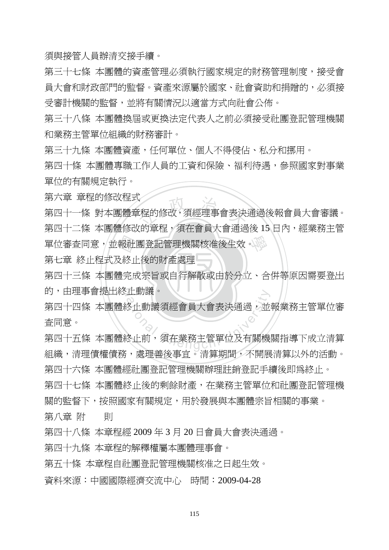須與接管人員辦清交接手續。

第三十七條 本團體的資產管理必須執行國家規定的財務管理制度,接受會 員大會和財政部門的監督。資產來源屬於國家、社會資助和捐贈的,必須接 受審計機關的監督,並將有關情況以適當方式向社會公佈。

第三十八條 本團體換屆或更換法定代表人之前必須接受社團登記管理機關 和業務主管單位組織的財務審計。

第三十九條 本團體資產,仟何單位、個人不得侵佔、私分和挪用。

第四十條 本團體專職工作人員的工資和保險、福利待遇,參照國家對事業 單位的有關規定執行。

第六章 章程的修改程式

單位審查同意,並報社團登記管理機關核准後生效。<br>第七章 終止程式及終止後的財產處理<br>第四十三條 本團體完成宗旨或自行解散或由於分立、合 、<br>「程的修改,須經理事會表決」<br><sub>『的音积・</sub>済左命号士命语』 第四十一條 對本團體章程的修改,須經理事會表決通過後報會員大會審議。 第四十二條 本團體修改的章程,須在會員大會通過後 15 日內,經業務主管

第七章 終止程式及終止後的財產處理

.<br>第四十三條 本團體完成宗旨或自行解散或由於分立、合併等原因需要登出 的,由理事會提出終止動議。

正動議。<br>冬止動議須經會員大會表決通過,並<br><br>冬止前,須在業務主管單位及有關機 第四十四條 本團體終止動議須經會員大會表決涌渦,並報業務主管單位審 查同意。

第四十五條 本團體終止前,須在業務主管單位及有關機關指導下成立清算 組織,清理債權債務,處理善後事宜。清算期間,不開展清算以外的活動。

第四十六條 本團體經社團登記管理機關辦理註銷登記手續後即為終止。

第四十七條 本團體終止後的剩餘財產,在業務主管單位和社團登記管理機 關的監督下,按照國家有關規定,用於發展與本團體宗旨相關的事業。

第八章 附 則

第四十八條 本章程經 2009 年 3 月 20 日會員大會表決通過。

第四十九條 本章程的解釋權屬本團體理事會。

第五十條 本章程自社團登記管理機關核准之日起生效。

資料來源:中國國際經濟交流中心 時間:2009-04-28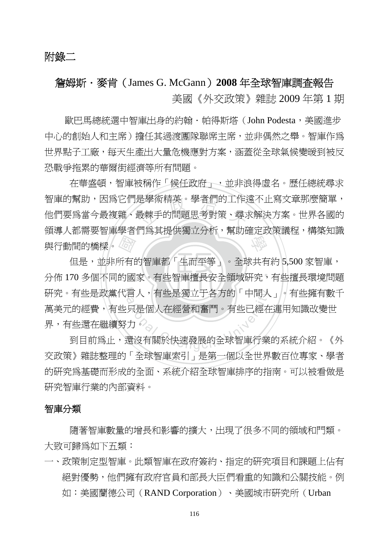# 詹姆斯.麥肯(James G. McGann)**2008** 年全球智庫調查報告 美國《外交政策》雜誌 2009 年第 1 期

 歐巴馬總統選中智庫出身的約翰.帕得斯塔(John Podesta,美國進步 中心的創始人和主席)擔任其過渡團隊聯席主席,並非偶然之舉。智庫作為 世界點子工廠,每天生產出大量危機應對方案,涵蓋從全球氣候變暖到被反 恐戰爭拖累的華爾街經濟等所有問題。

是學術精英。學者們的工作,<br>最棘手的問題思考對策、尋?<br>吧요サ児伙漂去公长 學 在華盛頓,智庫被稱作「候任政府」,並非浪得虛名。歷任總統尋求 智庫的幫助,因為它們是學術精英。學者們的工作遠不止寫文章那麼簡單, 他們要為當今最複雜、最棘手的問題思考對策、尋求解決方案。世界各國的 領導人都需要智庫學者們為其提供獨立分析,幫助確定政策議程,構築知識 與行動間的橋樑。

← 金利福利国家 ․<br>1 է 研究。有些是政黨代言人,有些是獨立于各方的「中間人」。有些擁有數千 言人,有些是獨立于各方的「中間人」<br>只是個人在經營和奮鬥。有些已經在力。<br>力。<br>還沒有關於快速發展的全球智庫行業 但是,並非所有的智庫都「生而平等」。全球共有約 5,500 家智庫, 分佈 170 多個不同的國家。有些智庫擅長安全領域研究,有些擅長環境問題 萬美元的經費,有些只是個人在經營和奮鬥。有些已經在運用知識改變世 界,有些還在繼續努力。

 到目前為止,還沒有關於快速發展的全球智庫行業的系統介紹。《外 交政策》雜誌整理的「全球智庫索引」是第一個以全世界數百位專家、學者 的研究為基礎而形成的全面、系統介紹全球智庫排序的指南。可以被看做是 研究智庫行業的內部資料。

#### 智庫分類

 隨著智庫數量的增長和影響的擴大,出現了很多不同的領域和門類。 大致可歸爲如下五類:

一、政策制定型智庫。此類智庫在政府簽約、指定的研究項目和課題上佔有 絕對優勢,他們擁有政府官員和部長大臣們看重的知識和公關技能。例 如:美國蘭德公司(RAND Corporation)、美國城市研究所(Urban

116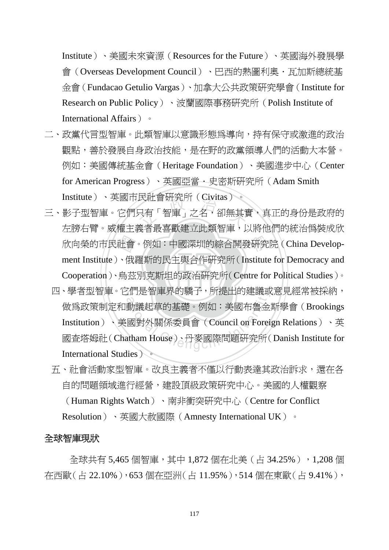Institute)、美國未來資源(Resources for the Future)、英國海外發展學 會(Overseas Development Council)、巴西的熱圖利奧·瓦加斯總統基 金會(Fundacao Getulio Vargas)、加拿大公共政策研究學會(Institute for Research on Public Policy)、波蘭國際事務研究所(Polish Institute of International Affairs)。

- 二、政黨代言型智庫。此類智庫以意識形態為導向,持有保守或激進的政治 觀點,善於發展自身政治技能,是在野的政黨領導人們的活動大本營。 例如:美國傳統基金會(Heritage Foundation)、美國進步中心(Center for American Progress)、英國亞當.史密斯研究所(Adam Smith Institute)、英國市民社會研究所(Civitas)。
- ‧‧ Cooperation)、烏茲別克斯坦的政治研究所(Centre for Political Studies)。 欣向榮的市民社會。例如:中國深圳的綜合開發研究院 (China Develop-<br>ment Institute )、俄羅斯的民主與合作研究所 (Institute for Democracy and<br>Cooperation )、烏茲別克斯坦的政治研究所 (Centre for Political Studies )。 氏社曾帉宄所(Civitas)。<br>只有「智庫」之名,卻無其賃<br><sub>差孝是吉勒神立世辉知唐</sub> 三、影子型智庫。它們只有「智庫」之名,卻無其實,真正的身份是政府的 左膀右臂。威權主義者最喜歡建立此類智庫,以將他們的統治偽裝成欣 ment Institute)、俄羅斯的民主與合作研究所(Institute for Democracy and
- 四、學者型智庫。它們是智庫界的驕子,所提出的建議或意見經常被採納, f们是智庫界旳騎士,所提出旳建議및<br>動議起草的基礎。例如:美國布魯金<br><br>國對外關係委員會(Council on Forei<br>atham House)、丹麥國際問題硏究所( 做為政策制定和動議起草的基礎。例如:美國布魯金斯學會(Brookings Institution)、美國對外關係委員會(Council on Foreign Relations)、英 國查塔姆社(Chatham House)、丹麥國際問題研究所(Danish Institute for International Studies)。
	- 五、社會活動家型智庫。改良主義者不僅以行動表達其政治訴求,還在各 自的問題領域進行經營,建設頂級政策研究中心。美國的人權觀察 (Human Rights Watch)、南非衝突研究中心(Centre for Conflict Resolution)、英國大赦國際(Amnesty International UK)。

#### 全球智庫現狀

全球共有 5,465 個智庫,其中 1,872 個在北美(占 34.25%),1,208 個 在西歐(占 22.10%),653 個在亞洲(占 11.95%),514 個在東歐(占 9.41%),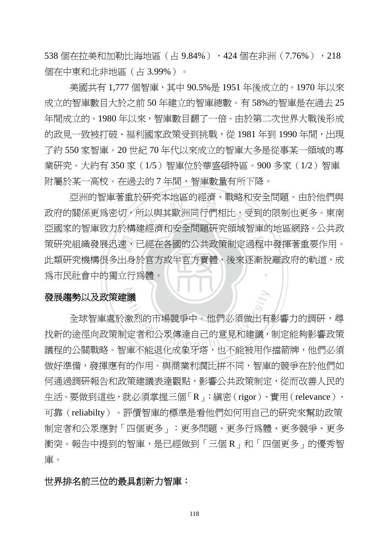538 個在拉美和加勒比海地區 (占 9.84%), 424 個在非洲 (7.76%), 218 個在中東和北非地區(占 3.99%)。

美國共有 1,777 個智庫,其中 90.5%是 1951 年後成立的。1970 年以來 成立的智庫數目大於之前 50 年建立的智庫總數。有 58%的智庫是在過去 25 年間成立的。1980 年以來,智庫數目翻了一倍。由於第二次世界大戰後形成 的政見一致被打破、福利國家政策受到挑戰,從 1981 年到 1990 年間,出現 了約 550 家智庫。20 世紀 70 年代以來成立的智庫大多是從事某一領域的專 業研究。大約有 350 家(1/5)智庫位於華盛頓特區。900 多家(1/2)智庫 附屬於某一高校。在過去的 7 年間,智庫數量有所下降。

‧為市民社會中的獨立行為體。 策研究組織發展迅速,已經在各國的公共政策制定過程中發揮著重要作用。<br>此類研究機構很多出身於官方或半官方實體,後來逐漸脫離政府的軌道,成<br>爲市民社會中的獨立行爲體。 ぐ姓先本地區的經濟、戦略を<br>所以與其歐洲同行們相比,<br><sub>法經濟和安</sub>公門頭亞&領域 ‧ 亞洲的智庫著重於研究本地區的經濟、戰略和安全問題。由於他們與 政府的關係更為密切,所以與其歐洲同行們相比,受到的限制也更多。東南 亞國家的智庫致力於構建經濟和安全問題研究領域智庫的地區網路。公共政 此類研究機構很多出身於官方或半官方實體,後來逐漸脫離政府的軌道,成

#### ⋥⋛ 發展趨勢以及政策建議

**議**<br>激烈的市場競爭中。他們必須做出有<br>定者和公眾傳達自己的意見和建議,<br>唐不能退化成象牙塔, 也不能被用作 全球智庫處於激烈的市場競爭中。他們必須做出有影響力的調研,尋 找新的途徑向政策制定者和公眾傳達自己的意見和建議,制定能夠影響政策 議程的公關戰略。智庫不能退化成象牙塔,也不能被用作擋箭牌,他們必須 做好準備,發揮應有的作用。與商業利潤比拼不同,智庫的競爭在於他們如 何通過調研報告和政策建議表達觀點,影響公共政策制定,從而改善人民的 生活。要做到這些,就必須掌握三個「R」:縝密(rigor)、實用(relevance)、 可靠(reliabilty)。評價智庫的標準是看他們如何用自己的研究來幫助政策 制定者和公眾應對「四個更多」:更多問題、更多行為體、更多競爭、更多 衝突。報告中提到的智庫,是已經做到「三個 R<sub>」</sub>和「四個更多<sub>」</sub>的優秀智 庫。

#### 世界排名前三位的最具創新力智庫:

118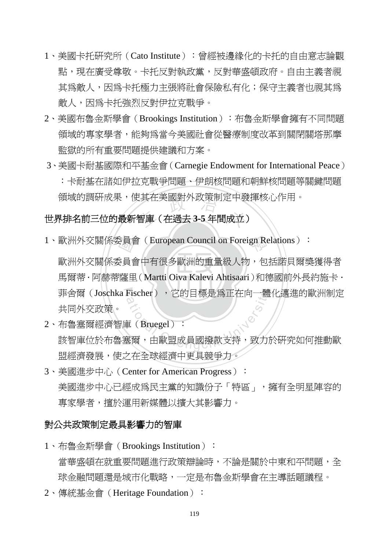- 1、美國卡托研究所(Cato Institute): 曾經被邊緣化的卡托的自由意志論觀 點,現在廣受尊敬。卡托反對執政黨,反對華盛頓政府。自由主義者視 其為敵人,因為卡托極力主張將社會保險私有化;保守主義者也視其為 敵人,因為卡托強烈反對伊拉克戰爭。
- 2、美國布魯金斯學會(Brookings Institution):布魯金斯學會擁有不同問題 領域的專家學者,能夠為當今美國社會從醫療制度改革到關閉關塔那摩 監獄的所有重要問題提供建議和方案。
- 3、美國卡耐基國際和平基金會(Carnegie Endowment for International Peace) :卡耐基在諸如伊拉克戰爭問題、伊朗核問題和朝鮮核問題等關鍵問題 領域的調研成果,使其在美國對外政策制定中發揮核心作用。

# 視 吸 的 調 附 吹 未 , 便 具 仕 夫 図 對 外 吹 束 制 疋 甲 贺 <del>!</del><br><br>世 <mark>界 排 名 前 三 位 的 最 新 智 庫( 在 過 去 3-5 年 間 成 立</mark> )

1、歐洲外交關係委員會 (European Council on Foreign Relations):

 $\mathbb{E} \boxplus (\mathbf{M}_{\text{out}})$   $\mathbf{O}$ ive  $\mathbf{V}_{\text{slow}}$   $\mathbf{A}_{\text{th}}$ ive  $\mathbb{E}$ き<br>真<br>薩里<br>薩里 菲舍爾(Joschka Fischer), 它的目標是為正在向一體化邁進的歐洲制定 歐洲外交關係委員會中有很多歐洲的重量級人物,包括諾貝爾獎獲得者 馬爾蒂·阿赫蒂薩里 (Martti Oiva Kalevi Ahtisaari)和德國前外長約施卡· 共同外交政策。

- Fischer),它的目標是為正在向一體<br><br><br><br><br><sup>黃</sup>爾,由歐盟成員國撥款支持,致力<u></u> 2、布魯塞爾經濟智庫(Bruegel): 該智庫位於布魯塞爾,由歐盟成員國撥款支持,致力於研究如何推動歐 盟經濟發展,使之在全球經濟中更具競爭力。
- 3、美國淮步中心 (Center for American Progress): 美國進步中心已經成為民主黨的知識份子「特區」,擁有全明星陣容的 專家學者,擅於運用新媒體以擴大其影響力。

#### 對公共政策制定最具影響力的智庫

- 1、布魯金斯學會 (Brookings Institution): 當華盛頓在就重要問題進行政策辯論時,不論是關於中東和平問題,全 球金融問題還是城市化戰略,一定是布魯金斯學會在主導話題議程。
- 2、傳統基金會(Heritage Foundation):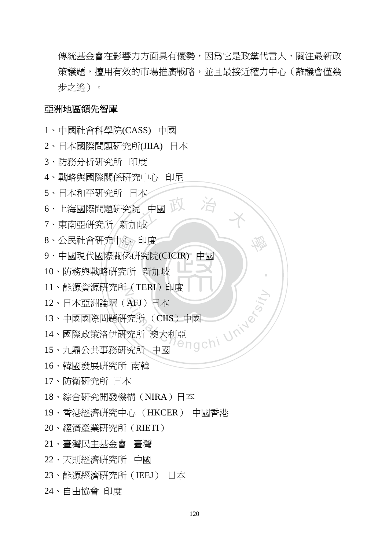傳統基金會在影響力方面具有優勢,因為它是政黨代言人,關注最新政 策議題,擅用有效的市場推廣戰略,並且最接近權力中心(離議會僅幾 步之遙)。

學

‧

#### 亞洲地區領先智庫

- 、中國社會科學院(CASS) 中國
- 、日本國際問題研究所(JIIA) 日本
- 、防務分析研究所 印度
- 、戰略與國際關係研究中心 印尼
- 、日本和平研究所 日本
- 史 治 米 、上海國際問題研究院 中國
- 、東南亞研究所 新加坡
- 、公民社會研究中心 印度
- 」心<br>關係研<br>究所 、中國現代國際關係研究院(CICIR) 中國
- ‧、防務與戰略研究所 新加坡
- N 、能源資源研究所(TERI)印度
- 、日本亞洲論壇(AFJ)日本
- Tengchi University 、中國國際問題研究所 (CIIS)中國
- 、國際政策洛伊研究所 澳大利亞
- 、九鼎公共事務研究所 中國
- 、韓國發展研究所 南韓
- 、防衛研究所 日本
- 、綜合研究開發機構(NIRA)日本
- 、香港經濟研究中心 (HKCER) 中國香港
- 、經濟產業研究所(RIETI)
- 、臺灣民主基金會 臺灣
- 、天則經濟研究所 中國
- 、能源經濟研究所(IEEJ) 日本
- 、自由協會 印度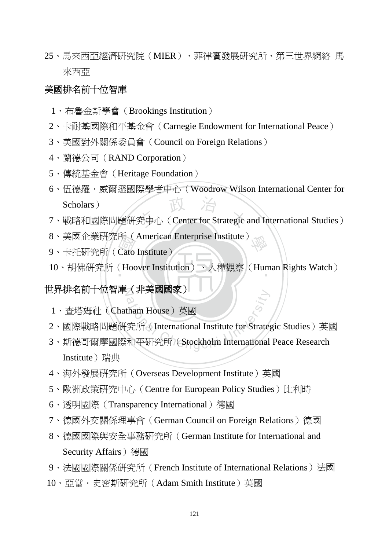25、馬來西亞經濟研究院(MIER)、菲律賓發展研究所、第三世界網絡 馬 來西亞

## 美國排名前十位智庫

- 1、布魯金斯學會(Brookings Institution)
- 2、卡耐基國際和平基金會(Carnegie Endowment for International Peace)
- 3、美國對外關係委員會(Council on Foreign Relations)
- 4、蘭德公司(RAND Corporation)
- 5、傳統基金會(Heritage Foundation)
- Scholars)<br>7、戰略和國際問題研究中心 (Center for Strategic and International Studies) 6、伍德羅.威爾遜國際學者中心(Woodrow Wilson International Center for Scholars)
	-
- 學 8、美國企業研究所(American Enterprise Institute)
- 所<br>Cato<br>( Hoc 9、卡托研究所 (Cato Institute)
- ‧ 10、胡佛研究所(Hoover Institution)、人權觀察(Human Rights Watch)

## 世界排名前十位智<mark>庫(非美國國家)</mark>

- 1、查塔姆社(Chatham House)英國
- 2、國際戰略問題研究所(International Institute for Strategic Studies)英國
- contributed as a contribution of the House of 英國<br>究所 (International Institute for Strate)<br>和平研究所 (Stockholm International 3、斯德哥爾摩國際和平研究所(Stockholm International Peace Research Institute) 瑞典
- 4、海外發展研究所(Overseas Development Institute)英國
- 5、歐洲政策研究中心(Centre for European Policy Studies)比利時
- 6、透明國際(Transparency International)德國
- 7、德國外交關係理事會(German Council on Foreign Relations)德國
- 8、德國國際與安全事務研究所(German Institute for International and Security Affairs) 德國
- 9、法國國際關係研究所 (French Institute of International Relations) 法國
- 10、亞當·史密斯研究所(Adam Smith Institute)英國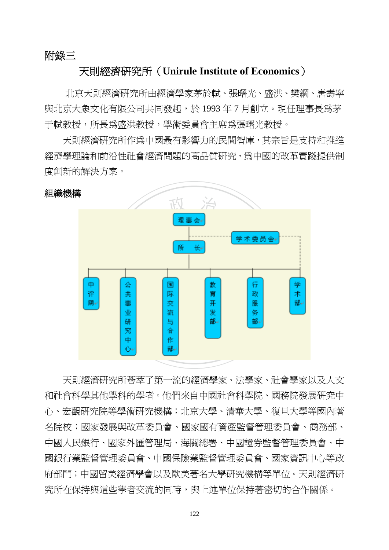#### 附錄三

## 天則經濟研究所(**Unirule Institute of Economics**)

 北京天則經濟研究所由經濟學家茅於軾、張曙光、盛洪、樊綱、唐壽寧 與北京大象文化有限公司共同發起,於 1993 年 7 月創立。現任理事長為茅 于軾教授,所長為盛洪教授,學術委員會主席為張曙光教授。

 天則經濟研究所作為中國最有影響力的民間智庫,其宗旨是支持和推進 經濟學理論和前沿性社會經濟問題的高品質研究,為中國的改革實踐提供制 度創新的解決方案。



天則經濟研究所薈萃了第一流的經濟學家、法學家、社會學家以及人文 和社會科學其他學科的學者。他們來自中國社會科學院、國務院發展研究中 心、宏觀研究院等學術研究機構;北京大學、清華大學、復旦大學等國內著 名院校;國家發展與改革委員會、國家國有資產監督管理委員會、商務部、 中國人民銀行、國家外匯管理局、海關總署、中國證券監督管理委員會、中 國銀行業監督管理委員會、中國保險業監督管理委員會、國家資訊中心等政 府部門;中國留美經濟學會以及歐美著名大學研究機構等單位。天則經濟研 究所在保持與這些學者交流的同時,與上述單位保持著密切的合作關係。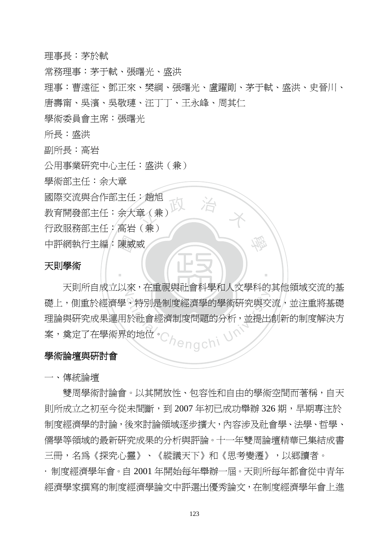理事長:茅於軾

常務理事:茅于軾、張曙光、盛洪

理事:曹遠征、鄧正來、樊綱、張曙光、盧躍剛、茅于軾、盛洪、史晉川、 唐壽甯、吳濱、吳敬璉、汪丁丁、王永峰、周其仁

學術委員會主席:張曙光

所長:盛洪

副所長:高岩

公用事業研究中心主任:盛洪(兼)

學術部主任:余大章

國際交流與合作部主任:趙旭

建度 治 米 教育開發部主任:余大章(兼)

行政服務部主任;高岩(兼)

中評網執行主編:陳威威<br>天**則學術** 

#### 天則學術

N 天則所自成立以來,在重視與社會科學和人文學科的其他領域交流的基 、特別是制度經濟學的學術研究與交<br>、特別是制度經濟學的學術研究與交<br>於社會經濟制度問題的分析,並提出<br>的地位。 礎上,側重於經濟學、特別是制度經濟學的學術研究與交流,並注重將基礎 理論與研究成果運用於社會經濟制度問題的分析,並提出創新的制度解決方 案,奠定了在學術界的地位。

學

‧

#### 學術論壇與研討會

一、傳統論壇

雙周學術討論會。以其開放性、包容性和自由的學術空間而著稱,自天 則所成立之初至今從未間斷,到 2007 年初已成功舉辦 326 期,早期專注於 制度經濟學的討論,後來討論領域逐步擴大,內容涉及社會學、法學、哲學、 儒學等領域的最新研究成果的分析與評論。十一年雙周論壇精華已集結成書 三冊,名爲《探究心靈》、《縱議天下》和《思考變遷》,以郷讀者。 · 制度經濟學年會。自 2001 年開始每年舉辦一屆。天則所每年都會從中青年 經濟學家撰寫的制度經濟學論文中評選出優秀論文,在制度經濟學年會上進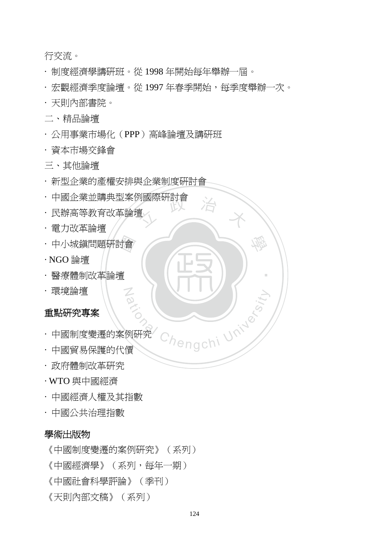行交流。

- · 制度經濟學講研班。從 1998 年開始每年舉辦一屆。
- · 宏觀經濟季度論壇。從 1997 年春季開始,每季度舉辦一次。
- · 天則內部書院。
- 二、精品論壇
- · 公用事業市場化(PPP)高峰論壇及講研班
- · 資本市場交鋒會
- 三、其他論壇
- · 新型企業的產權安排與企業制度研討會

N<br>P

- <sup>立</sup> <sup>政</sup> <sup>治</sup> <sup>大</sup> · 中國企業並購典型案例國際研討會
- · 民辦高等教育改革論壇
- · 電力改革論壇
- ・中小城鎭問題研討會<br>・NGO 論壇<br>・醫療體制改革論壇
- · NGO 論壇
- ‧· 醫療體制改革論壇
- · 環境論壇

#### 重點研究專案

- Pational Chengchi University · 中國制度變遷的案例研究
- · 中國貿易保護的代價
- · 政府體制改革研究
- · WTO 與中國經濟
- · 中國經濟人權及其指數
- · 中國公共治理指數

#### 學術出版物

《中國制度變遷的案例研究》(系列)

《中國經濟學》(系列,每年一期)

- 《中國社會科學評論》(季刊)
- 《天則內部文稿》(系列)

學

‧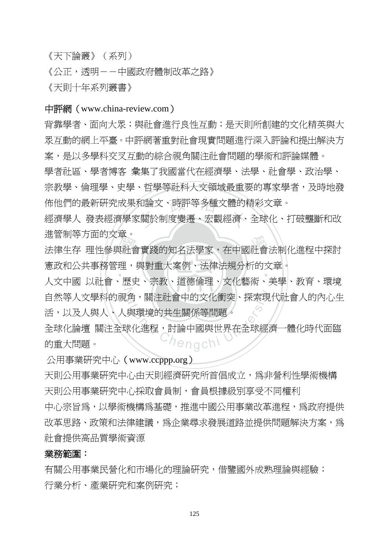《天下論叢》(系列)

《公正,透明--中國政府體制改革之路》

《天則十年系列叢書》

#### 中評網(www.china-review.com)

背靠學者、面向大眾;與社會進行良性互動;是天則所創建的文化精英與大 眾互動的網上平臺。中評網著重對社會現實問題進行深入評論和提出解決方 案,是以多學科交叉互動的綜合視角關注社會問題的學術和評論媒體。

學者社區、學者博客 彙集了我國當代在經濟學、法學、社會學、政治學、 宗教學、倫理學、史學、哲學等社科人文領域最重要的專家學者,及時地發 佈他們的最新研究成果和論文、時評等多種文體的精彩文章。

佈他們的最新研究成果和論文、時評等多種文體的精彩文章。<br>經濟學人 發表經濟學家關於制度變遷、宏觀經濟、全球化、打破壟斷和改 進管制等方面的文章。

平社 理原 <sub>進官 制守</sub>力面的文章。<br>法律生存 理性參與社會實踐的知名法學家,在中國社會法制化進程中探討 ‧ 憲政和公共事務管理,與對重大案例、法律法規分析的文章。

‧人文中國 以社會、歷史、宗教、道德倫理、文化藝術、美學、教育、環境 T<br>14 <sup>a</sup>t<sup>i</sup>ona<sup>l</sup> <sup>C</sup>hengch<sup>i</sup> <sup>U</sup>nivers<sup>i</sup>t<sup>y</sup> 自然等人文學科的視角,關注社會中的文化衝突、探索現代社會人的內心生 活,以及人與人、人與環境的共生關係等問題。

全球化論壇 關注全球化進程,討論中國與世界在全球經濟一體化時代面臨 的重大問題。

公用事業研究中心(www.ccppp.org)

天則公用事業研究中心由天則經濟研究所首倡成立,為非營利性學術機構 天則公用事業研究中心採取會員制,會員根據級別享受不同權利

中心宗旨爲,以學術機構爲基礎,推進中國公用事業改革進程,爲政府提供 改革思路、政策和法律建議,為企業尋求發展道路並提供問題解決方案,為 社會提供高品質學術資源

#### 業務範圍:

有關公用事業民營化和市場化的理論研究,借鑒國外成熟理論與經驗; 行業分析、產業研究和案例研究;

125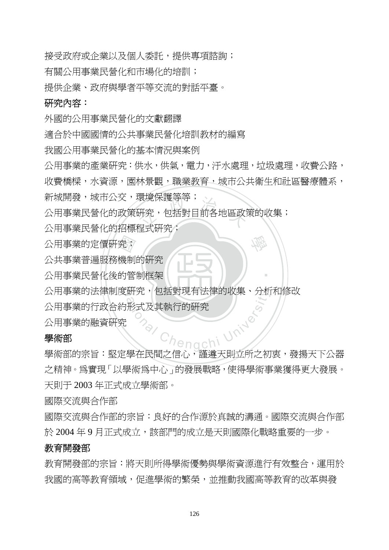接受政府或企業以及個人委託,提供專項諮詢;

有關公用事業民營化和市場化的培訓;

提供企業、政府與學者平等交流的對話平臺。

#### 研究內容:

外國的公用事業民營化的文獻翻譯

適合於中國國情的公共事業民營化培訓教材的編寫

我國公用事業民營化的基本情況與案例

公用事業的產業研究:供水,供氣,電力,汙水處理,垃圾處理,收費公路,

收費橋樑,水資源,園林景觀,職業教育,城市公共衛生和社區醫療體系,

學

‧

新城開發,城市公交,環境保護等等;

哀境保護寺寺,<br>研究,包括對目前各地區政<br><sub>妇式研究:</sub> 公用事業民營化的政策研究,包括對目前各地區政策的收集;

公用事業民營化的招標程式研究;

公共事業普遍服務機制的研究

‧公用事業民營化後的管制框架 公用事業的定價研究;<br>公共事業普遍服務機制<br>公用事業民營化後的管

N 公用事業的法律制度研究,包括對現有法律的收集、分析和修改

henachi University 公用事業的行政合約形式及其執行的研究

公用事業的融資研究

#### 學術部

學術部的宗旨:堅定學在民間之信心,謹遵天則立所之初衷,發揚天下公器 之精神。為實現「以學術為中心」的發展戰略,使得學術事業獲得更大發展。 天則于 2003 年正式成立學術部。

國際交流與合作部

國際交流與合作部的宗旨:良好的合作源於真誠的溝通。國際交流與合作部 於 2004 年 9 月正式成立,該部門的成立是天則國際化戰略重要的一步。

#### 教育開發部

教育開發部的宗旨:將天則所得學術優勢與學術資源進行有效整合,運用於 我國的高等教育領域,促進學術的繁榮,並推動我國高等教育的改革與發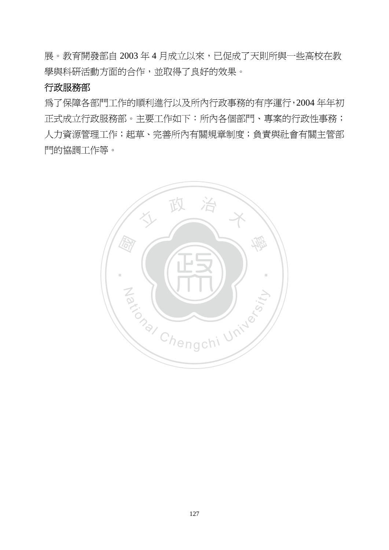展。教育開發部自 2003年4月成立以來,已促成了天則所與一些高校在教 學與科研活動方面的合作,並取得了良好的效果。

#### 行政服務部

為了保障各部門工作的順利進行以及所內行政事務的有序運行,2004 年年初 正式成立行政服務部。主要工作如下:所內各個部門、專案的行政性事務; 人力資源管理工作;起草、完善所內有關規章制度;負責與社會有關主管部 門的協調工作等。

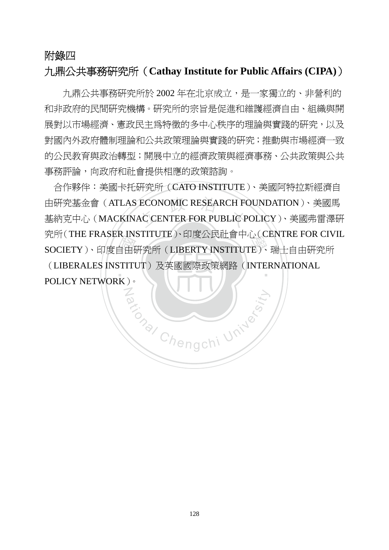#### 附錄四

## 九鼎公共事務研究所(**Cathay Institute for Public Affairs (CIPA)**)

九鼎公共事務研究所於 2002 年在北京成立,是一家獨立的、非營利的 和非政府的民間研究機構。研究所的宗旨是促進和維護經濟自由、組織與開 展對以市場經濟、憲政民主爲特徵的多中心秩序的理論與實踐的研究,以及 對國內外政府體制理論和公共政策理論與實踐的研究;推動與市場經濟一致 的公民教育與政治轉型;開展中立的經濟政策與經濟事務、公共政策與公共 事務評論,向政府和社會提供相應的政策諮詢。

<sub>无刑(THE FRASER INSTITUTE)、印度公共社曾平心(CENTRE FOR CIV<br>SOCIETY)、印度自由研究所(LIBERTY INSTITUTE)、瑞士自由研究所<br>(LIBERALES INSTITUT)及英國國際政策網路(INTERNATIONAL<br>POLICY NETWORK)。</sub> 由研究基金會(ATLAS ECONOMIC RESEARCH FOUNDATION)、美國馬<br>基納克中心(MACKINAC CENTER FOR PUBLIC POLICY)、美國弗雷澤研 ‧ 合作夥伴:美國卡托研究所(CATO INSTITUTE)、美國阿特拉斯經濟自 由研究基金會(ATLAS ECONOMIC RESEARCH FOUNDATION)、美國馬 究所(THE FRASER INSTITUTE)、印度公民社會中心(CENTRE FOR CIVIL (LIBERALES INSTITUT)及英國國際政策網路(INTERNATIONAL

Za (NIV)

POLICY NETWORK)。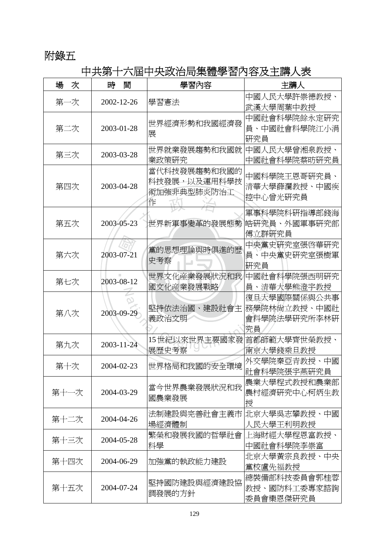## 附錄五

# 中共第十六屆中央政治局集體學習內容及主講人表

| 場<br>次 | 時<br>間     | 學習內容                                             | 主講人                                                |
|--------|------------|--------------------------------------------------|----------------------------------------------------|
| 第一次    | 2002-12-26 | 學習憲法                                             | 中國人民大學許崇德教授、<br>武漢大學周葉中教授                          |
| 第二次    | 2003-01-28 | 世界經濟形勢和我國經濟發<br>展                                | 中國社會科學院餘永定研究<br>員、中國社會科學院江小涓<br>硏究員                |
| 第三次    | 2003-03-28 | 世界就業發展趨勢和我國就<br>業政策研究                            | 中國人民大學曾湘泉教授、<br>中國社會科學院蔡昉研究員                       |
| 第四次    | 2003-04-28 | 當代科技發展趨勢和我國的<br>科技發展,以及運用科學技<br>術加強非典型肺炎防治工<br>作 | 中國科學院王恩哥研究員、<br>清華大學薛瀾教授、中國疾<br>控中心曾光研究員           |
| 第五次    | 2003-05-23 | 世界新軍事變革的發展態勢                                     | 軍事科學院科研指導部錢海<br> 皓研究員、外國軍事研究部<br>傅立群研究員            |
| 第六次    | 2003-07-21 | 黨的思想理論與時俱進的歷<br>史考察                              | 中央黨史研究室張啓華研究<br>員、中央黨史研究室張樹軍<br>硏究員                |
| 第七次    | 2003-08-12 | 世界文化産業發展狀況和我<br>國文化産業發展戰略                        | 中國社會科學院張西明研究<br>員、清華大學熊澄宇教授                        |
| 第八次    | 2003-09-29 | 堅持依法治國、建設社會主<br>義政治文明                            | 復旦大學國際關係與公共事<br>務學院林尙立教授、中國社<br>會科學院法學研究所李林研<br>究員 |
| 第九次    | 2003-11-24 | 15世紀以來世界主要國家發<br>展歷史考察                           | 首都師範大學齊世榮教授、<br>南京大學錢乘旦教授                          |
| 第十次    | 2004-02-23 | 世界格局和我國的安全環境                                     | 外交學院秦亞青教授、中國<br>社會科學院張宇燕硏究員                        |
| 第十一次   | 2004-03-29 | 當今世界農業發展狀況和我<br>國農業發展                            | 農業大學程式教授和農業部<br>農村經濟研究中心柯炳生教<br>授                  |
| 第十二次   | 2004-04-26 | 法制建設與完善社會主義市<br>場經濟體制                            | 北京大學吳志攀教授、中國<br>人民大學王利明教授                          |
| 第十三次   | 2004-05-28 | 繁榮和發展我國的哲學社會<br>科學                               | 上海財經大學程恩富教授、<br>中國社會科學院李崇富                         |
| 第十四次   | 2004-06-29 | 加強黨的執政能力建設                                       | 北京大學黃宗良教授、中央<br>黨校盧先福教授                            |
| 第十五次   | 2004-07-24 | 堅持國防建設與經濟建設協<br>調發展的方針                           | 總裝備部科技委員會郭桂蓉<br>教授、國防科工委專家諮詢<br>委員會欒恩傑硏究員          |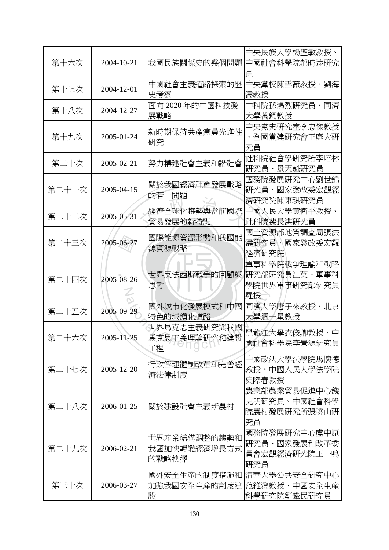| 第十六次  | 2004-10-21 | 我國民族關係史的幾個問題                           | 中央民族大學楊聖敏教授、<br>中國社會科學院郝時遠研究<br>員                   |
|-------|------------|----------------------------------------|-----------------------------------------------------|
| 第十七次  | 2004-12-01 | 中國社會主義道路探索的歷<br>史考察                    | 中央黨校陳雪薇教授、劉海<br>濤教授                                 |
| 第十八次  | 2004-12-27 | 面向 2020 年的中國科技發<br>展戰略                 | 中科院孫鴻烈硏究員、同濟<br>大學萬鋼教授                              |
| 第十九次  | 2005-01-24 | 新時期保持共產黨員先進性<br>硏究                     | 中央黨史研究室李忠傑教授<br>、全國黨建硏究會王庭大硏<br>究員                  |
| 第二十次  | 2005-02-21 | 努力構建社會主義和諧社會                           | 社科院社會學研究所李培林<br>研究員、景天魁研究員                          |
| 第二十一次 | 2005-04-15 | 關於我國經濟社會發展戰略<br>的若干問題                  | 國務院發展研究中心劉世錦<br>研究員、國家發改委宏觀經<br>濟研究院陳東琪研究員          |
| 第二十二次 | 2005-05-31 | 經濟全球化趨勢與當前國際<br>貿易發展的新特點               | 中國人民大學黃衛平教授、<br>社科院裴長洪研究員                           |
| 第二十三次 | 2005-06-27 | 國際能源資源形勢和我國能<br>源資源戰略                  | 國土資源部地質調査局張洪<br>濤硏究員、國家發改委宏觀<br>經濟研究院               |
| 第二十四次 | 2005-08-26 | 世界反法西斯戰爭的回顧與<br>思考                     | 軍事科學院戰爭理論和戰略<br>研究部研究員江英、軍事科<br>學院世界軍事研究部研究員<br>羅援  |
| 第二十五次 | 2005-09-29 | 國外城市化發展模式和中國<br>特色的城鎮化道路               | 同濟大學唐子來教授、北京<br>大學週一星教授                             |
| 第二十六次 | 2005-11-25 | 世界馬克思主義研究與我國<br>馬克思主義理論研究和建設<br>工程     | 黑龍江大學衣俊卿教授、中<br>國社會科學院李景源研究員                        |
| 第二十七次 | 2005-12-20 | 行政管理體制改革和完善經<br>濟法律制度                  | 中國政法大學法學院馬懷德<br>教授、中國人民大學法學院<br>史際春教授               |
| 第二十八次 | 2006-01-25 | 關於建設社會主義新農村                            | 農業部農業貿易促進中心錢<br>克明研究員、中國社會科學<br>院農村發展研究所張曉山研<br>究員  |
| 第二十九次 | 2006-02-21 | 世界産業結構調整的趨勢和<br> 我國加快轉變經濟增長方式<br>的戰略抉擇 | 國務院發展研究中心盧中原<br>研究員、國家發展和改革委<br>員會宏觀經濟硏究院王一鳴<br>硏究員 |
| 第三十次  | 2006-03-27 | 國外安全生産的制度措施和<br>加強我國安全生産的制度建<br>設      | 清華大學公共安全研究中心<br>范維澄教授、中國安全生産<br>科學研究院劉鐵民研究員         |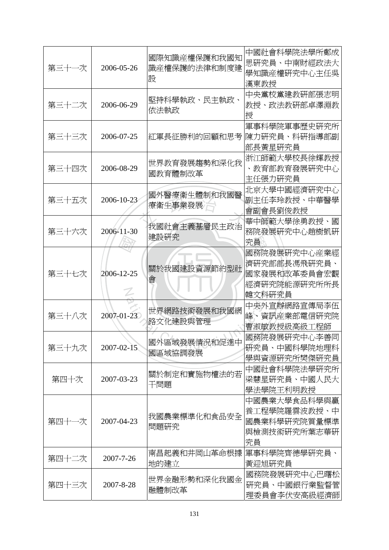| 第三十一次 | 2006-05-26      | 國際知識産權保護和我國知<br>識產權保護的法律和制度建<br>設 | 中國社會科學院法學所鄭成<br>思研究員、中南財經政法大<br>學知識産權研究中心主任吳<br>漢東教授                   |
|-------|-----------------|-----------------------------------|------------------------------------------------------------------------|
| 第三十二次 | 2006-06-29      | 堅持科學執政、民主執政、<br>依法執政              | 中央黨校黨建教研部張志明<br>教授、政法教研部卓澤淵教<br>授                                      |
| 第三十三次 | 2006-07-25      | 紅軍長征勝利的回顧和思考                      | 軍事科學院軍事歷史硏究所<br>陳力硏究員、科硏指導部副<br>部長黃星研究員                                |
| 第三十四次 | 2006-08-29      | 世界教育發展趨勢和深化我<br>國教育體制改革           | 浙江師範大學校長徐輝教授<br>、教育部教育發展研究中心<br>主任張力研究員                                |
| 第三十五次 | 2006-10-23      | 國外醫療衛生體制和我國醫<br>療衛生事業發展           | 北京大學中國經濟研究中心<br>副主任李玲教授、中華醫學<br>會副會長劉俊教授                               |
| 第三十六次 | 2006-11-30      | 我國社會主義基層民主政治<br>建設研究              | 華中師範大學徐勇教授、國<br>務院發展研究中心趙樹凱研<br>究員                                     |
| 第三十七次 | 2006-12-25      | 關於我國建設資源節約型社<br>曾                 | 國務院發展硏究中心産業經<br>濟研究部部長馮飛研究員、<br>國家發展和改革委員會宏觀<br>經濟研究院能源研究所所長<br>韓文科研究員 |
| 第三十八次 | 2007-01-23      | 世界網路技術發展和我國網<br>路文化建設與管理          | 中央外宣辦網路宣傳局李伍<br>峰、資訊産業部電信研究院<br>曹淑敏教授級高級工程師                            |
| 第三十九次 | 2007-02-15      | 國外區域發展情況和促進中<br>國區域協調發展           | 國務院發展硏究中心李善同<br>研究員、中國科學院地理科<br>學與資源硏究所樊傑硏究員                           |
| 第四十次  | 2007-03-23      | 關於制定和實施物權法的若<br>干問題               | 中國社會科學院法學研究所<br>梁慧星研究員、中國人民大<br>學法學院王利明教授                              |
| 第四十一次 | 2007-04-23      | 我國農業標準化和食品安全<br>問題研究              | 中國農業大學食品科學與贏<br>養工程學院羅雲波教授、中<br>國農業科學研究院質量標準<br>與檢測技術研究所葉志華研<br>究員     |
| 第四十二次 | $2007 - 7 - 26$ | 南昌起義和井岡山革命根據<br>地的建立              | 軍事科學院齊德學研究員、<br>黃迎旭研究員                                                 |
| 第四十三次 | 2007-8-28       | 世界金融形勢和深化我國金<br>融體制改革             | 國務院發展研究中心巴曙松<br>研究員、中國銀行業監督管<br>理委員會李伏安高級經濟師                           |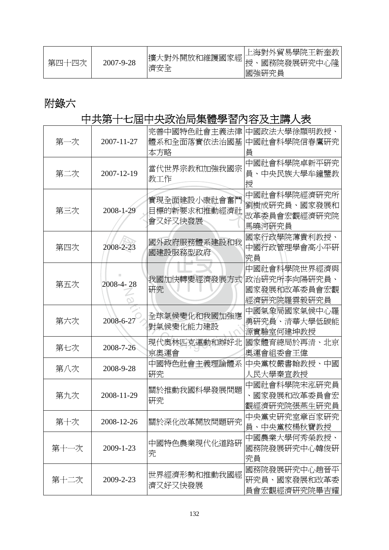| 第四十四次 | 2007-9-28 | 擴大對外開放和維護國家經  <del> </del><br> <br>濟安全 | 上海對外貿易學院王新奎教<br>國務院發展研究中心隆<br>國強研究員 |
|-------|-----------|----------------------------------------|-------------------------------------|
|-------|-----------|----------------------------------------|-------------------------------------|

# 附錄六

# 中共第十七屆中央政治局集體學習內容及主講人表

| 第一次  | 2007-11-27 | 完善中國特色社會主義法律<br>體系和全面落實依法治國基<br>本方略     | 中國政法大學徐顯明教授、<br>中國社會科學院信春鷹硏究                                 |
|------|------------|-----------------------------------------|--------------------------------------------------------------|
| 第二次  | 2007-12-19 | 當代世界宗教和加強我國宗<br>教工作                     | 中國社會科學院卓新平硏究<br>員、中央民族大學牟鐘鑒教<br>授                            |
| 第三次  | 2008-1-29  | 實現全面建設小康社會奮鬥<br>目標的新要求和推動經濟社<br>會又好又快發展 | 中國社會科學院經濟研究所<br>劉樹成研究員、國家發展和<br>改革委員會宏觀經濟研究院<br>馬曉河硏究員       |
| 第四次  | 2008-2-23  | 國外政府服務體系建設和我<br>國建設服務型政府                | 國家行政學院薄貴利教授、<br>中國行政管理學會高小平研<br>究員                           |
| 第五次  | 2008-4-28  | 我國加快轉變經濟發展方式<br>研究                      | 中國社會科學院世界經濟與<br> 政治研究所李向陽研究員、<br>國家發展和改革委員會宏觀<br>經濟研究院羅雲毅研究員 |
| 第六次  | 2008-6-27  | 全球氣候變化和我國加強應<br>對氣候變化能力建設               | 中國氣象局國家氣候中心羅<br>勇研究員、清華大學低碳能<br>源實驗室何建坤教授                    |
| 第七次  | 2008-7-26  | 現代奧林匹克運動和辦好北<br>京奧運會                    | 國家體育總局於再清、北京<br>奧運會組委會王偉                                     |
| 第八次  | 2008-9-28  | 中國特色社會主義理論體系<br>硏究                      | 中央黨校嚴書翰教授、中國<br>人民大學秦宣教授                                     |
| 第九次  | 2008-11-29 | 關於推動我國科學發展問題<br>硏究                      | 中國社會科學院宋泓研究員<br>國家發展和改革委員會宏<br>觀經濟研究院張燕生研究員                  |
| 第十次  | 2008-12-26 | 關於深化改革開放問題硏究                            | 中央黨史研究室章百家研究<br>員、中央黨校楊秋寶教授                                  |
| 第十一次 | 2009-1-23  | 中國特色農業現代化道路研<br>究                       | 中國農業大學何秀榮教授、<br>國務院發展研究中心韓俊研<br>究員                           |
| 第十二次 | 2009-2-23  | 世界經濟形勢和推動我國經<br>濟又好又快發展                 | 國務院發展硏究中心趙晉平<br>研究員、國家發展和改革委<br>員會宏觀經濟研究院畢吉耀                 |